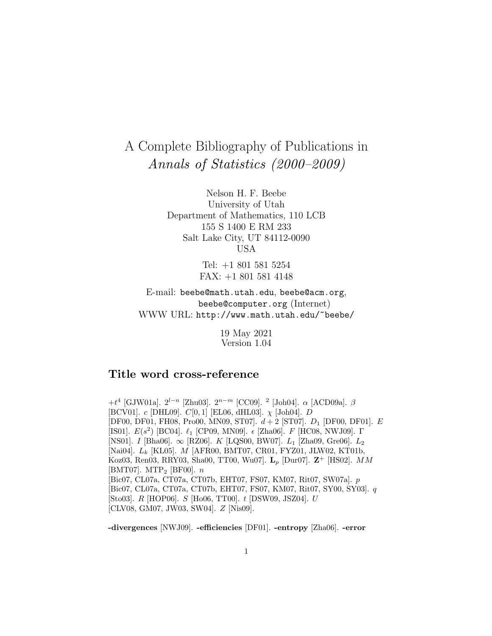# A Complete Bibliography of Publications in Annals of Statistics (2000–2009)

Nelson H. F. Beebe University of Utah Department of Mathematics, 110 LCB 155 S 1400 E RM 233 Salt Lake City, UT 84112-0090 USA

> Tel: +1 801 581 5254 FAX: +1 801 581 4148

E-mail: beebe@math.utah.edu, beebe@acm.org, beebe@computer.org (Internet) WWW URL: http://www.math.utah.edu/~beebe/

> 19 May 2021 Version 1.04

# **Title word cross-reference**

+t<sup>4</sup> [GJW01a]. 2<sup>l</sup>−<sup>n</sup> [Zhu03]. 2<sup>n</sup>−<sup>m</sup> [CC09]. <sup>2</sup> [Joh04]. α [ACD09a]. β [BCV01].  $c$  [DHL09].  $C[0, 1]$  [EL06, dHL03].  $\chi$  [Joh04]. D [DF00, DF01, FH08, Pro00, MN09, ST07].  $d+2$  [ST07].  $D_1$  [DF00, DF01].  $E$ [IS01].  $E(s^2)$  [BC04].  $\ell_1$  [CP09, MN09].  $\epsilon$  [Zha06]. F [HC08, NWJ09]. Γ [NS01]. I [Bha06].  $\infty$  [RZ06]. K [LQS00, BW07].  $L_1$  [Zha09, Gre06].  $L_2$ [Nai04].  $L_k$  [KL05]. M [AFR00, BMT07, CR01, FYZ01, JLW02, KT01b, Koz03, Ren03, RRY03, Sha00, TT00, Wu07]. **L**<sup>p</sup> [Dur07]. **Z**<sup>+</sup> [HS02]. MM  $|BMT07|$ . MTP<sub>2</sub>  $|BFO0|$ . *n* [Bic07, CL07a, CT07a, CT07b, EHT07, FS07, KM07, Rit07, SW07a]. p [Bic07, CL07a, CT07a, CT07b, EHT07, FS07, KM07, Rit07, SY00, SY03]. q [Sto03]. R [HOP06]. S [Ho06, TT00]. t [DSW09, JSZ04]. U [CLV08, GM07, JW03, SW04]. Z [Nis09].

**-divergences** [NWJ09]. **-efficiencies** [DF01]. **-entropy** [Zha06]. **-error**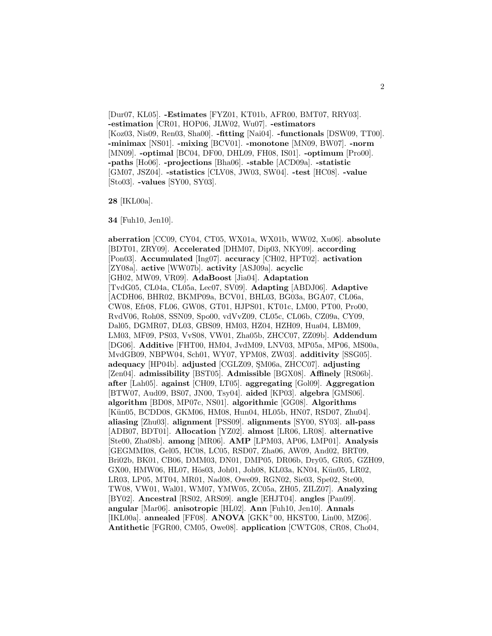[Dur07, KL05]. **-Estimates** [FYZ01, KT01b, AFR00, BMT07, RRY03]. **-estimation** [CR01, HOP06, JLW02, Wu07]. **-estimators** [Koz03, Nis09, Ren03, Sha00]. **-fitting** [Nai04]. **-functionals** [DSW09, TT00]. **-minimax** [NS01]. **-mixing** [BCV01]. **-monotone** [MN09, BW07]. **-norm** [MN09]. **-optimal** [BC04, DF00, DHL09, FH08, IS01]. **-optimum** [Pro00]. **-paths** [Ho06]. **-projections** [Bha06]. **-stable** [ACD09a]. **-statistic** [GM07, JSZ04]. **-statistics** [CLV08, JW03, SW04]. **-test** [HC08]. **-value** [Sto03]. **-values** [SY00, SY03].

**28** [IKL00a].

**34** [Fuh10, Jen10].

**aberration** [CC09, CY04, CT05, WX01a, WX01b, WW02, Xu06]. **absolute** [BDT01, ZRY09]. **Accelerated** [DHM07, Dip03, NKY09]. **according** [Pon03]. **Accumulated** [Ing07]. **accuracy** [CH02, HPT02]. **activation** [ZY08a]. **active** [WW07b]. **activity** [ASJ09a]. **acyclic** [GH02, MW09, VR09]. **AdaBoost** [Jia04]. **Adaptation** [TvdG05, CL04a, CL05a, Lec07, SV09]. **Adapting** [ABDJ06]. **Adaptive** [ACDH06, BHR02, BKMP09a, BCV01, BHL03, BG03a, BGA07, CL06a, CW08, Efr08, FL06, GW08, GT01, HJPS01, KT01c, LM00, PT00, Pro00, RvdV06, Roh08, SSN09, Spo00, vdVvZ09, CL05c, CL06b, CZ09a, CY09, Dal05, DGMR07, DL03, GBS09, HM03, HZ04, HZH09, Hua04, LBM09, LM03, MF09, PS03, VvS08, VW01, Zha05b, ZHCC07, ZZ09b]. **Addendum** [DG06]. **Additive** [FHT00, HM04, JvdM09, LNV03, MP05a, MP06, MS00a, MvdGB09, NBPW04, Sch01, WY07, YPM08, ZW03]. **additivity** [SSG05]. **adequacy** [HP04b]. **adjusted** [CGLZ09, ¸SM06a, ZHCC07]. **adjusting** [Zen04]. **admissibility** [BST05]. **Admissible** [BGX08]. **Affinely** [RS06b]. **after** [Lah05]. **against** [CH09, LT05]. **aggregating** [Gol09]. **Aggregation** [BTW07, Aud09, BS07, JN00, Tsy04]. **aided** [KP03]. **algebra** [GMS06]. **algorithm** [BD08, MP07c, NS01]. **algorithmic** [GG08]. **Algorithms** [Kün05, BCDD08, GKM06, HM08, Hun04, HL05b, HN07, RSD07, Zhu04]. **aliasing** [Zhu03]. **alignment** [PSS09]. **alignments** [SY00, SY03]. **all-pass** [ADB07, BDT01]. **Allocation** [YZ02]. **almost** [LR06, LR08]. **alternative** [Ste00, Zha08b]. **among** [MR06]. **AMP** [LPM03, AP06, LMP01]. **Analysis** [GEGMMI08, Gel05, HC08, LC05, RSD07, Zha06, AW09, And02, BRT09, Bri02b, BK01, CB06, DMM03, DN01, DMP05, DR06b, Dry05, GR05, GZH09, GX00, HMW06, HL07, Hös03, Joh01, Joh08, KL03a, KN04, Kün05, LR02, LR03, LP05, MT04, MR01, Nad08, Owe09, RGN02, Sie03, Spe02, Ste00, TW08, VW01, Wal01, WM07, YMW05, ZC05a, ZH05, ZILZ07]. **Analyzing** [BY02]. **Ancestral** [RS02, ARS09]. **angle** [EHJT04]. **angles** [Pan09]. **angular** [Mar06]. **anisotropic** [HL02]. **Ann** [Fuh10, Jen10]. **Annals** [IKL00a]. **annealed** [FF08]. **ANOVA** [GKK<sup>+</sup>00, HKST00, Lin00, MZ06]. **Antithetic** [FGR00, CM05, Owe08]. **application** [CWTG08, CR08, Cho04,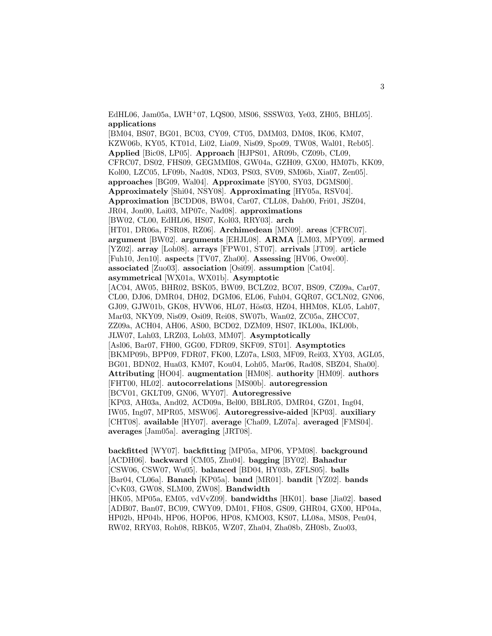EdHL06, Jam05a, LWH<sup>+</sup>07, LQS00, MS06, SSSW03, Ye03, ZH05, BHL05]. **applications**

[BM04, BS07, BG01, BC03, CY09, CT05, DMM03, DM08, IK06, KM07, KZW06b, KY05, KT01d, Li02, Lia09, Nis09, Spo09, TW08, Wal01, Reb05]. **Applied** [Bic08, LP05]. **Approach** [HJPS01, AR09b, CZ09b, CL09, CFRC07, DS02, FHS09, GEGMMI08, GW04a, GZH09, GX00, HM07b, KK09, Kol00, LZC05, LF09b, Nad08, ND03, PS03, SV09, SM06b, Xia07, Zen05]. **approaches** [BG09, Wal04]. **Approximate** [SY00, SY03, DGMS00]. **Approximately** [Shi04, NSY08]. **Approximating** [HY05a, RSV04]. **Approximation** [BCDD08, BW04, Car07, CLL08, Dah00, Fri01, JSZ04, JR04, Jon00, Lai03, MP07c, Nad08]. **approximations** [BW02, CL00, EdHL06, HS07, Kol03, RRY03]. **arch** [HT01, DR06a, FSR08, RZ06]. **Archimedean** [MN09]. **areas** [CFRC07]. **argument** [BW02]. **arguments** [EHJL08]. **ARMA** [LM03, MPY09]. **armed** [YZ02]. **array** [Loh08]. **arrays** [FPW01, ST07]. **arrivals** [JT09]. **article** [Fuh10, Jen10]. **aspects** [TV07, Zha00]. **Assessing** [HV06, Owe00]. **associated** [Zuo03]. **association** [Osi09]. **assumption** [Cat04]. **asymmetrical** [WX01a, WX01b]. **Asymptotic** [AC04, AW05, BHR02, BSK05, BW09, BCLZ02, BC07, BS09, CZ09a, Car07, CL00, DJ06, DMR04, DH02, DGM06, EL06, Fuh04, GQR07, GCLN02, GN06, GJ09, GJW01b, GK08, HVW06, HL07, Hös03, HZ04, HHM08, KL05, Lah07, Mar03, NKY09, Nis09, Osi09, Rei08, SW07b, Wan02, ZC05a, ZHCC07, ZZ09a, ACH04, AH06, AS00, BCD02, DZM09, HS07, IKL00a, IKL00b, JLW07, Lah03, LRZ03, Loh03, MM07]. **Asymptotically** [Asl06, Bar07, FH00, GG00, FDR09, SKF09, ST01]. **Asymptotics** [BKMP09b, BPP09, FDR07, FK00, LZ07a, LS03, MF09, Rei03, XY03, AGL05, BG01, BDN02, Hua03, KM07, Kou04, Loh05, Mar06, Rad08, SBZ04, Sha00]. **Attributing** [HO04]. **augmentation** [HM08]. **authority** [HM09]. **authors** [FHT00, HL02]. **autocorrelations** [MS00b]. **autoregression** [BCV01, GKLT09, GN06, WY07]. **Autoregressive** [KP03, AH03a, And02, ACD09a, Bel00, BBLR05, DMR04, GZ01, Ing04, IW05, Ing07, MPR05, MSW06]. **Autoregressive-aided** [KP03]. **auxiliary** [CHT08]. **available** [HY07]. **average** [Cha09, LZ07a]. **averaged** [FMS04]. **averages** [Jam05a]. **averaging** [JRT08].

**backfitted** [WY07]. **backfitting** [MP05a, MP06, YPM08]. **background** [ACDH06]. **backward** [CM05, Zhu04]. **bagging** [BY02]. **Bahadur** [CSW06, CSW07, Wu05]. **balanced** [BD04, HY03b, ZFLS05]. **balls** [Bar04, CL06a]. **Banach** [KP05a]. **band** [MR01]. **bandit** [YZ02]. **bands** [CvK03, GW08, SLM00, ZW08]. **Bandwidth** [HK05, MP05a, EM05, vdVvZ09]. **bandwidths** [HK01]. **base** [Jia02]. **based** [ADB07, Ban07, BC09, CWY09, DM01, FH08, GS09, GHR04, GX00, HP04a, HP02b, HP04b, HP06, HOP06, HP08, KMO03, KS07, LL08a, MS08, Pen04, RW02, RRY03, Roh08, RBK05, WZ07, Zha04, Zha08b, ZH08b, Zuo03,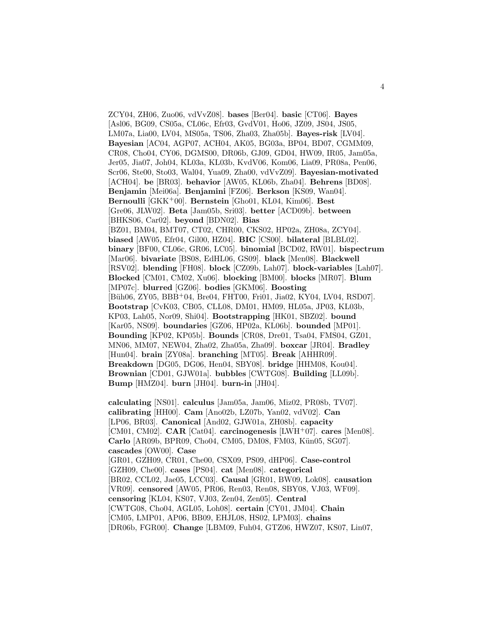ZCY04, ZH06, Zuo06, vdVvZ08]. **bases** [Ber04]. **basic** [CT06]. **Bayes** [Asl06, BG09, CS05a, CL06c, Efr03, GvdV01, Ho06, JZ09, JS04, JS05, LM07a, Lia00, LV04, MS05a, TS06, Zha03, Zha05b]. **Bayes-risk** [LV04]. **Bayesian** [AC04, AGP07, ACH04, AK05, BG03a, BP04, BD07, CGMM09, CR08, Cho04, CY06, DGMS00, DR06b, GJ09, GD04, HW09, IR05, Jam05a, Jer05, Jia07, Joh04, KL03a, KL03b, KvdV06, Kom06, Lia09, PR08a, Pen06, Scr06, Ste00, Sto03, Wal04, Yua09, Zha00, vdVvZ09]. **Bayesian-motivated** [ACH04]. **be** [BR03]. **behavior** [AW05, KL06b, Zha04]. **Behrens** [BD08]. **Benjamin** [Mei06a]. **Benjamini** [FZ06]. **Berkson** [KS09, Wan04]. **Bernoulli** [GKK<sup>+</sup>00]. **Bernstein** [Gho01, KL04, Kim06]. **Best** [Gre06, JLW02]. **Beta** [Jam05b, Sri03]. **better** [ACD09b]. **between** [BHKS06, Car02]. **beyond** [BDN02]. **Bias** [BZ01, BM04, BMT07, CT02, CHR00, CKS02, HP02a, ZH08a, ZCY04]. **biased** [AW05, Efr04, Gil00, HZ04]. **BIC** [CS00]. **bilateral** [BLBL02]. **binary** [BF00, CL06c, GR06, LC05]. **binomial** [BCD02, RW01]. **bispectrum** [Mar06]. **bivariate** [BS08, EdHL06, GS09]. **black** [Men08]. **Blackwell** [RSV02]. **blending** [FH08]. **block** [CZ09b, Lah07]. **block-variables** [Lah07]. **Blocked** [CM01, CM02, Xu06]. **blocking** [BM00]. **blocks** [MR07]. **Blum** [MP07c]. **blurred** [GZ06]. **bodies** [GKM06]. **Boosting** [Büh06, ZY05, BBB+04, Bre04, FHT00, Fri01, Jia02, KY04, LV04, RSD07]. **Bootstrap** [CvK03, CB05, CLL08, DM01, HM09, HL05a, JP03, KL03b, KP03, Lah05, Nor09, Shi04]. **Bootstrapping** [HK01, SBZ02]. **bound** [Kar05, NS09]. **boundaries** [GZ06, HP02a, KL06b]. **bounded** [MP01]. **Bounding** [KP02, KP05b]. **Bounds** [CR08, Dre01, Tsa04, FMS04, GZ01, MN06, MM07, NEW04, Zha02, Zha05a, Zha09]. **boxcar** [JR04]. **Bradley** [Hun04]. **brain** [ZY08a]. **branching** [MT05]. **Break** [AHHR09]. **Breakdown** [DG05, DG06, Hen04, SBY08]. **bridge** [HHM08, Kou04]. **Brownian** [CD01, GJW01a]. **bubbles** [CWTG08]. **Building** [LL09b]. **Bump** [HMZ04]. **burn** [JH04]. **burn-in** [JH04].

**calculating** [NS01]. **calculus** [Jam05a, Jam06, Miz02, PR08b, TV07]. **calibrating** [HH00]. **Cam** [Ano02b, LZ07b, Yan02, vdV02]. **Can** [LP06, BR03]. **Canonical** [And02, GJW01a, ZH08b]. **capacity** [CM01, CM02]. **CAR** [Cat04]. **carcinogenesis** [LWH<sup>+</sup>07]. **cares** [Men08]. **Carlo** [AR09b, BPR09, Cho04, CM05, DM08, FM03, Kün05, SG07]. **cascades** [OW00]. **Case** [GR01, GZH09, CR01, Che00, CSX09, PS09, dHP06]. **Case-control** [GZH09, Che00]. **cases** [PS04]. **cat** [Men08]. **categorical** [BR02, CCL02, Jae05, LCC03]. **Causal** [GR01, BW09, Lok08]. **causation** [VR09]. **censored** [AW05, PR06, Ren03, Ren08, SBY08, VJ03, WF09]. **censoring** [KL04, KS07, VJ03, Zen04, Zen05]. **Central** [CWTG08, Cho04, AGL05, Loh08]. **certain** [CY01, JM04]. **Chain** [CM05, LMP01, AP06, BB09, EHJL08, HS02, LPM03]. **chains** [DR06b, FGR00]. **Change** [LBM09, Fuh04, GTZ06, HWZ07, KS07, Lin07,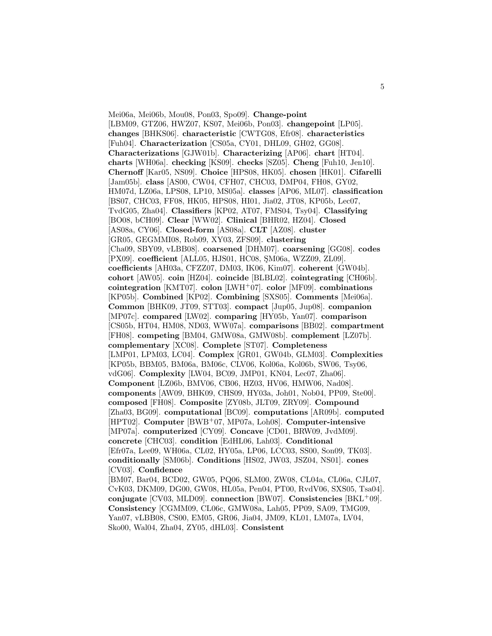Mei06a, Mei06b, Mou08, Pon03, Spo09]. **Change-point** [LBM09, GTZ06, HWZ07, KS07, Mei06b, Pon03]. **changepoint** [LP05]. **changes** [BHKS06]. **characteristic** [CWTG08, Efr08]. **characteristics** [Fuh04]. **Characterization** [CS05a, CY01, DHL09, GH02, GG08]. **Characterizations** [GJW01b]. **Characterizing** [AP06]. **chart** [HT04]. **charts** [WH06a]. **checking** [KS09]. **checks** [SZ05]. **Cheng** [Fuh10, Jen10]. **Chernoff** [Kar05, NS09]. **Choice** [HPS08, HK05]. **chosen** [HK01]. **Cifarelli** [Jam05b]. **class** [AS00, CW04, CFH07, CHC03, DMP04, FH08, GY02, HM07d, LZ06a, LPS08, LP10, MS05a]. **classes** [AP06, ML07]. **classification** [BS07, CHC03, FF08, HK05, HPS08, HI01, Jia02, JT08, KP05b, Lec07, TvdG05, Zha04]. **Classifiers** [KP02, AT07, FMS04, Tsy04]. **Classifying** [BO08, bCH09]. **Clear** [WW02]. **Clinical** [BHR02, HZ04]. **Closed** [AS08a, CY06]. **Closed-form** [AS08a]. **CLT** [AZ08]. **cluster** [GR05, GEGMMI08, Rob09, XY03, ZFS09]. **clustering** [Cha09, SBY09, vLBB08]. **coarsened** [DHM07]. **coarsening** [GG08]. **codes** [PX09]. **coefficient** [ALL05, HJS01, HC08, ŞM06a, WZZ09, ZL09]. **coefficients** [AH03a, CFZZ07, DM03, IK06, Kim07]. **coherent** [GW04b]. **cohort** [AW05]. **coin** [HZ04]. **coincide** [BLBL02]. **cointegrating** [CH06b]. **cointegration** [KMT07]. **colon** [LWH<sup>+</sup>07]. **color** [MF09]. **combinations** [KP05b]. **Combined** [KP02]. **Combining** [SXS05]. **Comments** [Mei06a]. **Common** [BHK09, JT09, STT03]. **compact** [Jup05, Jup08]. **companion** [MP07c]. **compared** [LW02]. **comparing** [HY05b, Yan07]. **comparison** [CS05b, HT04, HM08, ND03, WW07a]. **comparisons** [BB02]. **compartment** [FH08]. **competing** [BM04, GMW08a, GMW08b]. **complement** [LZ07b]. **complementary** [XC08]. **Complete** [ST07]. **Completeness** [LMP01, LPM03, LC04]. **Complex** [GR01, GW04b, GLM03]. **Complexities** [KP05b, BBM05, BM06a, BM06c, CLV06, Kol06a, Kol06b, SW06, Tsy06, vdG06]. **Complexity** [LW04, BC09, JMP01, KN04, Lec07, Zha06]. **Component** [LZ06b, BMV06, CB06, HZ03, HV06, HMW06, Nad08]. **components** [AW09, BHK09, CHS09, HY03a, Joh01, Nob04, PP09, Ste00]. **composed** [FH08]. **Composite** [ZY08b, JLT09, ZRY09]. **Compound** [Zha03, BG09]. **computational** [BC09]. **computations** [AR09b]. **computed** [HPT02]. **Computer** [BWB<sup>+</sup>07, MP07a, Loh08]. **Computer-intensive** [MP07a]. **computerized** [CY09]. **Concave** [CD01, BRW09, JvdM09]. **concrete** [CHC03]. **condition** [EdHL06, Lah03]. **Conditional** [Efr07a, Lee09, WH06a, CL02, HY05a, LP06, LCC03, SS00, Son09, TK03]. **conditionally** [SM06b]. **Conditions** [HS02, JW03, JSZ04, NS01]. **cones** [CV03]. **Confidence** [BM07, Bar04, BCD02, GW05, PQ06, SLM00, ZW08, CL04a, CL06a, CJL07, CvK03, DKM09, DG00, GW08, HL05a, Pen04, PT00, RvdV06, SXS05, Tsa04]. **conjugate** [CV03, MLD09]. **connection** [BW07]. **Consistencies** [BKL<sup>+</sup>09]. **Consistency** [CGMM09, CL06c, GMW08a, Lah05, PP09, SA09, TMG09, Yan07, vLBB08, CS00, EM05, GR06, Jia04, JM09, KL01, LM07a, LV04, Sko00, Wal04, Zha04, ZY05, dHL03]. **Consistent**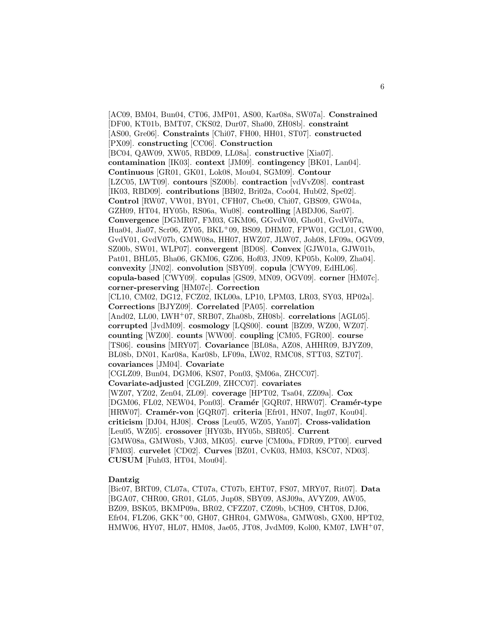[AC09, BM04, Bun04, CT06, JMP01, AS00, Kar08a, SW07a]. **Constrained** [DF00, KT01b, BMT07, CKS02, Dur07, Sha00, ZH08b]. **constraint** [AS00, Gre06]. **Constraints** [Chi07, FH00, HH01, ST07]. **constructed** [PX09]. **constructing** [CC06]. **Construction** [BC04, QAW09, XW05, RBD09, LL08a]. **constructive** [Xia07]. **contamination** [IK03]. **context** [JM09]. **contingency** [BK01, Lan04]. **Continuous** [GR01, GK01, Lok08, Mou04, SGM09]. **Contour** [LZC05, LWT09]. **contours** [SZ00b]. **contraction** [vdVvZ08]. **contrast** [IK03, RBD09]. **contributions** [BB02, Bri02a, Coo04, Hub02, Spe02]. **Control** [RW07, VW01, BY01, CFH07, Che00, Chi07, GBS09, GW04a, GZH09, HT04, HY05b, RS06a, Wu08]. **controlling** [ABDJ06, Sar07]. **Convergence** [DGMR07, FM03, GKM06, GGvdV00, Gho01, GvdV07a, Hua04, Jia07, Scr06, ZY05, BKL<sup>+</sup>09, BS09, DHM07, FPW01, GCL01, GW00, GvdV01, GvdV07b, GMW08a, HH07, HWZ07, JLW07, Joh08, LF09a, OGV09, SZ00b, SW01, WLP07]. **convergent** [BD08]. **Convex** [GJW01a, GJW01b, Pat01, BHL05, Bha06, GKM06, GZ06, Hof03, JN09, KP05b, Kol09, Zha04]. **convexity** [JN02]. **convolution** [SBY09]. **copula** [CWY09, EdHL06]. **copula-based** [CWY09]. **copulas** [GS09, MN09, OGV09]. **corner** [HM07c]. **corner-preserving** [HM07c]. **Correction** [CL10, CM02, DG12, FCZ02, IKL00a, LP10, LPM03, LR03, SY03, HP02a]. **Corrections** [BJYZ09]. **Correlated** [PA05]. **correlation** [And02, LL00, LWH<sup>+</sup>07, SRB07, Zha08b, ZH08b]. **correlations** [AGL05]. **corrupted** [JvdM09]. **cosmology** [LQS00]. **count** [BZ09, WZ00, WZ07]. **counting** [WZ00]. **counts** [WW00]. **coupling** [CM05, FGR00]. **course** [TS06]. **cousins** [MRY07]. **Covariance** [BL08a, AZ08, AHHR09, BJYZ09, BL08b, DN01, Kar08a, Kar08b, LF09a, LW02, RMC08, STT03, SZT07]. **covariances** [JM04]. **Covariate** [CGLZ09, Bun04, DGM06, KS07, Pon03, SM06a, ZHCC07]. **Covariate-adjusted** [CGLZ09, ZHCC07]. **covariates** [WZ07, YZ02, Zen04, ZL09]. **coverage** [HPT02, Tsa04, ZZ09a]. **Cox** [DGM06, FL02, NEW04, Pon03]. **Cram´er** [GQR07, HRW07]. **Cram´er-type** [HRW07]. **Cramér-von** [GQR07]. **criteria** [Efr01, HN07, Ing07, Kou04]. **criticism** [DJ04, HJ08]. **Cross** [Leu05, WZ05, Yan07]. **Cross-validation** [Leu05, WZ05]. **crossover** [HY03b, HY05b, SBR05]. **Current** [GMW08a, GMW08b, VJ03, MK05]. **curve** [CM00a, FDR09, PT00]. **curved** [FM03]. **curvelet** [CD02]. **Curves** [BZ01, CvK03, HM03, KSC07, ND03]. **CUSUM** [Fuh03, HT04, Mou04].

## **Dantzig**

[Bic07, BRT09, CL07a, CT07a, CT07b, EHT07, FS07, MRY07, Rit07]. **Data** [BGA07, CHR00, GR01, GL05, Jup08, SBY09, ASJ09a, AVYZ09, AW05, BZ09, BSK05, BKMP09a, BR02, CFZZ07, CZ09b, bCH09, CHT08, DJ06, Efr04, FLZ06, GKK<sup>+</sup>00, GH07, GHR04, GMW08a, GMW08b, GX00, HPT02, HMW06, HY07, HL07, HM08, Jae05, JT08, JvdM09, Kol00, KM07, LWH<sup>+</sup>07,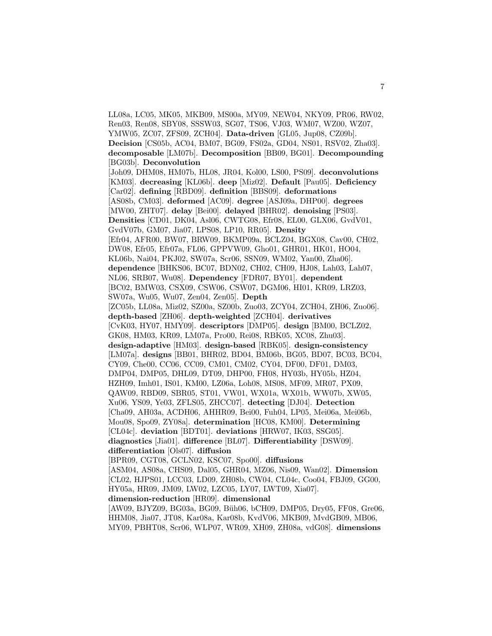LL08a, LC05, MK05, MKB09, MS00a, MY09, NEW04, NKY09, PR06, RW02, Ren03, Ren08, SBY08, SSSW03, SG07, TS06, VJ03, WM07, WZ00, WZ07, YMW05, ZC07, ZFS09, ZCH04]. **Data-driven** [GL05, Jup08, CZ09b]. **Decision** [CS05b, AC04, BM07, BG09, FS02a, GD04, NS01, RSV02, Zha03]. **decomposable** [LM07b]. **Decomposition** [BB09, BG01]. **Decompounding** [BG03b]. **Deconvolution** [Joh09, DHM08, HM07b, HL08, JR04, Kol00, LS00, PS09]. **deconvolutions** [KM03]. **decreasing** [KL06b]. **deep** [Miz02]. **Default** [Pau05]. **Deficiency** [Car02]. **defining** [RBD09]. **definition** [BBS09]. **deformations** [AS08b, CM03]. **deformed** [AC09]. **degree** [ASJ09a, DHP00]. **degrees** [MW00, ZHT07]. **delay** [Bei00]. **delayed** [BHR02]. **denoising** [PS03]. **Densities** [CD01, DK04, Asl06, CWTG08, Efr08, EL00, GLX06, GvdV01, GvdV07b, GM07, Jia07, LPS08, LP10, RR05]. **Density** [Efr04, AFR00, BW07, BRW09, BKMP09a, BCLZ04, BGX08, Cav00, CH02, DW08, Efr05, Efr07a, FL06, GPPVW09, Gho01, GHR01, HK01, HO04, KL06b, Nai04, PKJ02, SW07a, Scr06, SSN09, WM02, Yan00, Zha06]. **dependence** [BHKS06, BC07, BDN02, CH02, CH09, HJ08, Lah03, Lah07, NL06, SRB07, Wu08]. **Dependency** [FDR07, BY01]. **dependent** [BC02, BMW03, CSX09, CSW06, CSW07, DGM06, HI01, KR09, LRZ03, SW07a, Wu05, Wu07, Zen04, Zen05]. **Depth** [ZC05b, LL08a, Miz02, SZ00a, SZ00b, Zuo03, ZCY04, ZCH04, ZH06, Zuo06]. **depth-based** [ZH06]. **depth-weighted** [ZCH04]. **derivatives** [CvK03, HY07, HMY09]. **descriptors** [DMP05]. **design** [BM00, BCLZ02, GK08, HM03, KR09, LM07a, Pro00, Rei08, RBK05, XC08, Zhu03]. **design-adaptive** [HM03]. **design-based** [RBK05]. **design-consistency** [LM07a]. **designs** [BB01, BHR02, BD04, BM06b, BG05, BD07, BC03, BC04, CY09, Che00, CC06, CC09, CM01, CM02, CY04, DF00, DF01, DM03, DMP04, DMP05, DHL09, DT09, DHP00, FH08, HY03b, HY05b, HZ04, HZH09, Imh01, IS01, KM00, LZ06a, Loh08, MS08, MF09, MR07, PX09, QAW09, RBD09, SBR05, ST01, VW01, WX01a, WX01b, WW07b, XW05, Xu06, YS09, Ye03, ZFLS05, ZHCC07]. **detecting** [DJ04]. **Detection** [Cha09, AH03a, ACDH06, AHHR09, Bei00, Fuh04, LP05, Mei06a, Mei06b, Mou08, Spo09, ZY08a]. **determination** [HC08, KM00]. **Determining** [CL04c]. **deviation** [BDT01]. **deviations** [HRW07, IK03, SSG05]. **diagnostics** [Jia01]. **difference** [BL07]. **Differentiability** [DSW09]. **differentiation** [Ols07]. **diffusion** [BPR09, CGT08, GCLN02, KSC07, Spo00]. **diffusions** [ASM04, AS08a, CHS09, Dal05, GHR04, MZ06, Nis09, Wan02]. **Dimension** [CL02, HJPS01, LCC03, LD09, ZH08b, CW04, CL04c, Coo04, FBJ09, GG00, HY05a, HR09, JM09, LW02, LZC05, LY07, LWT09, Xia07]. **dimension-reduction** [HR09]. **dimensional** [AW09, BJYZ09, BG03a, BG09, Büh06, bCH09, DMP05, Dry05, FF08, Gre06, HHM08, Jia07, JT08, Kar08a, Kar08b, KvdV06, MKB09, MvdGB09, MB06, MY09, PBHT08, Scr06, WLP07, WR09, XH09, ZH08a, vdG08]. **dimensions**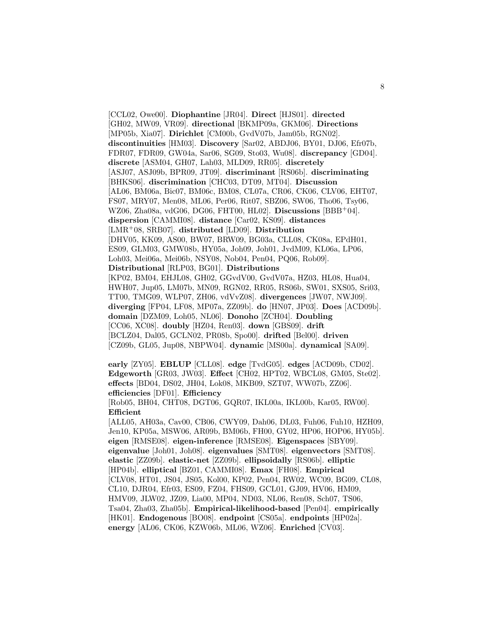[CCL02, Owe00]. **Diophantine** [JR04]. **Direct** [HJS01]. **directed** [GH02, MW09, VR09]. **directional** [BKMP09a, GKM06]. **Directions** [MP05b, Xia07]. **Dirichlet** [CM00b, GvdV07b, Jam05b, RGN02]. **discontinuities** [HM03]. **Discovery** [Sar02, ABDJ06, BY01, DJ06, Efr07b, FDR07, FDR09, GW04a, Sar06, SG09, Sto03, Wu08]. **discrepancy** [GD04]. **discrete** [ASM04, GH07, Lah03, MLD09, RR05]. **discretely** [ASJ07, ASJ09b, BPR09, JT09]. **discriminant** [RS06b]. **discriminating** [BHKS06]. **discrimination** [CHC03, DT09, MT04]. **Discussion** [AL06, BM06a, Bic07, BM06c, BM08, CL07a, CR06, CK06, CLV06, EHT07, FS07, MRY07, Men08, ML06, Per06, Rit07, SBZ06, SW06, Tho06, Tsy06, WZ06, Zha08a, vdG06, DG06, FHT00, HL02]. **Discussions** [BBB<sup>+</sup>04]. **dispersion** [CAMMI08]. **distance** [Car02, KS09]. **distances** [LMR<sup>+</sup>08, SRB07]. **distributed** [LD09]. **Distribution** [DHV05, KK09, AS00, BW07, BRW09, BG03a, CLL08, CK08a, EPdH01, ES09, GLM03, GMW08b, HY05a, Joh09, Joh01, JvdM09, KL06a, LP06, Loh03, Mei06a, Mei06b, NSY08, Nob04, Pen04, PQ06, Rob09]. **Distributional** [RLP03, BG01]. **Distributions** [KP02, BM04, EHJL08, GH02, GGvdV00, GvdV07a, HZ03, HL08, Hua04, HWH07, Jup05, LM07b, MN09, RGN02, RR05, RS06b, SW01, SXS05, Sri03, TT00, TMG09, WLP07, ZH06, vdVvZ08]. **divergences** [JW07, NWJ09]. **diverging** [FP04, LF08, MP07a, ZZ09b]. **do** [HN07, JP03]. **Does** [ACD09b]. **domain** [DZM09, Loh05, NL06]. **Donoho** [ZCH04]. **Doubling** [CC06, XC08]. **doubly** [HZ04, Ren03]. **down** [GBS09]. **drift** [BCLZ04, Dal05, GCLN02, PR08b, Spo00]. **drifted** [Bel00]. **driven** [CZ09b, GL05, Jup08, NBPW04]. **dynamic** [MS00a]. **dynamical** [SA09].

**early** [ZY05]. **EBLUP** [CLL08]. **edge** [TvdG05]. **edges** [ACD09b, CD02]. **Edgeworth** [GR03, JW03]. **Effect** [CH02, HPT02, WBCL08, GM05, Ste02]. **effects** [BD04, DS02, JH04, Lok08, MKB09, SZT07, WW07b, ZZ06]. **efficiencies** [DF01]. **Efficiency**

[Rob05, BH04, CHT08, DGT06, GQR07, IKL00a, IKL00b, Kar05, RW00]. **Efficient**

[ALL05, AH03a, Cav00, CB06, CWY09, Dah06, DL03, Fuh06, Fuh10, HZH09, Jen10, KP05a, MSW06, AR09b, BM06b, FH00, GY02, HP06, HOP06, HY05b]. **eigen** [RMSE08]. **eigen-inference** [RMSE08]. **Eigenspaces** [SBY09]. **eigenvalue** [Joh01, Joh08]. **eigenvalues** [SMT08]. **eigenvectors** [SMT08]. **elastic** [ZZ09b]. **elastic-net** [ZZ09b]. **ellipsoidally** [RS06b]. **elliptic** [HP04b]. **elliptical** [BZ01, CAMMI08]. **Emax** [FH08]. **Empirical** [CLV08, HT01, JS04, JS05, Kol00, KP02, Pen04, RW02, WC09, BG09, CL08, CL10, DJR04, Efr03, ES09, FZ04, FHS09, GCL01, GJ09, HV06, HM09, HMV09, JLW02, JZ09, Lia00, MP04, ND03, NL06, Ren08, Sch07, TS06, Tsa04, Zha03, Zha05b]. **Empirical-likelihood-based** [Pen04]. **empirically** [HK01]. **Endogenous** [BO08]. **endpoint** [CS05a]. **endpoints** [HP02a]. **energy** [AL06, CK06, KZW06b, ML06, WZ06]. **Enriched** [CV03].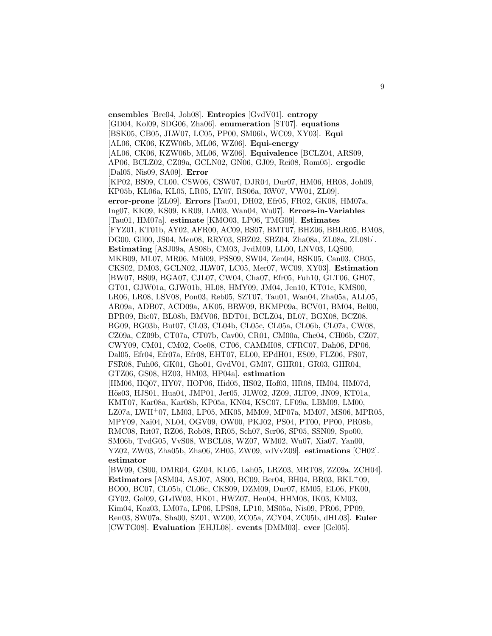**ensembles** [Bre04, Joh08]. **Entropies** [GvdV01]. **entropy** [GD04, Kol09, SDG06, Zha06]. **enumeration** [ST07]. **equations** [BSK05, CB05, JLW07, LC05, PP00, SM06b, WC09, XY03]. **Equi** [AL06, CK06, KZW06b, ML06, WZ06]. **Equi-energy** [AL06, CK06, KZW06b, ML06, WZ06]. **Equivalence** [BCLZ04, ARS09, AP06, BCLZ02, CZ09a, GCLN02, GN06, GJ09, Rei08, Rom05]. **ergodic** [Dal05, Nis09, SA09]. **Error** [KP02, BS09, CL00, CSW06, CSW07, DJR04, Dur07, HM06, HR08, Joh09, KP05b, KL06a, KL05, LR05, LY07, RS06a, RW07, VW01, ZL09]. **error-prone** [ZL09]. **Errors** [Tau01, DH02, Efr05, FR02, GK08, HM07a, Ing07, KK09, KS09, KR09, LM03, Wan04, Wu07]. **Errors-in-Variables** [Tau01, HM07a]. **estimate** [KMO03, LP06, TMG09]. **Estimates** [FYZ01, KT01b, AY02, AFR00, AC09, BS07, BMT07, BHZ06, BBLR05, BM08, DG00, Gil00, JS04, Men08, RRY03, SBZ02, SBZ04, Zha08a, ZL08a, ZL08b]. **Estimating** [ASJ09a, AS08b, CM03, JvdM09, LL00, LNV03, LQS00, MKB09, ML07, MR06, M¨ul09, PSS09, SW04, Zen04, BSK05, Can03, CB05, CKS02, DM03, GCLN02, JLW07, LC05, Mer07, WC09, XY03]. **Estimation** [BW07, BS09, BGA07, CJL07, CW04, Cha07, Efr05, Fuh10, GLT06, GH07, GT01, GJW01a, GJW01b, HL08, HMY09, JM04, Jen10, KT01c, KMS00, LR06, LR08, LSV08, Pon03, Reb05, SZT07, Tau01, Wan04, Zha05a, ALL05, AR09a, ADB07, ACD09a, AK05, BRW09, BKMP09a, BCV01, BM04, Bel00, BPR09, Bic07, BL08b, BMV06, BDT01, BCLZ04, BL07, BGX08, BCZ08, BG09, BG03b, But07, CL03, CL04b, CL05c, CL05a, CL06b, CL07a, CW08, CZ09a, CZ09b, CT07a, CT07b, Cav00, CR01, CM00a, Che04, CH06b, CZ07, CWY09, CM01, CM02, Coe08, CT06, CAMMI08, CFRC07, Dah06, DP06, Dal05, Efr04, Efr07a, Efr08, EHT07, EL00, EPdH01, ES09, FLZ06, FS07, FSR08, Fuh06, GK01, Gho01, GvdV01, GM07, GHR01, GR03, GHR04, GTZ06, GS08, HZ03, HM03, HP04a]. **estimation** [HM06, HQ07, HY07, HOP06, Hid05, HS02, Hof03, HR08, HM04, HM07d, Hös03, HJS01, Hua04, JMP01, Jer05, JLW02, JZ09, JLT09, JN09, KT01a, KMT07, Kar08a, Kar08b, KP05a, KN04, KSC07, LF09a, LBM09, LM00, LZ07a, LWH<sup>+</sup>07, LM03, LP05, MK05, MM09, MP07a, MM07, MS06, MPR05, MPY09, Nai04, NL04, OGV09, OW00, PKJ02, PS04, PT00, PP00, PR08b, RMC08, Rit07, RZ06, Rob08, RR05, Sch07, Scr06, SP05, SSN09, Spo00, SM06b, TvdG05, VvS08, WBCL08, WZ07, WM02, Wu07, Xia07, Yan00, YZ02, ZW03, Zha05b, Zha06, ZH05, ZW09, vdVvZ09]. **estimations** [CH02]. **estimator** [BW09, CS00, DMR04, GZ04, KL05, Lah05, LRZ03, MRT08, ZZ09a, ZCH04]. **Estimators** [ASM04, ASJ07, AS00, BC09, Ber04, BH04, BR03, BKL<sup>+</sup>09, BO00, BC07, CL05b, CL06c, CKS09, DZM09, Dur07, EM05, EL06, FK00, GY02, Gol09, GLdW03, HK01, HWZ07, Hen04, HHM08, IK03, KM03, Kim04, Koz03, LM07a, LP06, LPS08, LP10, MS05a, Nis09, PR06, PP09, Ren03, SW07a, Sha00, SZ01, WZ00, ZC05a, ZCY04, ZC05b, dHL03]. **Euler** [CWTG08]. **Evaluation** [EHJL08]. **events** [DMM03]. **ever** [Gel05].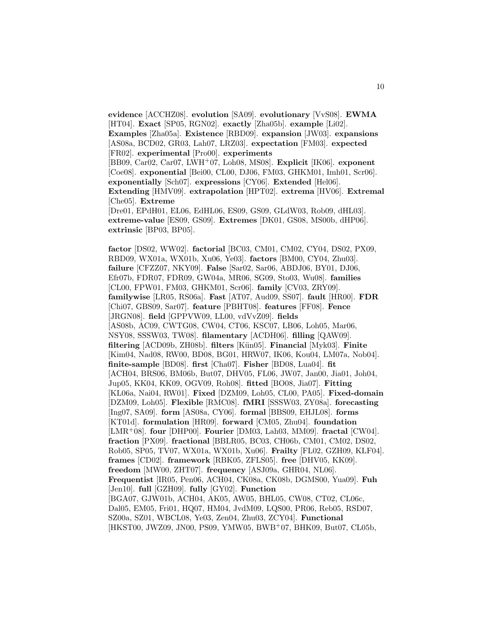**evidence** [ACCHZ08]. **evolution** [SA09]. **evolutionary** [VvS08]. **EWMA** [HT04]. **Exact** [SP05, RGN02]. **exactly** [Zha05b]. **example** [Li02]. **Examples** [Zha05a]. **Existence** [RBD09]. **expansion** [JW03]. **expansions** [AS08a, BCD02, GR03, Lah07, LRZ03]. **expectation** [FM03]. **expected** [FR02]. **experimental** [Pro00]. **experiments** [BB09, Car02, Car07, LWH<sup>+</sup>07, Loh08, MS08]. **Explicit** [IK06]. **exponent** [Coe08]. **exponential** [Bei00, CL00, DJ06, FM03, GHKM01, Imh01, Scr06]. **exponentially** [Sch07]. **expressions** [CY06]. **Extended** [Hel06]. **Extending** [HMV09]. **extrapolation** [HPT02]. **extrema** [HV06]. **Extremal** [Che05]. **Extreme** [Dre01, EPdH01, EL06, EdHL06, ES09, GS09, GLdW03, Rob09, dHL03]. **extreme-value** [ES09, GS09]. **Extremes** [DK01, GS08, MS00b, dHP06]. **extrinsic** [BP03, BP05]. **factor** [DS02, WW02]. **factorial** [BC03, CM01, CM02, CY04, DS02, PX09, RBD09, WX01a, WX01b, Xu06, Ye03]. **factors** [BM00, CY04, Zhu03]. **failure** [CFZZ07, NKY09]. **False** [Sar02, Sar06, ABDJ06, BY01, DJ06, Efr07b, FDR07, FDR09, GW04a, MR06, SG09, Sto03, Wu08]. **families** [CL00, FPW01, FM03, GHKM01, Scr06]. **family** [CV03, ZRY09]. **familywise** [LR05, RS06a]. **Fast** [AT07, Aud09, SS07]. **fault** [HR00]. **FDR** [Chi07, GBS09, Sar07]. **feature** [PBHT08]. **features** [FF08]. **Fence** [JRGN08]. **field** [GPPVW09, LL00, vdVvZ09]. **fields** [AS08b, AC09, CWTG08, CW04, CT06, KSC07, LB06, Loh05, Mar06, NSY08, SSSW03, TW08]. **filamentary** [ACDH06]. **filling** [QAW09]. **filtering** [ACD09b, ZH08b]. **filters** [K¨un05]. **Financial** [Myk03]. **Finite** [Kim04, Nad08, RW00, BD08, BG01, HRW07, IK06, Kou04, LM07a, Nob04]. **finite-sample** [BD08]. **first** [Cha07]. **Fisher** [BD08, Lua04]. **fit** [ACH04, BRS06, BM06b, But07, DHV05, FL06, JW07, Jan00, Jia01, Joh04, Jup05, KK04, KK09, OGV09, Roh08]. **fitted** [BO08, Jia07]. **Fitting** [KL06a, Nai04, RW01]. **Fixed** [DZM09, Loh05, CL00, PA05]. **Fixed-domain** [DZM09, Loh05]. **Flexible** [RMC08]. **fMRI** [SSSW03, ZY08a]. **forecasting** [Ing07, SA09]. **form** [AS08a, CY06]. **formal** [BBS09, EHJL08]. **forms** [KT01d]. **formulation** [HR09]. **forward** [CM05, Zhu04]. **foundation** [LMR<sup>+</sup>08]. **four** [DHP00]. **Fourier** [DM03, Lah03, MM09]. **fractal** [CW04]. **fraction** [PX09]. **fractional** [BBLR05, BC03, CH06b, CM01, CM02, DS02, Rob05, SP05, TV07, WX01a, WX01b, Xu06]. **Frailty** [FL02, GZH09, KLF04]. **frames** [CD02]. **framework** [RBK05, ZFLS05]. **free** [DHV05, KK09].

**freedom** [MW00, ZHT07]. **frequency** [ASJ09a, GHR04, NL06].

SZ00a, SZ01, WBCL08, Ye03, Zen04, Zhu03, ZCY04]. **Functional**

[Jen10]. **full** [GZH09]. **fully** [GY02]. **Function**

**Frequentist** [IR05, Pen06, ACH04, CK08a, CK08b, DGMS00, Yua09]. **Fuh**

[HKST00, JWZ09, JN00, PS09, YMW05, BWB<sup>+</sup>07, BHK09, But07, CL05b,

[BGA07, GJW01b, ACH04, AK05, AW05, BHL05, CW08, CT02, CL06c, Dal05, EM05, Fri01, HQ07, HM04, JvdM09, LQS00, PR06, Reb05, RSD07,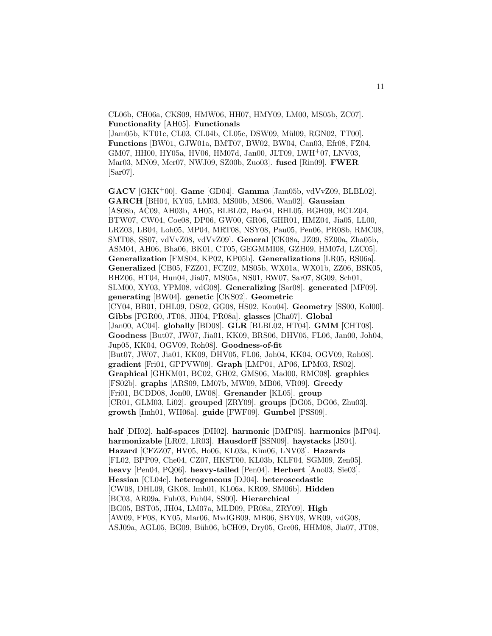CL06b, CH06a, CKS09, HMW06, HH07, HMY09, LM00, MS05b, ZC07]. **Functionality** [AH05]. **Functionals**

[Jam05b, KT01c, CL03, CL04b, CL05c, DSW09, Mül09, RGN02, TT00]. **Functions** [BW01, GJW01a, BMT07, BW02, BW04, Can03, Efr08, FZ04, GM07, HH00, HY05a, HV06, HM07d, Jan00, JLT09, LWH<sup>+</sup>07, LNV03, Mar03, MN09, Mer07, NWJ09, SZ00b, Zuo03]. **fused** [Rin09]. **FWER** [Sar07].

**GACV** [GKK<sup>+</sup>00]. **Game** [GD04]. **Gamma** [Jam05b, vdVvZ09, BLBL02]. **GARCH** [BH04, KY05, LM03, MS00b, MS06, Wan02]. **Gaussian** [AS08b, AC09, AH03b, AH05, BLBL02, Bar04, BHL05, BGH09, BCLZ04, BTW07, CW04, Coe08, DP06, GW00, GR06, GHR01, HMZ04, Jia05, LL00, LRZ03, LB04, Loh05, MP04, MRT08, NSY08, Pau05, Pen06, PR08b, RMC08, SMT08, SS07, vdVvZ08, vdVvZ09]. **General** [CK08a, JZ09, SZ00a, Zha05b, ASM04, AH06, Bha06, BK01, CT05, GEGMMI08, GZH09, HM07d, LZC05]. **Generalization** [FMS04, KP02, KP05b]. **Generalizations** [LR05, RS06a]. **Generalized** [CB05, FZZ01, FCZ02, MS05b, WX01a, WX01b, ZZ06, BSK05, BHZ06, HT04, Hun04, Jia07, MS05a, NS01, RW07, Sar07, SG09, Sch01, SLM00, XY03, YPM08, vdG08]. **Generalizing** [Sar08]. **generated** [MF09]. **generating** [BW04]. **genetic** [CKS02]. **Geometric** [CY04, BB01, DHL09, DS02, GG08, HS02, Kou04]. **Geometry** [SS00, Kol00]. **Gibbs** [FGR00, JT08, JH04, PR08a]. **glasses** [Cha07]. **Global** [Jan00, AC04]. **globally** [BD08]. **GLR** [BLBL02, HT04]. **GMM** [CHT08]. **Goodness** [But07, JW07, Jia01, KK09, BRS06, DHV05, FL06, Jan00, Joh04, Jup05, KK04, OGV09, Roh08]. **Goodness-of-fit** [But07, JW07, Jia01, KK09, DHV05, FL06, Joh04, KK04, OGV09, Roh08]. **gradient** [Fri01, GPPVW09]. **Graph** [LMP01, AP06, LPM03, RS02]. **Graphical** [GHKM01, BC02, GH02, GMS06, Mad00, RMC08]. **graphics** [FS02b]. **graphs** [ARS09, LM07b, MW09, MB06, VR09]. **Greedy** [Fri01, BCDD08, Jon00, LW08]. **Grenander** [KL05]. **group** [CR01, GLM03, Li02]. **grouped** [ZRY09]. **groups** [DG05, DG06, Zhu03]. **growth** [Imh01, WH06a]. **guide** [FWF09]. **Gumbel** [PSS09].

**half** [DH02]. **half-spaces** [DH02]. **harmonic** [DMP05]. **harmonics** [MP04]. **harmonizable** [LR02, LR03]. **Hausdorff** [SSN09]. **haystacks** [JS04]. **Hazard** [CFZZ07, HV05, Ho06, KL03a, Kim06, LNV03]. **Hazards** [FL02, BPP09, Che04, CZ07, HKST00, KL03b, KLF04, SGM09, Zen05]. **heavy** [Pen04, PQ06]. **heavy-tailed** [Pen04]. **Herbert** [Ano03, Sie03]. **Hessian** [CL04c]. **heterogeneous** [DJ04]. **heteroscedastic** [CW08, DHL09, GK08, Imh01, KL06a, KR09, SM06b]. **Hidden** [BC03, AR09a, Fuh03, Fuh04, SS00]. **Hierarchical** [BG05, BST05, JH04, LM07a, MLD09, PR08a, ZRY09]. **High** [AW09, FF08, KY05, Mar06, MvdGB09, MB06, SBY08, WR09, vdG08, ASJ09a, AGL05, BG09, B¨uh06, bCH09, Dry05, Gre06, HHM08, Jia07, JT08,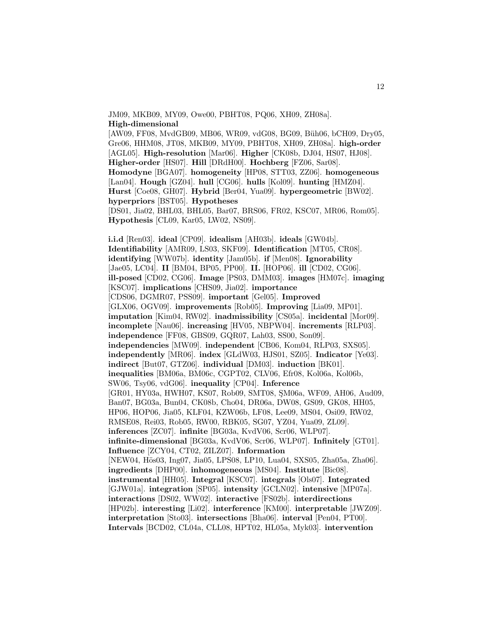JM09, MKB09, MY09, Owe00, PBHT08, PQ06, XH09, ZH08a]. **High-dimensional** [AW09, FF08, MvdGB09, MB06, WR09, vdG08, BG09, Büh06, bCH09, Dry05, Gre06, HHM08, JT08, MKB09, MY09, PBHT08, XH09, ZH08a]. **high-order** [AGL05]. **High-resolution** [Mar06]. **Higher** [CK08b, DJ04, HS07, HJ08]. **Higher-order** [HS07]. **Hill** [DRdH00]. **Hochberg** [FZ06, Sar08]. **Homodyne** [BGA07]. **homogeneity** [HP08, STT03, ZZ06]. **homogeneous** [Lan04]. **Hough** [GZ04]. **hull** [CG06]. **hulls** [Kol09]. **hunting** [HMZ04]. **Hurst** [Coe08, GH07]. **Hybrid** [Ber04, Yua09]. **hypergeometric** [BW02]. **hyperpriors** [BST05]. **Hypotheses**

[DS01, Jia02, BHL03, BHL05, Bar07, BRS06, FR02, KSC07, MR06, Rom05]. **Hypothesis** [CL09, Kar05, LW02, NS09].

**i.i.d** [Ren03]. **ideal** [CP09]. **idealism** [AH03b]. **ideals** [GW04b]. **Identifiability** [AMR09, LS03, SKF09]. **Identification** [MT05, CR08]. **identifying** [WW07b]. **identity** [Jam05b]. **if** [Men08]. **Ignorability** [Jae05, LC04]. **II** [BM04, BP05, PP00]. **II.** [HOP06]. **ill** [CD02, CG06]. **ill-posed** [CD02, CG06]. **Image** [PS03, DMM03]. **images** [HM07c]. **imaging** [KSC07]. **implications** [CHS09, Jia02]. **importance** [CDS06, DGMR07, PSS09]. **important** [Gel05]. **Improved** [GLX06, OGV09]. **improvements** [Rob05]. **Improving** [Lia09, MP01]. **imputation** [Kim04, RW02]. **inadmissibility** [CS05a]. **incidental** [Mor09]. **incomplete** [Nau06]. **increasing** [HV05, NBPW04]. **increments** [RLP03]. **independence** [FF08, GBS09, GQR07, Lah03, SS00, Son09]. **independencies** [MW09]. **independent** [CB06, Kom04, RLP03, SXS05]. **independently** [MR06]. **index** [GLdW03, HJS01, SZ05]. **Indicator** [Ye03]. **indirect** [But07, GTZ06]. **individual** [DM03]. **induction** [BK01]. **inequalities** [BM06a, BM06c, CGPT02, CLV06, Efr08, Kol06a, Kol06b, SW06, Tsy06, vdG06]. **inequality** [CP04]. **Inference** [GR01, HY03a, HWH07, KS07, Rob09, SMT08, SM06a, WF09, AH06, Aud09, Ban07, BG03a, Bun04, CK08b, Cho04, DR06a, DW08, GS09, GK08, HH05, HP06, HOP06, Jia05, KLF04, KZW06b, LF08, Lee09, MS04, Osi09, RW02, RMSE08, Rei03, Rob05, RW00, RBK05, SG07, YZ04, Yua09, ZL09]. **inferences** [ZC07]. **infinite** [BG03a, KvdV06, Scr06, WLP07]. **infinite-dimensional** [BG03a, KvdV06, Scr06, WLP07]. **Infinitely** [GT01]. **Influence** [ZCY04, CT02, ZILZ07]. **Information** [NEW04, Hös03, Ing07, Jia05, LPS08, LP10, Lua04, SXS05, Zha05a, Zha06]. **ingredients** [DHP00]. **inhomogeneous** [MS04]. **Institute** [Bic08]. **instrumental** [HH05]. **Integral** [KSC07]. **integrals** [Ols07]. **Integrated** [GJW01a]. **integration** [SP05]. **intensity** [GCLN02]. **intensive** [MP07a]. **interactions** [DS02, WW02]. **interactive** [FS02b]. **interdirections** [HP02b]. **interesting** [Li02]. **interference** [KM00]. **interpretable** [JWZ09]. **interpretation** [Sto03]. **intersections** [Bha06]. **interval** [Pen04, PT00]. **Intervals** [BCD02, CL04a, CLL08, HPT02, HL05a, Myk03]. **intervention**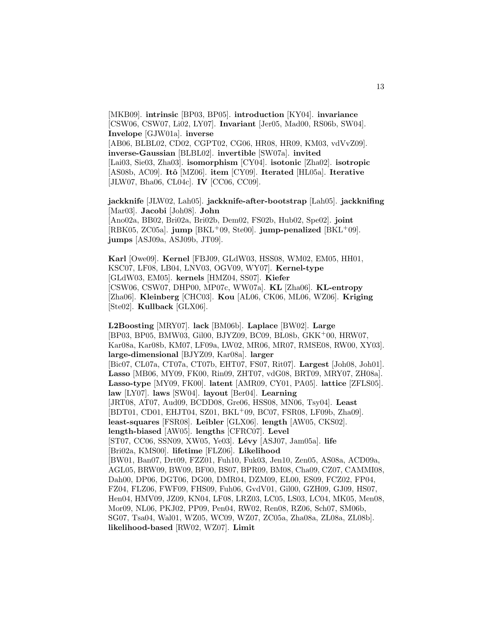[MKB09]. **intrinsic** [BP03, BP05]. **introduction** [KY04]. **invariance** [CSW06, CSW07, Li02, LY07]. **Invariant** [Jer05, Mad00, RS06b, SW04]. **Invelope** [GJW01a]. **inverse** [AB06, BLBL02, CD02, CGPT02, CG06, HR08, HR09, KM03, vdVvZ09]. **inverse-Gaussian** [BLBL02]. **invertible** [SW07a]. **invited** [Lai03, Sie03, Zha03]. **isomorphism** [CY04]. **isotonic** [Zha02]. **isotropic** [AS08b, AC09]. **Itˆo** [MZ06]. **item** [CY09]. **Iterated** [HL05a]. **Iterative** [JLW07, Bha06, CL04c]. **IV** [CC06, CC09].

13

**jackknife** [JLW02, Lah05]. **jackknife-after-bootstrap** [Lah05]. **jackknifing** [Mar03]. **Jacobi** [Joh08]. **John** [Ano02a, BB02, Bri02a, Bri02b, Dem02, FS02b, Hub02, Spe02]. **joint** [RBK05, ZC05a]. **jump** [BKL<sup>+</sup>09, Ste00]. **jump-penalized** [BKL<sup>+</sup>09]. **jumps** [ASJ09a, ASJ09b, JT09].

**Karl** [Owe09]. **Kernel** [FBJ09, GLdW03, HSS08, WM02, EM05, HH01, KSC07, LF08, LB04, LNV03, OGV09, WY07]. **Kernel-type** [GLdW03, EM05]. **kernels** [HMZ04, SS07]. **Kiefer** [CSW06, CSW07, DHP00, MP07c, WW07a]. **KL** [Zha06]. **KL-entropy** [Zha06]. **Kleinberg** [CHC03]. **Kou** [AL06, CK06, ML06, WZ06]. **Kriging** [Ste02]. **Kullback** [GLX06].

**L2Boosting** [MRY07]. **lack** [BM06b]. **Laplace** [BW02]. **Large** [BP03, BP05, BMW03, Gil00, BJYZ09, BC09, BL08b, GKK<sup>+</sup>00, HRW07, Kar08a, Kar08b, KM07, LF09a, LW02, MR06, MR07, RMSE08, RW00, XY03]. **large-dimensional** [BJYZ09, Kar08a]. **larger** [Bic07, CL07a, CT07a, CT07b, EHT07, FS07, Rit07]. **Largest** [Joh08, Joh01]. **Lasso** [MB06, MY09, FK00, Rin09, ZHT07, vdG08, BRT09, MRY07, ZH08a]. **Lasso-type** [MY09, FK00]. **latent** [AMR09, CY01, PA05]. **lattice** [ZFLS05]. **law** [LY07]. **laws** [SW04]. **layout** [Ber04]. **Learning** [JRT08, AT07, Aud09, BCDD08, Gre06, HSS08, MN06, Tsy04]. **Least** [BDT01, CD01, EHJT04, SZ01, BKL<sup>+</sup>09, BC07, FSR08, LF09b, Zha09]. **least-squares** [FSR08]. **Leibler** [GLX06]. **length** [AW05, CKS02]. **length-biased** [AW05]. **lengths** [CFRC07]. **Level** [ST07, CC06, SSN09, XW05, Ye03]. **Lévy** [ASJ07, Jam05a]. **life** [Bri02a, KMS00]. **lifetime** [FLZ06]. **Likelihood** [BW01, Ban07, Drt09, FZZ01, Fuh10, Fuk03, Jen10, Zen05, AS08a, ACD09a, AGL05, BRW09, BW09, BF00, BS07, BPR09, BM08, Cha09, CZ07, CAMMI08, Dah00, DP06, DGT06, DG00, DMR04, DZM09, EL00, ES09, FCZ02, FP04, FZ04, FLZ06, FWF09, FHS09, Fuh06, GvdV01, Gil00, GZH09, GJ09, HS07, Hen04, HMV09, JZ09, KN04, LF08, LRZ03, LC05, LS03, LC04, MK05, Men08, Mor09, NL06, PKJ02, PP09, Pen04, RW02, Ren08, RZ06, Sch07, SM06b, SG07, Tsa04, Wal01, WZ05, WC09, WZ07, ZC05a, Zha08a, ZL08a, ZL08b]. **likelihood-based** [RW02, WZ07]. **Limit**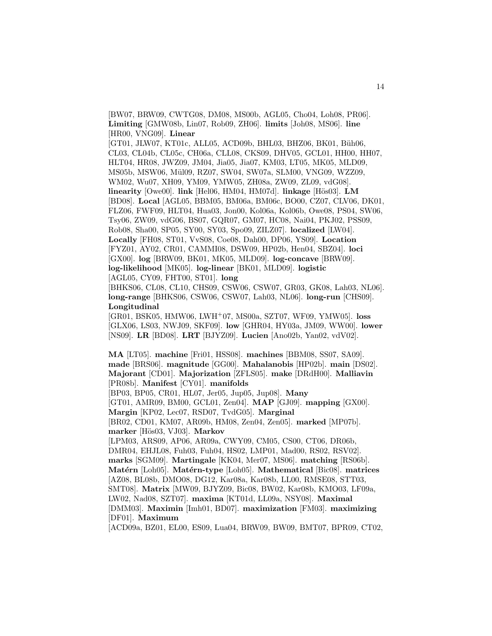[BW07, BRW09, CWTG08, DM08, MS00b, AGL05, Cho04, Loh08, PR06]. **Limiting** [GMW08b, Lin07, Rob09, ZH06]. **limits** [Joh08, MS06]. **line** [HR00, VNG09]. **Linear**

[GT01, JLW07, KT01c, ALL05, ACD09b, BHL03, BHZ06, BK01, Büh06, CL03, CL04b, CL05c, CH06a, CLL08, CKS09, DHV05, GCL01, HH00, HH07, HLT04, HR08, JWZ09, JM04, Jia05, Jia07, KM03, LT05, MK05, MLD09, MS05b, MSW06, Mül09, RZ07, SW04, SW07a, SLM00, VNG09, WZZ09, WM02, Wu07, XH09, YM09, YMW05, ZH08a, ZW09, ZL09, vdG08]. **linearity** [Owe00]. **link** [Hel06, HM04, HM07d]. **linkage** [Hös03]. **LM** [BD08]. **Local** [AGL05, BBM05, BM06a, BM06c, BO00, CZ07, CLV06, DK01, FLZ06, FWF09, HLT04, Hua03, Jon00, Kol06a, Kol06b, Owe08, PS04, SW06, Tsy06, ZW09, vdG06, BS07, GQR07, GM07, HC08, Nai04, PKJ02, PSS09, Rob08, Sha00, SP05, SY00, SY03, Spo09, ZILZ07]. **localized** [LW04]. **Locally** [FH08, ST01, VvS08, Coe08, Dah00, DP06, YS09]. **Location** [FYZ01, AY02, CR01, CAMMI08, DSW09, HP02b, Hen04, SBZ04]. **loci** [GX00]. **log** [BRW09, BK01, MK05, MLD09]. **log-concave** [BRW09]. **log-likelihood** [MK05]. **log-linear** [BK01, MLD09]. **logistic** [AGL05, CY09, FHT00, ST01]. **long**

[BHKS06, CL08, CL10, CHS09, CSW06, CSW07, GR03, GK08, Lah03, NL06]. **long-range** [BHKS06, CSW06, CSW07, Lah03, NL06]. **long-run** [CHS09]. **Longitudinal**

[GR01, BSK05, HMW06, LWH<sup>+</sup>07, MS00a, SZT07, WF09, YMW05]. **loss** [GLX06, LS03, NWJ09, SKF09]. **low** [GHR04, HY03a, JM09, WW00]. **lower** [NS09]. **LR** [BD08]. **LRT** [BJYZ09]. **Lucien** [Ano02b, Yan02, vdV02].

**MA** [LT05]. **machine** [Fri01, HSS08]. **machines** [BBM08, SS07, SA09]. **made** [BRS06]. **magnitude** [GG00]. **Mahalanobis** [HP02b]. **main** [DS02]. **Majorant** [CD01]. **Majorization** [ZFLS05]. **make** [DRdH00]. **Malliavin** [PR08b]. **Manifest** [CY01]. **manifolds**

[BP03, BP05, CR01, HL07, Jer05, Jup05, Jup08]. **Many**

[GT01, AMR09, BM00, GCL01, Zen04]. **MAP** [GJ09]. **mapping** [GX00]. **Margin** [KP02, Lec07, RSD07, TvdG05]. **Marginal**

[BR02, CD01, KM07, AR09b, HM08, Zen04, Zen05]. **marked** [MP07b]. **marker** [H¨os03, VJ03]. **Markov**

[LPM03, ARS09, AP06, AR09a, CWY09, CM05, CS00, CT06, DR06b, DMR04, EHJL08, Fuh03, Fuh04, HS02, LMP01, Mad00, RS02, RSV02]. **marks** [SGM09]. **Martingale** [KK04, Mer07, MS06]. **matching** [RS06b]. **Mat´ern** [Loh05]. **Mat´ern-type** [Loh05]. **Mathematical** [Bic08]. **matrices** [AZ08, BL08b, DMO08, DG12, Kar08a, Kar08b, LL00, RMSE08, STT03, SMT08]. **Matrix** [MW09, BJYZ09, Bic08, BW02, Kar08b, KMO03, LF09a, LW02, Nad08, SZT07]. **maxima** [KT01d, LL09a, NSY08]. **Maximal** [DMM03]. **Maximin** [Imh01, BD07]. **maximization** [FM03]. **maximizing** [DF01]. **Maximum**

[ACD09a, BZ01, EL00, ES09, Lua04, BRW09, BW09, BMT07, BPR09, CT02,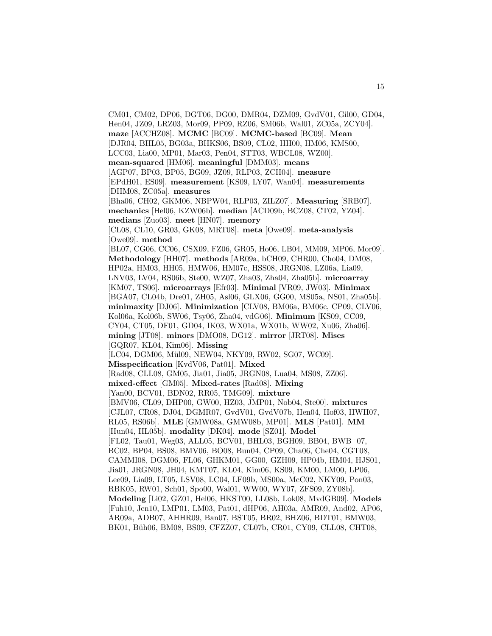CM01, CM02, DP06, DGT06, DG00, DMR04, DZM09, GvdV01, Gil00, GD04, Hen04, JZ09, LRZ03, Mor09, PP09, RZ06, SM06b, Wal01, ZC05a, ZCY04]. **maze** [ACCHZ08]. **MCMC** [BC09]. **MCMC-based** [BC09]. **Mean** [DJR04, BHL05, BG03a, BHKS06, BS09, CL02, HH00, HM06, KMS00, LCC03, Lia00, MP01, Mar03, Pen04, STT03, WBCL08, WZ00]. **mean-squared** [HM06]. **meaningful** [DMM03]. **means** [AGP07, BP03, BP05, BG09, JZ09, RLP03, ZCH04]. **measure** [EPdH01, ES09]. **measurement** [KS09, LY07, Wan04]. **measurements** [DHM08, ZC05a]. **measures** [Bha06, CH02, GKM06, NBPW04, RLP03, ZILZ07]. **Measuring** [SRB07]. **mechanics** [Hel06, KZW06b]. **median** [ACD09b, BCZ08, CT02, YZ04]. **medians** [Zuo03]. **meet** [HN07]. **memory** [CL08, CL10, GR03, GK08, MRT08]. **meta** [Owe09]. **meta-analysis** [Owe09]. **method** [BL07, CG06, CC06, CSX09, FZ06, GR05, Ho06, LB04, MM09, MP06, Mor09]. **Methodology** [HH07]. **methods** [AR09a, bCH09, CHR00, Cho04, DM08, HP02a, HM03, HH05, HMW06, HM07c, HSS08, JRGN08, LZ06a, Lia09, LNV03, LV04, RS06b, Ste00, WZ07, Zha03, Zha04, Zha05b]. **microarray** [KM07, TS06]. **microarrays** [Efr03]. **Minimal** [VR09, JW03]. **Minimax** [BGA07, CL04b, Dre01, ZH05, Asl06, GLX06, GG00, MS05a, NS01, Zha05b]. **minimaxity** [DJ06]. **Minimization** [CLV08, BM06a, BM06c, CP09, CLV06, Kol06a, Kol06b, SW06, Tsy06, Zha04, vdG06]. **Minimum** [KS09, CC09, CY04, CT05, DF01, GD04, IK03, WX01a, WX01b, WW02, Xu06, Zha06]. **mining** [JT08]. **minors** [DMO08, DG12]. **mirror** [JRT08]. **Mises** [GQR07, KL04, Kim06]. **Missing** [LC04, DGM06, Mül09, NEW04, NKY09, RW02, SG07, WC09]. **Misspecification** [KvdV06, Pat01]. **Mixed** [Rad08, CLL08, GM05, Jia01, Jia05, JRGN08, Lua04, MS08, ZZ06]. **mixed-effect** [GM05]. **Mixed-rates** [Rad08]. **Mixing** [Yan00, BCV01, BDN02, RR05, TMG09]. **mixture** [BMV06, CL09, DHP00, GW00, HZ03, JMP01, Nob04, Ste00]. **mixtures** [CJL07, CR08, DJ04, DGMR07, GvdV01, GvdV07b, Hen04, Hof03, HWH07, RL05, RS06b]. **MLE** [GMW08a, GMW08b, MP01]. **MLS** [Pat01]. **MM** [Hun04, HL05b]. **modality** [DK04]. **mode** [SZ01]. **Model** [FL02, Tau01, Weg03, ALL05, BCV01, BHL03, BGH09, BB04, BWB<sup>+</sup>07, BC02, BP04, BS08, BMV06, BO08, Bun04, CP09, Cha06, Che04, CGT08, CAMMI08, DGM06, FL06, GHKM01, GG00, GZH09, HP04b, HM04, HJS01, Jia01, JRGN08, JH04, KMT07, KL04, Kim06, KS09, KM00, LM00, LP06, Lee09, Lia09, LT05, LSV08, LC04, LF09b, MS00a, McC02, NKY09, Pon03, RBK05, RW01, Sch01, Spo00, Wal01, WW00, WY07, ZFS09, ZY08b]. **Modeling** [Li02, GZ01, Hel06, HKST00, LL08b, Lok08, MvdGB09]. **Models** [Fuh10, Jen10, LMP01, LM03, Pat01, dHP06, AH03a, AMR09, And02, AP06, AR09a, ADB07, AHHR09, Ban07, BST05, BR02, BHZ06, BDT01, BMW03, BK01, Büh06, BM08, BS09, CFZZ07, CL07b, CR01, CY09, CLL08, CHT08,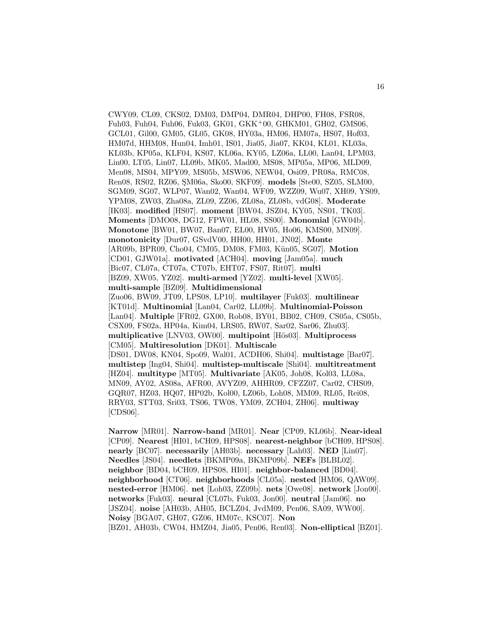CWY09, CL09, CKS02, DM03, DMP04, DMR04, DHP00, FH08, FSR08, Fuh03, Fuh04, Fuh06, Fuk03, GK01, GKK<sup>+</sup>00, GHKM01, GH02, GMS06, GCL01, Gil00, GM05, GL05, GK08, HY03a, HM06, HM07a, HS07, Hof03, HM07d, HHM08, Hun04, Imh01, IS01, Jia05, Jia07, KK04, KL01, KL03a, KL03b, KP05a, KLF04, KS07, KL06a, KY05, LZ06a, LL00, Lan04, LPM03, Lin00, LT05, Lin07, LL09b, MK05, Mad00, MS08, MP05a, MP06, MLD09, Men08, MS04, MPY09, MS05b, MSW06, NEW04, Osi09, PR08a, RMC08, Ren08, RS02, RZ06, ¸SM06a, Sko00, SKF09]. **models** [Ste00, SZ05, SLM00, SGM09, SG07, WLP07, Wan02, Wan04, WF09, WZZ09, Wu07, XH09, YS09, YPM08, ZW03, Zha08a, ZL09, ZZ06, ZL08a, ZL08b, vdG08]. **Moderate** [IK03]. **modified** [HS07]. **moment** [BW04, JSZ04, KY05, NS01, TK03]. **Moments** [DMO08, DG12, FPW01, HL08, SS00]. **Monomial** [GW04b]. **Monotone** [BW01, BW07, Ban07, EL00, HV05, Ho06, KMS00, MN09]. **monotonicity** [Dur07, GSvdV00, HH00, HH01, JN02]. **Monte** [AR09b, BPR09, Cho04, CM05, DM08, FM03, Kün05, SG07]. **Motion** [CD01, GJW01a]. **motivated** [ACH04]. **moving** [Jam05a]. **much** [Bic07, CL07a, CT07a, CT07b, EHT07, FS07, Rit07]. **multi** [BZ09, XW05, YZ02]. **multi-armed** [YZ02]. **multi-level** [XW05]. **multi-sample** [BZ09]. **Multidimensional** [Zuo06, BW09, JT09, LPS08, LP10]. **multilayer** [Fuk03]. **multilinear** [KT01d]. **Multinomial** [Lan04, Car02, LL09b]. **Multinomial-Poisson** [Lan04]. **Multiple** [FR02, GX00, Rob08, BY01, BB02, CH09, CS05a, CS05b, CSX09, FS02a, HP04a, Kim04, LRS05, RW07, Sar02, Sar06, Zhu03]. **multiplicative** [LNV03, OW00]. **multipoint** [Hös03]. **Multiprocess** [CM05]. **Multiresolution** [DK01]. **Multiscale** [DS01, DW08, KN04, Spo09, Wal01, ACDH06, Shi04]. **multistage** [Bar07]. **multistep** [Ing04, Shi04]. **multistep-multiscale** [Shi04]. **multitreatment** [HZ04]. **multitype** [MT05]. **Multivariate** [AK05, Joh08, Kol03, LL08a, MN09, AY02, AS08a, AFR00, AVYZ09, AHHR09, CFZZ07, Car02, CHS09, GQR07, HZ03, HQ07, HP02b, Kol00, LZ06b, Loh08, MM09, RL05, Rei08, RRY03, STT03, Sri03, TS06, TW08, YM09, ZCH04, ZH06]. **multiway** [CDS06].

**Narrow** [MR01]. **Narrow-band** [MR01]. **Near** [CP09, KL06b]. **Near-ideal** [CP09]. **Nearest** [HI01, bCH09, HPS08]. **nearest-neighbor** [bCH09, HPS08]. **nearly** [BC07]. **necessarily** [AH03b]. **necessary** [Lah03]. **NED** [Lin07]. **Needles** [JS04]. **needlets** [BKMP09a, BKMP09b]. **NEFs** [BLBL02]. **neighbor** [BD04, bCH09, HPS08, HI01]. **neighbor-balanced** [BD04]. **neighborhood** [CT06]. **neighborhoods** [CL05a]. **nested** [HM06, QAW09]. **nested-error** [HM06]. **net** [Loh03, ZZ09b]. **nets** [Owe08]. **network** [Jon00]. **networks** [Fuk03]. **neural** [CL07b, Fuk03, Jon00]. **neutral** [Jam06]. **no** [JSZ04]. **noise** [AH03b, AH05, BCLZ04, JvdM09, Pen06, SA09, WW00]. **Noisy** [BGA07, GH07, GZ06, HM07c, KSC07]. **Non** [BZ01, AH03b, CW04, HMZ04, Jia05, Pen06, Ren03]. **Non-elliptical** [BZ01].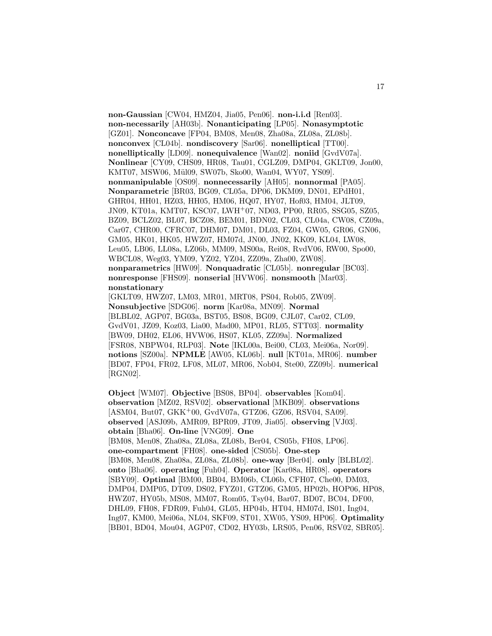**non-Gaussian** [CW04, HMZ04, Jia05, Pen06]. **non-i.i.d** [Ren03]. **non-necessarily** [AH03b]. **Nonanticipating** [LP05]. **Nonasymptotic** [GZ01]. **Nonconcave** [FP04, BM08, Men08, Zha08a, ZL08a, ZL08b]. **nonconvex** [CL04b]. **nondiscovery** [Sar06]. **nonelliptical** [TT00]. **nonelliptically** [LD09]. **nonequivalence** [Wan02]. **noniid** [GvdV07a]. **Nonlinear** [CY09, CHS09, HR08, Tau01, CGLZ09, DMP04, GKLT09, Jon00, KMT07, MSW06, Mül09, SW07b, Sko00, Wan04, WY07, YS09]. **nonmanipulable** [OS09]. **nonnecessarily** [AH05]. **nonnormal** [PA05]. **Nonparametric** [BR03, BG09, CL05a, DP06, DKM09, DN01, EPdH01, GHR04, HH01, HZ03, HH05, HM06, HQ07, HY07, Hof03, HM04, JLT09, JN09, KT01a, KMT07, KSC07, LWH<sup>+</sup>07, ND03, PP00, RR05, SSG05, SZ05, BZ09, BCLZ02, BL07, BCZ08, BEM01, BDN02, CL03, CL04a, CW08, CZ09a, Car07, CHR00, CFRC07, DHM07, DM01, DL03, FZ04, GW05, GR06, GN06, GM05, HK01, HK05, HWZ07, HM07d, JN00, JN02, KK09, KL04, LW08, Leu05, LB06, LL08a, LZ06b, MM09, MS00a, Rei08, RvdV06, RW00, Spo00, WBCL08, Weg03, YM09, YZ02, YZ04, ZZ09a, Zha00, ZW08]. **nonparametrics** [HW09]. **Nonquadratic** [CL05b]. **nonregular** [BC03]. **nonresponse** [FHS09]. **nonserial** [HVW06]. **nonsmooth** [Mar03]. **nonstationary**

[GKLT09, HWZ07, LM03, MR01, MRT08, PS04, Rob05, ZW09]. **Nonsubjective** [SDG06]. **norm** [Kar08a, MN09]. **Normal** [BLBL02, AGP07, BG03a, BST05, BS08, BG09, CJL07, Car02, CL09, GvdV01, JZ09, Koz03, Lia00, Mad00, MP01, RL05, STT03]. **normality** [BW09, DH02, EL06, HVW06, HS07, KL05, ZZ09a]. **Normalized** [FSR08, NBPW04, RLP03]. **Note** [IKL00a, Bei00, CL03, Mei06a, Nor09]. **notions** [SZ00a]. **NPMLE** [AW05, KL06b]. **null** [KT01a, MR06]. **number** [BD07, FP04, FR02, LF08, ML07, MR06, Nob04, Ste00, ZZ09b]. **numerical** [RGN02].

**Object** [WM07]. **Objective** [BS08, BP04]. **observables** [Kom04]. **observation** [MZ02, RSV02]. **observational** [MKB09]. **observations** [ASM04, But07, GKK<sup>+</sup>00, GvdV07a, GTZ06, GZ06, RSV04, SA09]. **observed** [ASJ09b, AMR09, BPR09, JT09, Jia05]. **observing** [VJ03]. **obtain** [Bha06]. **On-line** [VNG09]. **One** [BM08, Men08, Zha08a, ZL08a, ZL08b, Ber04, CS05b, FH08, LP06]. **one-compartment** [FH08]. **one-sided** [CS05b]. **One-step** [BM08, Men08, Zha08a, ZL08a, ZL08b]. **one-way** [Ber04]. **only** [BLBL02]. **onto** [Bha06]. **operating** [Fuh04]. **Operator** [Kar08a, HR08]. **operators** [SBY09]. **Optimal** [BM00, BB04, BM06b, CL06b, CFH07, Che00, DM03, DMP04, DMP05, DT09, DS02, FYZ01, GTZ06, GM05, HP02b, HOP06, HP08, HWZ07, HY05b, MS08, MM07, Rom05, Tsy04, Bar07, BD07, BC04, DF00, DHL09, FH08, FDR09, Fuh04, GL05, HP04b, HT04, HM07d, IS01, Ing04, Ing07, KM00, Mei06a, NL04, SKF09, ST01, XW05, YS09, HP06]. **Optimality** [BB01, BD04, Mou04, AGP07, CD02, HY03b, LRS05, Pen06, RSV02, SBR05].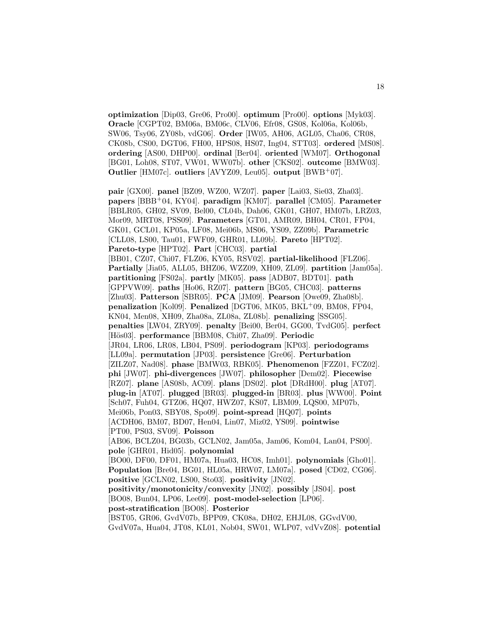**optimization** [Dip03, Gre06, Pro00]. **optimum** [Pro00]. **options** [Myk03]. **Oracle** [CGPT02, BM06a, BM06c, CLV06, Efr08, GS08, Kol06a, Kol06b, SW06, Tsy06, ZY08b, vdG06]. **Order** [IW05, AH06, AGL05, Cha06, CR08, CK08b, CS00, DGT06, FH00, HPS08, HS07, Ing04, STT03]. **ordered** [MS08]. **ordering** [AS00, DHP00]. **ordinal** [Ber04]. **oriented** [WM07]. **Orthogonal** [BG01, Loh08, ST07, VW01, WW07b]. **other** [CKS02]. **outcome** [BMW03]. **Outlier** [HM07c]. **outliers** [AVYZ09, Leu05]. **output** [BWB<sup>+</sup>07].

**pair** [GX00]. **panel** [BZ09, WZ00, WZ07]. **paper** [Lai03, Sie03, Zha03]. **papers** [BBB<sup>+</sup>04, KY04]. **paradigm** [KM07]. **parallel** [CM05]. **Parameter** [BBLR05, GH02, SV09, Bel00, CL04b, Dah06, GK01, GH07, HM07b, LRZ03, Mor09, MRT08, PSS09]. **Parameters** [GT01, AMR09, BH04, CR01, FP04, GK01, GCL01, KP05a, LF08, Mei06b, MS06, YS09, ZZ09b]. **Parametric** [CLL08, LS00, Tau01, FWF09, GHR01, LL09b]. **Pareto** [HPT02]. **Pareto-type** [HPT02]. **Part** [CHC03]. **partial** [BB01, CZ07, Chi07, FLZ06, KY05, RSV02]. **partial-likelihood** [FLZ06]. **Partially** [Jia05, ALL05, BHZ06, WZZ09, XH09, ZL09]. **partition** [Jam05a]. **partitioning** [FS02a]. **partly** [MK05]. **pass** [ADB07, BDT01]. **path** [GPPVW09]. **paths** [Ho06, RZ07]. **pattern** [BG05, CHC03]. **patterns** [Zhu03]. **Patterson** [SBR05]. **PCA** [JM09]. **Pearson** [Owe09, Zha08b]. **penalization** [Kol09]. **Penalized** [DGT06, MK05, BKL<sup>+</sup>09, BM08, FP04, KN04, Men08, XH09, Zha08a, ZL08a, ZL08b]. **penalizing** [SSG05]. **penalties** [LW04, ZRY09]. **penalty** [Bei00, Ber04, GG00, TvdG05]. **perfect** [Hös03]. **performance** [BBM08, Chi07, Zha09]. **Periodic** [JR04, LR06, LR08, LB04, PS09]. **periodogram** [KP03]. **periodograms** [LL09a]. **permutation** [JP03]. **persistence** [Gre06]. **Perturbation** [ZILZ07, Nad08]. **phase** [BMW03, RBK05]. **Phenomenon** [FZZ01, FCZ02]. **phi** [JW07]. **phi-divergences** [JW07]. **philosopher** [Dem02]. **Piecewise** [RZ07]. **plane** [AS08b, AC09]. **plans** [DS02]. **plot** [DRdH00]. **plug** [AT07]. **plug-in** [AT07]. **plugged** [BR03]. **plugged-in** [BR03]. **plus** [WW00]. **Point** [Sch07, Fuh04, GTZ06, HQ07, HWZ07, KS07, LBM09, LQS00, MP07b, Mei06b, Pon03, SBY08, Spo09]. **point-spread** [HQ07]. **points** [ACDH06, BM07, BD07, Hen04, Lin07, Miz02, YS09]. **pointwise** [PT00, PS03, SV09]. **Poisson** [AB06, BCLZ04, BG03b, GCLN02, Jam05a, Jam06, Kom04, Lan04, PS00]. **pole** [GHR01, Hid05]. **polynomial** [BO00, DF00, DF01, HM07a, Hua03, HC08, Imh01]. **polynomials** [Gho01]. **Population** [Bre04, BG01, HL05a, HRW07, LM07a]. **posed** [CD02, CG06]. **positive** [GCLN02, LS00, Sto03]. **positivity** [JN02]. **positivity/monotonicity/convexity** [JN02]. **possibly** [JS04]. **post** [BO08, Bun04, LP06, Lee09]. **post-model-selection** [LP06]. **post-stratification** [BO08]. **Posterior** [BST05, GR06, GvdV07b, BPP09, CK08a, DH02, EHJL08, GGvdV00,

GvdV07a, Hua04, JT08, KL01, Nob04, SW01, WLP07, vdVvZ08]. **potential**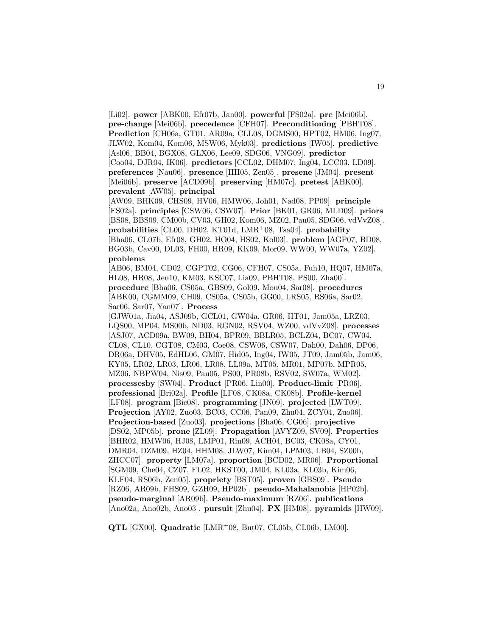[Li02]. **power** [ABK00, Efr07b, Jan00]. **powerful** [FS02a]. **pre** [Mei06b]. **pre-change** [Mei06b]. **precedence** [CFH07]. **Preconditioning** [PBHT08]. **Prediction** [CH06a, GT01, AR09a, CLL08, DGMS00, HPT02, HM06, Ing07, JLW02, Kom04, Kom06, MSW06, Myk03]. **predictions** [IW05]. **predictive** [Asl06, BB04, BGX08, GLX06, Lee09, SDG06, VNG09]. **predictor** [Coo04, DJR04, IK06]. **predictors** [CCL02, DHM07, Ing04, LCC03, LD09]. **preferences** [Nau06]. **presence** [HH05, Zen05]. **presene** [JM04]. **present** [Mei06b]. **preserve** [ACD09b]. **preserving** [HM07c]. **pretest** [ABK00]. **prevalent** [AW05]. **principal**

[AW09, BHK09, CHS09, HV06, HMW06, Joh01, Nad08, PP09]. **principle** [FS02a]. **principles** [CSW06, CSW07]. **Prior** [BK01, GR06, MLD09]. **priors** [BS08, BBS09, CM00b, CV03, GH02, Kom06, MZ02, Pau05, SDG06, vdVvZ08]. **probabilities** [CL00, DH02, KT01d, LMR<sup>+</sup>08, Tsa04]. **probability** [Bha06, CL07b, Efr08, GH02, HO04, HS02, Kol03]. **problem** [AGP07, BD08, BG03b, Cav00, DL03, FH00, HR09, KK09, Mor09, WW00, WW07a, YZ02]. **problems**

[AB06, BM04, CD02, CGPT02, CG06, CFH07, CS05a, Fuh10, HQ07, HM07a, HL08, HR08, Jen10, KM03, KSC07, Lia09, PBHT08, PS00, Zha00]. **procedure** [Bha06, CS05a, GBS09, Gol09, Mou04, Sar08]. **procedures** [ABK00, CGMM09, CH09, CS05a, CS05b, GG00, LRS05, RS06a, Sar02, Sar06, Sar07, Yan07]. **Process**

[GJW01a, Jia04, ASJ09b, GCL01, GW04a, GR06, HT01, Jam05a, LRZ03, LQS00, MP04, MS00b, ND03, RGN02, RSV04, WZ00, vdVvZ08]. **processes** [ASJ07, ACD09a, BW09, BH04, BPR09, BBLR05, BCLZ04, BC07, CW04, CL08, CL10, CGT08, CM03, Coe08, CSW06, CSW07, Dah00, Dah06, DP06, DR06a, DHV05, EdHL06, GM07, Hid05, Ing04, IW05, JT09, Jam05b, Jam06, KY05, LR02, LR03, LR06, LR08, LL09a, MT05, MR01, MP07b, MPR05, MZ06, NBPW04, Nis09, Pau05, PS00, PR08b, RSV02, SW07a, WM02]. **processesby** [SW04]. **Product** [PR06, Lin00]. **Product-limit** [PR06]. **professional** [Bri02a]. **Profile** [LF08, CK08a, CK08b]. **Profile-kernel** [LF08]. **program** [Bic08]. **programming** [JN09]. **projected** [LWT09]. **Projection** [AY02, Zuo03, BC03, CC06, Pan09, Zhu04, ZCY04, Zuo06]. **Projection-based** [Zuo03]. **projections** [Bha06, CG06]. **projective** [DS02, MP05b]. **prone** [ZL09]. **Propagation** [AVYZ09, SV09]. **Properties** [BHR02, HMW06, HJ08, LMP01, Rin09, ACH04, BC03, CK08a, CY01, DMR04, DZM09, HZ04, HHM08, JLW07, Kim04, LPM03, LB04, SZ00b, ZHCC07]. **property** [LM07a]. **proportion** [BCD02, MR06]. **Proportional** [SGM09, Che04, CZ07, FL02, HKST00, JM04, KL03a, KL03b, Kim06, KLF04, RS06b, Zen05]. **propriety** [BST05]. **proven** [GBS09]. **Pseudo** [RZ06, AR09b, FHS09, GZH09, HP02b]. **pseudo-Mahalanobis** [HP02b]. **pseudo-marginal** [AR09b]. **Pseudo-maximum** [RZ06]. **publications** [Ano02a, Ano02b, Ano03]. **pursuit** [Zhu04]. **PX** [HM08]. **pyramids** [HW09].

**QTL** [GX00]. **Quadratic** [LMR<sup>+</sup>08, But07, CL05b, CL06b, LM00].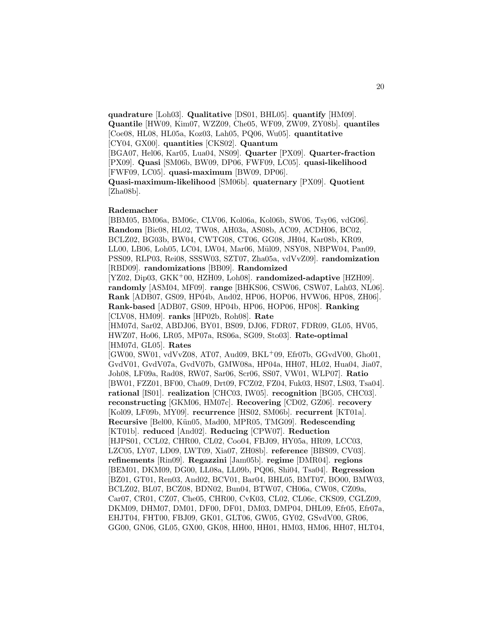**quadrature** [Loh03]. **Qualitative** [DS01, BHL05]. **quantify** [HM09]. **Quantile** [HW09, Kim07, WZZ09, Che05, WF09, ZW09, ZY08b]. **quantiles** [Coe08, HL08, HL05a, Koz03, Lah05, PQ06, Wu05]. **quantitative** [CY04, GX00]. **quantities** [CKS02]. **Quantum**

[BGA07, Hel06, Kar05, Lua04, NS09]. **Quarter** [PX09]. **Quarter-fraction** [PX09]. **Quasi** [SM06b, BW09, DP06, FWF09, LC05]. **quasi-likelihood** [FWF09, LC05]. **quasi-maximum** [BW09, DP06].

**Quasi-maximum-likelihood** [SM06b]. **quaternary** [PX09]. **Quotient** [Zha08b].

#### **Rademacher**

[BBM05, BM06a, BM06c, CLV06, Kol06a, Kol06b, SW06, Tsy06, vdG06]. **Random** [Bic08, HL02, TW08, AH03a, AS08b, AC09, ACDH06, BC02, BCLZ02, BG03b, BW04, CWTG08, CT06, GG08, JH04, Kar08b, KR09, LL00, LB06, Loh05, LC04, LW04, Mar06, Mül09, NSY08, NBPW04, Pan09, PSS09, RLP03, Rei08, SSSW03, SZT07, Zha05a, vdVvZ09]. **randomization** [RBD09]. **randomizations** [BB09]. **Randomized** [YZ02, Dip03, GKK<sup>+</sup>00, HZH09, Loh08]. **randomized-adaptive** [HZH09].

**randomly** [ASM04, MF09]. **range** [BHKS06, CSW06, CSW07, Lah03, NL06]. **Rank** [ADB07, GS09, HP04b, And02, HP06, HOP06, HVW06, HP08, ZH06]. **Rank-based** [ADB07, GS09, HP04b, HP06, HOP06, HP08]. **Ranking** [CLV08, HM09]. **ranks** [HP02b, Roh08]. **Rate**

[HM07d, Sar02, ABDJ06, BY01, BS09, DJ06, FDR07, FDR09, GL05, HV05, HWZ07, Ho06, LR05, MP07a, RS06a, SG09, Sto03]. **Rate-optimal** [HM07d, GL05]. **Rates**

[GW00, SW01, vdVvZ08, AT07, Aud09, BKL<sup>+</sup>09, Efr07b, GGvdV00, Gho01, GvdV01, GvdV07a, GvdV07b, GMW08a, HP04a, HH07, HL02, Hua04, Jia07, Joh08, LF09a, Rad08, RW07, Sar06, Scr06, SS07, VW01, WLP07]. **Ratio** [BW01, FZZ01, BF00, Cha09, Drt09, FCZ02, FZ04, Fuk03, HS07, LS03, Tsa04]. **rational** [IS01]. **realization** [CHC03, IW05]. **recognition** [BG05, CHC03]. **reconstructing** [GKM06, HM07c]. **Recovering** [CD02, GZ06]. **recovery** [Kol09, LF09b, MY09]. **recurrence** [HS02, SM06b]. **recurrent** [KT01a]. **Recursive** [Bel00, Kün05, Mad00, MPR05, TMG09]. **Redescending** [KT01b]. **reduced** [And02]. **Reducing** [CPW07]. **Reduction** [HJPS01, CCL02, CHR00, CL02, Coo04, FBJ09, HY05a, HR09, LCC03, LZC05, LY07, LD09, LWT09, Xia07, ZH08b]. **reference** [BBS09, CV03]. **refinements** [Rin09]. **Regazzini** [Jam05b]. **regime** [DMR04]. **regions** [BEM01, DKM09, DG00, LL08a, LL09b, PQ06, Shi04, Tsa04]. **Regression** [BZ01, GT01, Ren03, And02, BCV01, Bar04, BHL05, BMT07, BO00, BMW03, BCLZ02, BL07, BCZ08, BDN02, Bun04, BTW07, CH06a, CW08, CZ09a, Car07, CR01, CZ07, Che05, CHR00, CvK03, CL02, CL06c, CKS09, CGLZ09, DKM09, DHM07, DM01, DF00, DF01, DM03, DMP04, DHL09, Efr05, Efr07a, EHJT04, FHT00, FBJ09, GK01, GLT06, GW05, GY02, GSvdV00, GR06, GG00, GN06, GL05, GX00, GK08, HH00, HH01, HM03, HM06, HH07, HLT04,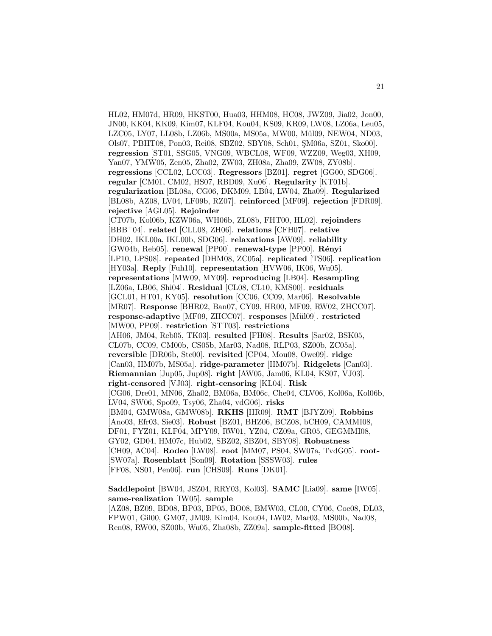HL02, HM07d, HR09, HKST00, Hua03, HHM08, HC08, JWZ09, Jia02, Jon00, JN00, KK04, KK09, Kim07, KLF04, Kou04, KS09, KR09, LW08, LZ06a, Leu05, LZC05, LY07, LL08b, LZ06b, MS00a, MS05a, MW00, Mül09, NEW04, ND03, Ols07, PBHT08, Pon03, Rei08, SBZ02, SBY08, Sch01, SM06a, SZ01, Sko00]. **regression** [ST01, SSG05, VNG09, WBCL08, WF09, WZZ09, Weg03, XH09, Yan07, YMW05, Zen05, Zha02, ZW03, ZH08a, Zha09, ZW08, ZY08b]. **regressions** [CCL02, LCC03]. **Regressors** [BZ01]. **regret** [GG00, SDG06]. **regular** [CM01, CM02, HS07, RBD09, Xu06]. **Regularity** [KT01b]. **regularization** [BL08a, CG06, DKM09, LB04, LW04, Zha09]. **Regularized** [BL08b, AZ08, LV04, LF09b, RZ07]. **reinforced** [MF09]. **rejection** [FDR09]. **rejective** [AGL05]. **Rejoinder** [CT07b, Kol06b, KZW06a, WH06b, ZL08b, FHT00, HL02]. **rejoinders** [BBB<sup>+</sup>04]. **related** [CLL08, ZH06]. **relations** [CFH07]. **relative** [DH02, IKL00a, IKL00b, SDG06]. **relaxations** [AW09]. **reliability** [GW04b, Reb05]. **renewal** [PP00]. **renewal-type** [PP00]. **R´enyi** [LP10, LPS08]. **repeated** [DHM08, ZC05a]. **replicated** [TS06]. **replication** [HY03a]. **Reply** [Fuh10]. **representation** [HVW06, IK06, Wu05]. **representations** [MW09, MY09]. **reproducing** [LB04]. **Resampling** [LZ06a, LB06, Shi04]. **Residual** [CL08, CL10, KMS00]. **residuals** [GCL01, HT01, KY05]. **resolution** [CC06, CC09, Mar06]. **Resolvable** [MR07]. **Response** [BHR02, Ban07, CY09, HR00, MF09, RW02, ZHCC07]. **response-adaptive** [MF09, ZHCC07]. **responses** [M¨ul09]. **restricted** [MW00, PP09]. **restriction** [STT03]. **restrictions** [AH06, JM04, Reb05, TK03]. **resulted** [FH08]. **Results** [Sar02, BSK05, CL07b, CC09, CM00b, CS05b, Mar03, Nad08, RLP03, SZ00b, ZC05a]. **reversible** [DR06b, Ste00]. **revisited** [CP04, Mou08, Owe09]. **ridge** [Can03, HM07b, MS05a]. **ridge-parameter** [HM07b]. **Ridgelets** [Can03]. **Riemannian** [Jup05, Jup08]. **right** [AW05, Jam06, KL04, KS07, VJ03]. **right-censored** [VJ03]. **right-censoring** [KL04]. **Risk** [CG06, Dre01, MN06, Zha02, BM06a, BM06c, Che04, CLV06, Kol06a, Kol06b, LV04, SW06, Spo09, Tsy06, Zha04, vdG06]. **risks** [BM04, GMW08a, GMW08b]. **RKHS** [HR09]. **RMT** [BJYZ09]. **Robbins** [Ano03, Efr03, Sie03]. **Robust** [BZ01, BHZ06, BCZ08, bCH09, CAMMI08, DF01, FYZ01, KLF04, MPY09, RW01, YZ04, CZ09a, GR05, GEGMMI08, GY02, GD04, HM07c, Hub02, SBZ02, SBZ04, SBY08]. **Robustness** [CH09, AC04]. **Rodeo** [LW08]. **root** [MM07, PS04, SW07a, TvdG05]. **root-** [SW07a]. **Rosenblatt** [Son09]. **Rotation** [SSSW03]. **rules** [FF08, NS01, Pen06]. **run** [CHS09]. **Runs** [DK01].

**Saddlepoint** [BW04, JSZ04, RRY03, Kol03]. **SAMC** [Lia09]. **same** [IW05]. **same-realization** [IW05]. **sample** [AZ08, BZ09, BD08, BP03, BP05, BO08, BMW03, CL00, CY06, Coe08, DL03, FPW01, Gil00, GM07, JM09, Kim04, Kou04, LW02, Mar03, MS00b, Nad08, Ren08, RW00, SZ00b, Wu05, Zha08b, ZZ09a]. **sample-fitted** [BO08].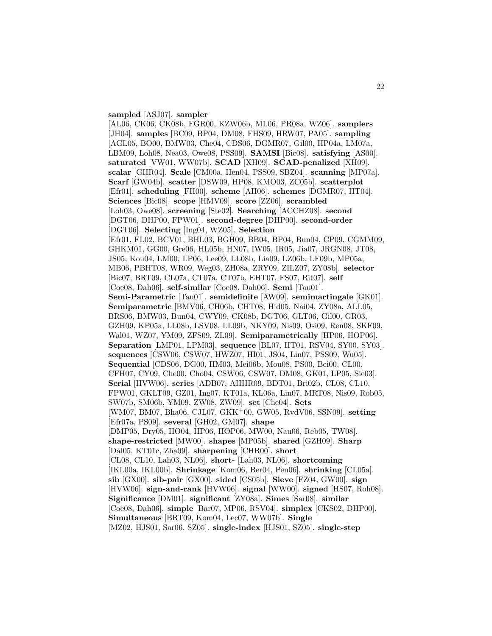#### **sampled** [ASJ07]. **sampler**

[AL06, CK06, CK08b, FGR00, KZW06b, ML06, PR08a, WZ06]. **samplers** [JH04]. **samples** [BC09, BP04, DM08, FHS09, HRW07, PA05]. **sampling** [AGL05, BO00, BMW03, Che04, CDS06, DGMR07, Gil00, HP04a, LM07a, LBM09, Loh08, Nea03, Owe08, PSS09]. **SAMSI** [Bic08]. **satisfying** [AS00]. **saturated** [VW01, WW07b]. **SCAD** [XH09]. **SCAD-penalized** [XH09]. **scalar** [GHR04]. **Scale** [CM00a, Hen04, PSS09, SBZ04]. **scanning** [MP07a]. **Scarf** [GW04b]. **scatter** [DSW09, HP08, KMO03, ZC05b]. **scatterplot** [Efr01]. **scheduling** [FH00]. **scheme** [AH06]. **schemes** [DGMR07, HT04]. **Sciences** [Bic08]. **scope** [HMV09]. **score** [ZZ06]. **scrambled** [Loh03, Owe08]. **screening** [Ste02]. **Searching** [ACCHZ08]. **second** [DGT06, DHP00, FPW01]. **second-degree** [DHP00]. **second-order** [DGT06]. **Selecting** [Ing04, WZ05]. **Selection** [Efr01, FL02, BCV01, BHL03, BGH09, BB04, BP04, Bun04, CP09, CGMM09, GHKM01, GG00, Gre06, HL05b, HN07, IW05, IR05, Jia07, JRGN08, JT08, JS05, Kou04, LM00, LP06, Lee09, LL08b, Lia09, LZ06b, LF09b, MP05a, MB06, PBHT08, WR09, Weg03, ZH08a, ZRY09, ZILZ07, ZY08b]. **selector** [Bic07, BRT09, CL07a, CT07a, CT07b, EHT07, FS07, Rit07]. **self** [Coe08, Dah06]. **self-similar** [Coe08, Dah06]. **Semi** [Tau01]. **Semi-Parametric** [Tau01]. **semidefinite** [AW09]. **semimartingale** [GK01]. **Semiparametric** [BMV06, CH06b, CHT08, Hid05, Nai04, ZY08a, ALL05, BRS06, BMW03, Bun04, CWY09, CK08b, DGT06, GLT06, Gil00, GR03, GZH09, KP05a, LL08b, LSV08, LL09b, NKY09, Nis09, Osi09, Ren08, SKF09, Wal01, WZ07, YM09, ZFS09, ZL09]. **Semiparametrically** [HP06, HOP06]. **Separation** [LMP01, LPM03]. **sequence** [BL07, HT01, RSV04, SY00, SY03]. **sequences** [CSW06, CSW07, HWZ07, HI01, JS04, Lin07, PSS09, Wu05]. **Sequential** [CDS06, DG00, HM03, Mei06b, Mou08, PS00, Bei00, CL00, CFH07, CY09, Che00, Cho04, CSW06, CSW07, DM08, GK01, LP05, Sie03]. **Serial** [HVW06]. **series** [ADB07, AHHR09, BDT01, Bri02b, CL08, CL10, FPW01, GKLT09, GZ01, Ing07, KT01a, KL06a, Lin07, MRT08, Nis09, Rob05, SW07b, SM06b, YM09, ZW08, ZW09]. **set** [Che04]. **Sets** [WM07, BM07, Bha06, CJL07, GKK<sup>+</sup>00, GW05, RvdV06, SSN09]. **setting** [Efr07a, PS09]. **several** [GH02, GM07]. **shape** [DMP05, Dry05, HO04, HP06, HOP06, MW00, Nau06, Reb05, TW08]. **shape-restricted** [MW00]. **shapes** [MP05b]. **shared** [GZH09]. **Sharp** [Dal05, KT01c, Zha09]. **sharpening** [CHR00]. **short** [CL08, CL10, Lah03, NL06]. **short-** [Lah03, NL06]. **shortcoming** [IKL00a, IKL00b]. **Shrinkage** [Kom06, Ber04, Pen06]. **shrinking** [CL05a]. **sib** [GX00]. **sib-pair** [GX00]. **sided** [CS05b]. **Sieve** [FZ04, GW00]. **sign** [HVW06]. **sign-and-rank** [HVW06]. **signal** [WW00]. **signed** [HS07, Roh08]. **Significance** [DM01]. **significant** [ZY08a]. **Simes** [Sar08]. **similar** [Coe08, Dah06]. **simple** [Bar07, MP06, RSV04]. **simplex** [CKS02, DHP00]. **Simultaneous** [BRT09, Kom04, Lec07, WW07b]. **Single** [MZ02, HJS01, Sar06, SZ05]. **single-index** [HJS01, SZ05]. **single-step**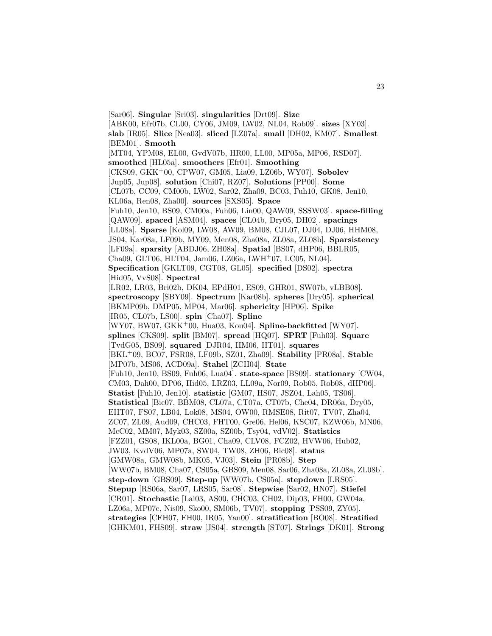[Sar06]. **Singular** [Sri03]. **singularities** [Drt09]. **Size** [ABK00, Efr07b, CL00, CY06, JM09, LW02, NL04, Rob09]. **sizes** [XY03]. **slab** [IR05]. **Slice** [Nea03]. **sliced** [LZ07a]. **small** [DH02, KM07]. **Smallest** [BEM01]. **Smooth** [MT04, YPM08, EL00, GvdV07b, HR00, LL00, MP05a, MP06, RSD07]. **smoothed** [HL05a]. **smoothers** [Efr01]. **Smoothing** [CKS09, GKK<sup>+</sup>00, CPW07, GM05, Lia09, LZ06b, WY07]. **Sobolev** [Jup05, Jup08]. **solution** [Chi07, RZ07]. **Solutions** [PP00]. **Some** [CL07b, CC09, CM00b, LW02, Sar02, Zha09, BC03, Fuh10, GK08, Jen10, KL06a, Ren08, Zha00]. **sources** [SXS05]. **Space** [Fuh10, Jen10, BS09, CM00a, Fuh06, Lin00, QAW09, SSSW03]. **space-filling** [QAW09]. **spaced** [ASM04]. **spaces** [CL04b, Dry05, DH02]. **spacings** [LL08a]. **Sparse** [Kol09, LW08, AW09, BM08, CJL07, DJ04, DJ06, HHM08, JS04, Kar08a, LF09b, MY09, Men08, Zha08a, ZL08a, ZL08b]. **Sparsistency** [LF09a]. **sparsity** [ABDJ06, ZH08a]. **Spatial** [BS07, dHP06, BBLR05, Cha09, GLT06, HLT04, Jam06, LZ06a, LWH<sup>+</sup>07, LC05, NL04]. **Specification** [GKLT09, CGT08, GL05]. **specified** [DS02]. **spectra** [Hid05, VvS08]. **Spectral** [LR02, LR03, Bri02b, DK04, EPdH01, ES09, GHR01, SW07b, vLBB08]. **spectroscopy** [SBY09]. **Spectrum** [Kar08b]. **spheres** [Dry05]. **spherical** [BKMP09b, DMP05, MP04, Mar06]. **sphericity** [HP06]. **Spike** [IR05, CL07b, LS00]. **spin** [Cha07]. **Spline** [WY07, BW07, GKK<sup>+</sup>00, Hua03, Kou04]. **Spline-backfitted** [WY07]. **splines** [CKS09]. **split** [BM07]. **spread** [HQ07]. **SPRT** [Fuh03]. **Square** [TvdG05, BS09]. **squared** [DJR04, HM06, HT01]. **squares** [BKL<sup>+</sup>09, BC07, FSR08, LF09b, SZ01, Zha09]. **Stability** [PR08a]. **Stable** [MP07b, MS06, ACD09a]. **Stahel** [ZCH04]. **State** [Fuh10, Jen10, BS09, Fuh06, Lua04]. **state-space** [BS09]. **stationary** [CW04, CM03, Dah00, DP06, Hid05, LRZ03, LL09a, Nor09, Rob05, Rob08, dHP06]. **Statist** [Fuh10, Jen10]. **statistic** [GM07, HS07, JSZ04, Lah05, TS06]. **Statistical** [Bic07, BBM08, CL07a, CT07a, CT07b, Che04, DR06a, Dry05, EHT07, FS07, LB04, Lok08, MS04, OW00, RMSE08, Rit07, TV07, Zha04, ZC07, ZL09, Aud09, CHC03, FHT00, Gre06, Hel06, KSC07, KZW06b, MN06, McC02, MM07, Myk03, SZ00a, SZ00b, Tsy04, vdV02]. **Statistics** [FZZ01, GS08, IKL00a, BG01, Cha09, CLV08, FCZ02, HVW06, Hub02, JW03, KvdV06, MP07a, SW04, TW08, ZH06, Bic08]. **status** [GMW08a, GMW08b, MK05, VJ03]. **Stein** [PR08b]. **Step** [WW07b, BM08, Cha07, CS05a, GBS09, Men08, Sar06, Zha08a, ZL08a, ZL08b]. **step-down** [GBS09]. **Step-up** [WW07b, CS05a]. **stepdown** [LRS05]. **Stepup** [RS06a, Sar07, LRS05, Sar08]. **Stepwise** [Sar02, HN07]. **Stiefel** [CR01]. **Stochastic** [Lai03, AS00, CHC03, CH02, Dip03, FH00, GW04a, LZ06a, MP07c, Nis09, Sko00, SM06b, TV07]. **stopping** [PSS09, ZY05]. **strategies** [CFH07, FH00, IR05, Yan00]. **stratification** [BO08]. **Stratified** [GHKM01, FHS09]. **straw** [JS04]. **strength** [ST07]. **Strings** [DK01]. **Strong**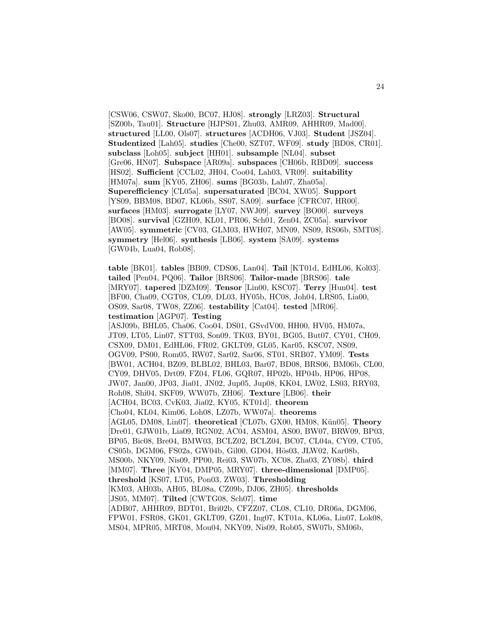[CSW06, CSW07, Sko00, BC07, HJ08]. **strongly** [LRZ03]. **Structural** [SZ00b, Tau01]. **Structure** [HJPS01, Zhu03, AMR09, AHHR09, Mad00]. **structured** [LL00, Ols07]. **structures** [ACDH06, VJ03]. **Student** [JSZ04]. **Studentized** [Lah05]. **studies** [Che00, SZT07, WF09]. **study** [BD08, CR01]. **subclass** [Loh05]. **subject** [HH01]. **subsample** [NL04]. **subset** [Gre06, HN07]. **Subspace** [AR09a]. **subspaces** [CH06b, RBD09]. **success** [HS02]. **Sufficient** [CCL02, JH04, Coo04, Lah03, VR09]. **suitability** [HM07a]. **sum** [KY05, ZH06]. **sums** [BG03b, Lah07, Zha05a]. **Superefficiency** [CL05a]. **supersaturated** [BC04, XW05]. **Support** [YS09, BBM08, BD07, KL06b, SS07, SA09]. **surface** [CFRC07, HR00]. **surfaces** [HM03]. **surrogate** [LY07, NWJ09]. **survey** [BO00]. **surveys** [BO08]. **survival** [GZH09, KL01, PR06, Sch01, Zen04, ZC05a]. **survivor** [AW05]. **symmetric** [CV03, GLM03, HWH07, MN09, NS09, RS06b, SMT08]. **symmetry** [Hel06]. **synthesis** [LB06]. **system** [SA09]. **systems** [GW04b, Lua04, Rob08].

**table** [BK01]. **tables** [BB09, CDS06, Lan04]. **Tail** [KT01d, EdHL06, Kol03]. **tailed** [Pen04, PQ06]. **Tailor** [BRS06]. **Tailor-made** [BRS06]. **tale** [MRY07]. **tapered** [DZM09]. **Tensor** [Lin00, KSC07]. **Terry** [Hun04]. **test** [BF00, Cha09, CGT08, CL09, DL03, HY05b, HC08, Joh04, LRS05, Lia00, OS09, Sar08, TW08, ZZ06]. **testability** [Cat04]. **tested** [MR06]. **testimation** [AGP07]. **Testing** [ASJ09b, BHL05, Cha06, Coo04, DS01, GSvdV00, HH00, HV05, HM07a, JT09, LT05, Lin07, STT03, Son09, TK03, BY01, BG05, But07, CY01, CH09, CSX09, DM01, EdHL06, FR02, GKLT09, GL05, Kar05, KSC07, NS09, OGV09, PS00, Rom05, RW07, Sar02, Sar06, ST01, SRB07, YM09]. **Tests** [BW01, ACH04, BZ09, BLBL02, BHL03, Bar07, BD08, BRS06, BM06b, CL00, CY09, DHV05, Drt09, FZ04, FL06, GQR07, HP02b, HP04b, HP06, HP08, JW07, Jan00, JP03, Jia01, JN02, Jup05, Jup08, KK04, LW02, LS03, RRY03, Roh08, Shi04, SKF09, WW07b, ZH06]. **Texture** [LB06]. **their** [ACH04, BC03, CvK03, Jia02, KY05, KT01d]. **theorem** [Cho04, KL04, Kim06, Loh08, LZ07b, WW07a]. **theorems** [AGL05, DM08, Lin07]. **theoretical** [CL07b, GX00, HM08, Kün05]. **Theory** [Dre01, GJW01b, Lia09, RGN02, AC04, ASM04, AS00, BW07, BRW09, BP03, BP05, Bic08, Bre04, BMW03, BCLZ02, BCLZ04, BC07, CL04a, CY09, CT05, CS05b, DGM06, FS02a, GW04b, Gil00, GD04, Hös03, JLW02, Kar08b, MS00b, NKY09, Nis09, PP00, Rei03, SW07b, XC08, Zha03, ZY08b]. **third** [MM07]. **Three** [KY04, DMP05, MRY07]. **three-dimensional** [DMP05]. **threshold** [KS07, LT05, Pon03, ZW03]. **Thresholding** [KM03, AH03b, AH05, BL08a, CZ09b, DJ06, ZH05]. **thresholds** [JS05, MM07]. **Tilted** [CWTG08, Sch07]. **time** [ADB07, AHHR09, BDT01, Bri02b, CFZZ07, CL08, CL10, DR06a, DGM06, FPW01, FSR08, GK01, GKLT09, GZ01, Ing07, KT01a, KL06a, Lin07, Lok08, MS04, MPR05, MRT08, Mou04, NKY09, Nis09, Rob05, SW07b, SM06b,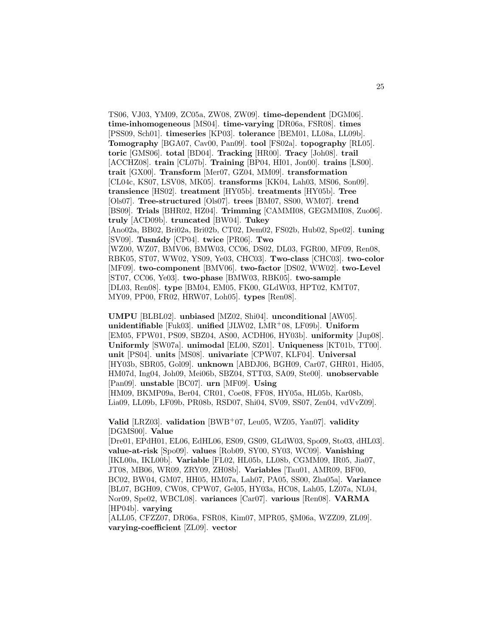TS06, VJ03, YM09, ZC05a, ZW08, ZW09]. **time-dependent** [DGM06]. **time-inhomogeneous** [MS04]. **time-varying** [DR06a, FSR08]. **times** [PSS09, Sch01]. **timeseries** [KP03]. **tolerance** [BEM01, LL08a, LL09b]. **Tomography** [BGA07, Cav00, Pan09]. **tool** [FS02a]. **topography** [RL05]. **toric** [GMS06]. **total** [BD04]. **Tracking** [HR00]. **Tracy** [Joh08]. **trail** [ACCHZ08]. **train** [CL07b]. **Training** [BP04, HI01, Jon00]. **trains** [LS00]. **trait** [GX00]. **Transform** [Mer07, GZ04, MM09]. **transformation** [CL04c, KS07, LSV08, MK05]. **transforms** [KK04, Lah03, MS06, Son09]. **transience** [HS02]. **treatment** [HY05b]. **treatments** [HY05b]. **Tree** [Ols07]. **Tree-structured** [Ols07]. **trees** [BM07, SS00, WM07]. **trend** [BS09]. **Trials** [BHR02, HZ04]. **Trimming** [CAMMI08, GEGMMI08, Zuo06]. **truly** [ACD09b]. **truncated** [BW04]. **Tukey** [Ano02a, BB02, Bri02a, Bri02b, CT02, Dem02, FS02b, Hub02, Spe02]. **tuning** [SV09]. **Tusn´ady** [CP04]. **twice** [PR06]. **Two** [WZ00, WZ07, BMV06, BMW03, CC06, DS02, DL03, FGR00, MF09, Ren08, RBK05, ST07, WW02, YS09, Ye03, CHC03]. **Two-class** [CHC03]. **two-color** [MF09]. **two-component** [BMV06]. **two-factor** [DS02, WW02]. **two-Level** [ST07, CC06, Ye03]. **two-phase** [BMW03, RBK05]. **two-sample** [DL03, Ren08]. **type** [BM04, EM05, FK00, GLdW03, HPT02, KMT07, MY09, PP00, FR02, HRW07, Loh05]. **types** [Ren08].

**UMPU** [BLBL02]. **unbiased** [MZ02, Shi04]. **unconditional** [AW05]. **unidentifiable** [Fuk03]. **unified** [JLW02, LMR<sup>+</sup>08, LF09b]. **Uniform** [EM05, FPW01, PS09, SBZ04, AS00, ACDH06, HY03b]. **uniformity** [Jup08]. **Uniformly** [SW07a]. **unimodal** [EL00, SZ01]. **Uniqueness** [KT01b, TT00]. **unit** [PS04]. **units** [MS08]. **univariate** [CPW07, KLF04]. **Universal** [HY03b, SBR05, Gol09]. **unknown** [ABDJ06, BGH09, Car07, GHR01, Hid05, HM07d, Ing04, Joh09, Mei06b, SBZ04, STT03, SA09, Ste00]. **unobservable** [Pan09]. **unstable** [BC07]. **urn** [MF09]. **Using** [HM09, BKMP09a, Ber04, CR01, Coe08, FF08, HY05a, HL05b, Kar08b,

Lia09, LL09b, LF09b, PR08b, RSD07, Shi04, SV09, SS07, Zen04, vdVvZ09].

**Valid** [LRZ03]. **validation** [BWB<sup>+</sup>07, Leu05, WZ05, Yan07]. **validity** [DGMS00]. **Value**

[Dre01, EPdH01, EL06, EdHL06, ES09, GS09, GLdW03, Spo09, Sto03, dHL03]. **value-at-risk** [Spo09]. **values** [Rob09, SY00, SY03, WC09]. **Vanishing** [IKL00a, IKL00b]. **Variable** [FL02, HL05b, LL08b, CGMM09, IR05, Jia07, JT08, MB06, WR09, ZRY09, ZH08b]. **Variables** [Tau01, AMR09, BF00, BC02, BW04, GM07, HH05, HM07a, Lah07, PA05, SS00, Zha05a]. **Variance** [BL07, BGH09, CW08, CPW07, Gel05, HY03a, HC08, Lah05, LZ07a, NL04, Nor09, Spe02, WBCL08]. **variances** [Car07]. **various** [Ren08]. **VARMA** [HP04b]. **varying**

[ALL05, CFZZ07, DR06a, FSR08, Kim07, MPR05, SM06a, WZZ09, ZL09]. **varying-coefficient** [ZL09]. **vector**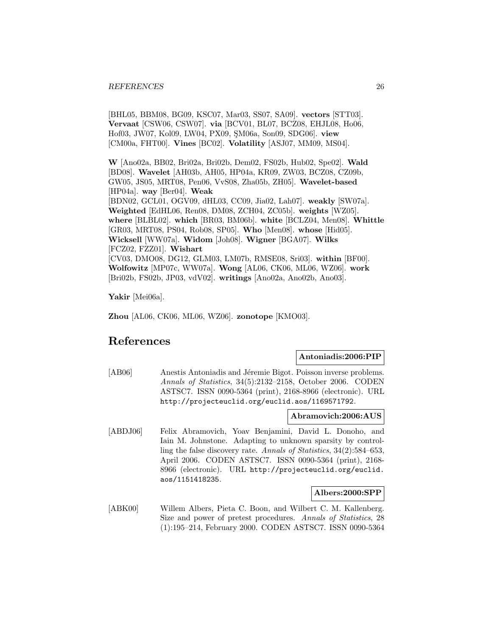[BHL05, BBM08, BG09, KSC07, Mar03, SS07, SA09]. **vectors** [STT03]. **Vervaat** [CSW06, CSW07]. **via** [BCV01, BL07, BCZ08, EHJL08, Ho06, Hof03, JW07, Kol09, LW04, PX09, SM06a, Son09, SDG06]. **view** [CM00a, FHT00]. **Vines** [BC02]. **Volatility** [ASJ07, MM09, MS04].

**W** [Ano02a, BB02, Bri02a, Bri02b, Dem02, FS02b, Hub02, Spe02]. **Wald** [BD08]. **Wavelet** [AH03b, AH05, HP04a, KR09, ZW03, BCZ08, CZ09b, GW05, JS05, MRT08, Pen06, VvS08, Zha05b, ZH05]. **Wavelet-based** [HP04a]. **way** [Ber04]. **Weak** [BDN02, GCL01, OGV09, dHL03, CC09, Jia02, Lah07]. **weakly** [SW07a]. **Weighted** [EdHL06, Ren08, DM08, ZCH04, ZC05b]. **weights** [WZ05]. **where** [BLBL02]. **which** [BR03, BM06b]. **white** [BCLZ04, Men08]. **Whittle** [GR03, MRT08, PS04, Rob08, SP05]. **Who** [Men08]. **whose** [Hid05]. **Wicksell** [WW07a]. **Widom** [Joh08]. **Wigner** [BGA07]. **Wilks** [FCZ02, FZZ01]. **Wishart** [CV03, DMO08, DG12, GLM03, LM07b, RMSE08, Sri03]. **within** [BF00]. **Wolfowitz** [MP07c, WW07a]. **Wong** [AL06, CK06, ML06, WZ06]. **work** [Bri02b, FS02b, JP03, vdV02]. **writings** [Ano02a, Ano02b, Ano03].

**Yakir** [Mei06a].

**Zhou** [AL06, CK06, ML06, WZ06]. **zonotope** [KMO03].

# **References**

#### **Antoniadis:2006:PIP**

[AB06] Anestis Antoniadis and Jéremie Bigot. Poisson inverse problems. Annals of Statistics, 34(5):2132–2158, October 2006. CODEN ASTSC7. ISSN 0090-5364 (print), 2168-8966 (electronic). URL http://projecteuclid.org/euclid.aos/1169571792.

#### **Abramovich:2006:AUS**

[ABDJ06] Felix Abramovich, Yoav Benjamini, David L. Donoho, and Iain M. Johnstone. Adapting to unknown sparsity by controlling the false discovery rate. Annals of Statistics, 34(2):584–653, April 2006. CODEN ASTSC7. ISSN 0090-5364 (print), 2168- 8966 (electronic). URL http://projecteuclid.org/euclid. aos/1151418235.

#### **Albers:2000:SPP**

[ABK00] Willem Albers, Pieta C. Boon, and Wilbert C. M. Kallenberg. Size and power of pretest procedures. Annals of Statistics, 28 (1):195–214, February 2000. CODEN ASTSC7. ISSN 0090-5364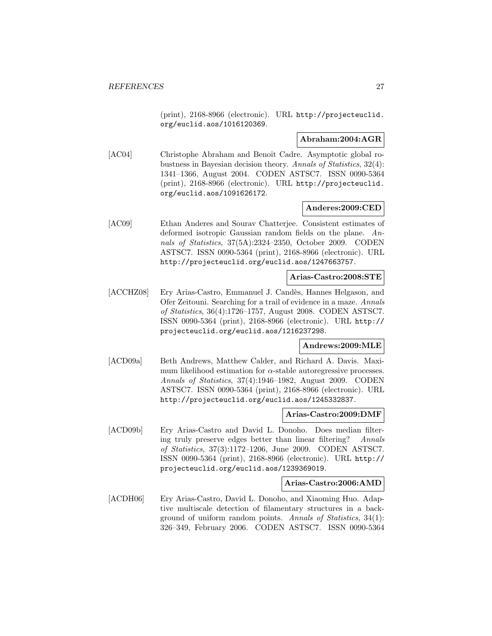(print), 2168-8966 (electronic). URL http://projecteuclid. org/euclid.aos/1016120369.

#### **Abraham:2004:AGR**

[AC04] Christophe Abraham and Benoît Cadre. Asymptotic global robustness in Bayesian decision theory. Annals of Statistics, 32(4): 1341–1366, August 2004. CODEN ASTSC7. ISSN 0090-5364 (print), 2168-8966 (electronic). URL http://projecteuclid. org/euclid.aos/1091626172.

#### **Anderes:2009:CED**

[AC09] Ethan Anderes and Sourav Chatterjee. Consistent estimates of deformed isotropic Gaussian random fields on the plane. Annals of Statistics, 37(5A):2324–2350, October 2009. CODEN ASTSC7. ISSN 0090-5364 (print), 2168-8966 (electronic). URL http://projecteuclid.org/euclid.aos/1247663757.

## **Arias-Castro:2008:STE**

[ACCHZ08] Ery Arias-Castro, Emmanuel J. Candès, Hannes Helgason, and Ofer Zeitouni. Searching for a trail of evidence in a maze. Annals of Statistics, 36(4):1726–1757, August 2008. CODEN ASTSC7. ISSN 0090-5364 (print), 2168-8966 (electronic). URL http:// projecteuclid.org/euclid.aos/1216237298.

# **Andrews:2009:MLE**

[ACD09a] Beth Andrews, Matthew Calder, and Richard A. Davis. Maximum likelihood estimation for  $\alpha$ -stable autoregressive processes. Annals of Statistics, 37(4):1946–1982, August 2009. CODEN ASTSC7. ISSN 0090-5364 (print), 2168-8966 (electronic). URL http://projecteuclid.org/euclid.aos/1245332837.

#### **Arias-Castro:2009:DMF**

[ACD09b] Ery Arias-Castro and David L. Donoho. Does median filtering truly preserve edges better than linear filtering? Annals of Statistics, 37(3):1172–1206, June 2009. CODEN ASTSC7. ISSN 0090-5364 (print), 2168-8966 (electronic). URL http:// projecteuclid.org/euclid.aos/1239369019.

# **Arias-Castro:2006:AMD**

[ACDH06] Ery Arias-Castro, David L. Donoho, and Xiaoming Huo. Adaptive multiscale detection of filamentary structures in a background of uniform random points. Annals of Statistics, 34(1): 326–349, February 2006. CODEN ASTSC7. ISSN 0090-5364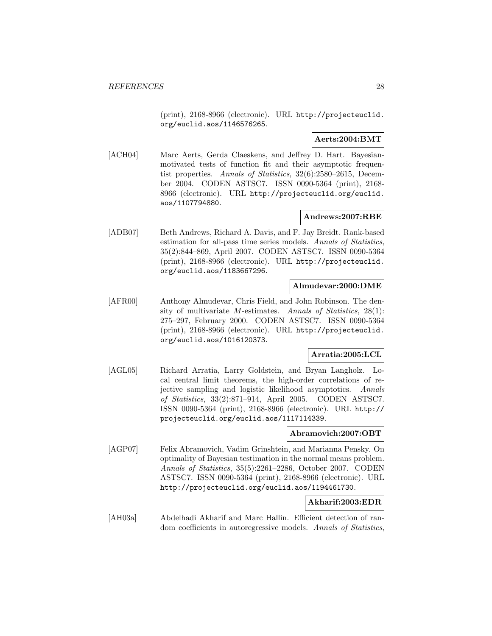(print), 2168-8966 (electronic). URL http://projecteuclid. org/euclid.aos/1146576265.

# **Aerts:2004:BMT**

[ACH04] Marc Aerts, Gerda Claeskens, and Jeffrey D. Hart. Bayesianmotivated tests of function fit and their asymptotic frequentist properties. Annals of Statistics, 32(6):2580–2615, December 2004. CODEN ASTSC7. ISSN 0090-5364 (print), 2168- 8966 (electronic). URL http://projecteuclid.org/euclid. aos/1107794880.

# **Andrews:2007:RBE**

[ADB07] Beth Andrews, Richard A. Davis, and F. Jay Breidt. Rank-based estimation for all-pass time series models. Annals of Statistics, 35(2):844–869, April 2007. CODEN ASTSC7. ISSN 0090-5364 (print), 2168-8966 (electronic). URL http://projecteuclid. org/euclid.aos/1183667296.

#### **Almudevar:2000:DME**

[AFR00] Anthony Almudevar, Chris Field, and John Robinson. The density of multivariate *M*-estimates. Annals of Statistics,  $28(1)$ : 275–297, February 2000. CODEN ASTSC7. ISSN 0090-5364 (print), 2168-8966 (electronic). URL http://projecteuclid. org/euclid.aos/1016120373.

#### **Arratia:2005:LCL**

[AGL05] Richard Arratia, Larry Goldstein, and Bryan Langholz. Local central limit theorems, the high-order correlations of rejective sampling and logistic likelihood asymptotics. Annals of Statistics, 33(2):871–914, April 2005. CODEN ASTSC7. ISSN 0090-5364 (print), 2168-8966 (electronic). URL http:// projecteuclid.org/euclid.aos/1117114339.

#### **Abramovich:2007:OBT**

[AGP07] Felix Abramovich, Vadim Grinshtein, and Marianna Pensky. On optimality of Bayesian testimation in the normal means problem. Annals of Statistics, 35(5):2261–2286, October 2007. CODEN ASTSC7. ISSN 0090-5364 (print), 2168-8966 (electronic). URL http://projecteuclid.org/euclid.aos/1194461730.

# **Akharif:2003:EDR**

[AH03a] Abdelhadi Akharif and Marc Hallin. Efficient detection of random coefficients in autoregressive models. Annals of Statistics,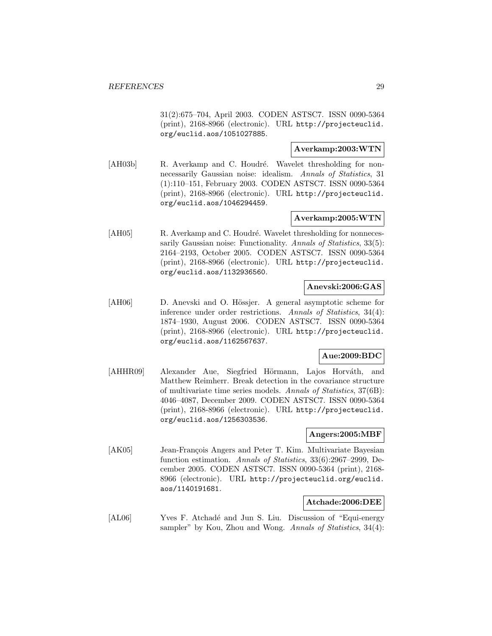31(2):675–704, April 2003. CODEN ASTSC7. ISSN 0090-5364 (print), 2168-8966 (electronic). URL http://projecteuclid. org/euclid.aos/1051027885.

# **Averkamp:2003:WTN**

[AH03b] R. Averkamp and C. Houdré. Wavelet thresholding for nonnecessarily Gaussian noise: idealism. Annals of Statistics, 31 (1):110–151, February 2003. CODEN ASTSC7. ISSN 0090-5364 (print), 2168-8966 (electronic). URL http://projecteuclid. org/euclid.aos/1046294459.

## **Averkamp:2005:WTN**

[AH05] R. Averkamp and C. Houdré. Wavelet thresholding for nonnecessarily Gaussian noise: Functionality. Annals of Statistics, 33(5): 2164–2193, October 2005. CODEN ASTSC7. ISSN 0090-5364 (print), 2168-8966 (electronic). URL http://projecteuclid. org/euclid.aos/1132936560.

#### **Anevski:2006:GAS**

[AH06] D. Anevski and O. Hössjer. A general asymptotic scheme for inference under order restrictions. Annals of Statistics, 34(4): 1874–1930, August 2006. CODEN ASTSC7. ISSN 0090-5364 (print), 2168-8966 (electronic). URL http://projecteuclid. org/euclid.aos/1162567637.

#### **Aue:2009:BDC**

[AHHR09] Alexander Aue, Siegfried Hörmann, Lajos Horváth, and Matthew Reimherr. Break detection in the covariance structure of multivariate time series models. Annals of Statistics, 37(6B): 4046–4087, December 2009. CODEN ASTSC7. ISSN 0090-5364 (print), 2168-8966 (electronic). URL http://projecteuclid. org/euclid.aos/1256303536.

#### **Angers:2005:MBF**

[AK05] Jean-François Angers and Peter T. Kim. Multivariate Bayesian function estimation. Annals of Statistics, 33(6):2967–2999, December 2005. CODEN ASTSC7. ISSN 0090-5364 (print), 2168- 8966 (electronic). URL http://projecteuclid.org/euclid. aos/1140191681.

#### **Atchade:2006:DEE**

[AL06] Yves F. Atchadé and Jun S. Liu. Discussion of "Equi-energy" sampler" by Kou, Zhou and Wong. Annals of Statistics, 34(4):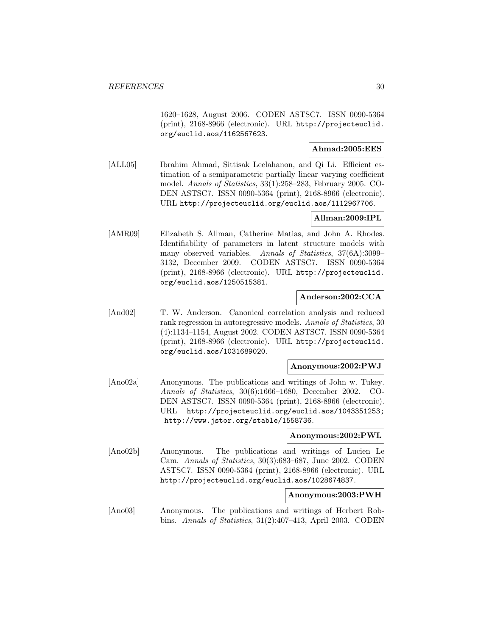1620–1628, August 2006. CODEN ASTSC7. ISSN 0090-5364 (print), 2168-8966 (electronic). URL http://projecteuclid. org/euclid.aos/1162567623.

# **Ahmad:2005:EES**

[ALL05] Ibrahim Ahmad, Sittisak Leelahanon, and Qi Li. Efficient estimation of a semiparametric partially linear varying coefficient model. Annals of Statistics, 33(1):258–283, February 2005. CO-DEN ASTSC7. ISSN 0090-5364 (print), 2168-8966 (electronic). URL http://projecteuclid.org/euclid.aos/1112967706.

# **Allman:2009:IPL**

[AMR09] Elizabeth S. Allman, Catherine Matias, and John A. Rhodes. Identifiability of parameters in latent structure models with many observed variables. Annals of Statistics, 37(6A):3099– 3132, December 2009. CODEN ASTSC7. ISSN 0090-5364 (print), 2168-8966 (electronic). URL http://projecteuclid. org/euclid.aos/1250515381.

#### **Anderson:2002:CCA**

[And02] T. W. Anderson. Canonical correlation analysis and reduced rank regression in autoregressive models. Annals of Statistics, 30 (4):1134–1154, August 2002. CODEN ASTSC7. ISSN 0090-5364 (print), 2168-8966 (electronic). URL http://projecteuclid. org/euclid.aos/1031689020.

#### **Anonymous:2002:PWJ**

[Ano02a] Anonymous. The publications and writings of John w. Tukey. Annals of Statistics, 30(6):1666–1680, December 2002. CO-DEN ASTSC7. ISSN 0090-5364 (print), 2168-8966 (electronic). URL http://projecteuclid.org/euclid.aos/1043351253; http://www.jstor.org/stable/1558736.

#### **Anonymous:2002:PWL**

[Ano02b] Anonymous. The publications and writings of Lucien Le Cam. Annals of Statistics, 30(3):683–687, June 2002. CODEN ASTSC7. ISSN 0090-5364 (print), 2168-8966 (electronic). URL http://projecteuclid.org/euclid.aos/1028674837.

#### **Anonymous:2003:PWH**

[Ano03] Anonymous. The publications and writings of Herbert Robbins. Annals of Statistics, 31(2):407–413, April 2003. CODEN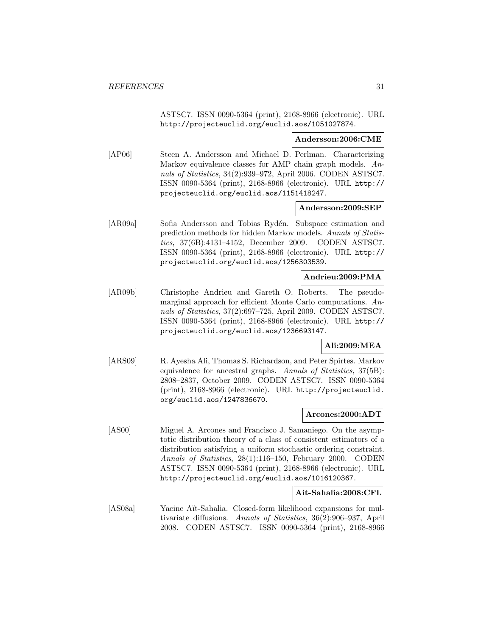ASTSC7. ISSN 0090-5364 (print), 2168-8966 (electronic). URL http://projecteuclid.org/euclid.aos/1051027874.

#### **Andersson:2006:CME**

[AP06] Steen A. Andersson and Michael D. Perlman. Characterizing Markov equivalence classes for AMP chain graph models. Annals of Statistics, 34(2):939–972, April 2006. CODEN ASTSC7. ISSN 0090-5364 (print), 2168-8966 (electronic). URL http:// projecteuclid.org/euclid.aos/1151418247.

#### **Andersson:2009:SEP**

[AR09a] Sofia Andersson and Tobias Rydén. Subspace estimation and prediction methods for hidden Markov models. Annals of Statistics, 37(6B):4131–4152, December 2009. CODEN ASTSC7. ISSN 0090-5364 (print), 2168-8966 (electronic). URL http:// projecteuclid.org/euclid.aos/1256303539.

# **Andrieu:2009:PMA**

[AR09b] Christophe Andrieu and Gareth O. Roberts. The pseudomarginal approach for efficient Monte Carlo computations. Annals of Statistics, 37(2):697–725, April 2009. CODEN ASTSC7. ISSN 0090-5364 (print), 2168-8966 (electronic). URL http:// projecteuclid.org/euclid.aos/1236693147.

# **Ali:2009:MEA**

[ARS09] R. Ayesha Ali, Thomas S. Richardson, and Peter Spirtes. Markov equivalence for ancestral graphs. Annals of Statistics, 37(5B): 2808–2837, October 2009. CODEN ASTSC7. ISSN 0090-5364 (print), 2168-8966 (electronic). URL http://projecteuclid. org/euclid.aos/1247836670.

#### **Arcones:2000:ADT**

[AS00] Miguel A. Arcones and Francisco J. Samaniego. On the asymptotic distribution theory of a class of consistent estimators of a distribution satisfying a uniform stochastic ordering constraint. Annals of Statistics, 28(1):116–150, February 2000. CODEN ASTSC7. ISSN 0090-5364 (print), 2168-8966 (electronic). URL http://projecteuclid.org/euclid.aos/1016120367.

#### **Ait-Sahalia:2008:CFL**

[AS08a] Yacine Aït-Sahalia. Closed-form likelihood expansions for multivariate diffusions. Annals of Statistics, 36(2):906–937, April 2008. CODEN ASTSC7. ISSN 0090-5364 (print), 2168-8966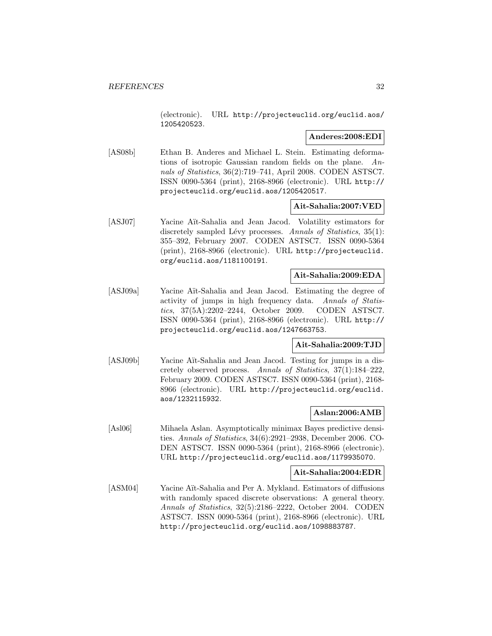(electronic). URL http://projecteuclid.org/euclid.aos/ 1205420523.

#### **Anderes:2008:EDI**

[AS08b] Ethan B. Anderes and Michael L. Stein. Estimating deformations of isotropic Gaussian random fields on the plane. Annals of Statistics, 36(2):719–741, April 2008. CODEN ASTSC7. ISSN 0090-5364 (print), 2168-8966 (electronic). URL http:// projecteuclid.org/euclid.aos/1205420517.

#### **Ait-Sahalia:2007:VED**

[ASJ07] Yacine Aït-Sahalia and Jean Jacod. Volatility estimators for discretely sampled Lévy processes. Annals of Statistics,  $35(1)$ : 355–392, February 2007. CODEN ASTSC7. ISSN 0090-5364 (print), 2168-8966 (electronic). URL http://projecteuclid. org/euclid.aos/1181100191.

# **Ait-Sahalia:2009:EDA**

[ASJ09a] Yacine Aït-Sahalia and Jean Jacod. Estimating the degree of activity of jumps in high frequency data. Annals of Statistics, 37(5A):2202–2244, October 2009. CODEN ASTSC7. ISSN 0090-5364 (print), 2168-8966 (electronic). URL http:// projecteuclid.org/euclid.aos/1247663753.

# **Ait-Sahalia:2009:TJD**

[ASJ09b] Yacine Aït-Sahalia and Jean Jacod. Testing for jumps in a discretely observed process. Annals of Statistics, 37(1):184–222, February 2009. CODEN ASTSC7. ISSN 0090-5364 (print), 2168- 8966 (electronic). URL http://projecteuclid.org/euclid. aos/1232115932.

#### **Aslan:2006:AMB**

[Asl06] Mihaela Aslan. Asymptotically minimax Bayes predictive densities. Annals of Statistics, 34(6):2921–2938, December 2006. CO-DEN ASTSC7. ISSN 0090-5364 (print), 2168-8966 (electronic). URL http://projecteuclid.org/euclid.aos/1179935070.

#### **Ait-Sahalia:2004:EDR**

[ASM04] Yacine Aït-Sahalia and Per A. Mykland. Estimators of diffusions with randomly spaced discrete observations: A general theory. Annals of Statistics, 32(5):2186–2222, October 2004. CODEN ASTSC7. ISSN 0090-5364 (print), 2168-8966 (electronic). URL http://projecteuclid.org/euclid.aos/1098883787.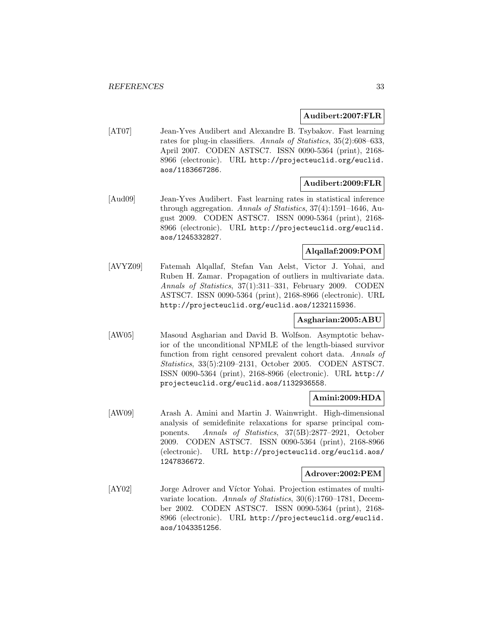#### **Audibert:2007:FLR**

[AT07] Jean-Yves Audibert and Alexandre B. Tsybakov. Fast learning rates for plug-in classifiers. Annals of Statistics, 35(2):608–633, April 2007. CODEN ASTSC7. ISSN 0090-5364 (print), 2168- 8966 (electronic). URL http://projecteuclid.org/euclid. aos/1183667286.

#### **Audibert:2009:FLR**

[Aud09] Jean-Yves Audibert. Fast learning rates in statistical inference through aggregation. Annals of Statistics, 37(4):1591–1646, August 2009. CODEN ASTSC7. ISSN 0090-5364 (print), 2168- 8966 (electronic). URL http://projecteuclid.org/euclid. aos/1245332827.

# **Alqallaf:2009:POM**

[AVYZ09] Fatemah Alqallaf, Stefan Van Aelst, Victor J. Yohai, and Ruben H. Zamar. Propagation of outliers in multivariate data. Annals of Statistics, 37(1):311–331, February 2009. CODEN ASTSC7. ISSN 0090-5364 (print), 2168-8966 (electronic). URL http://projecteuclid.org/euclid.aos/1232115936.

# **Asgharian:2005:ABU**

[AW05] Masoud Asgharian and David B. Wolfson. Asymptotic behavior of the unconditional NPMLE of the length-biased survivor function from right censored prevalent cohort data. Annals of Statistics, 33(5):2109–2131, October 2005. CODEN ASTSC7. ISSN 0090-5364 (print), 2168-8966 (electronic). URL http:// projecteuclid.org/euclid.aos/1132936558.

#### **Amini:2009:HDA**

[AW09] Arash A. Amini and Martin J. Wainwright. High-dimensional analysis of semidefinite relaxations for sparse principal components. Annals of Statistics, 37(5B):2877–2921, October 2009. CODEN ASTSC7. ISSN 0090-5364 (print), 2168-8966 (electronic). URL http://projecteuclid.org/euclid.aos/ 1247836672.

#### **Adrover:2002:PEM**

[AY02] Jorge Adrover and Víctor Yohai. Projection estimates of multivariate location. Annals of Statistics, 30(6):1760–1781, December 2002. CODEN ASTSC7. ISSN 0090-5364 (print), 2168- 8966 (electronic). URL http://projecteuclid.org/euclid. aos/1043351256.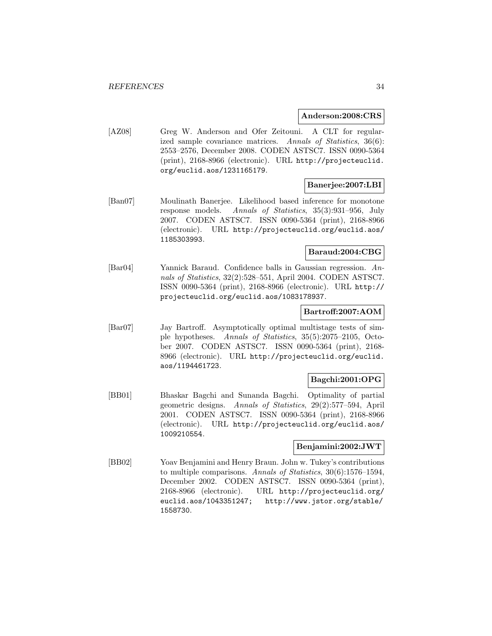#### **Anderson:2008:CRS**

[AZ08] Greg W. Anderson and Ofer Zeitouni. A CLT for regularized sample covariance matrices. Annals of Statistics, 36(6): 2553–2576, December 2008. CODEN ASTSC7. ISSN 0090-5364 (print), 2168-8966 (electronic). URL http://projecteuclid. org/euclid.aos/1231165179.

#### **Banerjee:2007:LBI**

[Ban07] Moulinath Banerjee. Likelihood based inference for monotone response models. Annals of Statistics, 35(3):931–956, July 2007. CODEN ASTSC7. ISSN 0090-5364 (print), 2168-8966 (electronic). URL http://projecteuclid.org/euclid.aos/ 1185303993.

#### **Baraud:2004:CBG**

[Bar04] Yannick Baraud. Confidence balls in Gaussian regression. Annals of Statistics, 32(2):528–551, April 2004. CODEN ASTSC7. ISSN 0090-5364 (print), 2168-8966 (electronic). URL http:// projecteuclid.org/euclid.aos/1083178937.

# **Bartroff:2007:AOM**

[Bar07] Jay Bartroff. Asymptotically optimal multistage tests of simple hypotheses. Annals of Statistics, 35(5):2075–2105, October 2007. CODEN ASTSC7. ISSN 0090-5364 (print), 2168- 8966 (electronic). URL http://projecteuclid.org/euclid. aos/1194461723.

### **Bagchi:2001:OPG**

[BB01] Bhaskar Bagchi and Sunanda Bagchi. Optimality of partial geometric designs. Annals of Statistics, 29(2):577–594, April 2001. CODEN ASTSC7. ISSN 0090-5364 (print), 2168-8966 (electronic). URL http://projecteuclid.org/euclid.aos/ 1009210554.

#### **Benjamini:2002:JWT**

[BB02] Yoav Benjamini and Henry Braun. John w. Tukey's contributions to multiple comparisons. Annals of Statistics, 30(6):1576–1594, December 2002. CODEN ASTSC7. ISSN 0090-5364 (print), 2168-8966 (electronic). URL http://projecteuclid.org/ euclid.aos/1043351247; http://www.jstor.org/stable/ 1558730.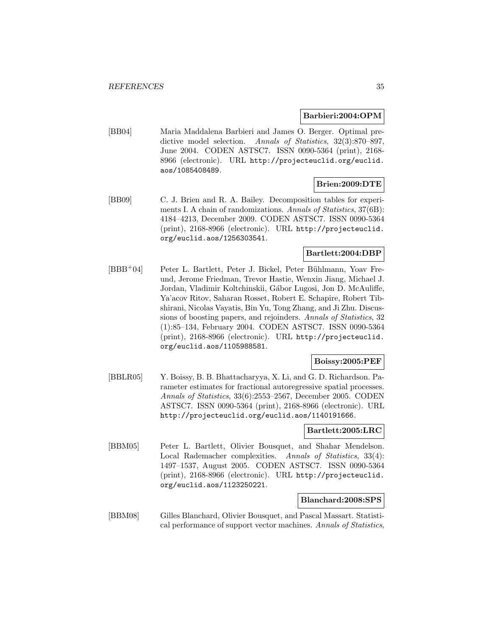#### **Barbieri:2004:OPM**

[BB04] Maria Maddalena Barbieri and James O. Berger. Optimal predictive model selection. Annals of Statistics, 32(3):870–897, June 2004. CODEN ASTSC7. ISSN 0090-5364 (print), 2168- 8966 (electronic). URL http://projecteuclid.org/euclid. aos/1085408489.

## **Brien:2009:DTE**

[BB09] C. J. Brien and R. A. Bailey. Decomposition tables for experiments I. A chain of randomizations. Annals of Statistics, 37(6B): 4184–4213, December 2009. CODEN ASTSC7. ISSN 0090-5364 (print), 2168-8966 (electronic). URL http://projecteuclid. org/euclid.aos/1256303541.

#### **Bartlett:2004:DBP**

[BBB<sup>+</sup>04] Peter L. Bartlett, Peter J. Bickel, Peter Bühlmann, Yoav Freund, Jerome Friedman, Trevor Hastie, Wenxin Jiang, Michael J. Jordan, Vladimir Koltchinskii, Gábor Lugosi, Jon D. McAuliffe, Ya'acov Ritov, Saharan Rosset, Robert E. Schapire, Robert Tibshirani, Nicolas Vayatis, Bin Yu, Tong Zhang, and Ji Zhu. Discussions of boosting papers, and rejoinders. Annals of Statistics, 32 (1):85–134, February 2004. CODEN ASTSC7. ISSN 0090-5364 (print), 2168-8966 (electronic). URL http://projecteuclid. org/euclid.aos/1105988581.

#### **Boissy:2005:PEF**

[BBLR05] Y. Boissy, B. B. Bhattacharyya, X. Li, and G. D. Richardson. Parameter estimates for fractional autoregressive spatial processes. Annals of Statistics, 33(6):2553–2567, December 2005. CODEN ASTSC7. ISSN 0090-5364 (print), 2168-8966 (electronic). URL http://projecteuclid.org/euclid.aos/1140191666.

#### **Bartlett:2005:LRC**

[BBM05] Peter L. Bartlett, Olivier Bousquet, and Shahar Mendelson. Local Rademacher complexities. Annals of Statistics, 33(4): 1497–1537, August 2005. CODEN ASTSC7. ISSN 0090-5364 (print), 2168-8966 (electronic). URL http://projecteuclid. org/euclid.aos/1123250221.

#### **Blanchard:2008:SPS**

[BBM08] Gilles Blanchard, Olivier Bousquet, and Pascal Massart. Statistical performance of support vector machines. Annals of Statistics,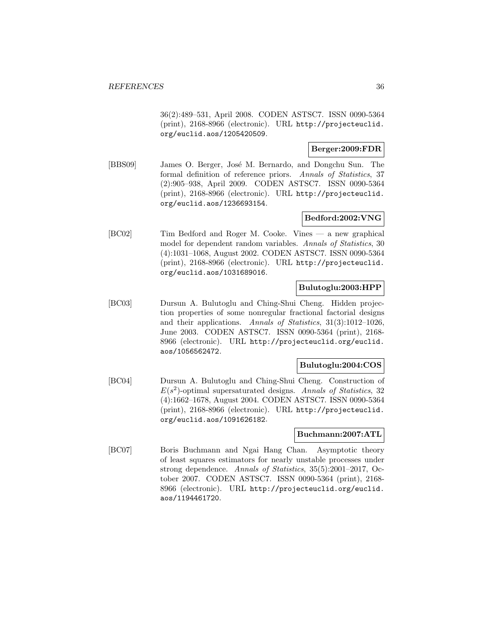36(2):489–531, April 2008. CODEN ASTSC7. ISSN 0090-5364 (print), 2168-8966 (electronic). URL http://projecteuclid. org/euclid.aos/1205420509.

# **Berger:2009:FDR**

[BBS09] James O. Berger, José M. Bernardo, and Dongchu Sun. The formal definition of reference priors. Annals of Statistics, 37 (2):905–938, April 2009. CODEN ASTSC7. ISSN 0090-5364 (print), 2168-8966 (electronic). URL http://projecteuclid. org/euclid.aos/1236693154.

# **Bedford:2002:VNG**

[BC02] Tim Bedford and Roger M. Cooke. Vines — a new graphical model for dependent random variables. Annals of Statistics, 30 (4):1031–1068, August 2002. CODEN ASTSC7. ISSN 0090-5364 (print), 2168-8966 (electronic). URL http://projecteuclid. org/euclid.aos/1031689016.

#### **Bulutoglu:2003:HPP**

[BC03] Dursun A. Bulutoglu and Ching-Shui Cheng. Hidden projection properties of some nonregular fractional factorial designs and their applications. Annals of Statistics, 31(3):1012–1026, June 2003. CODEN ASTSC7. ISSN 0090-5364 (print), 2168- 8966 (electronic). URL http://projecteuclid.org/euclid. aos/1056562472.

#### **Bulutoglu:2004:COS**

[BC04] Dursun A. Bulutoglu and Ching-Shui Cheng. Construction of  $E(s^2)$ -optimal supersaturated designs. Annals of Statistics, 32 (4):1662–1678, August 2004. CODEN ASTSC7. ISSN 0090-5364 (print), 2168-8966 (electronic). URL http://projecteuclid. org/euclid.aos/1091626182.

#### **Buchmann:2007:ATL**

[BC07] Boris Buchmann and Ngai Hang Chan. Asymptotic theory of least squares estimators for nearly unstable processes under strong dependence. Annals of Statistics, 35(5):2001–2017, October 2007. CODEN ASTSC7. ISSN 0090-5364 (print), 2168- 8966 (electronic). URL http://projecteuclid.org/euclid. aos/1194461720.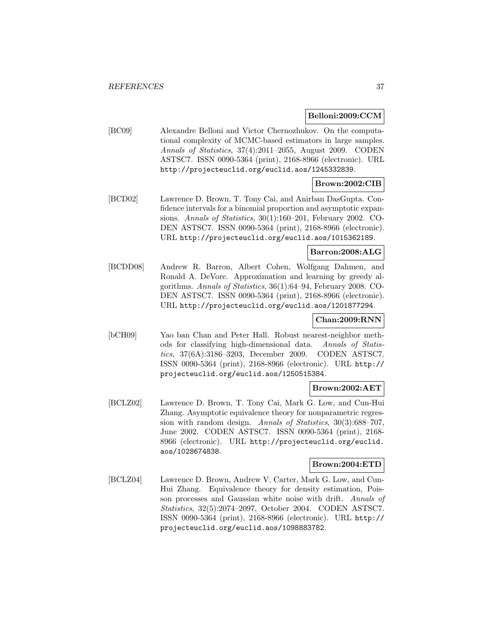#### **Belloni:2009:CCM**

[BC09] Alexandre Belloni and Victor Chernozhukov. On the computational complexity of MCMC-based estimators in large samples. Annals of Statistics, 37(4):2011–2055, August 2009. CODEN ASTSC7. ISSN 0090-5364 (print), 2168-8966 (electronic). URL http://projecteuclid.org/euclid.aos/1245332839.

## **Brown:2002:CIB**

[BCD02] Lawrence D. Brown, T. Tony Cai, and Anirban DasGupta. Confidence intervals for a binomial proportion and asymptotic expansions. Annals of Statistics, 30(1):160–201, February 2002. CO-DEN ASTSC7. ISSN 0090-5364 (print), 2168-8966 (electronic). URL http://projecteuclid.org/euclid.aos/1015362189.

# **Barron:2008:ALG**

[BCDD08] Andrew R. Barron, Albert Cohen, Wolfgang Dahmen, and Ronald A. DeVore. Approximation and learning by greedy algorithms. Annals of Statistics, 36(1):64–94, February 2008. CO-DEN ASTSC7. ISSN 0090-5364 (print), 2168-8966 (electronic). URL http://projecteuclid.org/euclid.aos/1201877294.

# **Chan:2009:RNN**

[bCH09] Yao ban Chan and Peter Hall. Robust nearest-neighbor methods for classifying high-dimensional data. Annals of Statistics, 37(6A):3186–3203, December 2009. CODEN ASTSC7. ISSN 0090-5364 (print), 2168-8966 (electronic). URL http:// projecteuclid.org/euclid.aos/1250515384.

### **Brown:2002:AET**

[BCLZ02] Lawrence D. Brown, T. Tony Cai, Mark G. Low, and Cun-Hui Zhang. Asymptotic equivalence theory for nonparametric regression with random design. Annals of Statistics, 30(3):688–707, June 2002. CODEN ASTSC7. ISSN 0090-5364 (print), 2168- 8966 (electronic). URL http://projecteuclid.org/euclid. aos/1028674838.

# **Brown:2004:ETD**

[BCLZ04] Lawrence D. Brown, Andrew V. Carter, Mark G. Low, and Cun-Hui Zhang. Equivalence theory for density estimation, Poisson processes and Gaussian white noise with drift. Annals of Statistics, 32(5):2074–2097, October 2004. CODEN ASTSC7. ISSN 0090-5364 (print), 2168-8966 (electronic). URL http:// projecteuclid.org/euclid.aos/1098883782.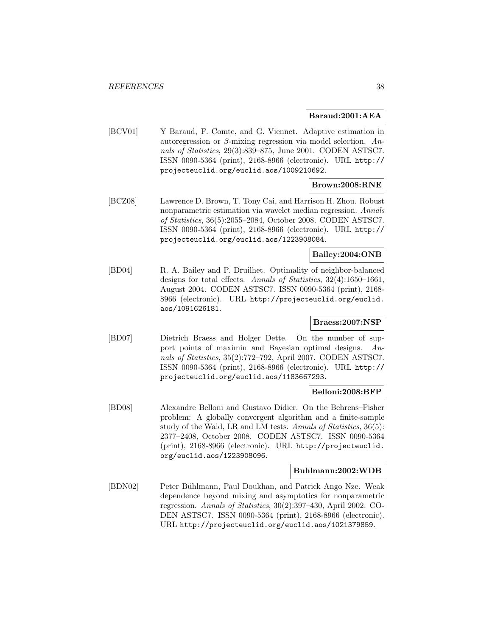#### **Baraud:2001:AEA**

[BCV01] Y Baraud, F. Comte, and G. Viennet. Adaptive estimation in autoregression or  $\beta$ -mixing regression via model selection. Annals of Statistics, 29(3):839–875, June 2001. CODEN ASTSC7. ISSN 0090-5364 (print), 2168-8966 (electronic). URL http:// projecteuclid.org/euclid.aos/1009210692.

# **Brown:2008:RNE**

[BCZ08] Lawrence D. Brown, T. Tony Cai, and Harrison H. Zhou. Robust nonparametric estimation via wavelet median regression. Annals of Statistics, 36(5):2055–2084, October 2008. CODEN ASTSC7. ISSN 0090-5364 (print), 2168-8966 (electronic). URL http:// projecteuclid.org/euclid.aos/1223908084.

### **Bailey:2004:ONB**

[BD04] R. A. Bailey and P. Druilhet. Optimality of neighbor-balanced designs for total effects. Annals of Statistics, 32(4):1650–1661, August 2004. CODEN ASTSC7. ISSN 0090-5364 (print), 2168- 8966 (electronic). URL http://projecteuclid.org/euclid. aos/1091626181.

## **Braess:2007:NSP**

[BD07] Dietrich Braess and Holger Dette. On the number of support points of maximin and Bayesian optimal designs. Annals of Statistics, 35(2):772–792, April 2007. CODEN ASTSC7. ISSN 0090-5364 (print), 2168-8966 (electronic). URL http:// projecteuclid.org/euclid.aos/1183667293.

#### **Belloni:2008:BFP**

[BD08] Alexandre Belloni and Gustavo Didier. On the Behrens–Fisher problem: A globally convergent algorithm and a finite-sample study of the Wald, LR and LM tests. Annals of Statistics, 36(5): 2377–2408, October 2008. CODEN ASTSC7. ISSN 0090-5364 (print), 2168-8966 (electronic). URL http://projecteuclid. org/euclid.aos/1223908096.

#### **Buhlmann:2002:WDB**

[BDN02] Peter Bühlmann, Paul Doukhan, and Patrick Ango Nze. Weak dependence beyond mixing and asymptotics for nonparametric regression. Annals of Statistics, 30(2):397–430, April 2002. CO-DEN ASTSC7. ISSN 0090-5364 (print), 2168-8966 (electronic). URL http://projecteuclid.org/euclid.aos/1021379859.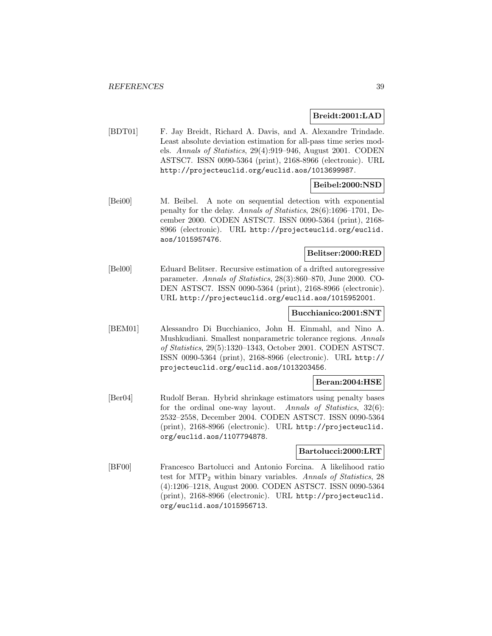### **Breidt:2001:LAD**

[BDT01] F. Jay Breidt, Richard A. Davis, and A. Alexandre Trindade. Least absolute deviation estimation for all-pass time series models. Annals of Statistics, 29(4):919–946, August 2001. CODEN ASTSC7. ISSN 0090-5364 (print), 2168-8966 (electronic). URL http://projecteuclid.org/euclid.aos/1013699987.

# **Beibel:2000:NSD**

[Bei00] M. Beibel. A note on sequential detection with exponential penalty for the delay. Annals of Statistics, 28(6):1696–1701, December 2000. CODEN ASTSC7. ISSN 0090-5364 (print), 2168- 8966 (electronic). URL http://projecteuclid.org/euclid. aos/1015957476.

# **Belitser:2000:RED**

[Bel00] Eduard Belitser. Recursive estimation of a drifted autoregressive parameter. Annals of Statistics, 28(3):860–870, June 2000. CO-DEN ASTSC7. ISSN 0090-5364 (print), 2168-8966 (electronic). URL http://projecteuclid.org/euclid.aos/1015952001.

#### **Bucchianico:2001:SNT**

[BEM01] Alessandro Di Bucchianico, John H. Einmahl, and Nino A. Mushkudiani. Smallest nonparametric tolerance regions. Annals of Statistics, 29(5):1320–1343, October 2001. CODEN ASTSC7. ISSN 0090-5364 (print), 2168-8966 (electronic). URL http:// projecteuclid.org/euclid.aos/1013203456.

### **Beran:2004:HSE**

[Ber04] Rudolf Beran. Hybrid shrinkage estimators using penalty bases for the ordinal one-way layout. Annals of Statistics, 32(6): 2532–2558, December 2004. CODEN ASTSC7. ISSN 0090-5364 (print), 2168-8966 (electronic). URL http://projecteuclid. org/euclid.aos/1107794878.

#### **Bartolucci:2000:LRT**

[BF00] Francesco Bartolucci and Antonio Forcina. A likelihood ratio test for MTP<sup>2</sup> within binary variables. Annals of Statistics, 28 (4):1206–1218, August 2000. CODEN ASTSC7. ISSN 0090-5364 (print), 2168-8966 (electronic). URL http://projecteuclid. org/euclid.aos/1015956713.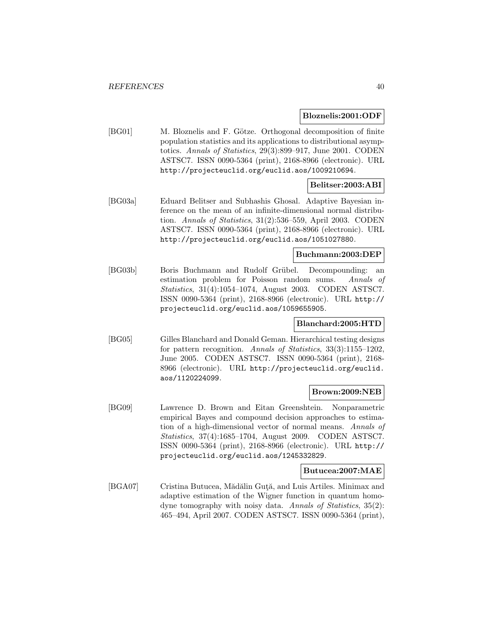#### **Bloznelis:2001:ODF**

[BG01] M. Bloznelis and F. Götze. Orthogonal decomposition of finite population statistics and its applications to distributional asymptotics. Annals of Statistics, 29(3):899–917, June 2001. CODEN ASTSC7. ISSN 0090-5364 (print), 2168-8966 (electronic). URL http://projecteuclid.org/euclid.aos/1009210694.

# **Belitser:2003:ABI**

[BG03a] Eduard Belitser and Subhashis Ghosal. Adaptive Bayesian inference on the mean of an infinite-dimensional normal distribution. Annals of Statistics, 31(2):536–559, April 2003. CODEN ASTSC7. ISSN 0090-5364 (print), 2168-8966 (electronic). URL http://projecteuclid.org/euclid.aos/1051027880.

### **Buchmann:2003:DEP**

[BG03b] Boris Buchmann and Rudolf Grübel. Decompounding: an estimation problem for Poisson random sums. Annals of Statistics, 31(4):1054–1074, August 2003. CODEN ASTSC7. ISSN 0090-5364 (print), 2168-8966 (electronic). URL http:// projecteuclid.org/euclid.aos/1059655905.

### **Blanchard:2005:HTD**

[BG05] Gilles Blanchard and Donald Geman. Hierarchical testing designs for pattern recognition. Annals of Statistics, 33(3):1155–1202, June 2005. CODEN ASTSC7. ISSN 0090-5364 (print), 2168- 8966 (electronic). URL http://projecteuclid.org/euclid. aos/1120224099.

### **Brown:2009:NEB**

[BG09] Lawrence D. Brown and Eitan Greenshtein. Nonparametric empirical Bayes and compound decision approaches to estimation of a high-dimensional vector of normal means. Annals of Statistics, 37(4):1685–1704, August 2009. CODEN ASTSC7. ISSN 0090-5364 (print), 2168-8966 (electronic). URL http:// projecteuclid.org/euclid.aos/1245332829.

#### **Butucea:2007:MAE**

[BGA07] Cristina Butucea, Mădălin Guță, and Luis Artiles. Minimax and adaptive estimation of the Wigner function in quantum homodyne tomography with noisy data. Annals of Statistics, 35(2): 465–494, April 2007. CODEN ASTSC7. ISSN 0090-5364 (print),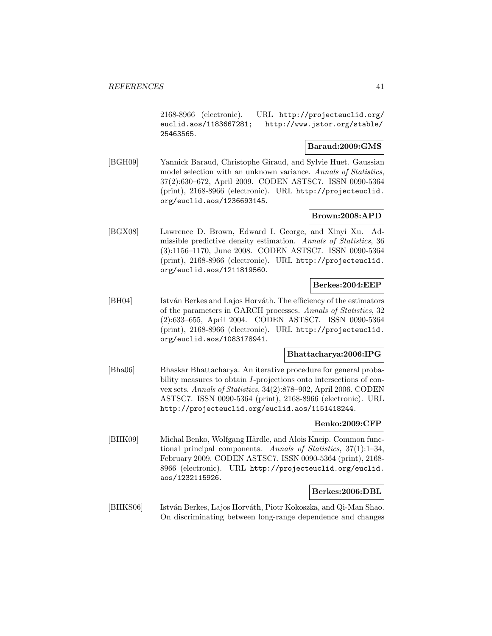2168-8966 (electronic). URL http://projecteuclid.org/ euclid.aos/1183667281; http://www.jstor.org/stable/ 25463565.

## **Baraud:2009:GMS**

[BGH09] Yannick Baraud, Christophe Giraud, and Sylvie Huet. Gaussian model selection with an unknown variance. Annals of Statistics, 37(2):630–672, April 2009. CODEN ASTSC7. ISSN 0090-5364 (print), 2168-8966 (electronic). URL http://projecteuclid. org/euclid.aos/1236693145.

## **Brown:2008:APD**

[BGX08] Lawrence D. Brown, Edward I. George, and Xinyi Xu. Admissible predictive density estimation. Annals of Statistics, 36 (3):1156–1170, June 2008. CODEN ASTSC7. ISSN 0090-5364 (print), 2168-8966 (electronic). URL http://projecteuclid. org/euclid.aos/1211819560.

### **Berkes:2004:EEP**

[BH04] István Berkes and Lajos Horváth. The efficiency of the estimators of the parameters in GARCH processes. Annals of Statistics, 32 (2):633–655, April 2004. CODEN ASTSC7. ISSN 0090-5364 (print), 2168-8966 (electronic). URL http://projecteuclid. org/euclid.aos/1083178941.

## **Bhattacharya:2006:IPG**

[Bha06] Bhaskar Bhattacharya. An iterative procedure for general probability measures to obtain I-projections onto intersections of convex sets. Annals of Statistics, 34(2):878–902, April 2006. CODEN ASTSC7. ISSN 0090-5364 (print), 2168-8966 (electronic). URL http://projecteuclid.org/euclid.aos/1151418244.

# **Benko:2009:CFP**

[BHK09] Michal Benko, Wolfgang Härdle, and Alois Kneip. Common functional principal components. Annals of Statistics,  $37(1):1-34$ , February 2009. CODEN ASTSC7. ISSN 0090-5364 (print), 2168- 8966 (electronic). URL http://projecteuclid.org/euclid. aos/1232115926.

### **Berkes:2006:DBL**

[BHKS06] István Berkes, Lajos Horváth, Piotr Kokoszka, and Qi-Man Shao. On discriminating between long-range dependence and changes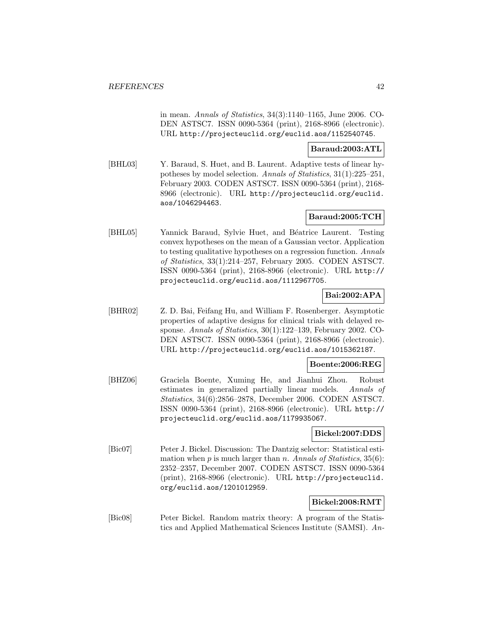in mean. Annals of Statistics, 34(3):1140–1165, June 2006. CO-DEN ASTSC7. ISSN 0090-5364 (print), 2168-8966 (electronic). URL http://projecteuclid.org/euclid.aos/1152540745.

#### **Baraud:2003:ATL**

[BHL03] Y. Baraud, S. Huet, and B. Laurent. Adaptive tests of linear hypotheses by model selection. Annals of Statistics, 31(1):225–251, February 2003. CODEN ASTSC7. ISSN 0090-5364 (print), 2168- 8966 (electronic). URL http://projecteuclid.org/euclid. aos/1046294463.

## **Baraud:2005:TCH**

[BHL05] Yannick Baraud, Sylvie Huet, and Béatrice Laurent. Testing convex hypotheses on the mean of a Gaussian vector. Application to testing qualitative hypotheses on a regression function. Annals of Statistics, 33(1):214–257, February 2005. CODEN ASTSC7. ISSN 0090-5364 (print), 2168-8966 (electronic). URL http:// projecteuclid.org/euclid.aos/1112967705.

# **Bai:2002:APA**

[BHR02] Z. D. Bai, Feifang Hu, and William F. Rosenberger. Asymptotic properties of adaptive designs for clinical trials with delayed response. Annals of Statistics, 30(1):122–139, February 2002. CO-DEN ASTSC7. ISSN 0090-5364 (print), 2168-8966 (electronic). URL http://projecteuclid.org/euclid.aos/1015362187.

### **Boente:2006:REG**

[BHZ06] Graciela Boente, Xuming He, and Jianhui Zhou. Robust estimates in generalized partially linear models. Annals of Statistics, 34(6):2856–2878, December 2006. CODEN ASTSC7. ISSN 0090-5364 (print), 2168-8966 (electronic). URL http:// projecteuclid.org/euclid.aos/1179935067.

### **Bickel:2007:DDS**

[Bic07] Peter J. Bickel. Discussion: The Dantzig selector: Statistical estimation when  $p$  is much larger than  $n$ . Annals of Statistics, 35(6): 2352–2357, December 2007. CODEN ASTSC7. ISSN 0090-5364 (print), 2168-8966 (electronic). URL http://projecteuclid. org/euclid.aos/1201012959.

### **Bickel:2008:RMT**

[Bic08] Peter Bickel. Random matrix theory: A program of the Statistics and Applied Mathematical Sciences Institute (SAMSI). An-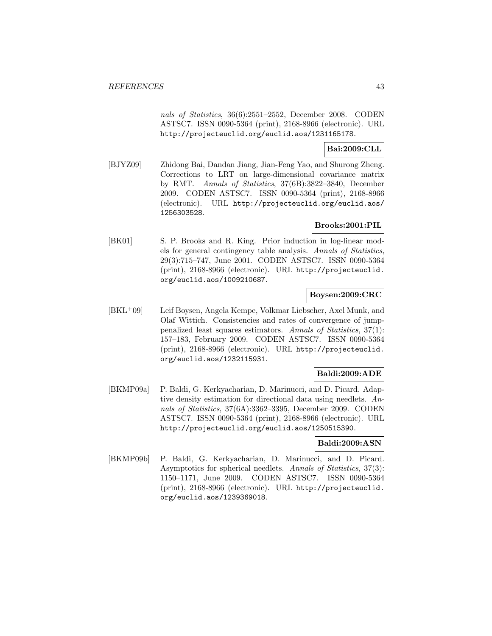nals of Statistics, 36(6):2551–2552, December 2008. CODEN ASTSC7. ISSN 0090-5364 (print), 2168-8966 (electronic). URL http://projecteuclid.org/euclid.aos/1231165178.

# **Bai:2009:CLL**

[BJYZ09] Zhidong Bai, Dandan Jiang, Jian-Feng Yao, and Shurong Zheng. Corrections to LRT on large-dimensional covariance matrix by RMT. Annals of Statistics, 37(6B):3822–3840, December 2009. CODEN ASTSC7. ISSN 0090-5364 (print), 2168-8966 (electronic). URL http://projecteuclid.org/euclid.aos/ 1256303528.

# **Brooks:2001:PIL**

[BK01] S. P. Brooks and R. King. Prior induction in log-linear models for general contingency table analysis. Annals of Statistics, 29(3):715–747, June 2001. CODEN ASTSC7. ISSN 0090-5364 (print), 2168-8966 (electronic). URL http://projecteuclid. org/euclid.aos/1009210687.

# **Boysen:2009:CRC**

[BKL<sup>+</sup>09] Leif Boysen, Angela Kempe, Volkmar Liebscher, Axel Munk, and Olaf Wittich. Consistencies and rates of convergence of jumppenalized least squares estimators. Annals of Statistics, 37(1): 157–183, February 2009. CODEN ASTSC7. ISSN 0090-5364 (print), 2168-8966 (electronic). URL http://projecteuclid. org/euclid.aos/1232115931.

# **Baldi:2009:ADE**

[BKMP09a] P. Baldi, G. Kerkyacharian, D. Marinucci, and D. Picard. Adaptive density estimation for directional data using needlets. Annals of Statistics, 37(6A):3362–3395, December 2009. CODEN ASTSC7. ISSN 0090-5364 (print), 2168-8966 (electronic). URL http://projecteuclid.org/euclid.aos/1250515390.

### **Baldi:2009:ASN**

[BKMP09b] P. Baldi, G. Kerkyacharian, D. Marinucci, and D. Picard. Asymptotics for spherical needlets. Annals of Statistics, 37(3): 1150–1171, June 2009. CODEN ASTSC7. ISSN 0090-5364 (print), 2168-8966 (electronic). URL http://projecteuclid. org/euclid.aos/1239369018.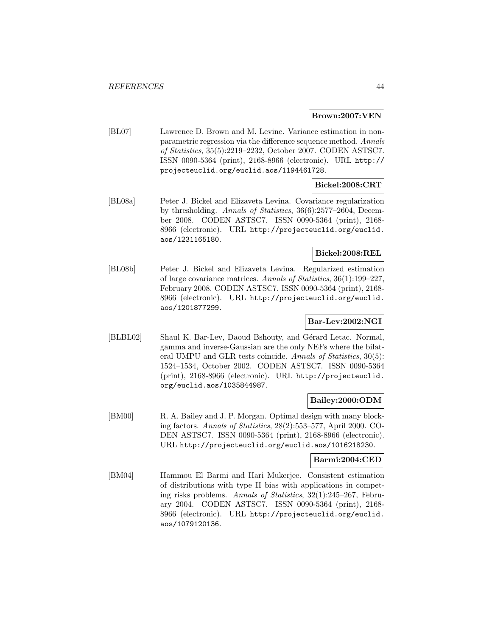#### **Brown:2007:VEN**

[BL07] Lawrence D. Brown and M. Levine. Variance estimation in nonparametric regression via the difference sequence method. Annals of Statistics, 35(5):2219–2232, October 2007. CODEN ASTSC7. ISSN 0090-5364 (print), 2168-8966 (electronic). URL http:// projecteuclid.org/euclid.aos/1194461728.

# **Bickel:2008:CRT**

[BL08a] Peter J. Bickel and Elizaveta Levina. Covariance regularization by thresholding. Annals of Statistics, 36(6):2577–2604, December 2008. CODEN ASTSC7. ISSN 0090-5364 (print), 2168- 8966 (electronic). URL http://projecteuclid.org/euclid. aos/1231165180.

### **Bickel:2008:REL**

[BL08b] Peter J. Bickel and Elizaveta Levina. Regularized estimation of large covariance matrices. Annals of Statistics, 36(1):199–227, February 2008. CODEN ASTSC7. ISSN 0090-5364 (print), 2168- 8966 (electronic). URL http://projecteuclid.org/euclid. aos/1201877299.

# **Bar-Lev:2002:NGI**

[BLBL02] Shaul K. Bar-Lev, Daoud Bshouty, and Gérard Letac. Normal, gamma and inverse-Gaussian are the only NEFs where the bilateral UMPU and GLR tests coincide. Annals of Statistics, 30(5): 1524–1534, October 2002. CODEN ASTSC7. ISSN 0090-5364 (print), 2168-8966 (electronic). URL http://projecteuclid. org/euclid.aos/1035844987.

### **Bailey:2000:ODM**

[BM00] R. A. Bailey and J. P. Morgan. Optimal design with many blocking factors. Annals of Statistics, 28(2):553–577, April 2000. CO-DEN ASTSC7. ISSN 0090-5364 (print), 2168-8966 (electronic). URL http://projecteuclid.org/euclid.aos/1016218230.

### **Barmi:2004:CED**

[BM04] Hammou El Barmi and Hari Mukerjee. Consistent estimation of distributions with type II bias with applications in competing risks problems. Annals of Statistics, 32(1):245–267, February 2004. CODEN ASTSC7. ISSN 0090-5364 (print), 2168- 8966 (electronic). URL http://projecteuclid.org/euclid. aos/1079120136.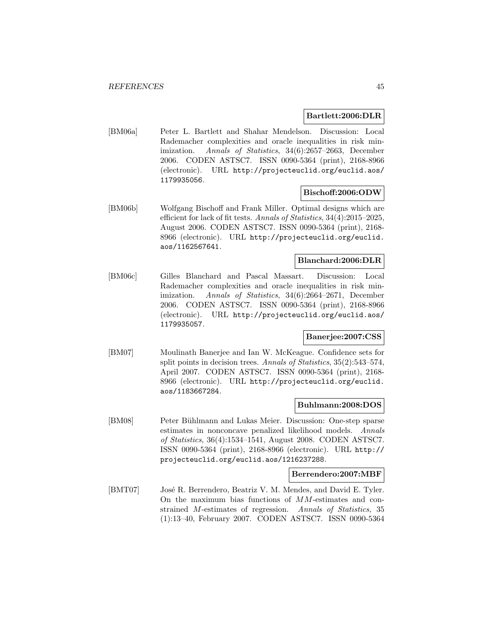### **Bartlett:2006:DLR**

[BM06a] Peter L. Bartlett and Shahar Mendelson. Discussion: Local Rademacher complexities and oracle inequalities in risk minimization. Annals of Statistics, 34(6):2657–2663, December 2006. CODEN ASTSC7. ISSN 0090-5364 (print), 2168-8966 (electronic). URL http://projecteuclid.org/euclid.aos/ 1179935056.

## **Bischoff:2006:ODW**

[BM06b] Wolfgang Bischoff and Frank Miller. Optimal designs which are efficient for lack of fit tests. Annals of Statistics, 34(4):2015–2025, August 2006. CODEN ASTSC7. ISSN 0090-5364 (print), 2168- 8966 (electronic). URL http://projecteuclid.org/euclid. aos/1162567641.

### **Blanchard:2006:DLR**

[BM06c] Gilles Blanchard and Pascal Massart. Discussion: Local Rademacher complexities and oracle inequalities in risk minimization. Annals of Statistics, 34(6):2664-2671, December 2006. CODEN ASTSC7. ISSN 0090-5364 (print), 2168-8966 (electronic). URL http://projecteuclid.org/euclid.aos/ 1179935057.

### **Banerjee:2007:CSS**

[BM07] Moulinath Banerjee and Ian W. McKeague. Confidence sets for split points in decision trees. Annals of Statistics, 35(2):543–574, April 2007. CODEN ASTSC7. ISSN 0090-5364 (print), 2168- 8966 (electronic). URL http://projecteuclid.org/euclid. aos/1183667284.

## **Buhlmann:2008:DOS**

[BM08] Peter Bühlmann and Lukas Meier. Discussion: One-step sparse estimates in nonconcave penalized likelihood models. Annals of Statistics, 36(4):1534–1541, August 2008. CODEN ASTSC7. ISSN 0090-5364 (print), 2168-8966 (electronic). URL http:// projecteuclid.org/euclid.aos/1216237288.

#### **Berrendero:2007:MBF**

[BMT07] José R. Berrendero, Beatriz V. M. Mendes, and David E. Tyler. On the maximum bias functions of MM-estimates and constrained M-estimates of regression. Annals of Statistics, 35 (1):13–40, February 2007. CODEN ASTSC7. ISSN 0090-5364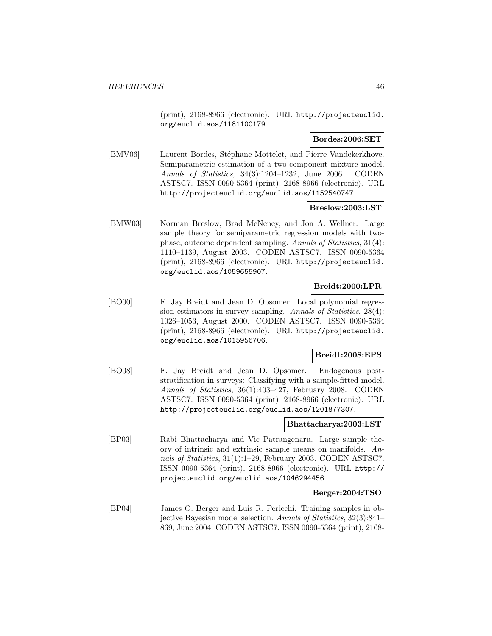(print), 2168-8966 (electronic). URL http://projecteuclid. org/euclid.aos/1181100179.

### **Bordes:2006:SET**

[BMV06] Laurent Bordes, Stéphane Mottelet, and Pierre Vandekerkhove. Semiparametric estimation of a two-component mixture model. Annals of Statistics, 34(3):1204–1232, June 2006. CODEN ASTSC7. ISSN 0090-5364 (print), 2168-8966 (electronic). URL http://projecteuclid.org/euclid.aos/1152540747.

## **Breslow:2003:LST**

[BMW03] Norman Breslow, Brad McNeney, and Jon A. Wellner. Large sample theory for semiparametric regression models with twophase, outcome dependent sampling. Annals of Statistics, 31(4): 1110–1139, August 2003. CODEN ASTSC7. ISSN 0090-5364 (print), 2168-8966 (electronic). URL http://projecteuclid. org/euclid.aos/1059655907.

# **Breidt:2000:LPR**

[BO00] F. Jay Breidt and Jean D. Opsomer. Local polynomial regression estimators in survey sampling. Annals of Statistics, 28(4): 1026–1053, August 2000. CODEN ASTSC7. ISSN 0090-5364 (print), 2168-8966 (electronic). URL http://projecteuclid. org/euclid.aos/1015956706.

### **Breidt:2008:EPS**

[BO08] F. Jay Breidt and Jean D. Opsomer. Endogenous poststratification in surveys: Classifying with a sample-fitted model. Annals of Statistics, 36(1):403–427, February 2008. CODEN ASTSC7. ISSN 0090-5364 (print), 2168-8966 (electronic). URL http://projecteuclid.org/euclid.aos/1201877307.

#### **Bhattacharya:2003:LST**

[BP03] Rabi Bhattacharya and Vic Patrangenaru. Large sample theory of intrinsic and extrinsic sample means on manifolds. Annals of Statistics, 31(1):1–29, February 2003. CODEN ASTSC7. ISSN 0090-5364 (print), 2168-8966 (electronic). URL http:// projecteuclid.org/euclid.aos/1046294456.

### **Berger:2004:TSO**

[BP04] James O. Berger and Luis R. Pericchi. Training samples in objective Bayesian model selection. Annals of Statistics, 32(3):841– 869, June 2004. CODEN ASTSC7. ISSN 0090-5364 (print), 2168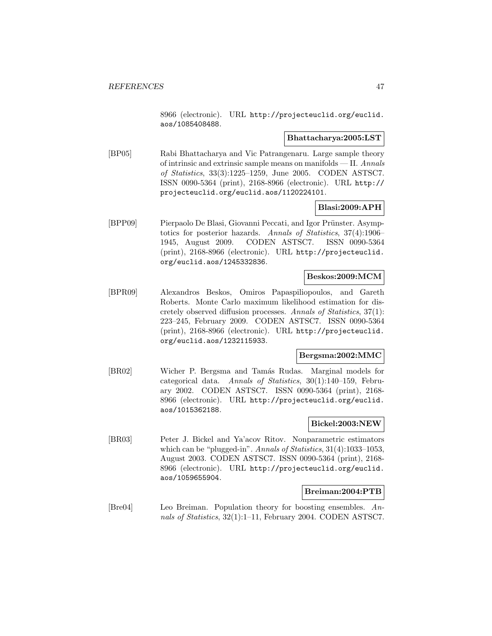8966 (electronic). URL http://projecteuclid.org/euclid. aos/1085408488.

#### **Bhattacharya:2005:LST**

[BP05] Rabi Bhattacharya and Vic Patrangenaru. Large sample theory of intrinsic and extrinsic sample means on manifolds — II. Annals of Statistics, 33(3):1225–1259, June 2005. CODEN ASTSC7. ISSN 0090-5364 (print), 2168-8966 (electronic). URL http:// projecteuclid.org/euclid.aos/1120224101.

## **Blasi:2009:APH**

[BPP09] Pierpaolo De Blasi, Giovanni Peccati, and Igor Prünster. Asymptotics for posterior hazards. Annals of Statistics, 37(4):1906– 1945, August 2009. CODEN ASTSC7. ISSN 0090-5364 (print), 2168-8966 (electronic). URL http://projecteuclid. org/euclid.aos/1245332836.

### **Beskos:2009:MCM**

[BPR09] Alexandros Beskos, Omiros Papaspiliopoulos, and Gareth Roberts. Monte Carlo maximum likelihood estimation for discretely observed diffusion processes. Annals of Statistics, 37(1): 223–245, February 2009. CODEN ASTSC7. ISSN 0090-5364 (print), 2168-8966 (electronic). URL http://projecteuclid. org/euclid.aos/1232115933.

#### **Bergsma:2002:MMC**

[BR02] Wicher P. Bergsma and Tamás Rudas. Marginal models for categorical data. Annals of Statistics, 30(1):140–159, February 2002. CODEN ASTSC7. ISSN 0090-5364 (print), 2168- 8966 (electronic). URL http://projecteuclid.org/euclid. aos/1015362188.

# **Bickel:2003:NEW**

[BR03] Peter J. Bickel and Ya'acov Ritov. Nonparametric estimators which can be "plugged-in". Annals of Statistics, 31(4):1033-1053, August 2003. CODEN ASTSC7. ISSN 0090-5364 (print), 2168- 8966 (electronic). URL http://projecteuclid.org/euclid. aos/1059655904.

## **Breiman:2004:PTB**

[Bre04] Leo Breiman. Population theory for boosting ensembles. Annals of Statistics, 32(1):1-11, February 2004. CODEN ASTSC7.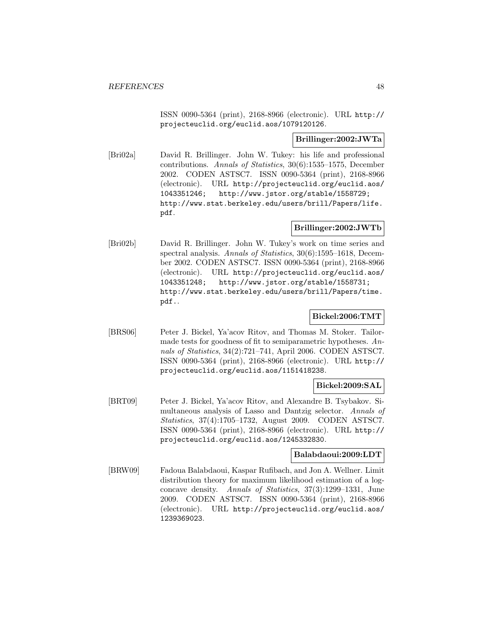ISSN 0090-5364 (print), 2168-8966 (electronic). URL http:// projecteuclid.org/euclid.aos/1079120126.

### **Brillinger:2002:JWTa**

[Bri02a] David R. Brillinger. John W. Tukey: his life and professional contributions. Annals of Statistics, 30(6):1535–1575, December 2002. CODEN ASTSC7. ISSN 0090-5364 (print), 2168-8966 (electronic). URL http://projecteuclid.org/euclid.aos/ 1043351246; http://www.jstor.org/stable/1558729; http://www.stat.berkeley.edu/users/brill/Papers/life. pdf.

## **Brillinger:2002:JWTb**

[Bri02b] David R. Brillinger. John W. Tukey's work on time series and spectral analysis. Annals of Statistics, 30(6):1595–1618, December 2002. CODEN ASTSC7. ISSN 0090-5364 (print), 2168-8966 (electronic). URL http://projecteuclid.org/euclid.aos/ 1043351248; http://www.jstor.org/stable/1558731; http://www.stat.berkeley.edu/users/brill/Papers/time. pdf..

# **Bickel:2006:TMT**

[BRS06] Peter J. Bickel, Ya'acov Ritov, and Thomas M. Stoker. Tailormade tests for goodness of fit to semiparametric hypotheses. Annals of Statistics, 34(2):721–741, April 2006. CODEN ASTSC7. ISSN 0090-5364 (print), 2168-8966 (electronic). URL http:// projecteuclid.org/euclid.aos/1151418238.

# **Bickel:2009:SAL**

[BRT09] Peter J. Bickel, Ya'acov Ritov, and Alexandre B. Tsybakov. Simultaneous analysis of Lasso and Dantzig selector. Annals of Statistics, 37(4):1705–1732, August 2009. CODEN ASTSC7. ISSN 0090-5364 (print), 2168-8966 (electronic). URL http:// projecteuclid.org/euclid.aos/1245332830.

### **Balabdaoui:2009:LDT**

[BRW09] Fadoua Balabdaoui, Kaspar Rufibach, and Jon A. Wellner. Limit distribution theory for maximum likelihood estimation of a logconcave density. Annals of Statistics, 37(3):1299–1331, June 2009. CODEN ASTSC7. ISSN 0090-5364 (print), 2168-8966 (electronic). URL http://projecteuclid.org/euclid.aos/ 1239369023.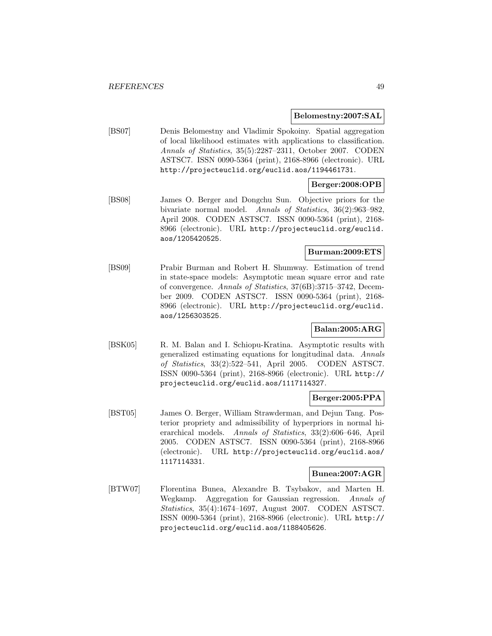#### **Belomestny:2007:SAL**

[BS07] Denis Belomestny and Vladimir Spokoiny. Spatial aggregation of local likelihood estimates with applications to classification. Annals of Statistics, 35(5):2287–2311, October 2007. CODEN ASTSC7. ISSN 0090-5364 (print), 2168-8966 (electronic). URL http://projecteuclid.org/euclid.aos/1194461731.

## **Berger:2008:OPB**

[BS08] James O. Berger and Dongchu Sun. Objective priors for the bivariate normal model. Annals of Statistics, 36(2):963–982, April 2008. CODEN ASTSC7. ISSN 0090-5364 (print), 2168- 8966 (electronic). URL http://projecteuclid.org/euclid. aos/1205420525.

## **Burman:2009:ETS**

[BS09] Prabir Burman and Robert H. Shumway. Estimation of trend in state-space models: Asymptotic mean square error and rate of convergence. Annals of Statistics, 37(6B):3715–3742, December 2009. CODEN ASTSC7. ISSN 0090-5364 (print), 2168- 8966 (electronic). URL http://projecteuclid.org/euclid. aos/1256303525.

### **Balan:2005:ARG**

[BSK05] R. M. Balan and I. Schiopu-Kratina. Asymptotic results with generalized estimating equations for longitudinal data. Annals of Statistics, 33(2):522–541, April 2005. CODEN ASTSC7. ISSN 0090-5364 (print), 2168-8966 (electronic). URL http:// projecteuclid.org/euclid.aos/1117114327.

### **Berger:2005:PPA**

[BST05] James O. Berger, William Strawderman, and Dejun Tang. Posterior propriety and admissibility of hyperpriors in normal hierarchical models. Annals of Statistics, 33(2):606–646, April 2005. CODEN ASTSC7. ISSN 0090-5364 (print), 2168-8966 (electronic). URL http://projecteuclid.org/euclid.aos/ 1117114331.

#### **Bunea:2007:AGR**

[BTW07] Florentina Bunea, Alexandre B. Tsybakov, and Marten H. Wegkamp. Aggregation for Gaussian regression. Annals of Statistics, 35(4):1674–1697, August 2007. CODEN ASTSC7. ISSN 0090-5364 (print), 2168-8966 (electronic). URL http:// projecteuclid.org/euclid.aos/1188405626.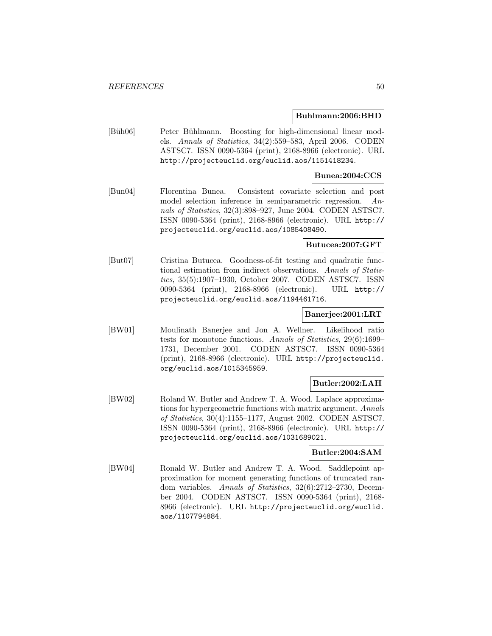#### **Buhlmann:2006:BHD**

[Büh06] Peter Bühlmann. Boosting for high-dimensional linear models. Annals of Statistics, 34(2):559–583, April 2006. CODEN ASTSC7. ISSN 0090-5364 (print), 2168-8966 (electronic). URL http://projecteuclid.org/euclid.aos/1151418234.

### **Bunea:2004:CCS**

[Bun04] Florentina Bunea. Consistent covariate selection and post model selection inference in semiparametric regression. Annals of Statistics, 32(3):898–927, June 2004. CODEN ASTSC7. ISSN 0090-5364 (print), 2168-8966 (electronic). URL http:// projecteuclid.org/euclid.aos/1085408490.

#### **Butucea:2007:GFT**

[But07] Cristina Butucea. Goodness-of-fit testing and quadratic functional estimation from indirect observations. Annals of Statistics, 35(5):1907–1930, October 2007. CODEN ASTSC7. ISSN 0090-5364 (print), 2168-8966 (electronic). URL http:// projecteuclid.org/euclid.aos/1194461716.

### **Banerjee:2001:LRT**

[BW01] Moulinath Banerjee and Jon A. Wellner. Likelihood ratio tests for monotone functions. Annals of Statistics, 29(6):1699– 1731, December 2001. CODEN ASTSC7. ISSN 0090-5364 (print), 2168-8966 (electronic). URL http://projecteuclid. org/euclid.aos/1015345959.

### **Butler:2002:LAH**

[BW02] Roland W. Butler and Andrew T. A. Wood. Laplace approximations for hypergeometric functions with matrix argument. Annals of Statistics, 30(4):1155–1177, August 2002. CODEN ASTSC7. ISSN 0090-5364 (print), 2168-8966 (electronic). URL http:// projecteuclid.org/euclid.aos/1031689021.

### **Butler:2004:SAM**

[BW04] Ronald W. Butler and Andrew T. A. Wood. Saddlepoint approximation for moment generating functions of truncated random variables. Annals of Statistics, 32(6):2712–2730, December 2004. CODEN ASTSC7. ISSN 0090-5364 (print), 2168- 8966 (electronic). URL http://projecteuclid.org/euclid. aos/1107794884.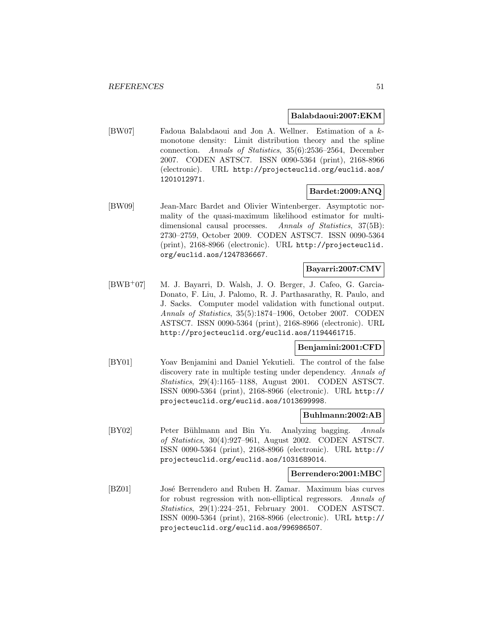#### **Balabdaoui:2007:EKM**

[BW07] Fadoua Balabdaoui and Jon A. Wellner. Estimation of a kmonotone density: Limit distribution theory and the spline connection. Annals of Statistics, 35(6):2536–2564, December 2007. CODEN ASTSC7. ISSN 0090-5364 (print), 2168-8966 (electronic). URL http://projecteuclid.org/euclid.aos/ 1201012971.

### **Bardet:2009:ANQ**

[BW09] Jean-Marc Bardet and Olivier Wintenberger. Asymptotic normality of the quasi-maximum likelihood estimator for multidimensional causal processes. Annals of Statistics, 37(5B): 2730–2759, October 2009. CODEN ASTSC7. ISSN 0090-5364 (print), 2168-8966 (electronic). URL http://projecteuclid. org/euclid.aos/1247836667.

### **Bayarri:2007:CMV**

[BWB<sup>+</sup>07] M. J. Bayarri, D. Walsh, J. O. Berger, J. Cafeo, G. Garcia-Donato, F. Liu, J. Palomo, R. J. Parthasarathy, R. Paulo, and J. Sacks. Computer model validation with functional output. Annals of Statistics, 35(5):1874–1906, October 2007. CODEN ASTSC7. ISSN 0090-5364 (print), 2168-8966 (electronic). URL http://projecteuclid.org/euclid.aos/1194461715.

### **Benjamini:2001:CFD**

[BY01] Yoav Benjamini and Daniel Yekutieli. The control of the false discovery rate in multiple testing under dependency. Annals of Statistics, 29(4):1165–1188, August 2001. CODEN ASTSC7. ISSN 0090-5364 (print), 2168-8966 (electronic). URL http:// projecteuclid.org/euclid.aos/1013699998.

### **Buhlmann:2002:AB**

[BY02] Peter Bühlmann and Bin Yu. Analyzing bagging. Annals of Statistics, 30(4):927–961, August 2002. CODEN ASTSC7. ISSN 0090-5364 (print), 2168-8966 (electronic). URL http:// projecteuclid.org/euclid.aos/1031689014.

#### **Berrendero:2001:MBC**

[BZ01] José Berrendero and Ruben H. Zamar. Maximum bias curves for robust regression with non-elliptical regressors. Annals of Statistics, 29(1):224–251, February 2001. CODEN ASTSC7. ISSN 0090-5364 (print), 2168-8966 (electronic). URL http:// projecteuclid.org/euclid.aos/996986507.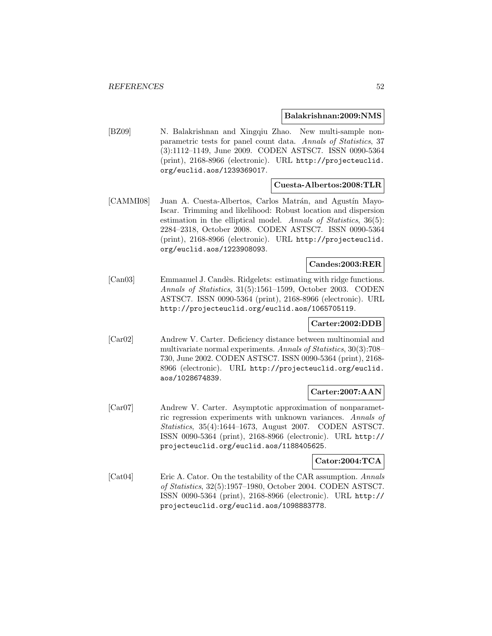#### **Balakrishnan:2009:NMS**

[BZ09] N. Balakrishnan and Xingqiu Zhao. New multi-sample nonparametric tests for panel count data. Annals of Statistics, 37 (3):1112–1149, June 2009. CODEN ASTSC7. ISSN 0090-5364 (print), 2168-8966 (electronic). URL http://projecteuclid. org/euclid.aos/1239369017.

### **Cuesta-Albertos:2008:TLR**

[CAMMI08] Juan A. Cuesta-Albertos, Carlos Matrán, and Agustín Mayo-Iscar. Trimming and likelihood: Robust location and dispersion estimation in the elliptical model. Annals of Statistics, 36(5): 2284–2318, October 2008. CODEN ASTSC7. ISSN 0090-5364 (print), 2168-8966 (electronic). URL http://projecteuclid. org/euclid.aos/1223908093.

# **Candes:2003:RER**

[Can03] Emmanuel J. Candès. Ridgelets: estimating with ridge functions. Annals of Statistics, 31(5):1561–1599, October 2003. CODEN ASTSC7. ISSN 0090-5364 (print), 2168-8966 (electronic). URL http://projecteuclid.org/euclid.aos/1065705119.

### **Carter:2002:DDB**

[Car02] Andrew V. Carter. Deficiency distance between multinomial and multivariate normal experiments. Annals of Statistics, 30(3):708– 730, June 2002. CODEN ASTSC7. ISSN 0090-5364 (print), 2168- 8966 (electronic). URL http://projecteuclid.org/euclid. aos/1028674839.

### **Carter:2007:AAN**

[Car07] Andrew V. Carter. Asymptotic approximation of nonparametric regression experiments with unknown variances. Annals of Statistics, 35(4):1644–1673, August 2007. CODEN ASTSC7. ISSN 0090-5364 (print), 2168-8966 (electronic). URL http:// projecteuclid.org/euclid.aos/1188405625.

### **Cator:2004:TCA**

[Cat04] Eric A. Cator. On the testability of the CAR assumption. Annals of Statistics, 32(5):1957–1980, October 2004. CODEN ASTSC7. ISSN 0090-5364 (print), 2168-8966 (electronic). URL http:// projecteuclid.org/euclid.aos/1098883778.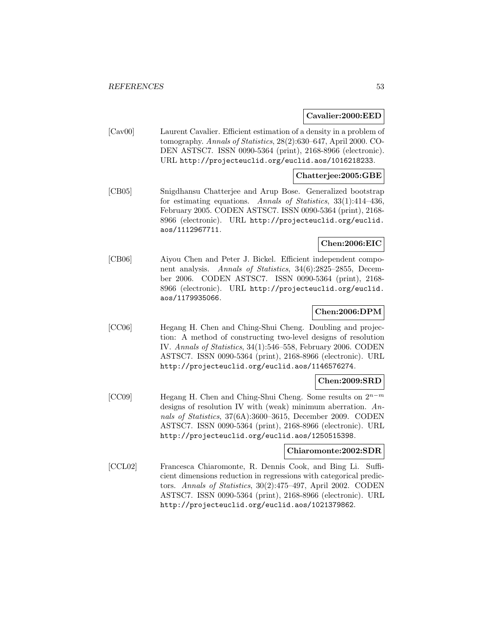#### **Cavalier:2000:EED**

[Cav00] Laurent Cavalier. Efficient estimation of a density in a problem of tomography. Annals of Statistics, 28(2):630–647, April 2000. CO-DEN ASTSC7. ISSN 0090-5364 (print), 2168-8966 (electronic). URL http://projecteuclid.org/euclid.aos/1016218233.

### **Chatterjee:2005:GBE**

[CB05] Snigdhansu Chatterjee and Arup Bose. Generalized bootstrap for estimating equations. Annals of Statistics, 33(1):414–436, February 2005. CODEN ASTSC7. ISSN 0090-5364 (print), 2168- 8966 (electronic). URL http://projecteuclid.org/euclid. aos/1112967711.

### **Chen:2006:EIC**

[CB06] Aiyou Chen and Peter J. Bickel. Efficient independent component analysis. Annals of Statistics, 34(6):2825–2855, December 2006. CODEN ASTSC7. ISSN 0090-5364 (print), 2168- 8966 (electronic). URL http://projecteuclid.org/euclid. aos/1179935066.

### **Chen:2006:DPM**

[CC06] Hegang H. Chen and Ching-Shui Cheng. Doubling and projection: A method of constructing two-level designs of resolution IV. Annals of Statistics, 34(1):546–558, February 2006. CODEN ASTSC7. ISSN 0090-5364 (print), 2168-8966 (electronic). URL http://projecteuclid.org/euclid.aos/1146576274.

### **Chen:2009:SRD**

[CC09] Hegang H. Chen and Ching-Shui Cheng. Some results on 2<sup>n</sup>−<sup>m</sup> designs of resolution IV with (weak) minimum aberration. Annals of Statistics, 37(6A):3600–3615, December 2009. CODEN ASTSC7. ISSN 0090-5364 (print), 2168-8966 (electronic). URL http://projecteuclid.org/euclid.aos/1250515398.

### **Chiaromonte:2002:SDR**

[CCL02] Francesca Chiaromonte, R. Dennis Cook, and Bing Li. Sufficient dimensions reduction in regressions with categorical predictors. Annals of Statistics, 30(2):475–497, April 2002. CODEN ASTSC7. ISSN 0090-5364 (print), 2168-8966 (electronic). URL http://projecteuclid.org/euclid.aos/1021379862.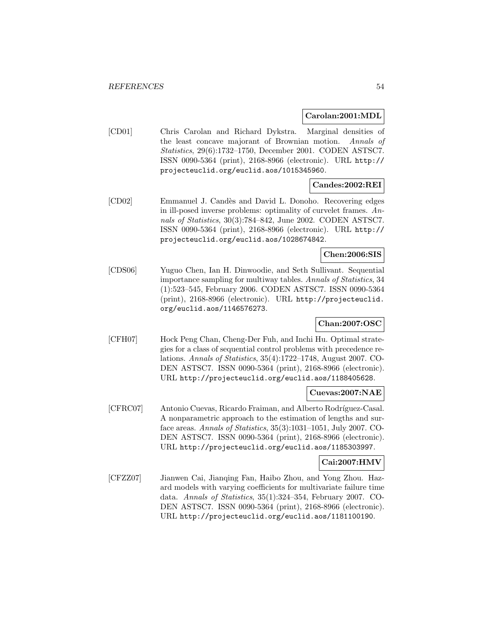#### **Carolan:2001:MDL**

[CD01] Chris Carolan and Richard Dykstra. Marginal densities of the least concave majorant of Brownian motion. Annals of Statistics, 29(6):1732–1750, December 2001. CODEN ASTSC7. ISSN 0090-5364 (print), 2168-8966 (electronic). URL http:// projecteuclid.org/euclid.aos/1015345960.

# **Candes:2002:REI**

[CD02] Emmanuel J. Cand`es and David L. Donoho. Recovering edges in ill-posed inverse problems: optimality of curvelet frames. Annals of Statistics, 30(3):784–842, June 2002. CODEN ASTSC7. ISSN 0090-5364 (print), 2168-8966 (electronic). URL http:// projecteuclid.org/euclid.aos/1028674842.

# **Chen:2006:SIS**

[CDS06] Yuguo Chen, Ian H. Dinwoodie, and Seth Sullivant. Sequential importance sampling for multiway tables. Annals of Statistics, 34 (1):523–545, February 2006. CODEN ASTSC7. ISSN 0090-5364 (print), 2168-8966 (electronic). URL http://projecteuclid. org/euclid.aos/1146576273.

# **Chan:2007:OSC**

[CFH07] Hock Peng Chan, Cheng-Der Fuh, and Inchi Hu. Optimal strategies for a class of sequential control problems with precedence relations. Annals of Statistics, 35(4):1722–1748, August 2007. CO-DEN ASTSC7. ISSN 0090-5364 (print), 2168-8966 (electronic). URL http://projecteuclid.org/euclid.aos/1188405628.

#### **Cuevas:2007:NAE**

[CFRC07] Antonio Cuevas, Ricardo Fraiman, and Alberto Rodríguez-Casal. A nonparametric approach to the estimation of lengths and surface areas. Annals of Statistics, 35(3):1031–1051, July 2007. CO-DEN ASTSC7. ISSN 0090-5364 (print), 2168-8966 (electronic). URL http://projecteuclid.org/euclid.aos/1185303997.

### **Cai:2007:HMV**

[CFZZ07] Jianwen Cai, Jianqing Fan, Haibo Zhou, and Yong Zhou. Hazard models with varying coefficients for multivariate failure time data. Annals of Statistics, 35(1):324–354, February 2007. CO-DEN ASTSC7. ISSN 0090-5364 (print), 2168-8966 (electronic). URL http://projecteuclid.org/euclid.aos/1181100190.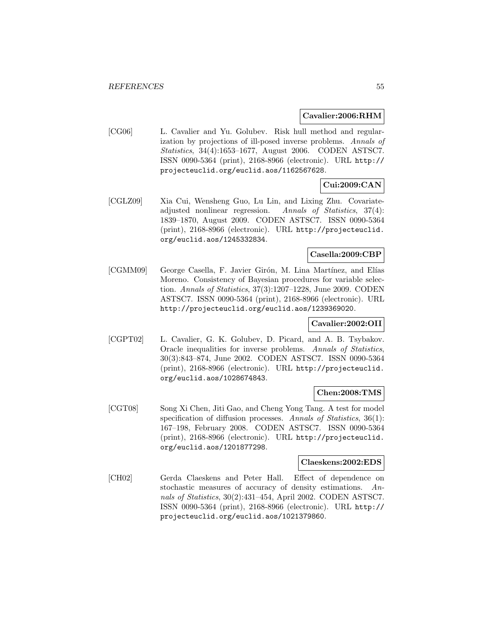#### **Cavalier:2006:RHM**

[CG06] L. Cavalier and Yu. Golubev. Risk hull method and regularization by projections of ill-posed inverse problems. Annals of Statistics, 34(4):1653–1677, August 2006. CODEN ASTSC7. ISSN 0090-5364 (print), 2168-8966 (electronic). URL http:// projecteuclid.org/euclid.aos/1162567628.

# **Cui:2009:CAN**

[CGLZ09] Xia Cui, Wensheng Guo, Lu Lin, and Lixing Zhu. Covariateadjusted nonlinear regression. Annals of Statistics, 37(4): 1839–1870, August 2009. CODEN ASTSC7. ISSN 0090-5364 (print), 2168-8966 (electronic). URL http://projecteuclid. org/euclid.aos/1245332834.

# **Casella:2009:CBP**

[CGMM09] George Casella, F. Javier Girón, M. Lina Martínez, and Elías Moreno. Consistency of Bayesian procedures for variable selection. Annals of Statistics, 37(3):1207–1228, June 2009. CODEN ASTSC7. ISSN 0090-5364 (print), 2168-8966 (electronic). URL http://projecteuclid.org/euclid.aos/1239369020.

# **Cavalier:2002:OII**

[CGPT02] L. Cavalier, G. K. Golubev, D. Picard, and A. B. Tsybakov. Oracle inequalities for inverse problems. Annals of Statistics, 30(3):843–874, June 2002. CODEN ASTSC7. ISSN 0090-5364 (print), 2168-8966 (electronic). URL http://projecteuclid. org/euclid.aos/1028674843.

### **Chen:2008:TMS**

[CGT08] Song Xi Chen, Jiti Gao, and Cheng Yong Tang. A test for model specification of diffusion processes. Annals of Statistics, 36(1): 167–198, February 2008. CODEN ASTSC7. ISSN 0090-5364 (print), 2168-8966 (electronic). URL http://projecteuclid. org/euclid.aos/1201877298.

# **Claeskens:2002:EDS**

[CH02] Gerda Claeskens and Peter Hall. Effect of dependence on stochastic measures of accuracy of density estimations. Annals of Statistics, 30(2):431–454, April 2002. CODEN ASTSC7. ISSN 0090-5364 (print), 2168-8966 (electronic). URL http:// projecteuclid.org/euclid.aos/1021379860.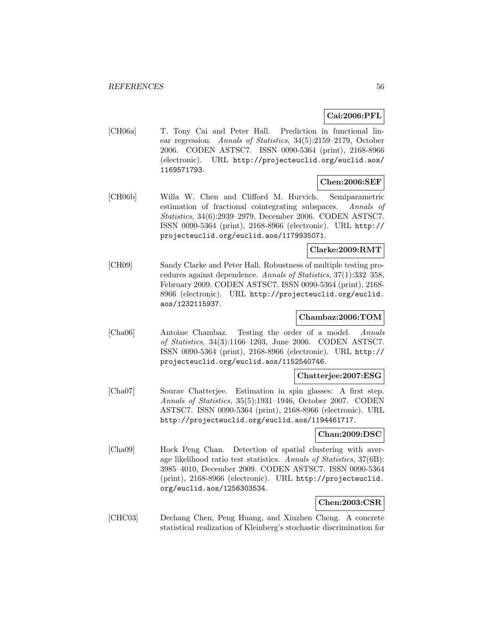# **Cai:2006:PFL**

[CH06a] T. Tony Cai and Peter Hall. Prediction in functional linear regression. Annals of Statistics, 34(5):2159–2179, October 2006. CODEN ASTSC7. ISSN 0090-5364 (print), 2168-8966 (electronic). URL http://projecteuclid.org/euclid.aos/ 1169571793.

#### **Chen:2006:SEF**

[CH06b] Willa W. Chen and Clifford M. Hurvich. Semiparametric estimation of fractional cointegrating subspaces. Annals of Statistics, 34(6):2939–2979, December 2006. CODEN ASTSC7. ISSN 0090-5364 (print), 2168-8966 (electronic). URL http:// projecteuclid.org/euclid.aos/1179935071.

# **Clarke:2009:RMT**

[CH09] Sandy Clarke and Peter Hall. Robustness of multiple testing procedures against dependence. Annals of Statistics, 37(1):332–358, February 2009. CODEN ASTSC7. ISSN 0090-5364 (print), 2168- 8966 (electronic). URL http://projecteuclid.org/euclid. aos/1232115937.

### **Chambaz:2006:TOM**

[Cha06] Antoine Chambaz. Testing the order of a model. Annals of Statistics, 34(3):1166–1203, June 2006. CODEN ASTSC7. ISSN 0090-5364 (print), 2168-8966 (electronic). URL http:// projecteuclid.org/euclid.aos/1152540746.

### **Chatterjee:2007:ESG**

[Cha07] Sourav Chatterjee. Estimation in spin glasses: A first step. Annals of Statistics, 35(5):1931–1946, October 2007. CODEN ASTSC7. ISSN 0090-5364 (print), 2168-8966 (electronic). URL http://projecteuclid.org/euclid.aos/1194461717.

### **Chan:2009:DSC**

[Cha09] Hock Peng Chan. Detection of spatial clustering with average likelihood ratio test statistics. Annals of Statistics, 37(6B): 3985–4010, December 2009. CODEN ASTSC7. ISSN 0090-5364 (print), 2168-8966 (electronic). URL http://projecteuclid. org/euclid.aos/1256303534.

# **Chen:2003:CSR**

[CHC03] Dechang Chen, Peng Huang, and Xiuzhen Cheng. A concrete statistical realization of Kleinberg's stochastic discrimination for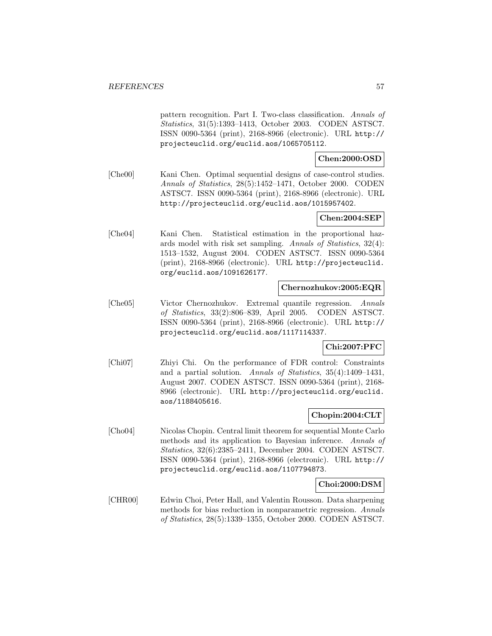pattern recognition. Part I. Two-class classification. Annals of Statistics, 31(5):1393–1413, October 2003. CODEN ASTSC7. ISSN 0090-5364 (print), 2168-8966 (electronic). URL http:// projecteuclid.org/euclid.aos/1065705112.

### **Chen:2000:OSD**

[Che00] Kani Chen. Optimal sequential designs of case-control studies. Annals of Statistics, 28(5):1452–1471, October 2000. CODEN ASTSC7. ISSN 0090-5364 (print), 2168-8966 (electronic). URL http://projecteuclid.org/euclid.aos/1015957402.

### **Chen:2004:SEP**

[Che04] Kani Chen. Statistical estimation in the proportional hazards model with risk set sampling. Annals of Statistics, 32(4): 1513–1532, August 2004. CODEN ASTSC7. ISSN 0090-5364 (print), 2168-8966 (electronic). URL http://projecteuclid. org/euclid.aos/1091626177.

#### **Chernozhukov:2005:EQR**

[Che05] Victor Chernozhukov. Extremal quantile regression. Annals of Statistics, 33(2):806–839, April 2005. CODEN ASTSC7. ISSN 0090-5364 (print), 2168-8966 (electronic). URL http:// projecteuclid.org/euclid.aos/1117114337.

# **Chi:2007:PFC**

[Chi07] Zhiyi Chi. On the performance of FDR control: Constraints and a partial solution. Annals of Statistics, 35(4):1409–1431, August 2007. CODEN ASTSC7. ISSN 0090-5364 (print), 2168- 8966 (electronic). URL http://projecteuclid.org/euclid. aos/1188405616.

### **Chopin:2004:CLT**

[Cho04] Nicolas Chopin. Central limit theorem for sequential Monte Carlo methods and its application to Bayesian inference. Annals of Statistics, 32(6):2385–2411, December 2004. CODEN ASTSC7. ISSN 0090-5364 (print), 2168-8966 (electronic). URL http:// projecteuclid.org/euclid.aos/1107794873.

# **Choi:2000:DSM**

[CHR00] Edwin Choi, Peter Hall, and Valentin Rousson. Data sharpening methods for bias reduction in nonparametric regression. Annals of Statistics, 28(5):1339–1355, October 2000. CODEN ASTSC7.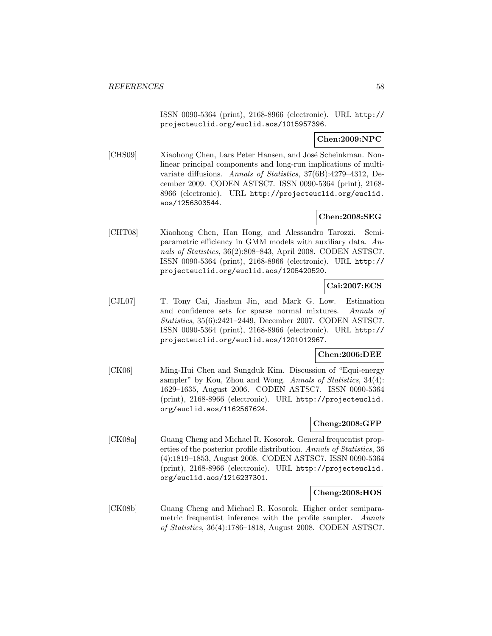ISSN 0090-5364 (print), 2168-8966 (electronic). URL http:// projecteuclid.org/euclid.aos/1015957396.

## **Chen:2009:NPC**

[CHS09] Xiaohong Chen, Lars Peter Hansen, and José Scheinkman. Nonlinear principal components and long-run implications of multivariate diffusions. Annals of Statistics, 37(6B):4279–4312, December 2009. CODEN ASTSC7. ISSN 0090-5364 (print), 2168- 8966 (electronic). URL http://projecteuclid.org/euclid. aos/1256303544.

# **Chen:2008:SEG**

[CHT08] Xiaohong Chen, Han Hong, and Alessandro Tarozzi. Semiparametric efficiency in GMM models with auxiliary data. Annals of Statistics, 36(2):808–843, April 2008. CODEN ASTSC7. ISSN 0090-5364 (print), 2168-8966 (electronic). URL http:// projecteuclid.org/euclid.aos/1205420520.

# **Cai:2007:ECS**

[CJL07] T. Tony Cai, Jiashun Jin, and Mark G. Low. Estimation and confidence sets for sparse normal mixtures. Annals of Statistics, 35(6):2421–2449, December 2007. CODEN ASTSC7. ISSN 0090-5364 (print), 2168-8966 (electronic). URL http:// projecteuclid.org/euclid.aos/1201012967.

# **Chen:2006:DEE**

[CK06] Ming-Hui Chen and Sungduk Kim. Discussion of "Equi-energy sampler" by Kou, Zhou and Wong. Annals of Statistics, 34(4): 1629–1635, August 2006. CODEN ASTSC7. ISSN 0090-5364 (print), 2168-8966 (electronic). URL http://projecteuclid. org/euclid.aos/1162567624.

# **Cheng:2008:GFP**

[CK08a] Guang Cheng and Michael R. Kosorok. General frequentist properties of the posterior profile distribution. Annals of Statistics, 36 (4):1819–1853, August 2008. CODEN ASTSC7. ISSN 0090-5364 (print), 2168-8966 (electronic). URL http://projecteuclid. org/euclid.aos/1216237301.

### **Cheng:2008:HOS**

[CK08b] Guang Cheng and Michael R. Kosorok. Higher order semiparametric frequentist inference with the profile sampler. Annals of Statistics, 36(4):1786–1818, August 2008. CODEN ASTSC7.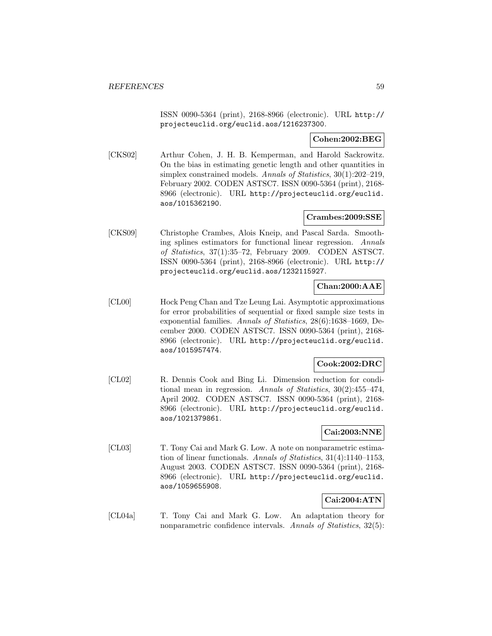ISSN 0090-5364 (print), 2168-8966 (electronic). URL http:// projecteuclid.org/euclid.aos/1216237300.

## **Cohen:2002:BEG**

[CKS02] Arthur Cohen, J. H. B. Kemperman, and Harold Sackrowitz. On the bias in estimating genetic length and other quantities in simplex constrained models. Annals of Statistics, 30(1):202–219, February 2002. CODEN ASTSC7. ISSN 0090-5364 (print), 2168- 8966 (electronic). URL http://projecteuclid.org/euclid. aos/1015362190.

## **Crambes:2009:SSE**

[CKS09] Christophe Crambes, Alois Kneip, and Pascal Sarda. Smoothing splines estimators for functional linear regression. Annals of Statistics, 37(1):35–72, February 2009. CODEN ASTSC7. ISSN 0090-5364 (print), 2168-8966 (electronic). URL http:// projecteuclid.org/euclid.aos/1232115927.

## **Chan:2000:AAE**

[CL00] Hock Peng Chan and Tze Leung Lai. Asymptotic approximations for error probabilities of sequential or fixed sample size tests in exponential families. Annals of Statistics, 28(6):1638–1669, December 2000. CODEN ASTSC7. ISSN 0090-5364 (print), 2168- 8966 (electronic). URL http://projecteuclid.org/euclid. aos/1015957474.

# **Cook:2002:DRC**

[CL02] R. Dennis Cook and Bing Li. Dimension reduction for conditional mean in regression. Annals of Statistics, 30(2):455–474, April 2002. CODEN ASTSC7. ISSN 0090-5364 (print), 2168- 8966 (electronic). URL http://projecteuclid.org/euclid. aos/1021379861.

# **Cai:2003:NNE**

[CL03] T. Tony Cai and Mark G. Low. A note on nonparametric estimation of linear functionals. Annals of Statistics, 31(4):1140–1153, August 2003. CODEN ASTSC7. ISSN 0090-5364 (print), 2168- 8966 (electronic). URL http://projecteuclid.org/euclid. aos/1059655908.

### **Cai:2004:ATN**

[CL04a] T. Tony Cai and Mark G. Low. An adaptation theory for nonparametric confidence intervals. Annals of Statistics, 32(5):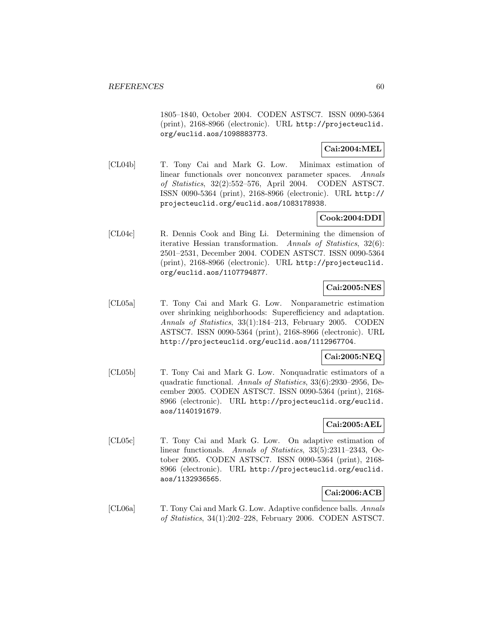1805–1840, October 2004. CODEN ASTSC7. ISSN 0090-5364 (print), 2168-8966 (electronic). URL http://projecteuclid. org/euclid.aos/1098883773.

# **Cai:2004:MEL**

[CL04b] T. Tony Cai and Mark G. Low. Minimax estimation of linear functionals over nonconvex parameter spaces. Annals of Statistics, 32(2):552–576, April 2004. CODEN ASTSC7. ISSN 0090-5364 (print), 2168-8966 (electronic). URL http:// projecteuclid.org/euclid.aos/1083178938.

## **Cook:2004:DDI**

[CL04c] R. Dennis Cook and Bing Li. Determining the dimension of iterative Hessian transformation. Annals of Statistics, 32(6): 2501–2531, December 2004. CODEN ASTSC7. ISSN 0090-5364 (print), 2168-8966 (electronic). URL http://projecteuclid. org/euclid.aos/1107794877.

# **Cai:2005:NES**

[CL05a] T. Tony Cai and Mark G. Low. Nonparametric estimation over shrinking neighborhoods: Superefficiency and adaptation. Annals of Statistics, 33(1):184–213, February 2005. CODEN ASTSC7. ISSN 0090-5364 (print), 2168-8966 (electronic). URL http://projecteuclid.org/euclid.aos/1112967704.

# **Cai:2005:NEQ**

[CL05b] T. Tony Cai and Mark G. Low. Nonquadratic estimators of a quadratic functional. Annals of Statistics, 33(6):2930–2956, December 2005. CODEN ASTSC7. ISSN 0090-5364 (print), 2168- 8966 (electronic). URL http://projecteuclid.org/euclid. aos/1140191679.

# **Cai:2005:AEL**

[CL05c] T. Tony Cai and Mark G. Low. On adaptive estimation of linear functionals. Annals of Statistics, 33(5):2311-2343, October 2005. CODEN ASTSC7. ISSN 0090-5364 (print), 2168- 8966 (electronic). URL http://projecteuclid.org/euclid. aos/1132936565.

# **Cai:2006:ACB**

[CL06a] T. Tony Cai and Mark G. Low. Adaptive confidence balls. Annals of Statistics, 34(1):202–228, February 2006. CODEN ASTSC7.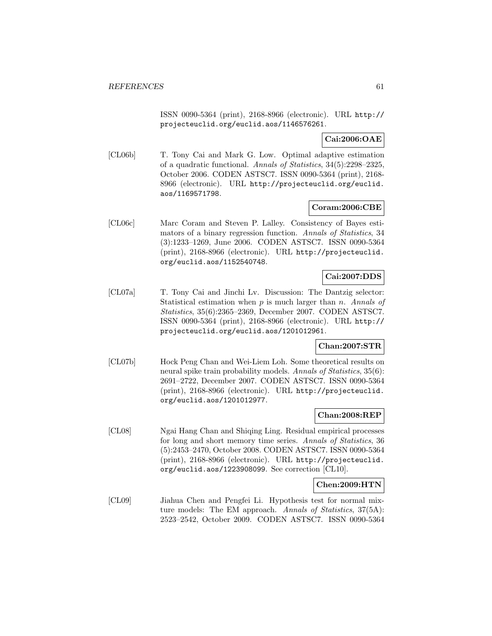ISSN 0090-5364 (print), 2168-8966 (electronic). URL http:// projecteuclid.org/euclid.aos/1146576261.

**Cai:2006:OAE**

[CL06b] T. Tony Cai and Mark G. Low. Optimal adaptive estimation of a quadratic functional. Annals of Statistics, 34(5):2298–2325, October 2006. CODEN ASTSC7. ISSN 0090-5364 (print), 2168- 8966 (electronic). URL http://projecteuclid.org/euclid. aos/1169571798.

### **Coram:2006:CBE**

[CL06c] Marc Coram and Steven P. Lalley. Consistency of Bayes estimators of a binary regression function. Annals of Statistics, 34 (3):1233–1269, June 2006. CODEN ASTSC7. ISSN 0090-5364 (print), 2168-8966 (electronic). URL http://projecteuclid. org/euclid.aos/1152540748.

# **Cai:2007:DDS**

[CL07a] T. Tony Cai and Jinchi Lv. Discussion: The Dantzig selector: Statistical estimation when  $p$  is much larger than  $n$ . Annals of Statistics, 35(6):2365–2369, December 2007. CODEN ASTSC7. ISSN 0090-5364 (print), 2168-8966 (electronic). URL http:// projecteuclid.org/euclid.aos/1201012961.

## **Chan:2007:STR**

[CL07b] Hock Peng Chan and Wei-Liem Loh. Some theoretical results on neural spike train probability models. Annals of Statistics, 35(6): 2691–2722, December 2007. CODEN ASTSC7. ISSN 0090-5364 (print), 2168-8966 (electronic). URL http://projecteuclid. org/euclid.aos/1201012977.

### **Chan:2008:REP**

[CL08] Ngai Hang Chan and Shiqing Ling. Residual empirical processes for long and short memory time series. Annals of Statistics, 36 (5):2453–2470, October 2008. CODEN ASTSC7. ISSN 0090-5364 (print), 2168-8966 (electronic). URL http://projecteuclid. org/euclid.aos/1223908099. See correction [CL10].

# **Chen:2009:HTN**

[CL09] Jiahua Chen and Pengfei Li. Hypothesis test for normal mixture models: The EM approach. Annals of Statistics, 37(5A): 2523–2542, October 2009. CODEN ASTSC7. ISSN 0090-5364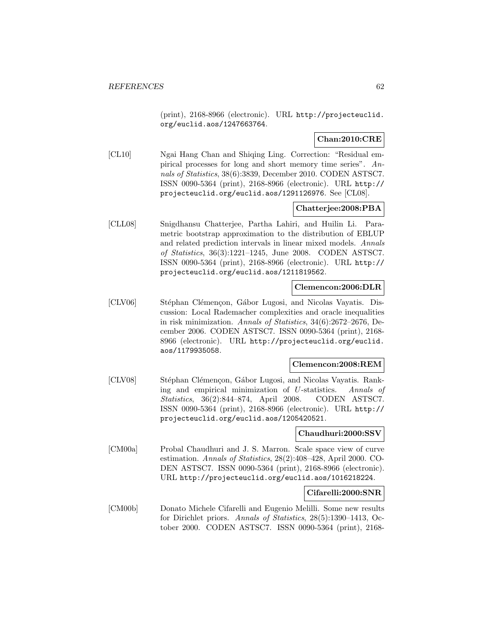(print), 2168-8966 (electronic). URL http://projecteuclid. org/euclid.aos/1247663764.

## **Chan:2010:CRE**

[CL10] Ngai Hang Chan and Shiqing Ling. Correction: "Residual empirical processes for long and short memory time series". Annals of Statistics, 38(6):3839, December 2010. CODEN ASTSC7. ISSN 0090-5364 (print), 2168-8966 (electronic). URL http:// projecteuclid.org/euclid.aos/1291126976. See [CL08].

## **Chatterjee:2008:PBA**

[CLL08] Snigdhansu Chatterjee, Partha Lahiri, and Huilin Li. Parametric bootstrap approximation to the distribution of EBLUP and related prediction intervals in linear mixed models. Annals of Statistics, 36(3):1221–1245, June 2008. CODEN ASTSC7. ISSN 0090-5364 (print), 2168-8966 (electronic). URL http:// projecteuclid.org/euclid.aos/1211819562.

#### **Clemencon:2006:DLR**

[CLV06] Stéphan Clémençon, Gábor Lugosi, and Nicolas Vayatis. Discussion: Local Rademacher complexities and oracle inequalities in risk minimization. Annals of Statistics, 34(6):2672–2676, December 2006. CODEN ASTSC7. ISSN 0090-5364 (print), 2168- 8966 (electronic). URL http://projecteuclid.org/euclid. aos/1179935058.

#### **Clemencon:2008:REM**

[CLV08] Stéphan Clémençon, Gábor Lugosi, and Nicolas Vayatis. Ranking and empirical minimization of U-statistics. Annals of Statistics, 36(2):844–874, April 2008. CODEN ASTSC7. ISSN 0090-5364 (print), 2168-8966 (electronic). URL http:// projecteuclid.org/euclid.aos/1205420521.

#### **Chaudhuri:2000:SSV**

[CM00a] Probal Chaudhuri and J. S. Marron. Scale space view of curve estimation. Annals of Statistics, 28(2):408–428, April 2000. CO-DEN ASTSC7. ISSN 0090-5364 (print), 2168-8966 (electronic). URL http://projecteuclid.org/euclid.aos/1016218224.

#### **Cifarelli:2000:SNR**

[CM00b] Donato Michele Cifarelli and Eugenio Melilli. Some new results for Dirichlet priors. Annals of Statistics, 28(5):1390–1413, October 2000. CODEN ASTSC7. ISSN 0090-5364 (print), 2168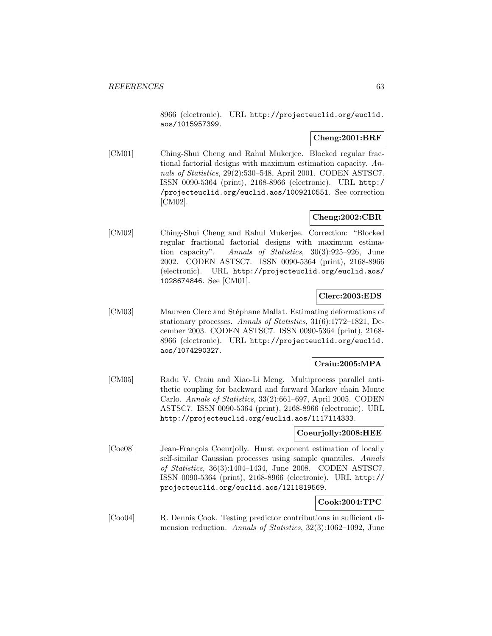8966 (electronic). URL http://projecteuclid.org/euclid. aos/1015957399.

# **Cheng:2001:BRF**

[CM01] Ching-Shui Cheng and Rahul Mukerjee. Blocked regular fractional factorial designs with maximum estimation capacity. Annals of Statistics, 29(2):530–548, April 2001. CODEN ASTSC7. ISSN 0090-5364 (print), 2168-8966 (electronic). URL http:/ /projecteuclid.org/euclid.aos/1009210551. See correction [CM02].

# **Cheng:2002:CBR**

[CM02] Ching-Shui Cheng and Rahul Mukerjee. Correction: "Blocked regular fractional factorial designs with maximum estimation capacity". Annals of Statistics, 30(3):925–926, June 2002. CODEN ASTSC7. ISSN 0090-5364 (print), 2168-8966 (electronic). URL http://projecteuclid.org/euclid.aos/ 1028674846. See [CM01].

## **Clerc:2003:EDS**

[CM03] Maureen Clerc and Stéphane Mallat. Estimating deformations of stationary processes. Annals of Statistics, 31(6):1772–1821, December 2003. CODEN ASTSC7. ISSN 0090-5364 (print), 2168- 8966 (electronic). URL http://projecteuclid.org/euclid. aos/1074290327.

# **Craiu:2005:MPA**

[CM05] Radu V. Craiu and Xiao-Li Meng. Multiprocess parallel antithetic coupling for backward and forward Markov chain Monte Carlo. Annals of Statistics, 33(2):661–697, April 2005. CODEN ASTSC7. ISSN 0090-5364 (print), 2168-8966 (electronic). URL http://projecteuclid.org/euclid.aos/1117114333.

### **Coeurjolly:2008:HEE**

[Coe08] Jean-François Coeurjolly. Hurst exponent estimation of locally self-similar Gaussian processes using sample quantiles. Annals of Statistics, 36(3):1404–1434, June 2008. CODEN ASTSC7. ISSN 0090-5364 (print), 2168-8966 (electronic). URL http:// projecteuclid.org/euclid.aos/1211819569.

# **Cook:2004:TPC**

[Coo04] R. Dennis Cook. Testing predictor contributions in sufficient dimension reduction. Annals of Statistics, 32(3):1062–1092, June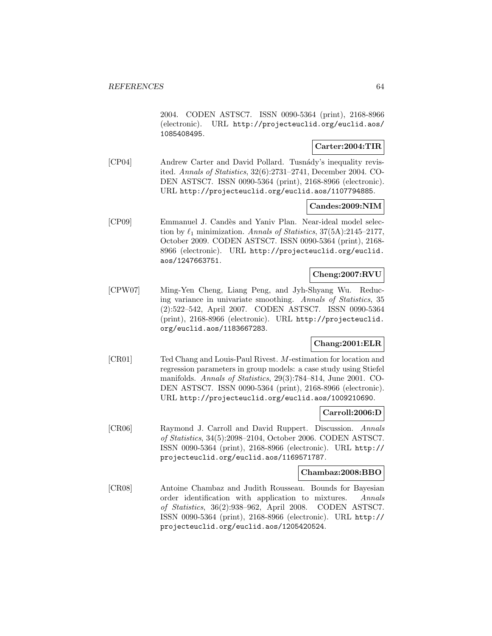2004. CODEN ASTSC7. ISSN 0090-5364 (print), 2168-8966 (electronic). URL http://projecteuclid.org/euclid.aos/ 1085408495.

## **Carter:2004:TIR**

[CP04] Andrew Carter and David Pollard. Tusn´ady's inequality revisited. Annals of Statistics, 32(6):2731–2741, December 2004. CO-DEN ASTSC7. ISSN 0090-5364 (print), 2168-8966 (electronic). URL http://projecteuclid.org/euclid.aos/1107794885.

# **Candes:2009:NIM**

[CP09] Emmanuel J. Candès and Yaniv Plan. Near-ideal model selection by  $\ell_1$  minimization. Annals of Statistics, 37(5A):2145–2177, October 2009. CODEN ASTSC7. ISSN 0090-5364 (print), 2168- 8966 (electronic). URL http://projecteuclid.org/euclid. aos/1247663751.

# **Cheng:2007:RVU**

[CPW07] Ming-Yen Cheng, Liang Peng, and Jyh-Shyang Wu. Reducing variance in univariate smoothing. Annals of Statistics, 35 (2):522–542, April 2007. CODEN ASTSC7. ISSN 0090-5364 (print), 2168-8966 (electronic). URL http://projecteuclid. org/euclid.aos/1183667283.

# **Chang:2001:ELR**

[CR01] Ted Chang and Louis-Paul Rivest. M-estimation for location and regression parameters in group models: a case study using Stiefel manifolds. Annals of Statistics, 29(3):784–814, June 2001. CO-DEN ASTSC7. ISSN 0090-5364 (print), 2168-8966 (electronic). URL http://projecteuclid.org/euclid.aos/1009210690.

### **Carroll:2006:D**

[CR06] Raymond J. Carroll and David Ruppert. Discussion. Annals of Statistics, 34(5):2098–2104, October 2006. CODEN ASTSC7. ISSN 0090-5364 (print), 2168-8966 (electronic). URL http:// projecteuclid.org/euclid.aos/1169571787.

#### **Chambaz:2008:BBO**

[CR08] Antoine Chambaz and Judith Rousseau. Bounds for Bayesian order identification with application to mixtures. Annals of Statistics, 36(2):938–962, April 2008. CODEN ASTSC7. ISSN 0090-5364 (print), 2168-8966 (electronic). URL http:// projecteuclid.org/euclid.aos/1205420524.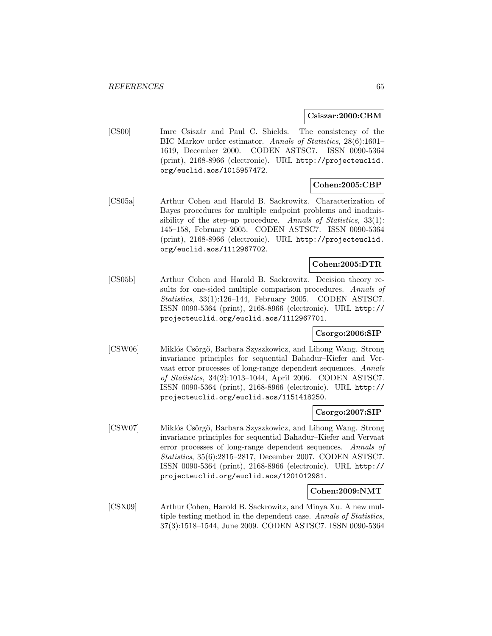**Csiszar:2000:CBM**

[CS00] Imre Csiszár and Paul C. Shields. The consistency of the BIC Markov order estimator. Annals of Statistics, 28(6):1601– 1619, December 2000. CODEN ASTSC7. ISSN 0090-5364 (print), 2168-8966 (electronic). URL http://projecteuclid. org/euclid.aos/1015957472.

# **Cohen:2005:CBP**

[CS05a] Arthur Cohen and Harold B. Sackrowitz. Characterization of Bayes procedures for multiple endpoint problems and inadmissibility of the step-up procedure. Annals of Statistics, 33(1): 145–158, February 2005. CODEN ASTSC7. ISSN 0090-5364 (print), 2168-8966 (electronic). URL http://projecteuclid. org/euclid.aos/1112967702.

# **Cohen:2005:DTR**

[CS05b] Arthur Cohen and Harold B. Sackrowitz. Decision theory results for one-sided multiple comparison procedures. Annals of Statistics, 33(1):126–144, February 2005. CODEN ASTSC7. ISSN 0090-5364 (print), 2168-8966 (electronic). URL http:// projecteuclid.org/euclid.aos/1112967701.

### **Csorgo:2006:SIP**

[CSW06] Miklós Csörgő, Barbara Szyszkowicz, and Lihong Wang. Strong invariance principles for sequential Bahadur–Kiefer and Vervaat error processes of long-range dependent sequences. Annals of Statistics, 34(2):1013–1044, April 2006. CODEN ASTSC7. ISSN 0090-5364 (print), 2168-8966 (electronic). URL http:// projecteuclid.org/euclid.aos/1151418250.

#### **Csorgo:2007:SIP**

[CSW07] Miklós Csörgő, Barbara Szyszkowicz, and Lihong Wang. Strong invariance principles for sequential Bahadur–Kiefer and Vervaat error processes of long-range dependent sequences. Annals of Statistics, 35(6):2815–2817, December 2007. CODEN ASTSC7. ISSN 0090-5364 (print), 2168-8966 (electronic). URL http:// projecteuclid.org/euclid.aos/1201012981.

#### **Cohen:2009:NMT**

[CSX09] Arthur Cohen, Harold B. Sackrowitz, and Minya Xu. A new multiple testing method in the dependent case. Annals of Statistics, 37(3):1518–1544, June 2009. CODEN ASTSC7. ISSN 0090-5364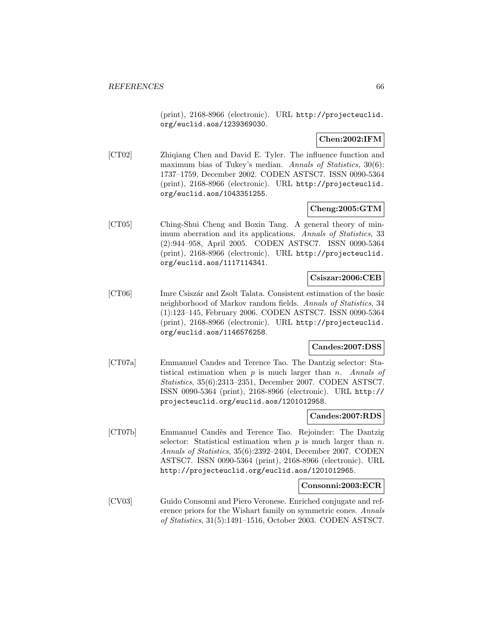(print), 2168-8966 (electronic). URL http://projecteuclid. org/euclid.aos/1239369030.

**Chen:2002:IFM**

[CT02] Zhiqiang Chen and David E. Tyler. The influence function and maximum bias of Tukey's median. Annals of Statistics, 30(6): 1737–1759, December 2002. CODEN ASTSC7. ISSN 0090-5364 (print), 2168-8966 (electronic). URL http://projecteuclid. org/euclid.aos/1043351255.

### **Cheng:2005:GTM**

[CT05] Ching-Shui Cheng and Boxin Tang. A general theory of minimum aberration and its applications. Annals of Statistics, 33 (2):944–958, April 2005. CODEN ASTSC7. ISSN 0090-5364 (print), 2168-8966 (electronic). URL http://projecteuclid. org/euclid.aos/1117114341.

### **Csiszar:2006:CEB**

[CT06] Imre Csiszár and Zsolt Talata. Consistent estimation of the basic neighborhood of Markov random fields. Annals of Statistics, 34 (1):123–145, February 2006. CODEN ASTSC7. ISSN 0090-5364 (print), 2168-8966 (electronic). URL http://projecteuclid. org/euclid.aos/1146576258.

#### **Candes:2007:DSS**

[CT07a] Emmanuel Candes and Terence Tao. The Dantzig selector: Statistical estimation when  $p$  is much larger than  $n$ . Annals of Statistics, 35(6):2313–2351, December 2007. CODEN ASTSC7. ISSN 0090-5364 (print), 2168-8966 (electronic). URL http:// projecteuclid.org/euclid.aos/1201012958.

#### **Candes:2007:RDS**

[CT07b] Emmanuel Cand`es and Terence Tao. Rejoinder: The Dantzig selector: Statistical estimation when  $p$  is much larger than  $n$ . Annals of Statistics, 35(6):2392–2404, December 2007. CODEN ASTSC7. ISSN 0090-5364 (print), 2168-8966 (electronic). URL http://projecteuclid.org/euclid.aos/1201012965.

#### **Consonni:2003:ECR**

[CV03] Guido Consonni and Piero Veronese. Enriched conjugate and reference priors for the Wishart family on symmetric cones. Annals of Statistics, 31(5):1491–1516, October 2003. CODEN ASTSC7.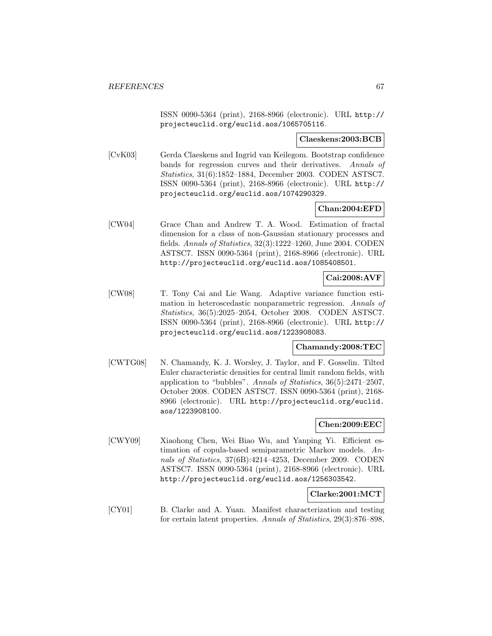ISSN 0090-5364 (print), 2168-8966 (electronic). URL http:// projecteuclid.org/euclid.aos/1065705116.

#### **Claeskens:2003:BCB**

[CvK03] Gerda Claeskens and Ingrid van Keilegom. Bootstrap confidence bands for regression curves and their derivatives. Annals of Statistics, 31(6):1852–1884, December 2003. CODEN ASTSC7. ISSN 0090-5364 (print), 2168-8966 (electronic). URL http:// projecteuclid.org/euclid.aos/1074290329.

## **Chan:2004:EFD**

[CW04] Grace Chan and Andrew T. A. Wood. Estimation of fractal dimension for a class of non-Gaussian stationary processes and fields. Annals of Statistics, 32(3):1222–1260, June 2004. CODEN ASTSC7. ISSN 0090-5364 (print), 2168-8966 (electronic). URL http://projecteuclid.org/euclid.aos/1085408501.

# **Cai:2008:AVF**

[CW08] T. Tony Cai and Lie Wang. Adaptive variance function estimation in heteroscedastic nonparametric regression. Annals of Statistics, 36(5):2025–2054, October 2008. CODEN ASTSC7. ISSN 0090-5364 (print), 2168-8966 (electronic). URL http:// projecteuclid.org/euclid.aos/1223908083.

### **Chamandy:2008:TEC**

[CWTG08] N. Chamandy, K. J. Worsley, J. Taylor, and F. Gosselin. Tilted Euler characteristic densities for central limit random fields, with application to "bubbles". Annals of Statistics, 36(5):2471–2507, October 2008. CODEN ASTSC7. ISSN 0090-5364 (print), 2168- 8966 (electronic). URL http://projecteuclid.org/euclid. aos/1223908100.

### **Chen:2009:EEC**

[CWY09] Xiaohong Chen, Wei Biao Wu, and Yanping Yi. Efficient estimation of copula-based semiparametric Markov models. Annals of Statistics, 37(6B):4214–4253, December 2009. CODEN ASTSC7. ISSN 0090-5364 (print), 2168-8966 (electronic). URL http://projecteuclid.org/euclid.aos/1256303542.

# **Clarke:2001:MCT**

[CY01] B. Clarke and A. Yuan. Manifest characterization and testing for certain latent properties. Annals of Statistics, 29(3):876–898,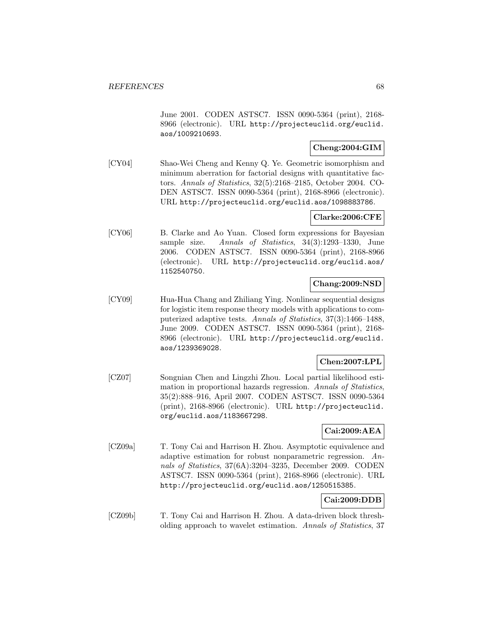June 2001. CODEN ASTSC7. ISSN 0090-5364 (print), 2168- 8966 (electronic). URL http://projecteuclid.org/euclid. aos/1009210693.

## **Cheng:2004:GIM**

[CY04] Shao-Wei Cheng and Kenny Q. Ye. Geometric isomorphism and minimum aberration for factorial designs with quantitative factors. Annals of Statistics, 32(5):2168–2185, October 2004. CO-DEN ASTSC7. ISSN 0090-5364 (print), 2168-8966 (electronic). URL http://projecteuclid.org/euclid.aos/1098883786.

## **Clarke:2006:CFE**

[CY06] B. Clarke and Ao Yuan. Closed form expressions for Bayesian sample size. Annals of Statistics, 34(3):1293-1330, June 2006. CODEN ASTSC7. ISSN 0090-5364 (print), 2168-8966 (electronic). URL http://projecteuclid.org/euclid.aos/ 1152540750.

### **Chang:2009:NSD**

[CY09] Hua-Hua Chang and Zhiliang Ying. Nonlinear sequential designs for logistic item response theory models with applications to computerized adaptive tests. Annals of Statistics, 37(3):1466–1488, June 2009. CODEN ASTSC7. ISSN 0090-5364 (print), 2168- 8966 (electronic). URL http://projecteuclid.org/euclid. aos/1239369028.

# **Chen:2007:LPL**

[CZ07] Songnian Chen and Lingzhi Zhou. Local partial likelihood estimation in proportional hazards regression. Annals of Statistics, 35(2):888–916, April 2007. CODEN ASTSC7. ISSN 0090-5364 (print), 2168-8966 (electronic). URL http://projecteuclid. org/euclid.aos/1183667298.

# **Cai:2009:AEA**

[CZ09a] T. Tony Cai and Harrison H. Zhou. Asymptotic equivalence and adaptive estimation for robust nonparametric regression. Annals of Statistics, 37(6A):3204–3235, December 2009. CODEN ASTSC7. ISSN 0090-5364 (print), 2168-8966 (electronic). URL http://projecteuclid.org/euclid.aos/1250515385.

### **Cai:2009:DDB**

[CZ09b] T. Tony Cai and Harrison H. Zhou. A data-driven block thresholding approach to wavelet estimation. Annals of Statistics, 37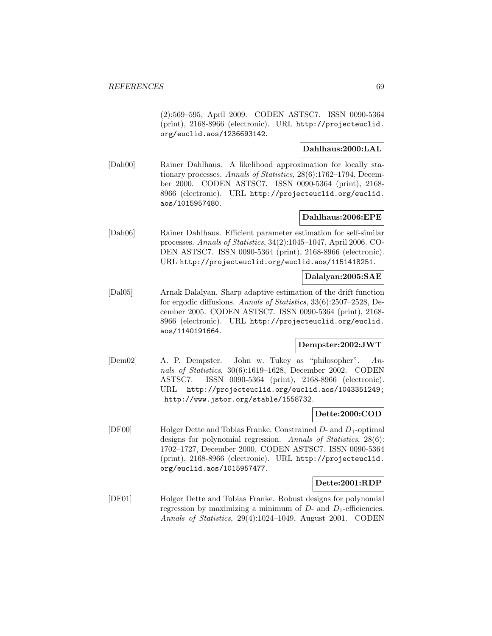(2):569–595, April 2009. CODEN ASTSC7. ISSN 0090-5364 (print), 2168-8966 (electronic). URL http://projecteuclid. org/euclid.aos/1236693142.

# **Dahlhaus:2000:LAL**

[Dah00] Rainer Dahlhaus. A likelihood approximation for locally stationary processes. Annals of Statistics, 28(6):1762–1794, December 2000. CODEN ASTSC7. ISSN 0090-5364 (print), 2168- 8966 (electronic). URL http://projecteuclid.org/euclid. aos/1015957480.

## **Dahlhaus:2006:EPE**

[Dah06] Rainer Dahlhaus. Efficient parameter estimation for self-similar processes. Annals of Statistics, 34(2):1045–1047, April 2006. CO-DEN ASTSC7. ISSN 0090-5364 (print), 2168-8966 (electronic). URL http://projecteuclid.org/euclid.aos/1151418251.

### **Dalalyan:2005:SAE**

[Dal05] Arnak Dalalyan. Sharp adaptive estimation of the drift function for ergodic diffusions. Annals of Statistics, 33(6):2507–2528, December 2005. CODEN ASTSC7. ISSN 0090-5364 (print), 2168- 8966 (electronic). URL http://projecteuclid.org/euclid. aos/1140191664.

# **Dempster:2002:JWT**

[Dem02] A. P. Dempster. John w. Tukey as "philosopher". Annals of Statistics, 30(6):1619–1628, December 2002. CODEN ASTSC7. ISSN 0090-5364 (print), 2168-8966 (electronic). URL http://projecteuclid.org/euclid.aos/1043351249; http://www.jstor.org/stable/1558732.

#### **Dette:2000:COD**

[DF00] Holger Dette and Tobias Franke. Constrained D- and D1-optimal designs for polynomial regression. Annals of Statistics, 28(6): 1702–1727, December 2000. CODEN ASTSC7. ISSN 0090-5364 (print), 2168-8966 (electronic). URL http://projecteuclid. org/euclid.aos/1015957477.

### **Dette:2001:RDP**

[DF01] Holger Dette and Tobias Franke. Robust designs for polynomial regression by maximizing a minimum of  $D$ - and  $D_1$ -efficiencies. Annals of Statistics, 29(4):1024–1049, August 2001. CODEN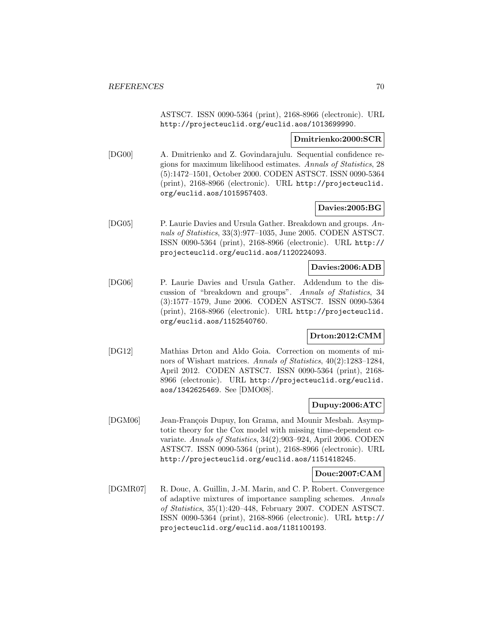ASTSC7. ISSN 0090-5364 (print), 2168-8966 (electronic). URL http://projecteuclid.org/euclid.aos/1013699990.

#### **Dmitrienko:2000:SCR**

[DG00] A. Dmitrienko and Z. Govindarajulu. Sequential confidence regions for maximum likelihood estimates. Annals of Statistics, 28 (5):1472–1501, October 2000. CODEN ASTSC7. ISSN 0090-5364 (print), 2168-8966 (electronic). URL http://projecteuclid. org/euclid.aos/1015957403.

#### **Davies:2005:BG**

[DG05] P. Laurie Davies and Ursula Gather. Breakdown and groups. Annals of Statistics, 33(3):977–1035, June 2005. CODEN ASTSC7. ISSN 0090-5364 (print), 2168-8966 (electronic). URL http:// projecteuclid.org/euclid.aos/1120224093.

### **Davies:2006:ADB**

[DG06] P. Laurie Davies and Ursula Gather. Addendum to the discussion of "breakdown and groups". Annals of Statistics, 34 (3):1577–1579, June 2006. CODEN ASTSC7. ISSN 0090-5364 (print), 2168-8966 (electronic). URL http://projecteuclid. org/euclid.aos/1152540760.

## **Drton:2012:CMM**

[DG12] Mathias Drton and Aldo Goia. Correction on moments of minors of Wishart matrices. Annals of Statistics, 40(2):1283–1284, April 2012. CODEN ASTSC7. ISSN 0090-5364 (print), 2168- 8966 (electronic). URL http://projecteuclid.org/euclid. aos/1342625469. See [DMO08].

### **Dupuy:2006:ATC**

[DGM06] Jean-François Dupuy, Ion Grama, and Mounir Mesbah. Asymptotic theory for the Cox model with missing time-dependent covariate. Annals of Statistics, 34(2):903–924, April 2006. CODEN ASTSC7. ISSN 0090-5364 (print), 2168-8966 (electronic). URL http://projecteuclid.org/euclid.aos/1151418245.

#### **Douc:2007:CAM**

[DGMR07] R. Douc, A. Guillin, J.-M. Marin, and C. P. Robert. Convergence of adaptive mixtures of importance sampling schemes. Annals of Statistics, 35(1):420–448, February 2007. CODEN ASTSC7. ISSN 0090-5364 (print), 2168-8966 (electronic). URL http:// projecteuclid.org/euclid.aos/1181100193.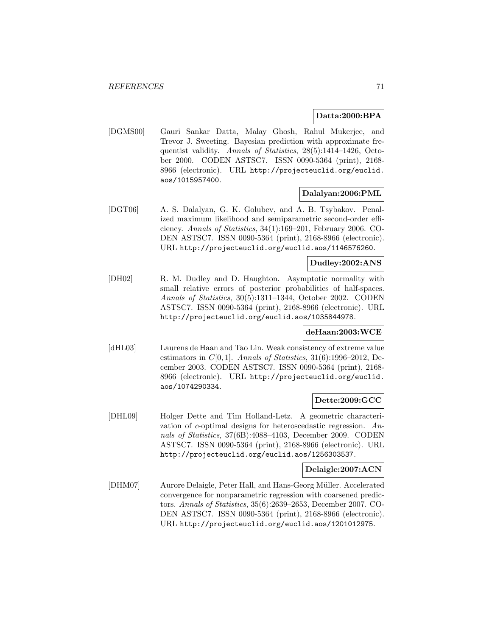## **Datta:2000:BPA**

[DGMS00] Gauri Sankar Datta, Malay Ghosh, Rahul Mukerjee, and Trevor J. Sweeting. Bayesian prediction with approximate frequentist validity. Annals of Statistics, 28(5):1414–1426, October 2000. CODEN ASTSC7. ISSN 0090-5364 (print), 2168- 8966 (electronic). URL http://projecteuclid.org/euclid. aos/1015957400.

## **Dalalyan:2006:PML**

[DGT06] A. S. Dalalyan, G. K. Golubev, and A. B. Tsybakov. Penalized maximum likelihood and semiparametric second-order efficiency. Annals of Statistics, 34(1):169–201, February 2006. CO-DEN ASTSC7. ISSN 0090-5364 (print), 2168-8966 (electronic). URL http://projecteuclid.org/euclid.aos/1146576260.

# **Dudley:2002:ANS**

[DH02] R. M. Dudley and D. Haughton. Asymptotic normality with small relative errors of posterior probabilities of half-spaces. Annals of Statistics, 30(5):1311–1344, October 2002. CODEN ASTSC7. ISSN 0090-5364 (print), 2168-8966 (electronic). URL http://projecteuclid.org/euclid.aos/1035844978.

### **deHaan:2003:WCE**

[dHL03] Laurens de Haan and Tao Lin. Weak consistency of extreme value estimators in  $C[0, 1]$ . Annals of Statistics, 31(6):1996–2012, December 2003. CODEN ASTSC7. ISSN 0090-5364 (print), 2168- 8966 (electronic). URL http://projecteuclid.org/euclid. aos/1074290334.

# **Dette:2009:GCC**

[DHL09] Holger Dette and Tim Holland-Letz. A geometric characterization of c-optimal designs for heteroscedastic regression. Annals of Statistics, 37(6B):4088–4103, December 2009. CODEN ASTSC7. ISSN 0090-5364 (print), 2168-8966 (electronic). URL http://projecteuclid.org/euclid.aos/1256303537.

# **Delaigle:2007:ACN**

[DHM07] Aurore Delaigle, Peter Hall, and Hans-Georg Müller. Accelerated convergence for nonparametric regression with coarsened predictors. Annals of Statistics, 35(6):2639–2653, December 2007. CO-DEN ASTSC7. ISSN 0090-5364 (print), 2168-8966 (electronic). URL http://projecteuclid.org/euclid.aos/1201012975.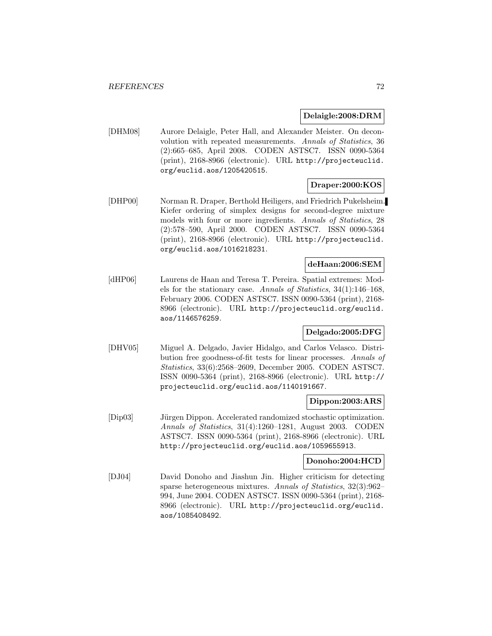#### **Delaigle:2008:DRM**

[DHM08] Aurore Delaigle, Peter Hall, and Alexander Meister. On deconvolution with repeated measurements. Annals of Statistics, 36 (2):665–685, April 2008. CODEN ASTSC7. ISSN 0090-5364 (print), 2168-8966 (electronic). URL http://projecteuclid. org/euclid.aos/1205420515.

## **Draper:2000:KOS**

[DHP00] Norman R. Draper, Berthold Heiligers, and Friedrich Pukelsheim. Kiefer ordering of simplex designs for second-degree mixture models with four or more ingredients. Annals of Statistics, 28 (2):578–590, April 2000. CODEN ASTSC7. ISSN 0090-5364 (print), 2168-8966 (electronic). URL http://projecteuclid. org/euclid.aos/1016218231.

# **deHaan:2006:SEM**

[dHP06] Laurens de Haan and Teresa T. Pereira. Spatial extremes: Models for the stationary case. Annals of Statistics, 34(1):146–168, February 2006. CODEN ASTSC7. ISSN 0090-5364 (print), 2168- 8966 (electronic). URL http://projecteuclid.org/euclid. aos/1146576259.

### **Delgado:2005:DFG**

[DHV05] Miguel A. Delgado, Javier Hidalgo, and Carlos Velasco. Distribution free goodness-of-fit tests for linear processes. Annals of Statistics, 33(6):2568–2609, December 2005. CODEN ASTSC7. ISSN 0090-5364 (print), 2168-8966 (electronic). URL http:// projecteuclid.org/euclid.aos/1140191667.

### **Dippon:2003:ARS**

[Dip03] Jürgen Dippon. Accelerated randomized stochastic optimization. Annals of Statistics, 31(4):1260–1281, August 2003. CODEN ASTSC7. ISSN 0090-5364 (print), 2168-8966 (electronic). URL http://projecteuclid.org/euclid.aos/1059655913.

### **Donoho:2004:HCD**

[DJ04] David Donoho and Jiashun Jin. Higher criticism for detecting sparse heterogeneous mixtures. Annals of Statistics, 32(3):962– 994, June 2004. CODEN ASTSC7. ISSN 0090-5364 (print), 2168- 8966 (electronic). URL http://projecteuclid.org/euclid. aos/1085408492.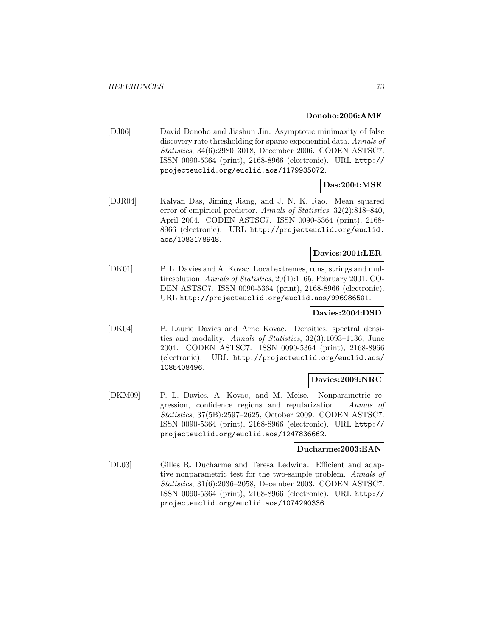### **Donoho:2006:AMF**

[DJ06] David Donoho and Jiashun Jin. Asymptotic minimaxity of false discovery rate thresholding for sparse exponential data. Annals of Statistics, 34(6):2980–3018, December 2006. CODEN ASTSC7. ISSN 0090-5364 (print), 2168-8966 (electronic). URL http:// projecteuclid.org/euclid.aos/1179935072.

## **Das:2004:MSE**

[DJR04] Kalyan Das, Jiming Jiang, and J. N. K. Rao. Mean squared error of empirical predictor. Annals of Statistics, 32(2):818–840, April 2004. CODEN ASTSC7. ISSN 0090-5364 (print), 2168- 8966 (electronic). URL http://projecteuclid.org/euclid. aos/1083178948.

### **Davies:2001:LER**

[DK01] P. L. Davies and A. Kovac. Local extremes, runs, strings and multiresolution. Annals of Statistics, 29(1):1–65, February 2001. CO-DEN ASTSC7. ISSN 0090-5364 (print), 2168-8966 (electronic). URL http://projecteuclid.org/euclid.aos/996986501.

### **Davies:2004:DSD**

[DK04] P. Laurie Davies and Arne Kovac. Densities, spectral densities and modality. Annals of Statistics, 32(3):1093–1136, June 2004. CODEN ASTSC7. ISSN 0090-5364 (print), 2168-8966 (electronic). URL http://projecteuclid.org/euclid.aos/ 1085408496.

### **Davies:2009:NRC**

[DKM09] P. L. Davies, A. Kovac, and M. Meise. Nonparametric regression, confidence regions and regularization. Annals of Statistics, 37(5B):2597–2625, October 2009. CODEN ASTSC7. ISSN 0090-5364 (print), 2168-8966 (electronic). URL http:// projecteuclid.org/euclid.aos/1247836662.

#### **Ducharme:2003:EAN**

[DL03] Gilles R. Ducharme and Teresa Ledwina. Efficient and adaptive nonparametric test for the two-sample problem. Annals of Statistics, 31(6):2036–2058, December 2003. CODEN ASTSC7. ISSN 0090-5364 (print), 2168-8966 (electronic). URL http:// projecteuclid.org/euclid.aos/1074290336.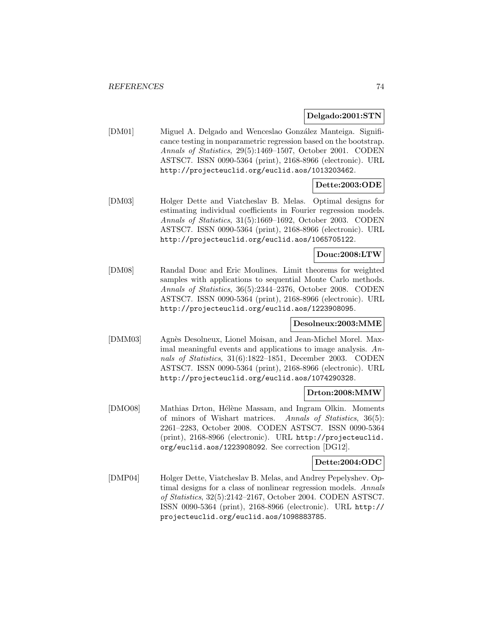### **Delgado:2001:STN**

[DM01] Miguel A. Delgado and Wenceslao González Manteiga. Significance testing in nonparametric regression based on the bootstrap. Annals of Statistics, 29(5):1469–1507, October 2001. CODEN ASTSC7. ISSN 0090-5364 (print), 2168-8966 (electronic). URL http://projecteuclid.org/euclid.aos/1013203462.

# **Dette:2003:ODE**

[DM03] Holger Dette and Viatcheslav B. Melas. Optimal designs for estimating individual coefficients in Fourier regression models. Annals of Statistics, 31(5):1669–1692, October 2003. CODEN ASTSC7. ISSN 0090-5364 (print), 2168-8966 (electronic). URL http://projecteuclid.org/euclid.aos/1065705122.

## **Douc:2008:LTW**

[DM08] Randal Douc and Eric Moulines. Limit theorems for weighted samples with applications to sequential Monte Carlo methods. Annals of Statistics, 36(5):2344–2376, October 2008. CODEN ASTSC7. ISSN 0090-5364 (print), 2168-8966 (electronic). URL http://projecteuclid.org/euclid.aos/1223908095.

### **Desolneux:2003:MME**

[DMM03] Agnès Desolneux, Lionel Moisan, and Jean-Michel Morel. Maximal meaningful events and applications to image analysis. Annals of Statistics, 31(6):1822–1851, December 2003. CODEN ASTSC7. ISSN 0090-5364 (print), 2168-8966 (electronic). URL http://projecteuclid.org/euclid.aos/1074290328.

### **Drton:2008:MMW**

[DMO08] Mathias Drton, Hélène Massam, and Ingram Olkin. Moments of minors of Wishart matrices. Annals of Statistics, 36(5): 2261–2283, October 2008. CODEN ASTSC7. ISSN 0090-5364 (print), 2168-8966 (electronic). URL http://projecteuclid. org/euclid.aos/1223908092. See correction [DG12].

## **Dette:2004:ODC**

[DMP04] Holger Dette, Viatcheslav B. Melas, and Andrey Pepelyshev. Optimal designs for a class of nonlinear regression models. Annals of Statistics, 32(5):2142–2167, October 2004. CODEN ASTSC7. ISSN 0090-5364 (print), 2168-8966 (electronic). URL http:// projecteuclid.org/euclid.aos/1098883785.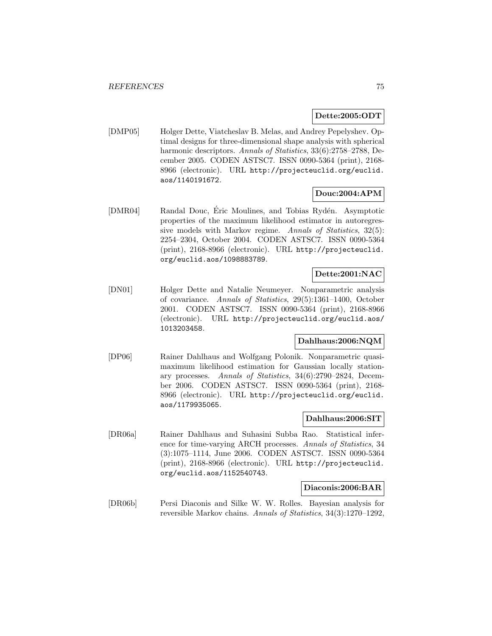### **Dette:2005:ODT**

[DMP05] Holger Dette, Viatcheslav B. Melas, and Andrey Pepelyshev. Optimal designs for three-dimensional shape analysis with spherical harmonic descriptors. Annals of Statistics, 33(6):2758-2788, December 2005. CODEN ASTSC7. ISSN 0090-5364 (print), 2168- 8966 (electronic). URL http://projecteuclid.org/euclid. aos/1140191672.

## **Douc:2004:APM**

[DMR04] Randal Douc, Éric Moulines, and Tobias Rydén. Asymptotic properties of the maximum likelihood estimator in autoregressive models with Markov regime. Annals of Statistics, 32(5): 2254–2304, October 2004. CODEN ASTSC7. ISSN 0090-5364 (print), 2168-8966 (electronic). URL http://projecteuclid. org/euclid.aos/1098883789.

## **Dette:2001:NAC**

[DN01] Holger Dette and Natalie Neumeyer. Nonparametric analysis of covariance. Annals of Statistics, 29(5):1361–1400, October 2001. CODEN ASTSC7. ISSN 0090-5364 (print), 2168-8966 (electronic). URL http://projecteuclid.org/euclid.aos/ 1013203458.

### **Dahlhaus:2006:NQM**

[DP06] Rainer Dahlhaus and Wolfgang Polonik. Nonparametric quasimaximum likelihood estimation for Gaussian locally stationary processes. Annals of Statistics, 34(6):2790–2824, December 2006. CODEN ASTSC7. ISSN 0090-5364 (print), 2168- 8966 (electronic). URL http://projecteuclid.org/euclid. aos/1179935065.

#### **Dahlhaus:2006:SIT**

[DR06a] Rainer Dahlhaus and Suhasini Subba Rao. Statistical inference for time-varying ARCH processes. Annals of Statistics, 34 (3):1075–1114, June 2006. CODEN ASTSC7. ISSN 0090-5364 (print), 2168-8966 (electronic). URL http://projecteuclid. org/euclid.aos/1152540743.

### **Diaconis:2006:BAR**

[DR06b] Persi Diaconis and Silke W. W. Rolles. Bayesian analysis for reversible Markov chains. Annals of Statistics, 34(3):1270–1292,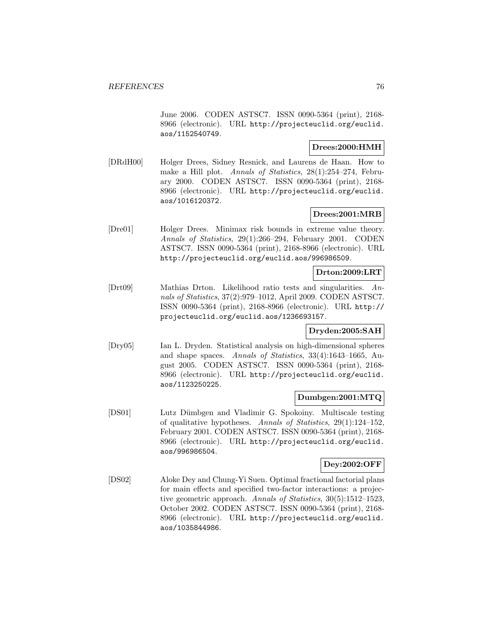June 2006. CODEN ASTSC7. ISSN 0090-5364 (print), 2168- 8966 (electronic). URL http://projecteuclid.org/euclid. aos/1152540749.

## **Drees:2000:HMH**

[DRdH00] Holger Drees, Sidney Resnick, and Laurens de Haan. How to make a Hill plot. Annals of Statistics, 28(1):254–274, February 2000. CODEN ASTSC7. ISSN 0090-5364 (print), 2168- 8966 (electronic). URL http://projecteuclid.org/euclid. aos/1016120372.

## **Drees:2001:MRB**

[Dre01] Holger Drees. Minimax risk bounds in extreme value theory. Annals of Statistics, 29(1):266–294, February 2001. CODEN ASTSC7. ISSN 0090-5364 (print), 2168-8966 (electronic). URL http://projecteuclid.org/euclid.aos/996986509.

### **Drton:2009:LRT**

[Drt09] Mathias Drton. Likelihood ratio tests and singularities. Annals of Statistics, 37(2):979–1012, April 2009. CODEN ASTSC7. ISSN 0090-5364 (print), 2168-8966 (electronic). URL http:// projecteuclid.org/euclid.aos/1236693157.

## **Dryden:2005:SAH**

[Dry05] Ian L. Dryden. Statistical analysis on high-dimensional spheres and shape spaces. Annals of Statistics, 33(4):1643–1665, August 2005. CODEN ASTSC7. ISSN 0090-5364 (print), 2168- 8966 (electronic). URL http://projecteuclid.org/euclid. aos/1123250225.

## **Dumbgen:2001:MTQ**

[DS01] Lutz D¨umbgen and Vladimir G. Spokoiny. Multiscale testing of qualitative hypotheses. Annals of Statistics, 29(1):124–152, February 2001. CODEN ASTSC7. ISSN 0090-5364 (print), 2168- 8966 (electronic). URL http://projecteuclid.org/euclid. aos/996986504.

## **Dey:2002:OFF**

[DS02] Aloke Dey and Chung-Yi Suen. Optimal fractional factorial plans for main effects and specified two-factor interactions: a projective geometric approach. Annals of Statistics, 30(5):1512–1523, October 2002. CODEN ASTSC7. ISSN 0090-5364 (print), 2168- 8966 (electronic). URL http://projecteuclid.org/euclid. aos/1035844986.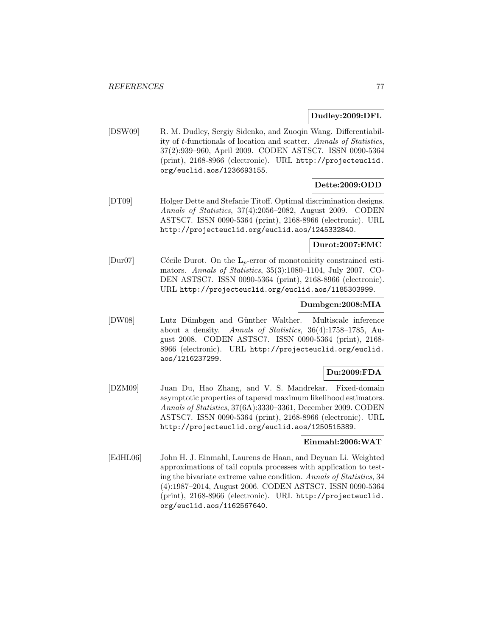### **Dudley:2009:DFL**

[DSW09] R. M. Dudley, Sergiy Sidenko, and Zuoqin Wang. Differentiability of t-functionals of location and scatter. Annals of Statistics, 37(2):939–960, April 2009. CODEN ASTSC7. ISSN 0090-5364 (print), 2168-8966 (electronic). URL http://projecteuclid. org/euclid.aos/1236693155.

## **Dette:2009:ODD**

[DT09] Holger Dette and Stefanie Titoff. Optimal discrimination designs. Annals of Statistics, 37(4):2056–2082, August 2009. CODEN ASTSC7. ISSN 0090-5364 (print), 2168-8966 (electronic). URL http://projecteuclid.org/euclid.aos/1245332840.

## **Durot:2007:EMC**

[Dur07] Cécile Durot. On the **L**<sub>p</sub>-error of monotonicity constrained estimators. Annals of Statistics, 35(3):1080–1104, July 2007. CO-DEN ASTSC7. ISSN 0090-5364 (print), 2168-8966 (electronic). URL http://projecteuclid.org/euclid.aos/1185303999.

### **Dumbgen:2008:MIA**

[DW08] Lutz D¨umbgen and G¨unther Walther. Multiscale inference about a density. Annals of Statistics, 36(4):1758–1785, August 2008. CODEN ASTSC7. ISSN 0090-5364 (print), 2168- 8966 (electronic). URL http://projecteuclid.org/euclid. aos/1216237299.

### **Du:2009:FDA**

[DZM09] Juan Du, Hao Zhang, and V. S. Mandrekar. Fixed-domain asymptotic properties of tapered maximum likelihood estimators. Annals of Statistics, 37(6A):3330–3361, December 2009. CODEN ASTSC7. ISSN 0090-5364 (print), 2168-8966 (electronic). URL http://projecteuclid.org/euclid.aos/1250515389.

### **Einmahl:2006:WAT**

[EdHL06] John H. J. Einmahl, Laurens de Haan, and Deyuan Li. Weighted approximations of tail copula processes with application to testing the bivariate extreme value condition. Annals of Statistics, 34 (4):1987–2014, August 2006. CODEN ASTSC7. ISSN 0090-5364 (print), 2168-8966 (electronic). URL http://projecteuclid. org/euclid.aos/1162567640.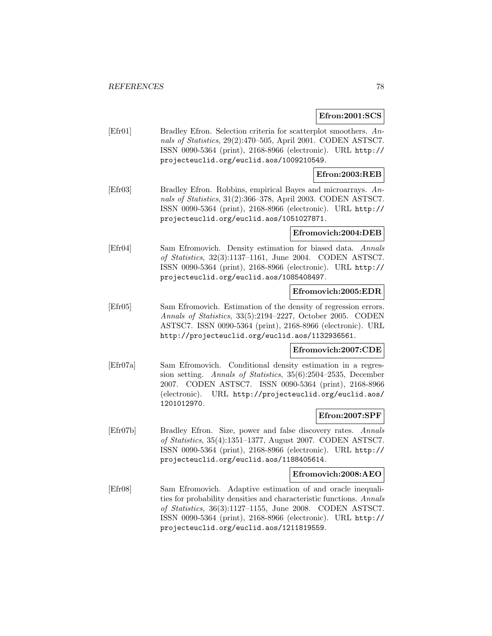### **Efron:2001:SCS**

[Efr01] Bradley Efron. Selection criteria for scatterplot smoothers. Annals of Statistics, 29(2):470–505, April 2001. CODEN ASTSC7. ISSN 0090-5364 (print), 2168-8966 (electronic). URL http:// projecteuclid.org/euclid.aos/1009210549.

## **Efron:2003:REB**

[Efr03] Bradley Efron. Robbins, empirical Bayes and microarrays. Annals of Statistics, 31(2):366–378, April 2003. CODEN ASTSC7. ISSN 0090-5364 (print), 2168-8966 (electronic). URL http:// projecteuclid.org/euclid.aos/1051027871.

### **Efromovich:2004:DEB**

[Efr04] Sam Efromovich. Density estimation for biased data. Annals of Statistics, 32(3):1137–1161, June 2004. CODEN ASTSC7. ISSN 0090-5364 (print), 2168-8966 (electronic). URL http:// projecteuclid.org/euclid.aos/1085408497.

## **Efromovich:2005:EDR**

[Efr05] Sam Efromovich. Estimation of the density of regression errors. Annals of Statistics, 33(5):2194–2227, October 2005. CODEN ASTSC7. ISSN 0090-5364 (print), 2168-8966 (electronic). URL http://projecteuclid.org/euclid.aos/1132936561.

#### **Efromovich:2007:CDE**

[Efr07a] Sam Efromovich. Conditional density estimation in a regression setting. Annals of Statistics, 35(6):2504–2535, December 2007. CODEN ASTSC7. ISSN 0090-5364 (print), 2168-8966 (electronic). URL http://projecteuclid.org/euclid.aos/ 1201012970.

## **Efron:2007:SPF**

[Efr07b] Bradley Efron. Size, power and false discovery rates. Annals of Statistics, 35(4):1351–1377, August 2007. CODEN ASTSC7. ISSN 0090-5364 (print), 2168-8966 (electronic). URL http:// projecteuclid.org/euclid.aos/1188405614.

#### **Efromovich:2008:AEO**

[Efr08] Sam Efromovich. Adaptive estimation of and oracle inequalities for probability densities and characteristic functions. Annals of Statistics, 36(3):1127–1155, June 2008. CODEN ASTSC7. ISSN 0090-5364 (print), 2168-8966 (electronic). URL http:// projecteuclid.org/euclid.aos/1211819559.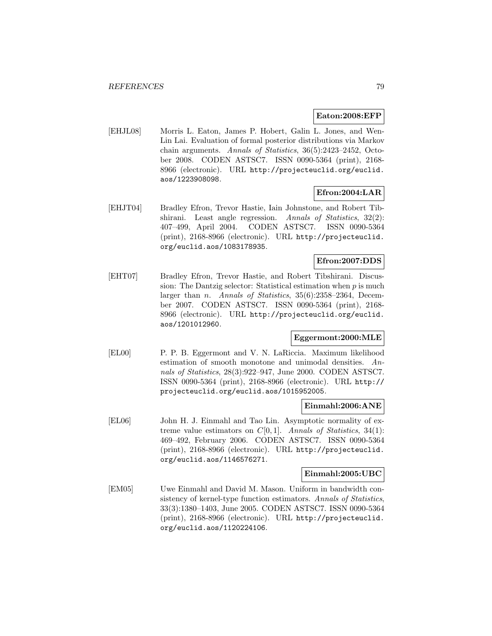### **Eaton:2008:EFP**

[EHJL08] Morris L. Eaton, James P. Hobert, Galin L. Jones, and Wen-Lin Lai. Evaluation of formal posterior distributions via Markov chain arguments. Annals of Statistics, 36(5):2423–2452, October 2008. CODEN ASTSC7. ISSN 0090-5364 (print), 2168- 8966 (electronic). URL http://projecteuclid.org/euclid. aos/1223908098.

# **Efron:2004:LAR**

[EHJT04] Bradley Efron, Trevor Hastie, Iain Johnstone, and Robert Tibshirani. Least angle regression. Annals of Statistics, 32(2): 407–499, April 2004. CODEN ASTSC7. ISSN 0090-5364 (print), 2168-8966 (electronic). URL http://projecteuclid. org/euclid.aos/1083178935.

## **Efron:2007:DDS**

[EHT07] Bradley Efron, Trevor Hastie, and Robert Tibshirani. Discussion: The Dantzig selector: Statistical estimation when  $p$  is much larger than *n. Annals of Statistics*,  $35(6):2358-2364$ , December 2007. CODEN ASTSC7. ISSN 0090-5364 (print), 2168- 8966 (electronic). URL http://projecteuclid.org/euclid. aos/1201012960.

### **Eggermont:2000:MLE**

[EL00] P. P. B. Eggermont and V. N. LaRiccia. Maximum likelihood estimation of smooth monotone and unimodal densities. Annals of Statistics, 28(3):922–947, June 2000. CODEN ASTSC7. ISSN 0090-5364 (print), 2168-8966 (electronic). URL http:// projecteuclid.org/euclid.aos/1015952005.

### **Einmahl:2006:ANE**

[EL06] John H. J. Einmahl and Tao Lin. Asymptotic normality of extreme value estimators on  $C[0, 1]$ . Annals of Statistics, 34(1): 469–492, February 2006. CODEN ASTSC7. ISSN 0090-5364 (print), 2168-8966 (electronic). URL http://projecteuclid. org/euclid.aos/1146576271.

### **Einmahl:2005:UBC**

[EM05] Uwe Einmahl and David M. Mason. Uniform in bandwidth consistency of kernel-type function estimators. Annals of Statistics, 33(3):1380–1403, June 2005. CODEN ASTSC7. ISSN 0090-5364 (print), 2168-8966 (electronic). URL http://projecteuclid. org/euclid.aos/1120224106.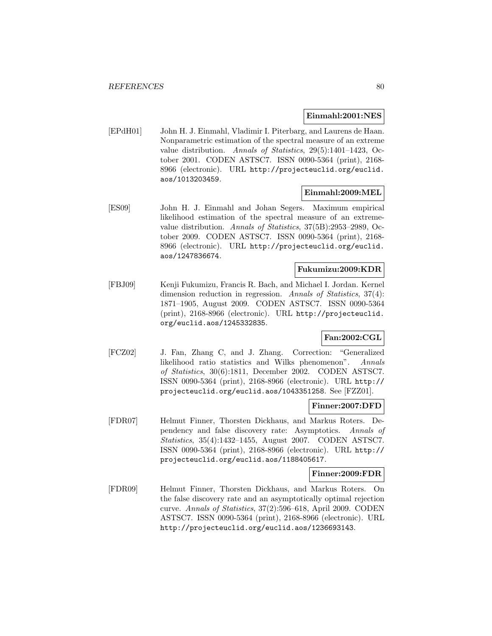### **Einmahl:2001:NES**

[EPdH01] John H. J. Einmahl, Vladimir I. Piterbarg, and Laurens de Haan. Nonparametric estimation of the spectral measure of an extreme value distribution. Annals of Statistics, 29(5):1401–1423, October 2001. CODEN ASTSC7. ISSN 0090-5364 (print), 2168- 8966 (electronic). URL http://projecteuclid.org/euclid. aos/1013203459.

## **Einmahl:2009:MEL**

[ES09] John H. J. Einmahl and Johan Segers. Maximum empirical likelihood estimation of the spectral measure of an extremevalue distribution. Annals of Statistics, 37(5B):2953–2989, October 2009. CODEN ASTSC7. ISSN 0090-5364 (print), 2168- 8966 (electronic). URL http://projecteuclid.org/euclid. aos/1247836674.

### **Fukumizu:2009:KDR**

[FBJ09] Kenji Fukumizu, Francis R. Bach, and Michael I. Jordan. Kernel dimension reduction in regression. Annals of Statistics, 37(4): 1871–1905, August 2009. CODEN ASTSC7. ISSN 0090-5364 (print), 2168-8966 (electronic). URL http://projecteuclid. org/euclid.aos/1245332835.

# **Fan:2002:CGL**

[FCZ02] J. Fan, Zhang C, and J. Zhang. Correction: "Generalized likelihood ratio statistics and Wilks phenomenon". Annals of Statistics, 30(6):1811, December 2002. CODEN ASTSC7. ISSN 0090-5364 (print), 2168-8966 (electronic). URL http:// projecteuclid.org/euclid.aos/1043351258. See [FZZ01].

### **Finner:2007:DFD**

[FDR07] Helmut Finner, Thorsten Dickhaus, and Markus Roters. Dependency and false discovery rate: Asymptotics. Annals of Statistics, 35(4):1432–1455, August 2007. CODEN ASTSC7. ISSN 0090-5364 (print), 2168-8966 (electronic). URL http:// projecteuclid.org/euclid.aos/1188405617.

### **Finner:2009:FDR**

[FDR09] Helmut Finner, Thorsten Dickhaus, and Markus Roters. On the false discovery rate and an asymptotically optimal rejection curve. Annals of Statistics, 37(2):596–618, April 2009. CODEN ASTSC7. ISSN 0090-5364 (print), 2168-8966 (electronic). URL http://projecteuclid.org/euclid.aos/1236693143.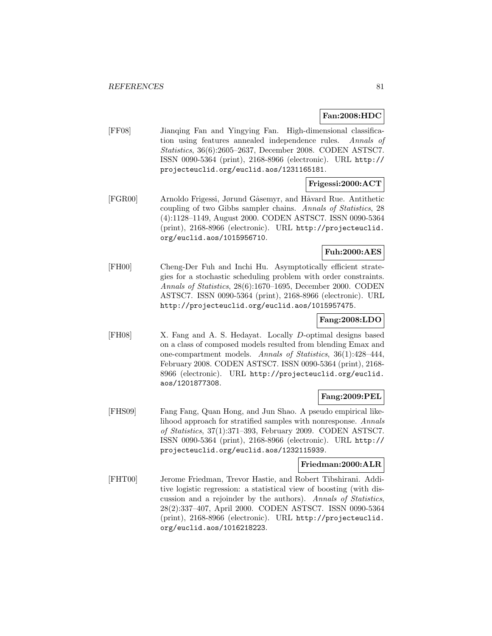## **Fan:2008:HDC**

[FF08] Jianqing Fan and Yingying Fan. High-dimensional classification using features annealed independence rules. Annals of Statistics, 36(6):2605–2637, December 2008. CODEN ASTSC7. ISSN 0090-5364 (print), 2168-8966 (electronic). URL http:// projecteuclid.org/euclid.aos/1231165181.

## **Frigessi:2000:ACT**

[FGR00] Arnoldo Frigessi, Jørund Gåsemyr, and Håvard Rue. Antithetic coupling of two Gibbs sampler chains. Annals of Statistics, 28 (4):1128–1149, August 2000. CODEN ASTSC7. ISSN 0090-5364 (print), 2168-8966 (electronic). URL http://projecteuclid. org/euclid.aos/1015956710.

## **Fuh:2000:AES**

[FH00] Cheng-Der Fuh and Inchi Hu. Asymptotically efficient strategies for a stochastic scheduling problem with order constraints. Annals of Statistics, 28(6):1670–1695, December 2000. CODEN ASTSC7. ISSN 0090-5364 (print), 2168-8966 (electronic). URL http://projecteuclid.org/euclid.aos/1015957475.

## **Fang:2008:LDO**

[FH08] X. Fang and A. S. Hedayat. Locally D-optimal designs based on a class of composed models resulted from blending Emax and one-compartment models. Annals of Statistics, 36(1):428–444, February 2008. CODEN ASTSC7. ISSN 0090-5364 (print), 2168- 8966 (electronic). URL http://projecteuclid.org/euclid. aos/1201877308.

## **Fang:2009:PEL**

[FHS09] Fang Fang, Quan Hong, and Jun Shao. A pseudo empirical likelihood approach for stratified samples with nonresponse. Annals of Statistics, 37(1):371–393, February 2009. CODEN ASTSC7. ISSN 0090-5364 (print), 2168-8966 (electronic). URL http:// projecteuclid.org/euclid.aos/1232115939.

## **Friedman:2000:ALR**

[FHT00] Jerome Friedman, Trevor Hastie, and Robert Tibshirani. Additive logistic regression: a statistical view of boosting (with discussion and a rejoinder by the authors). Annals of Statistics, 28(2):337–407, April 2000. CODEN ASTSC7. ISSN 0090-5364 (print), 2168-8966 (electronic). URL http://projecteuclid. org/euclid.aos/1016218223.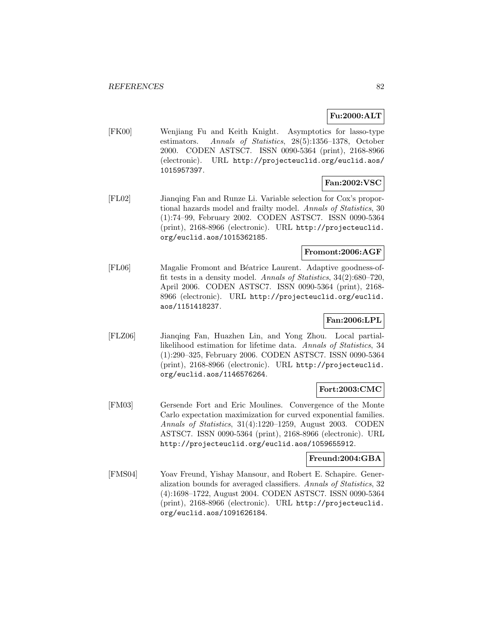## **Fu:2000:ALT**

[FK00] Wenjiang Fu and Keith Knight. Asymptotics for lasso-type estimators. Annals of Statistics, 28(5):1356–1378, October 2000. CODEN ASTSC7. ISSN 0090-5364 (print), 2168-8966 (electronic). URL http://projecteuclid.org/euclid.aos/ 1015957397.

## **Fan:2002:VSC**

[FL02] Jianqing Fan and Runze Li. Variable selection for Cox's proportional hazards model and frailty model. Annals of Statistics, 30 (1):74–99, February 2002. CODEN ASTSC7. ISSN 0090-5364 (print), 2168-8966 (electronic). URL http://projecteuclid. org/euclid.aos/1015362185.

## **Fromont:2006:AGF**

[FL06] Magalie Fromont and B´eatrice Laurent. Adaptive goodness-offit tests in a density model. Annals of Statistics, 34(2):680–720, April 2006. CODEN ASTSC7. ISSN 0090-5364 (print), 2168- 8966 (electronic). URL http://projecteuclid.org/euclid. aos/1151418237.

## **Fan:2006:LPL**

[FLZ06] Jianqing Fan, Huazhen Lin, and Yong Zhou. Local partiallikelihood estimation for lifetime data. Annals of Statistics, 34 (1):290–325, February 2006. CODEN ASTSC7. ISSN 0090-5364 (print), 2168-8966 (electronic). URL http://projecteuclid. org/euclid.aos/1146576264.

### **Fort:2003:CMC**

[FM03] Gersende Fort and Eric Moulines. Convergence of the Monte Carlo expectation maximization for curved exponential families. Annals of Statistics, 31(4):1220–1259, August 2003. CODEN ASTSC7. ISSN 0090-5364 (print), 2168-8966 (electronic). URL http://projecteuclid.org/euclid.aos/1059655912.

## **Freund:2004:GBA**

[FMS04] Yoav Freund, Yishay Mansour, and Robert E. Schapire. Generalization bounds for averaged classifiers. Annals of Statistics, 32 (4):1698–1722, August 2004. CODEN ASTSC7. ISSN 0090-5364 (print), 2168-8966 (electronic). URL http://projecteuclid. org/euclid.aos/1091626184.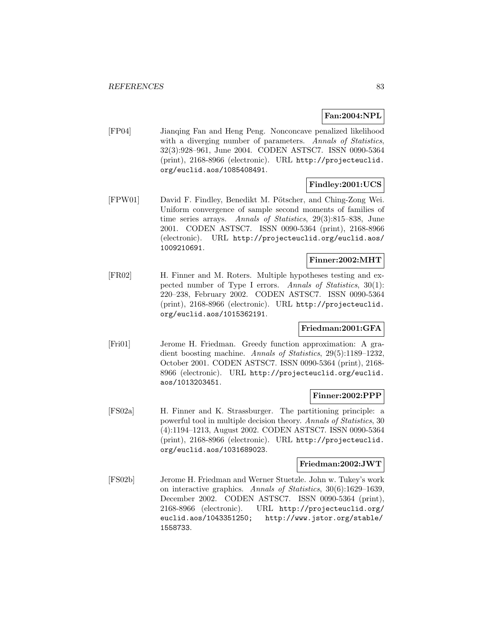# **Fan:2004:NPL**

[FP04] Jianqing Fan and Heng Peng. Nonconcave penalized likelihood with a diverging number of parameters. Annals of Statistics, 32(3):928–961, June 2004. CODEN ASTSC7. ISSN 0090-5364 (print), 2168-8966 (electronic). URL http://projecteuclid. org/euclid.aos/1085408491.

## **Findley:2001:UCS**

[FPW01] David F. Findley, Benedikt M. Pötscher, and Ching-Zong Wei. Uniform convergence of sample second moments of families of time series arrays. Annals of Statistics, 29(3):815–838, June 2001. CODEN ASTSC7. ISSN 0090-5364 (print), 2168-8966 (electronic). URL http://projecteuclid.org/euclid.aos/ 1009210691.

### **Finner:2002:MHT**

[FR02] H. Finner and M. Roters. Multiple hypotheses testing and expected number of Type I errors. Annals of Statistics, 30(1): 220–238, February 2002. CODEN ASTSC7. ISSN 0090-5364 (print), 2168-8966 (electronic). URL http://projecteuclid. org/euclid.aos/1015362191.

## **Friedman:2001:GFA**

[Fri01] Jerome H. Friedman. Greedy function approximation: A gradient boosting machine. Annals of Statistics, 29(5):1189–1232, October 2001. CODEN ASTSC7. ISSN 0090-5364 (print), 2168- 8966 (electronic). URL http://projecteuclid.org/euclid. aos/1013203451.

### **Finner:2002:PPP**

[FS02a] H. Finner and K. Strassburger. The partitioning principle: a powerful tool in multiple decision theory. Annals of Statistics, 30 (4):1194–1213, August 2002. CODEN ASTSC7. ISSN 0090-5364 (print), 2168-8966 (electronic). URL http://projecteuclid. org/euclid.aos/1031689023.

## **Friedman:2002:JWT**

[FS02b] Jerome H. Friedman and Werner Stuetzle. John w. Tukey's work on interactive graphics. Annals of Statistics, 30(6):1629–1639, December 2002. CODEN ASTSC7. ISSN 0090-5364 (print), 2168-8966 (electronic). URL http://projecteuclid.org/ euclid.aos/1043351250; http://www.jstor.org/stable/ 1558733.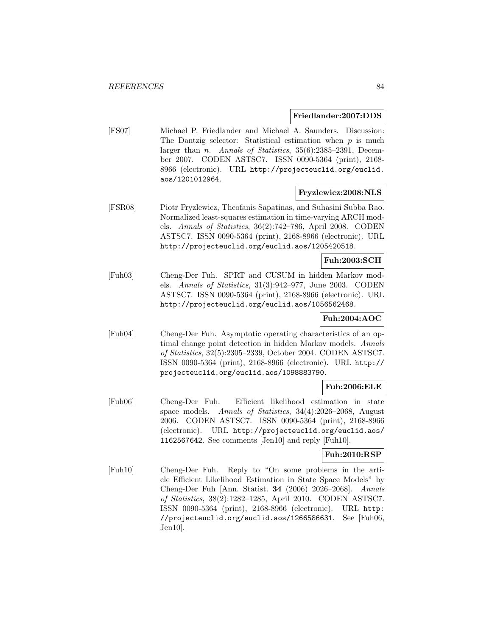### **Friedlander:2007:DDS**

[FS07] Michael P. Friedlander and Michael A. Saunders. Discussion: The Dantzig selector: Statistical estimation when  $p$  is much larger than n. Annals of Statistics, 35(6):2385–2391, December 2007. CODEN ASTSC7. ISSN 0090-5364 (print), 2168- 8966 (electronic). URL http://projecteuclid.org/euclid. aos/1201012964.

### **Fryzlewicz:2008:NLS**

[FSR08] Piotr Fryzlewicz, Theofanis Sapatinas, and Suhasini Subba Rao. Normalized least-squares estimation in time-varying ARCH models. Annals of Statistics, 36(2):742–786, April 2008. CODEN ASTSC7. ISSN 0090-5364 (print), 2168-8966 (electronic). URL http://projecteuclid.org/euclid.aos/1205420518.

### **Fuh:2003:SCH**

[Fuh03] Cheng-Der Fuh. SPRT and CUSUM in hidden Markov models. Annals of Statistics, 31(3):942–977, June 2003. CODEN ASTSC7. ISSN 0090-5364 (print), 2168-8966 (electronic). URL http://projecteuclid.org/euclid.aos/1056562468.

## **Fuh:2004:AOC**

[Fuh04] Cheng-Der Fuh. Asymptotic operating characteristics of an optimal change point detection in hidden Markov models. Annals of Statistics, 32(5):2305–2339, October 2004. CODEN ASTSC7. ISSN 0090-5364 (print), 2168-8966 (electronic). URL http:// projecteuclid.org/euclid.aos/1098883790.

## **Fuh:2006:ELE**

[Fuh06] Cheng-Der Fuh. Efficient likelihood estimation in state space models. Annals of Statistics, 34(4):2026-2068, August 2006. CODEN ASTSC7. ISSN 0090-5364 (print), 2168-8966 (electronic). URL http://projecteuclid.org/euclid.aos/ 1162567642. See comments [Jen10] and reply [Fuh10].

### **Fuh:2010:RSP**

[Fuh10] Cheng-Der Fuh. Reply to "On some problems in the article Efficient Likelihood Estimation in State Space Models" by Cheng-Der Fuh [Ann. Statist. **34** (2006) 2026–2068]. Annals of Statistics, 38(2):1282–1285, April 2010. CODEN ASTSC7. ISSN 0090-5364 (print), 2168-8966 (electronic). URL http: //projecteuclid.org/euclid.aos/1266586631. See [Fuh06, Jen10].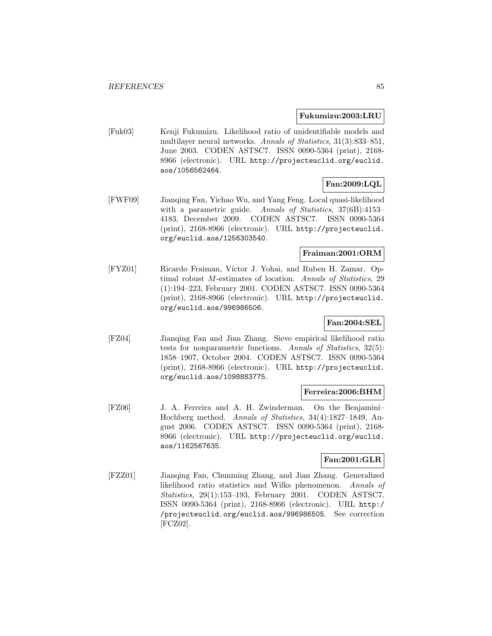### **Fukumizu:2003:LRU**

[Fuk03] Kenji Fukumizu. Likelihood ratio of unidentifiable models and multilayer neural networks. Annals of Statistics, 31(3):833-851, June 2003. CODEN ASTSC7. ISSN 0090-5364 (print), 2168- 8966 (electronic). URL http://projecteuclid.org/euclid. aos/1056562464.

# **Fan:2009:LQL**

[FWF09] Jianqing Fan, Yichao Wu, and Yang Feng. Local quasi-likelihood with a parametric guide. Annals of Statistics, 37(6B):4153– 4183, December 2009. CODEN ASTSC7. ISSN 0090-5364 (print), 2168-8966 (electronic). URL http://projecteuclid. org/euclid.aos/1256303540.

### **Fraiman:2001:ORM**

[FYZ01] Ricardo Fraiman, Víctor J. Yohai, and Ruben H. Zamar. Optimal robust M-estimates of location. Annals of Statistics, 29 (1):194–223, February 2001. CODEN ASTSC7. ISSN 0090-5364 (print), 2168-8966 (electronic). URL http://projecteuclid. org/euclid.aos/996986506.

## **Fan:2004:SEL**

[FZ04] Jianqing Fan and Jian Zhang. Sieve empirical likelihood ratio tests for nonparametric functions. Annals of Statistics, 32(5): 1858–1907, October 2004. CODEN ASTSC7. ISSN 0090-5364 (print), 2168-8966 (electronic). URL http://projecteuclid. org/euclid.aos/1098883775.

#### **Ferreira:2006:BHM**

[FZ06] J. A. Ferreira and A. H. Zwinderman. On the Benjamini– Hochberg method. Annals of Statistics, 34(4):1827–1849, August 2006. CODEN ASTSC7. ISSN 0090-5364 (print), 2168- 8966 (electronic). URL http://projecteuclid.org/euclid. aos/1162567635.

## **Fan:2001:GLR**

[FZZ01] Jianqing Fan, Chunming Zhang, and Jian Zhang. Generalized likelihood ratio statistics and Wilks phenomenon. Annals of Statistics, 29(1):153–193, February 2001. CODEN ASTSC7. ISSN 0090-5364 (print), 2168-8966 (electronic). URL http:/ /projecteuclid.org/euclid.aos/996986505. See correction [FCZ02].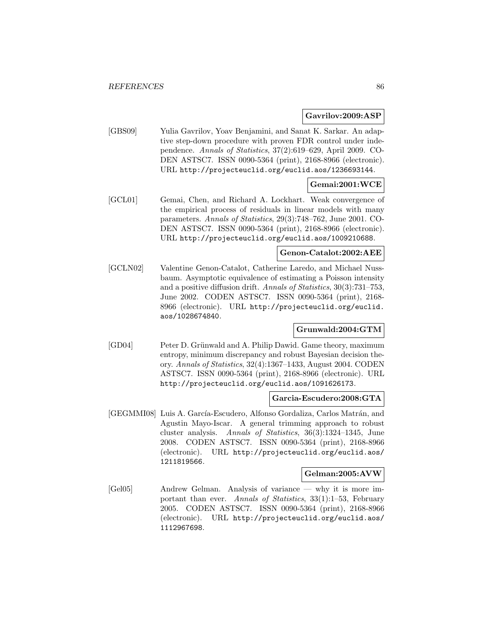### **Gavrilov:2009:ASP**

[GBS09] Yulia Gavrilov, Yoav Benjamini, and Sanat K. Sarkar. An adaptive step-down procedure with proven FDR control under independence. Annals of Statistics, 37(2):619–629, April 2009. CO-DEN ASTSC7. ISSN 0090-5364 (print), 2168-8966 (electronic). URL http://projecteuclid.org/euclid.aos/1236693144.

## **Gemai:2001:WCE**

[GCL01] Gemai, Chen, and Richard A. Lockhart. Weak convergence of the empirical process of residuals in linear models with many parameters. Annals of Statistics, 29(3):748–762, June 2001. CO-DEN ASTSC7. ISSN 0090-5364 (print), 2168-8966 (electronic). URL http://projecteuclid.org/euclid.aos/1009210688.

## **Genon-Catalot:2002:AEE**

[GCLN02] Valentine Genon-Catalot, Catherine Laredo, and Michael Nussbaum. Asymptotic equivalence of estimating a Poisson intensity and a positive diffusion drift. Annals of Statistics, 30(3):731–753, June 2002. CODEN ASTSC7. ISSN 0090-5364 (print), 2168- 8966 (electronic). URL http://projecteuclid.org/euclid. aos/1028674840.

### **Grunwald:2004:GTM**

[GD04] Peter D. Grünwald and A. Philip Dawid. Game theory, maximum entropy, minimum discrepancy and robust Bayesian decision theory. Annals of Statistics, 32(4):1367–1433, August 2004. CODEN ASTSC7. ISSN 0090-5364 (print), 2168-8966 (electronic). URL http://projecteuclid.org/euclid.aos/1091626173.

## **Garcia-Escudero:2008:GTA**

[GEGMMI08] Luis A. García-Escudero, Alfonso Gordaliza, Carlos Matrán, and Agustin Mayo-Iscar. A general trimming approach to robust cluster analysis. Annals of Statistics, 36(3):1324–1345, June 2008. CODEN ASTSC7. ISSN 0090-5364 (print), 2168-8966 (electronic). URL http://projecteuclid.org/euclid.aos/ 1211819566.

#### **Gelman:2005:AVW**

[Gel05] Andrew Gelman. Analysis of variance — why it is more important than ever. Annals of Statistics, 33(1):1–53, February 2005. CODEN ASTSC7. ISSN 0090-5364 (print), 2168-8966 (electronic). URL http://projecteuclid.org/euclid.aos/ 1112967698.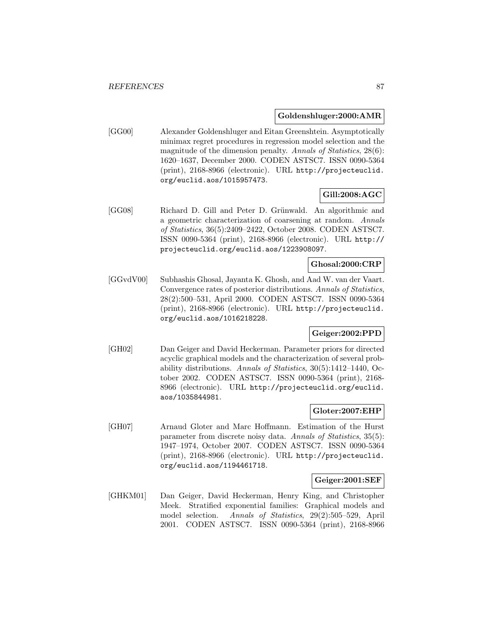### **Goldenshluger:2000:AMR**

[GG00] Alexander Goldenshluger and Eitan Greenshtein. Asymptotically minimax regret procedures in regression model selection and the magnitude of the dimension penalty. Annals of Statistics, 28(6): 1620–1637, December 2000. CODEN ASTSC7. ISSN 0090-5364 (print), 2168-8966 (electronic). URL http://projecteuclid. org/euclid.aos/1015957473.

## **Gill:2008:AGC**

[GG08] Richard D. Gill and Peter D. Grünwald. An algorithmic and a geometric characterization of coarsening at random. Annals of Statistics, 36(5):2409–2422, October 2008. CODEN ASTSC7. ISSN 0090-5364 (print), 2168-8966 (electronic). URL http:// projecteuclid.org/euclid.aos/1223908097.

# **Ghosal:2000:CRP**

[GGvdV00] Subhashis Ghosal, Jayanta K. Ghosh, and Aad W. van der Vaart. Convergence rates of posterior distributions. Annals of Statistics, 28(2):500–531, April 2000. CODEN ASTSC7. ISSN 0090-5364 (print), 2168-8966 (electronic). URL http://projecteuclid. org/euclid.aos/1016218228.

# **Geiger:2002:PPD**

[GH02] Dan Geiger and David Heckerman. Parameter priors for directed acyclic graphical models and the characterization of several probability distributions. Annals of Statistics, 30(5):1412–1440, October 2002. CODEN ASTSC7. ISSN 0090-5364 (print), 2168- 8966 (electronic). URL http://projecteuclid.org/euclid. aos/1035844981.

## **Gloter:2007:EHP**

[GH07] Arnaud Gloter and Marc Hoffmann. Estimation of the Hurst parameter from discrete noisy data. Annals of Statistics, 35(5): 1947–1974, October 2007. CODEN ASTSC7. ISSN 0090-5364 (print), 2168-8966 (electronic). URL http://projecteuclid. org/euclid.aos/1194461718.

### **Geiger:2001:SEF**

[GHKM01] Dan Geiger, David Heckerman, Henry King, and Christopher Meek. Stratified exponential families: Graphical models and model selection. Annals of Statistics, 29(2):505–529, April 2001. CODEN ASTSC7. ISSN 0090-5364 (print), 2168-8966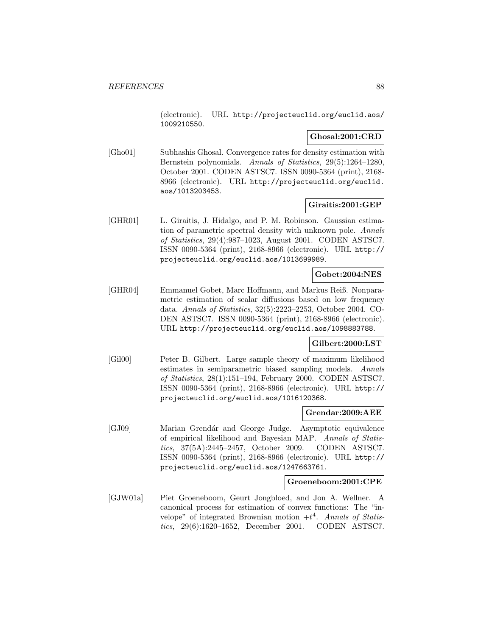(electronic). URL http://projecteuclid.org/euclid.aos/ 1009210550.

## **Ghosal:2001:CRD**

[Gho01] Subhashis Ghosal. Convergence rates for density estimation with Bernstein polynomials. Annals of Statistics, 29(5):1264–1280, October 2001. CODEN ASTSC7. ISSN 0090-5364 (print), 2168- 8966 (electronic). URL http://projecteuclid.org/euclid. aos/1013203453.

### **Giraitis:2001:GEP**

[GHR01] L. Giraitis, J. Hidalgo, and P. M. Robinson. Gaussian estimation of parametric spectral density with unknown pole. Annals of Statistics, 29(4):987–1023, August 2001. CODEN ASTSC7. ISSN 0090-5364 (print), 2168-8966 (electronic). URL http:// projecteuclid.org/euclid.aos/1013699989.

## **Gobet:2004:NES**

[GHR04] Emmanuel Gobet, Marc Hoffmann, and Markus Reiß. Nonparametric estimation of scalar diffusions based on low frequency data. Annals of Statistics, 32(5):2223–2253, October 2004. CO-DEN ASTSC7. ISSN 0090-5364 (print), 2168-8966 (electronic). URL http://projecteuclid.org/euclid.aos/1098883788.

## **Gilbert:2000:LST**

[Gil00] Peter B. Gilbert. Large sample theory of maximum likelihood estimates in semiparametric biased sampling models. Annals of Statistics, 28(1):151–194, February 2000. CODEN ASTSC7. ISSN 0090-5364 (print), 2168-8966 (electronic). URL http:// projecteuclid.org/euclid.aos/1016120368.

### **Grendar:2009:AEE**

[GJ09] Marian Grendár and George Judge. Asymptotic equivalence of empirical likelihood and Bayesian MAP. Annals of Statistics, 37(5A):2445–2457, October 2009. CODEN ASTSC7. ISSN 0090-5364 (print), 2168-8966 (electronic). URL http:// projecteuclid.org/euclid.aos/1247663761.

### **Groeneboom:2001:CPE**

[GJW01a] Piet Groeneboom, Geurt Jongbloed, and Jon A. Wellner. A canonical process for estimation of convex functions: The "invelope" of integrated Brownian motion  $+t^4$ . Annals of Statistics, 29(6):1620–1652, December 2001. CODEN ASTSC7.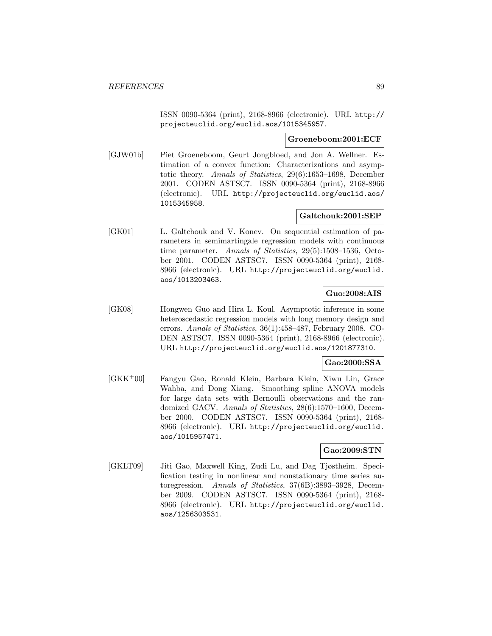ISSN 0090-5364 (print), 2168-8966 (electronic). URL http:// projecteuclid.org/euclid.aos/1015345957.

### **Groeneboom:2001:ECF**

[GJW01b] Piet Groeneboom, Geurt Jongbloed, and Jon A. Wellner. Estimation of a convex function: Characterizations and asymptotic theory. Annals of Statistics, 29(6):1653–1698, December 2001. CODEN ASTSC7. ISSN 0090-5364 (print), 2168-8966 (electronic). URL http://projecteuclid.org/euclid.aos/ 1015345958.

## **Galtchouk:2001:SEP**

[GK01] L. Galtchouk and V. Konev. On sequential estimation of parameters in semimartingale regression models with continuous time parameter. Annals of Statistics, 29(5):1508–1536, October 2001. CODEN ASTSC7. ISSN 0090-5364 (print), 2168- 8966 (electronic). URL http://projecteuclid.org/euclid. aos/1013203463.

## **Guo:2008:AIS**

[GK08] Hongwen Guo and Hira L. Koul. Asymptotic inference in some heteroscedastic regression models with long memory design and errors. Annals of Statistics, 36(1):458–487, February 2008. CO-DEN ASTSC7. ISSN 0090-5364 (print), 2168-8966 (electronic). URL http://projecteuclid.org/euclid.aos/1201877310.

### **Gao:2000:SSA**

[GKK<sup>+</sup>00] Fangyu Gao, Ronald Klein, Barbara Klein, Xiwu Lin, Grace Wahba, and Dong Xiang. Smoothing spline ANOVA models for large data sets with Bernoulli observations and the randomized GACV. Annals of Statistics, 28(6):1570–1600, December 2000. CODEN ASTSC7. ISSN 0090-5364 (print), 2168- 8966 (electronic). URL http://projecteuclid.org/euclid. aos/1015957471.

# **Gao:2009:STN**

[GKLT09] Jiti Gao, Maxwell King, Zudi Lu, and Dag Tjøstheim. Specification testing in nonlinear and nonstationary time series autoregression. Annals of Statistics, 37(6B):3893–3928, December 2009. CODEN ASTSC7. ISSN 0090-5364 (print), 2168- 8966 (electronic). URL http://projecteuclid.org/euclid. aos/1256303531.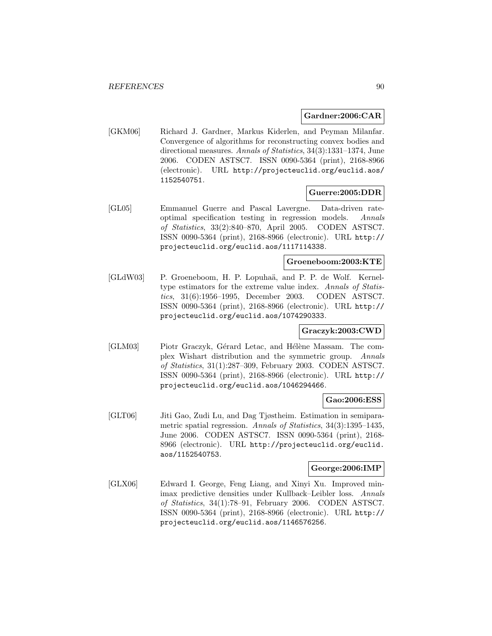### **Gardner:2006:CAR**

[GKM06] Richard J. Gardner, Markus Kiderlen, and Peyman Milanfar. Convergence of algorithms for reconstructing convex bodies and directional measures. Annals of Statistics, 34(3):1331-1374, June 2006. CODEN ASTSC7. ISSN 0090-5364 (print), 2168-8966 (electronic). URL http://projecteuclid.org/euclid.aos/ 1152540751.

## **Guerre:2005:DDR**

[GL05] Emmanuel Guerre and Pascal Lavergne. Data-driven rateoptimal specification testing in regression models. Annals of Statistics, 33(2):840–870, April 2005. CODEN ASTSC7. ISSN 0090-5364 (print), 2168-8966 (electronic). URL http:// projecteuclid.org/euclid.aos/1117114338.

## **Groeneboom:2003:KTE**

[GLdW03] P. Groeneboom, H. P. Lopuhaä, and P. P. de Wolf. Kerneltype estimators for the extreme value index. Annals of Statistics, 31(6):1956–1995, December 2003. CODEN ASTSC7. ISSN 0090-5364 (print), 2168-8966 (electronic). URL http:// projecteuclid.org/euclid.aos/1074290333.

## **Graczyk:2003:CWD**

[GLM03] Piotr Graczyk, Gérard Letac, and Hélène Massam. The complex Wishart distribution and the symmetric group. Annals of Statistics, 31(1):287–309, February 2003. CODEN ASTSC7. ISSN 0090-5364 (print), 2168-8966 (electronic). URL http:// projecteuclid.org/euclid.aos/1046294466.

### **Gao:2006:ESS**

[GLT06] Jiti Gao, Zudi Lu, and Dag Tjøstheim. Estimation in semiparametric spatial regression. Annals of Statistics, 34(3):1395–1435, June 2006. CODEN ASTSC7. ISSN 0090-5364 (print), 2168- 8966 (electronic). URL http://projecteuclid.org/euclid. aos/1152540753.

### **George:2006:IMP**

[GLX06] Edward I. George, Feng Liang, and Xinyi Xu. Improved minimax predictive densities under Kullback–Leibler loss. Annals of Statistics, 34(1):78–91, February 2006. CODEN ASTSC7. ISSN 0090-5364 (print), 2168-8966 (electronic). URL http:// projecteuclid.org/euclid.aos/1146576256.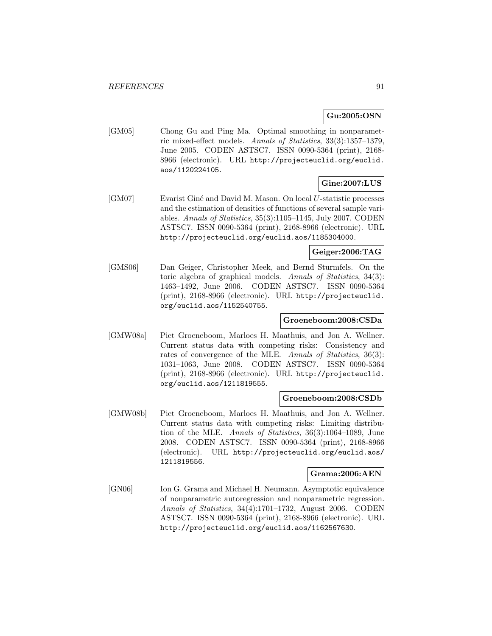# **Gu:2005:OSN**

[GM05] Chong Gu and Ping Ma. Optimal smoothing in nonparametric mixed-effect models. Annals of Statistics, 33(3):1357–1379, June 2005. CODEN ASTSC7. ISSN 0090-5364 (print), 2168- 8966 (electronic). URL http://projecteuclid.org/euclid. aos/1120224105.

# **Gine:2007:LUS**

[GM07] Evarist Giné and David M. Mason. On local U-statistic processes and the estimation of densities of functions of several sample variables. Annals of Statistics, 35(3):1105–1145, July 2007. CODEN ASTSC7. ISSN 0090-5364 (print), 2168-8966 (electronic). URL http://projecteuclid.org/euclid.aos/1185304000.

# **Geiger:2006:TAG**

[GMS06] Dan Geiger, Christopher Meek, and Bernd Sturmfels. On the toric algebra of graphical models. Annals of Statistics, 34(3): 1463–1492, June 2006. CODEN ASTSC7. ISSN 0090-5364 (print), 2168-8966 (electronic). URL http://projecteuclid. org/euclid.aos/1152540755.

## **Groeneboom:2008:CSDa**

[GMW08a] Piet Groeneboom, Marloes H. Maathuis, and Jon A. Wellner. Current status data with competing risks: Consistency and rates of convergence of the MLE. Annals of Statistics, 36(3): 1031–1063, June 2008. CODEN ASTSC7. ISSN 0090-5364 (print), 2168-8966 (electronic). URL http://projecteuclid. org/euclid.aos/1211819555.

### **Groeneboom:2008:CSDb**

[GMW08b] Piet Groeneboom, Marloes H. Maathuis, and Jon A. Wellner. Current status data with competing risks: Limiting distribution of the MLE. Annals of Statistics, 36(3):1064–1089, June 2008. CODEN ASTSC7. ISSN 0090-5364 (print), 2168-8966 (electronic). URL http://projecteuclid.org/euclid.aos/ 1211819556.

#### **Grama:2006:AEN**

[GN06] Ion G. Grama and Michael H. Neumann. Asymptotic equivalence of nonparametric autoregression and nonparametric regression. Annals of Statistics, 34(4):1701–1732, August 2006. CODEN ASTSC7. ISSN 0090-5364 (print), 2168-8966 (electronic). URL http://projecteuclid.org/euclid.aos/1162567630.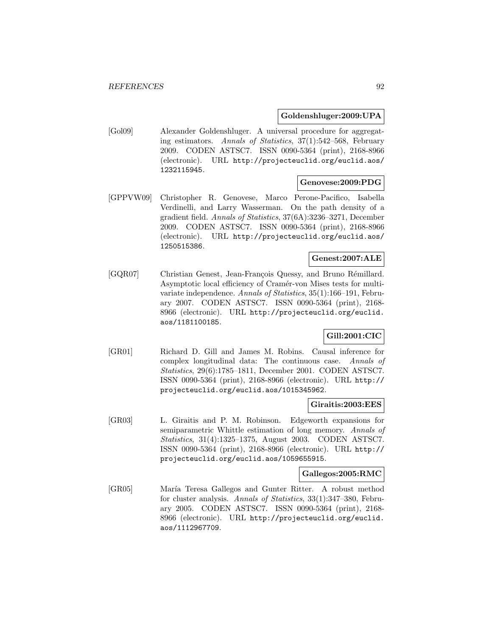### **Goldenshluger:2009:UPA**

[Gol09] Alexander Goldenshluger. A universal procedure for aggregating estimators. Annals of Statistics, 37(1):542–568, February 2009. CODEN ASTSC7. ISSN 0090-5364 (print), 2168-8966 (electronic). URL http://projecteuclid.org/euclid.aos/ 1232115945.

## **Genovese:2009:PDG**

[GPPVW09] Christopher R. Genovese, Marco Perone-Pacifico, Isabella Verdinelli, and Larry Wasserman. On the path density of a gradient field. Annals of Statistics, 37(6A):3236–3271, December 2009. CODEN ASTSC7. ISSN 0090-5364 (print), 2168-8966 (electronic). URL http://projecteuclid.org/euclid.aos/ 1250515386.

### **Genest:2007:ALE**

[GQR07] Christian Genest, Jean-François Quessy, and Bruno Rémillard. Asymptotic local efficiency of Cramér-von Mises tests for multivariate independence. Annals of Statistics, 35(1):166–191, February 2007. CODEN ASTSC7. ISSN 0090-5364 (print), 2168- 8966 (electronic). URL http://projecteuclid.org/euclid. aos/1181100185.

# **Gill:2001:CIC**

[GR01] Richard D. Gill and James M. Robins. Causal inference for complex longitudinal data: The continuous case. Annals of Statistics, 29(6):1785–1811, December 2001. CODEN ASTSC7. ISSN 0090-5364 (print), 2168-8966 (electronic). URL http:// projecteuclid.org/euclid.aos/1015345962.

#### **Giraitis:2003:EES**

[GR03] L. Giraitis and P. M. Robinson. Edgeworth expansions for semiparametric Whittle estimation of long memory. Annals of Statistics, 31(4):1325–1375, August 2003. CODEN ASTSC7. ISSN 0090-5364 (print), 2168-8966 (electronic). URL http:// projecteuclid.org/euclid.aos/1059655915.

#### **Gallegos:2005:RMC**

[GR05] María Teresa Gallegos and Gunter Ritter. A robust method for cluster analysis. Annals of Statistics, 33(1):347–380, February 2005. CODEN ASTSC7. ISSN 0090-5364 (print), 2168- 8966 (electronic). URL http://projecteuclid.org/euclid. aos/1112967709.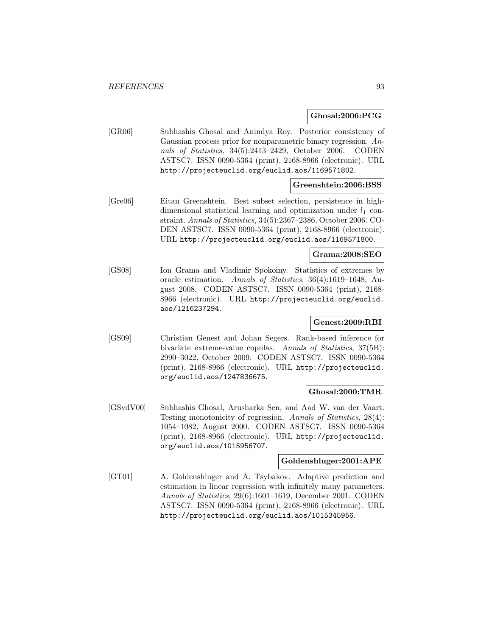### **Ghosal:2006:PCG**

[GR06] Subhashis Ghosal and Anindya Roy. Posterior consistency of Gaussian process prior for nonparametric binary regression. Annals of Statistics, 34(5):2413–2429, October 2006. CODEN ASTSC7. ISSN 0090-5364 (print), 2168-8966 (electronic). URL http://projecteuclid.org/euclid.aos/1169571802.

### **Greenshtein:2006:BSS**

[Gre06] Eitan Greenshtein. Best subset selection, persistence in highdimensional statistical learning and optimization under  $l_1$  constraint. Annals of Statistics, 34(5):2367–2386, October 2006. CO-DEN ASTSC7. ISSN 0090-5364 (print), 2168-8966 (electronic). URL http://projecteuclid.org/euclid.aos/1169571800.

## **Grama:2008:SEO**

[GS08] Ion Grama and Vladimir Spokoiny. Statistics of extremes by oracle estimation. Annals of Statistics, 36(4):1619–1648, August 2008. CODEN ASTSC7. ISSN 0090-5364 (print), 2168- 8966 (electronic). URL http://projecteuclid.org/euclid. aos/1216237294.

## **Genest:2009:RBI**

[GS09] Christian Genest and Johan Segers. Rank-based inference for bivariate extreme-value copulas. Annals of Statistics, 37(5B): 2990–3022, October 2009. CODEN ASTSC7. ISSN 0090-5364 (print), 2168-8966 (electronic). URL http://projecteuclid. org/euclid.aos/1247836675.

#### **Ghosal:2000:TMR**

[GSvdV00] Subhashis Ghosal, Arusharka Sen, and Aad W. van der Vaart. Testing monotonicity of regression. Annals of Statistics, 28(4): 1054–1082, August 2000. CODEN ASTSC7. ISSN 0090-5364 (print), 2168-8966 (electronic). URL http://projecteuclid. org/euclid.aos/1015956707.

### **Goldenshluger:2001:APE**

[GT01] A. Goldenshluger and A. Tsybakov. Adaptive prediction and estimation in linear regression with infinitely many parameters. Annals of Statistics, 29(6):1601–1619, December 2001. CODEN ASTSC7. ISSN 0090-5364 (print), 2168-8966 (electronic). URL http://projecteuclid.org/euclid.aos/1015345956.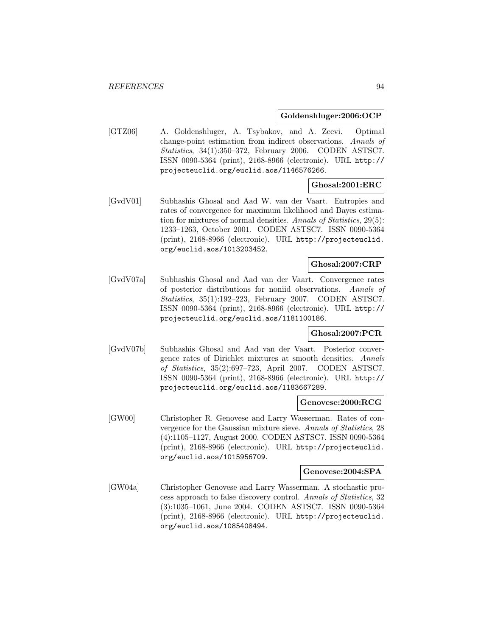### **Goldenshluger:2006:OCP**

[GTZ06] A. Goldenshluger, A. Tsybakov, and A. Zeevi. Optimal change-point estimation from indirect observations. Annals of Statistics, 34(1):350–372, February 2006. CODEN ASTSC7. ISSN 0090-5364 (print), 2168-8966 (electronic). URL http:// projecteuclid.org/euclid.aos/1146576266.

## **Ghosal:2001:ERC**

[GvdV01] Subhashis Ghosal and Aad W. van der Vaart. Entropies and rates of convergence for maximum likelihood and Bayes estimation for mixtures of normal densities. Annals of Statistics, 29(5): 1233–1263, October 2001. CODEN ASTSC7. ISSN 0090-5364 (print), 2168-8966 (electronic). URL http://projecteuclid. org/euclid.aos/1013203452.

# **Ghosal:2007:CRP**

[GvdV07a] Subhashis Ghosal and Aad van der Vaart. Convergence rates of posterior distributions for noniid observations. Annals of Statistics, 35(1):192–223, February 2007. CODEN ASTSC7. ISSN 0090-5364 (print), 2168-8966 (electronic). URL http:// projecteuclid.org/euclid.aos/1181100186.

### **Ghosal:2007:PCR**

[GvdV07b] Subhashis Ghosal and Aad van der Vaart. Posterior convergence rates of Dirichlet mixtures at smooth densities. Annals of Statistics, 35(2):697–723, April 2007. CODEN ASTSC7. ISSN 0090-5364 (print), 2168-8966 (electronic). URL http:// projecteuclid.org/euclid.aos/1183667289.

#### **Genovese:2000:RCG**

[GW00] Christopher R. Genovese and Larry Wasserman. Rates of convergence for the Gaussian mixture sieve. Annals of Statistics, 28 (4):1105–1127, August 2000. CODEN ASTSC7. ISSN 0090-5364 (print), 2168-8966 (electronic). URL http://projecteuclid. org/euclid.aos/1015956709.

#### **Genovese:2004:SPA**

[GW04a] Christopher Genovese and Larry Wasserman. A stochastic process approach to false discovery control. Annals of Statistics, 32 (3):1035–1061, June 2004. CODEN ASTSC7. ISSN 0090-5364 (print), 2168-8966 (electronic). URL http://projecteuclid. org/euclid.aos/1085408494.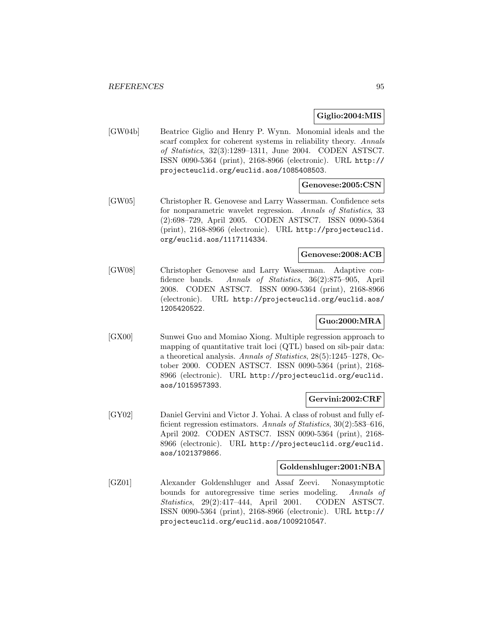## **Giglio:2004:MIS**

[GW04b] Beatrice Giglio and Henry P. Wynn. Monomial ideals and the scarf complex for coherent systems in reliability theory. Annals of Statistics, 32(3):1289–1311, June 2004. CODEN ASTSC7. ISSN 0090-5364 (print), 2168-8966 (electronic). URL http:// projecteuclid.org/euclid.aos/1085408503.

## **Genovese:2005:CSN**

[GW05] Christopher R. Genovese and Larry Wasserman. Confidence sets for nonparametric wavelet regression. Annals of Statistics, 33 (2):698–729, April 2005. CODEN ASTSC7. ISSN 0090-5364 (print), 2168-8966 (electronic). URL http://projecteuclid. org/euclid.aos/1117114334.

## **Genovese:2008:ACB**

[GW08] Christopher Genovese and Larry Wasserman. Adaptive confidence bands. Annals of Statistics, 36(2):875–905, April 2008. CODEN ASTSC7. ISSN 0090-5364 (print), 2168-8966 (electronic). URL http://projecteuclid.org/euclid.aos/ 1205420522.

## **Guo:2000:MRA**

[GX00] Sunwei Guo and Momiao Xiong. Multiple regression approach to mapping of quantitative trait loci (QTL) based on sib-pair data: a theoretical analysis. Annals of Statistics, 28(5):1245–1278, October 2000. CODEN ASTSC7. ISSN 0090-5364 (print), 2168- 8966 (electronic). URL http://projecteuclid.org/euclid. aos/1015957393.

### **Gervini:2002:CRF**

[GY02] Daniel Gervini and Victor J. Yohai. A class of robust and fully efficient regression estimators. Annals of Statistics, 30(2):583-616, April 2002. CODEN ASTSC7. ISSN 0090-5364 (print), 2168- 8966 (electronic). URL http://projecteuclid.org/euclid. aos/1021379866.

## **Goldenshluger:2001:NBA**

[GZ01] Alexander Goldenshluger and Assaf Zeevi. Nonasymptotic bounds for autoregressive time series modeling. Annals of Statistics, 29(2):417–444, April 2001. CODEN ASTSC7. ISSN 0090-5364 (print), 2168-8966 (electronic). URL http:// projecteuclid.org/euclid.aos/1009210547.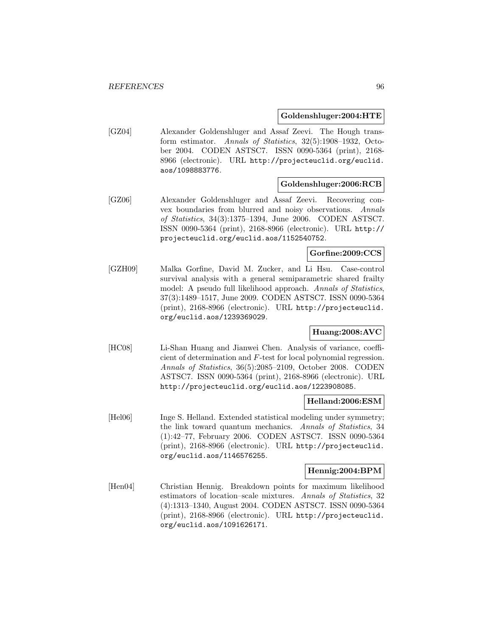### **Goldenshluger:2004:HTE**

[GZ04] Alexander Goldenshluger and Assaf Zeevi. The Hough transform estimator. Annals of Statistics, 32(5):1908–1932, October 2004. CODEN ASTSC7. ISSN 0090-5364 (print), 2168- 8966 (electronic). URL http://projecteuclid.org/euclid. aos/1098883776.

### **Goldenshluger:2006:RCB**

[GZ06] Alexander Goldenshluger and Assaf Zeevi. Recovering convex boundaries from blurred and noisy observations. Annals of Statistics, 34(3):1375–1394, June 2006. CODEN ASTSC7. ISSN 0090-5364 (print), 2168-8966 (electronic). URL http:// projecteuclid.org/euclid.aos/1152540752.

### **Gorfine:2009:CCS**

[GZH09] Malka Gorfine, David M. Zucker, and Li Hsu. Case-control survival analysis with a general semiparametric shared frailty model: A pseudo full likelihood approach. Annals of Statistics, 37(3):1489–1517, June 2009. CODEN ASTSC7. ISSN 0090-5364 (print), 2168-8966 (electronic). URL http://projecteuclid. org/euclid.aos/1239369029.

## **Huang:2008:AVC**

[HC08] Li-Shan Huang and Jianwei Chen. Analysis of variance, coefficient of determination and F-test for local polynomial regression. Annals of Statistics, 36(5):2085–2109, October 2008. CODEN ASTSC7. ISSN 0090-5364 (print), 2168-8966 (electronic). URL http://projecteuclid.org/euclid.aos/1223908085.

#### **Helland:2006:ESM**

[Hel06] Inge S. Helland. Extended statistical modeling under symmetry; the link toward quantum mechanics. Annals of Statistics, 34 (1):42–77, February 2006. CODEN ASTSC7. ISSN 0090-5364 (print), 2168-8966 (electronic). URL http://projecteuclid. org/euclid.aos/1146576255.

### **Hennig:2004:BPM**

[Hen04] Christian Hennig. Breakdown points for maximum likelihood estimators of location–scale mixtures. Annals of Statistics, 32 (4):1313–1340, August 2004. CODEN ASTSC7. ISSN 0090-5364 (print), 2168-8966 (electronic). URL http://projecteuclid. org/euclid.aos/1091626171.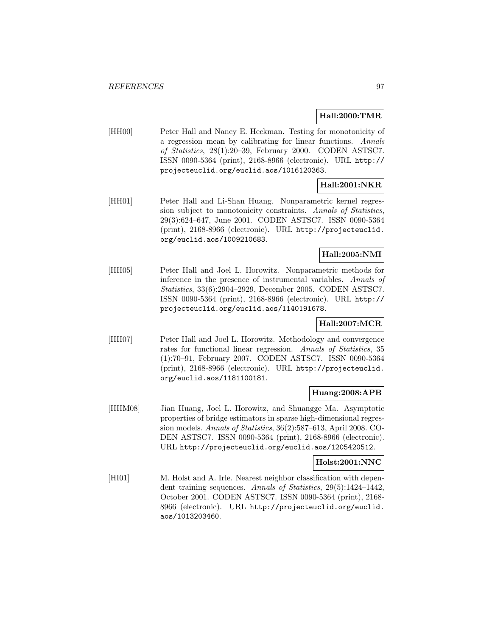### **Hall:2000:TMR**

[HH00] Peter Hall and Nancy E. Heckman. Testing for monotonicity of a regression mean by calibrating for linear functions. Annals of Statistics, 28(1):20–39, February 2000. CODEN ASTSC7. ISSN 0090-5364 (print), 2168-8966 (electronic). URL http:// projecteuclid.org/euclid.aos/1016120363.

## **Hall:2001:NKR**

[HH01] Peter Hall and Li-Shan Huang. Nonparametric kernel regression subject to monotonicity constraints. Annals of Statistics, 29(3):624–647, June 2001. CODEN ASTSC7. ISSN 0090-5364 (print), 2168-8966 (electronic). URL http://projecteuclid. org/euclid.aos/1009210683.

## **Hall:2005:NMI**

[HH05] Peter Hall and Joel L. Horowitz. Nonparametric methods for inference in the presence of instrumental variables. Annals of Statistics, 33(6):2904–2929, December 2005. CODEN ASTSC7. ISSN 0090-5364 (print), 2168-8966 (electronic). URL http:// projecteuclid.org/euclid.aos/1140191678.

## **Hall:2007:MCR**

[HH07] Peter Hall and Joel L. Horowitz. Methodology and convergence rates for functional linear regression. Annals of Statistics, 35 (1):70–91, February 2007. CODEN ASTSC7. ISSN 0090-5364 (print), 2168-8966 (electronic). URL http://projecteuclid. org/euclid.aos/1181100181.

### **Huang:2008:APB**

[HHM08] Jian Huang, Joel L. Horowitz, and Shuangge Ma. Asymptotic properties of bridge estimators in sparse high-dimensional regression models. Annals of Statistics, 36(2):587–613, April 2008. CO-DEN ASTSC7. ISSN 0090-5364 (print), 2168-8966 (electronic). URL http://projecteuclid.org/euclid.aos/1205420512.

### **Holst:2001:NNC**

[HI01] M. Holst and A. Irle. Nearest neighbor classification with dependent training sequences. Annals of Statistics, 29(5):1424–1442, October 2001. CODEN ASTSC7. ISSN 0090-5364 (print), 2168- 8966 (electronic). URL http://projecteuclid.org/euclid. aos/1013203460.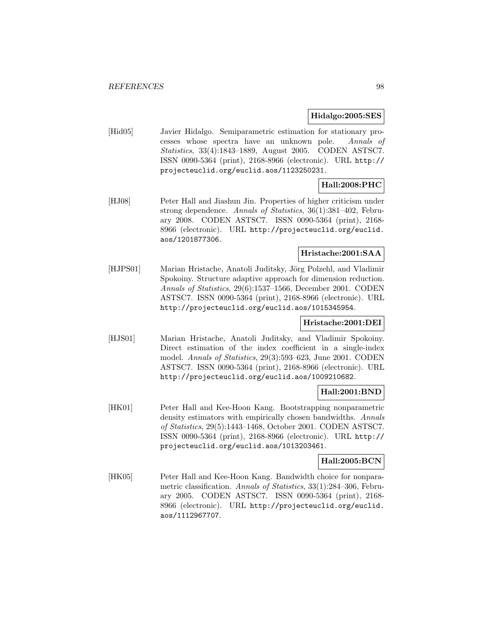### **Hidalgo:2005:SES**

[Hid05] Javier Hidalgo. Semiparametric estimation for stationary processes whose spectra have an unknown pole. Annals of Statistics, 33(4):1843–1889, August 2005. CODEN ASTSC7. ISSN 0090-5364 (print), 2168-8966 (electronic). URL http:// projecteuclid.org/euclid.aos/1123250231.

# **Hall:2008:PHC**

[HJ08] Peter Hall and Jiashun Jin. Properties of higher criticism under strong dependence. Annals of Statistics, 36(1):381–402, February 2008. CODEN ASTSC7. ISSN 0090-5364 (print), 2168- 8966 (electronic). URL http://projecteuclid.org/euclid. aos/1201877306.

### **Hristache:2001:SAA**

[HJPS01] Marian Hristache, Anatoli Juditsky, Jörg Polzehl, and Vladimir Spokoiny. Structure adaptive approach for dimension reduction. Annals of Statistics, 29(6):1537–1566, December 2001. CODEN ASTSC7. ISSN 0090-5364 (print), 2168-8966 (electronic). URL http://projecteuclid.org/euclid.aos/1015345954.

### **Hristache:2001:DEI**

[HJS01] Marian Hristache, Anatoli Juditsky, and Vladimir Spokoiny. Direct estimation of the index coefficient in a single-index model. Annals of Statistics, 29(3):593–623, June 2001. CODEN ASTSC7. ISSN 0090-5364 (print), 2168-8966 (electronic). URL http://projecteuclid.org/euclid.aos/1009210682.

## **Hall:2001:BND**

[HK01] Peter Hall and Kee-Hoon Kang. Bootstrapping nonparametric density estimators with empirically chosen bandwidths. Annals of Statistics, 29(5):1443–1468, October 2001. CODEN ASTSC7. ISSN 0090-5364 (print), 2168-8966 (electronic). URL http:// projecteuclid.org/euclid.aos/1013203461.

### **Hall:2005:BCN**

[HK05] Peter Hall and Kee-Hoon Kang. Bandwidth choice for nonparametric classification. Annals of Statistics, 33(1):284–306, February 2005. CODEN ASTSC7. ISSN 0090-5364 (print), 2168- 8966 (electronic). URL http://projecteuclid.org/euclid. aos/1112967707.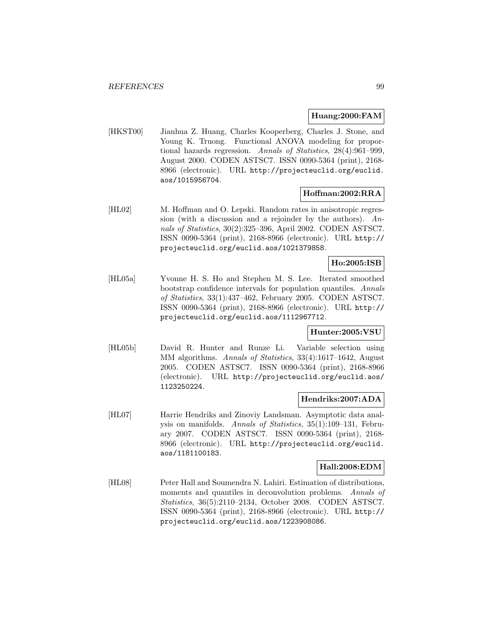### **Huang:2000:FAM**

[HKST00] Jianhua Z. Huang, Charles Kooperberg, Charles J. Stone, and Young K. Truong. Functional ANOVA modeling for proportional hazards regression. Annals of Statistics, 28(4):961–999, August 2000. CODEN ASTSC7. ISSN 0090-5364 (print), 2168- 8966 (electronic). URL http://projecteuclid.org/euclid. aos/1015956704.

## **Hoffman:2002:RRA**

[HL02] M. Hoffman and O. Lepski. Random rates in anisotropic regression (with a discussion and a rejoinder by the authors). Annals of Statistics, 30(2):325–396, April 2002. CODEN ASTSC7. ISSN 0090-5364 (print), 2168-8966 (electronic). URL http:// projecteuclid.org/euclid.aos/1021379858.

## **Ho:2005:ISB**

[HL05a] Yvonne H. S. Ho and Stephen M. S. Lee. Iterated smoothed bootstrap confidence intervals for population quantiles. Annals of Statistics, 33(1):437–462, February 2005. CODEN ASTSC7. ISSN 0090-5364 (print), 2168-8966 (electronic). URL http:// projecteuclid.org/euclid.aos/1112967712.

# **Hunter:2005:VSU**

[HL05b] David R. Hunter and Runze Li. Variable selection using MM algorithms. Annals of Statistics, 33(4):1617–1642, August 2005. CODEN ASTSC7. ISSN 0090-5364 (print), 2168-8966 (electronic). URL http://projecteuclid.org/euclid.aos/ 1123250224.

### **Hendriks:2007:ADA**

[HL07] Harrie Hendriks and Zinoviy Landsman. Asymptotic data analysis on manifolds. Annals of Statistics, 35(1):109–131, February 2007. CODEN ASTSC7. ISSN 0090-5364 (print), 2168- 8966 (electronic). URL http://projecteuclid.org/euclid. aos/1181100183.

### **Hall:2008:EDM**

[HL08] Peter Hall and Soumendra N. Lahiri. Estimation of distributions, moments and quantiles in deconvolution problems. Annals of Statistics, 36(5):2110–2134, October 2008. CODEN ASTSC7. ISSN 0090-5364 (print), 2168-8966 (electronic). URL http:// projecteuclid.org/euclid.aos/1223908086.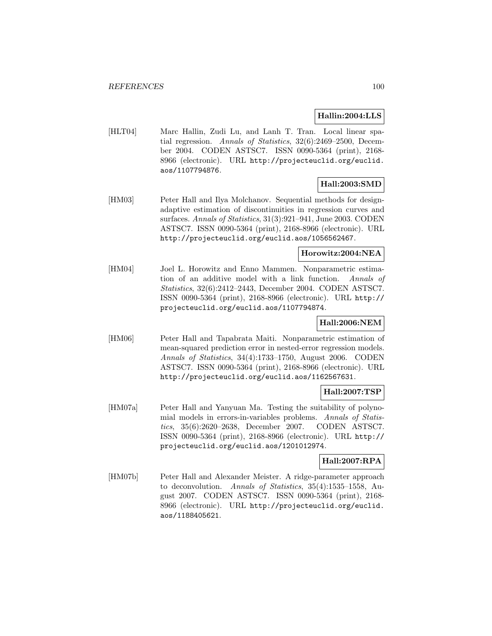## **Hallin:2004:LLS**

[HLT04] Marc Hallin, Zudi Lu, and Lanh T. Tran. Local linear spatial regression. Annals of Statistics, 32(6):2469–2500, December 2004. CODEN ASTSC7. ISSN 0090-5364 (print), 2168- 8966 (electronic). URL http://projecteuclid.org/euclid. aos/1107794876.

## **Hall:2003:SMD**

[HM03] Peter Hall and Ilya Molchanov. Sequential methods for designadaptive estimation of discontinuities in regression curves and surfaces. Annals of Statistics, 31(3):921–941, June 2003. CODEN ASTSC7. ISSN 0090-5364 (print), 2168-8966 (electronic). URL http://projecteuclid.org/euclid.aos/1056562467.

### **Horowitz:2004:NEA**

[HM04] Joel L. Horowitz and Enno Mammen. Nonparametric estimation of an additive model with a link function. Annals of Statistics, 32(6):2412–2443, December 2004. CODEN ASTSC7. ISSN 0090-5364 (print), 2168-8966 (electronic). URL http:// projecteuclid.org/euclid.aos/1107794874.

### **Hall:2006:NEM**

[HM06] Peter Hall and Tapabrata Maiti. Nonparametric estimation of mean-squared prediction error in nested-error regression models. Annals of Statistics, 34(4):1733–1750, August 2006. CODEN ASTSC7. ISSN 0090-5364 (print), 2168-8966 (electronic). URL http://projecteuclid.org/euclid.aos/1162567631.

## **Hall:2007:TSP**

[HM07a] Peter Hall and Yanyuan Ma. Testing the suitability of polynomial models in errors-in-variables problems. Annals of Statistics, 35(6):2620–2638, December 2007. CODEN ASTSC7. ISSN 0090-5364 (print), 2168-8966 (electronic). URL http:// projecteuclid.org/euclid.aos/1201012974.

### **Hall:2007:RPA**

[HM07b] Peter Hall and Alexander Meister. A ridge-parameter approach to deconvolution. Annals of Statistics, 35(4):1535–1558, August 2007. CODEN ASTSC7. ISSN 0090-5364 (print), 2168- 8966 (electronic). URL http://projecteuclid.org/euclid. aos/1188405621.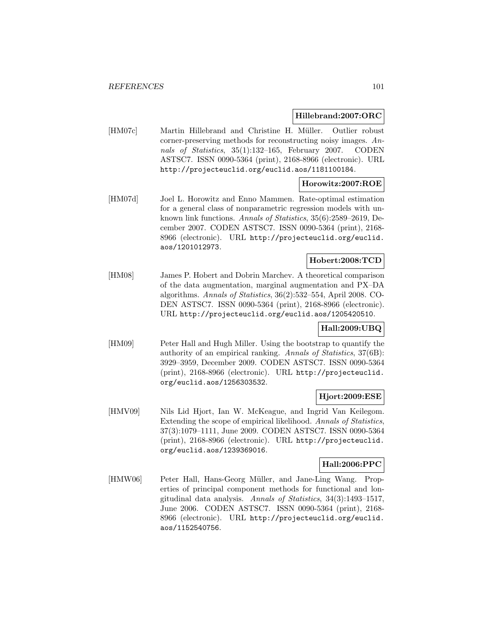### **Hillebrand:2007:ORC**

[HM07c] Martin Hillebrand and Christine H. Müller. Outlier robust corner-preserving methods for reconstructing noisy images. Annals of Statistics, 35(1):132–165, February 2007. CODEN ASTSC7. ISSN 0090-5364 (print), 2168-8966 (electronic). URL http://projecteuclid.org/euclid.aos/1181100184.

## **Horowitz:2007:ROE**

[HM07d] Joel L. Horowitz and Enno Mammen. Rate-optimal estimation for a general class of nonparametric regression models with unknown link functions. Annals of Statistics, 35(6):2589–2619, December 2007. CODEN ASTSC7. ISSN 0090-5364 (print), 2168- 8966 (electronic). URL http://projecteuclid.org/euclid. aos/1201012973.

### **Hobert:2008:TCD**

[HM08] James P. Hobert and Dobrin Marchev. A theoretical comparison of the data augmentation, marginal augmentation and PX–DA algorithms. Annals of Statistics, 36(2):532–554, April 2008. CO-DEN ASTSC7. ISSN 0090-5364 (print), 2168-8966 (electronic). URL http://projecteuclid.org/euclid.aos/1205420510.

## **Hall:2009:UBQ**

[HM09] Peter Hall and Hugh Miller. Using the bootstrap to quantify the authority of an empirical ranking. Annals of Statistics, 37(6B): 3929–3959, December 2009. CODEN ASTSC7. ISSN 0090-5364 (print), 2168-8966 (electronic). URL http://projecteuclid. org/euclid.aos/1256303532.

## **Hjort:2009:ESE**

[HMV09] Nils Lid Hjort, Ian W. McKeague, and Ingrid Van Keilegom. Extending the scope of empirical likelihood. Annals of Statistics, 37(3):1079–1111, June 2009. CODEN ASTSC7. ISSN 0090-5364 (print), 2168-8966 (electronic). URL http://projecteuclid. org/euclid.aos/1239369016.

### **Hall:2006:PPC**

[HMW06] Peter Hall, Hans-Georg M¨uller, and Jane-Ling Wang. Properties of principal component methods for functional and longitudinal data analysis. Annals of Statistics, 34(3):1493–1517, June 2006. CODEN ASTSC7. ISSN 0090-5364 (print), 2168- 8966 (electronic). URL http://projecteuclid.org/euclid. aos/1152540756.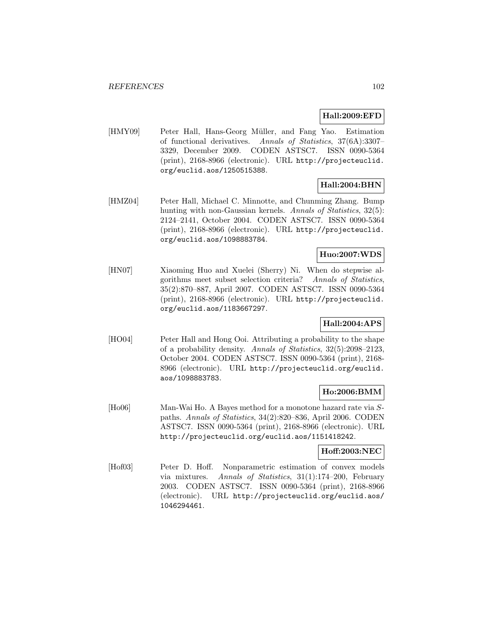## **Hall:2009:EFD**

[HMY09] Peter Hall, Hans-Georg Müller, and Fang Yao. Estimation of functional derivatives. Annals of Statistics, 37(6A):3307– 3329, December 2009. CODEN ASTSC7. ISSN 0090-5364 (print), 2168-8966 (electronic). URL http://projecteuclid. org/euclid.aos/1250515388.

# **Hall:2004:BHN**

[HMZ04] Peter Hall, Michael C. Minnotte, and Chunming Zhang. Bump hunting with non-Gaussian kernels. Annals of Statistics, 32(5): 2124–2141, October 2004. CODEN ASTSC7. ISSN 0090-5364 (print), 2168-8966 (electronic). URL http://projecteuclid. org/euclid.aos/1098883784.

## **Huo:2007:WDS**

[HN07] Xiaoming Huo and Xuelei (Sherry) Ni. When do stepwise algorithms meet subset selection criteria? Annals of Statistics, 35(2):870–887, April 2007. CODEN ASTSC7. ISSN 0090-5364 (print), 2168-8966 (electronic). URL http://projecteuclid. org/euclid.aos/1183667297.

## **Hall:2004:APS**

[HO04] Peter Hall and Hong Ooi. Attributing a probability to the shape of a probability density. Annals of Statistics, 32(5):2098–2123, October 2004. CODEN ASTSC7. ISSN 0090-5364 (print), 2168- 8966 (electronic). URL http://projecteuclid.org/euclid. aos/1098883783.

## **Ho:2006:BMM**

[Ho06] Man-Wai Ho. A Bayes method for a monotone hazard rate via Spaths. Annals of Statistics, 34(2):820–836, April 2006. CODEN ASTSC7. ISSN 0090-5364 (print), 2168-8966 (electronic). URL http://projecteuclid.org/euclid.aos/1151418242.

## **Hoff:2003:NEC**

[Hof03] Peter D. Hoff. Nonparametric estimation of convex models via mixtures. Annals of Statistics, 31(1):174–200, February 2003. CODEN ASTSC7. ISSN 0090-5364 (print), 2168-8966 (electronic). URL http://projecteuclid.org/euclid.aos/ 1046294461.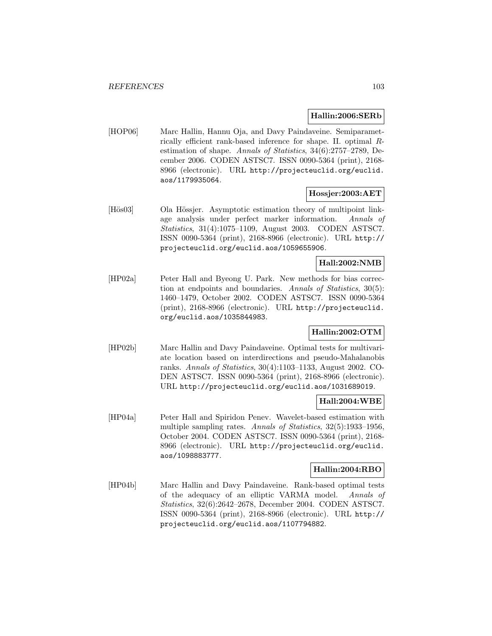### **Hallin:2006:SERb**

[HOP06] Marc Hallin, Hannu Oja, and Davy Paindaveine. Semiparametrically efficient rank-based inference for shape. II. optimal Restimation of shape. Annals of Statistics, 34(6):2757–2789, December 2006. CODEN ASTSC7. ISSN 0090-5364 (print), 2168- 8966 (electronic). URL http://projecteuclid.org/euclid. aos/1179935064.

## **Hossjer:2003:AET**

[Hös03] Ola Hössjer. Asymptotic estimation theory of multipoint linkage analysis under perfect marker information. Annals of Statistics, 31(4):1075–1109, August 2003. CODEN ASTSC7. ISSN 0090-5364 (print), 2168-8966 (electronic). URL http:// projecteuclid.org/euclid.aos/1059655906.

## **Hall:2002:NMB**

[HP02a] Peter Hall and Byeong U. Park. New methods for bias correction at endpoints and boundaries. Annals of Statistics, 30(5): 1460–1479, October 2002. CODEN ASTSC7. ISSN 0090-5364 (print), 2168-8966 (electronic). URL http://projecteuclid. org/euclid.aos/1035844983.

## **Hallin:2002:OTM**

[HP02b] Marc Hallin and Davy Paindaveine. Optimal tests for multivariate location based on interdirections and pseudo-Mahalanobis ranks. Annals of Statistics, 30(4):1103–1133, August 2002. CO-DEN ASTSC7. ISSN 0090-5364 (print), 2168-8966 (electronic). URL http://projecteuclid.org/euclid.aos/1031689019.

#### **Hall:2004:WBE**

[HP04a] Peter Hall and Spiridon Penev. Wavelet-based estimation with multiple sampling rates. Annals of Statistics, 32(5):1933–1956, October 2004. CODEN ASTSC7. ISSN 0090-5364 (print), 2168- 8966 (electronic). URL http://projecteuclid.org/euclid. aos/1098883777.

#### **Hallin:2004:RBO**

[HP04b] Marc Hallin and Davy Paindaveine. Rank-based optimal tests of the adequacy of an elliptic VARMA model. Annals of Statistics, 32(6):2642–2678, December 2004. CODEN ASTSC7. ISSN 0090-5364 (print), 2168-8966 (electronic). URL http:// projecteuclid.org/euclid.aos/1107794882.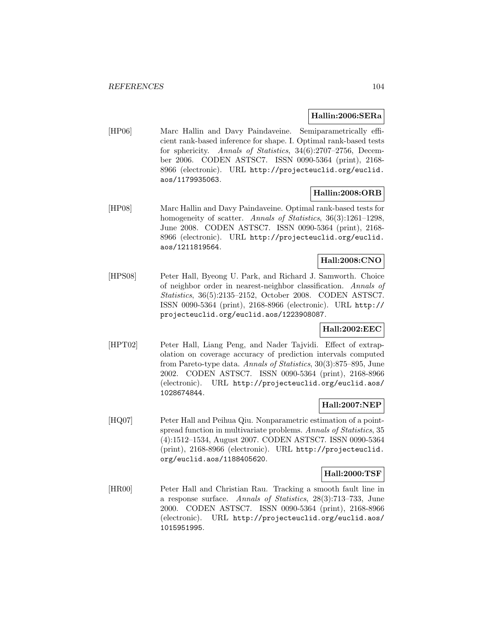## **Hallin:2006:SERa**

[HP06] Marc Hallin and Davy Paindaveine. Semiparametrically efficient rank-based inference for shape. I. Optimal rank-based tests for sphericity. Annals of Statistics, 34(6):2707–2756, December 2006. CODEN ASTSC7. ISSN 0090-5364 (print), 2168- 8966 (electronic). URL http://projecteuclid.org/euclid. aos/1179935063.

# **Hallin:2008:ORB**

[HP08] Marc Hallin and Davy Paindaveine. Optimal rank-based tests for homogeneity of scatter. Annals of Statistics, 36(3):1261–1298, June 2008. CODEN ASTSC7. ISSN 0090-5364 (print), 2168- 8966 (electronic). URL http://projecteuclid.org/euclid. aos/1211819564.

## **Hall:2008:CNO**

[HPS08] Peter Hall, Byeong U. Park, and Richard J. Samworth. Choice of neighbor order in nearest-neighbor classification. Annals of Statistics, 36(5):2135–2152, October 2008. CODEN ASTSC7. ISSN 0090-5364 (print), 2168-8966 (electronic). URL http:// projecteuclid.org/euclid.aos/1223908087.

# **Hall:2002:EEC**

[HPT02] Peter Hall, Liang Peng, and Nader Tajvidi. Effect of extrapolation on coverage accuracy of prediction intervals computed from Pareto-type data. Annals of Statistics, 30(3):875–895, June 2002. CODEN ASTSC7. ISSN 0090-5364 (print), 2168-8966 (electronic). URL http://projecteuclid.org/euclid.aos/ 1028674844.

## **Hall:2007:NEP**

[HQ07] Peter Hall and Peihua Qiu. Nonparametric estimation of a pointspread function in multivariate problems. Annals of Statistics, 35 (4):1512–1534, August 2007. CODEN ASTSC7. ISSN 0090-5364 (print), 2168-8966 (electronic). URL http://projecteuclid. org/euclid.aos/1188405620.

### **Hall:2000:TSF**

[HR00] Peter Hall and Christian Rau. Tracking a smooth fault line in a response surface. Annals of Statistics, 28(3):713–733, June 2000. CODEN ASTSC7. ISSN 0090-5364 (print), 2168-8966 (electronic). URL http://projecteuclid.org/euclid.aos/ 1015951995.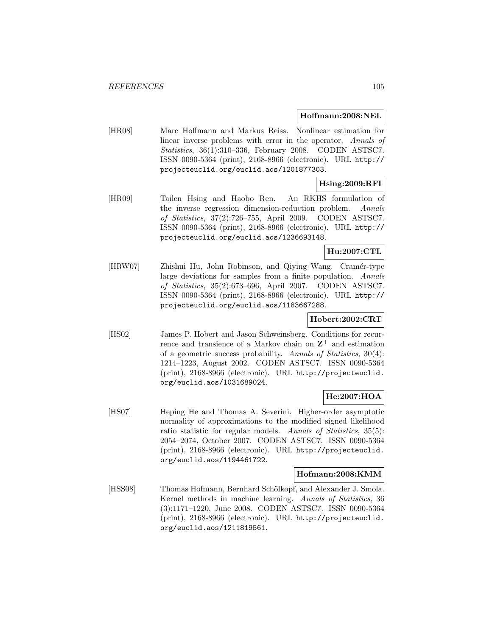### **Hoffmann:2008:NEL**

[HR08] Marc Hoffmann and Markus Reiss. Nonlinear estimation for linear inverse problems with error in the operator. Annals of Statistics, 36(1):310–336, February 2008. CODEN ASTSC7. ISSN 0090-5364 (print), 2168-8966 (electronic). URL http:// projecteuclid.org/euclid.aos/1201877303.

## **Hsing:2009:RFI**

[HR09] Tailen Hsing and Haobo Ren. An RKHS formulation of the inverse regression dimension-reduction problem. Annals of Statistics, 37(2):726–755, April 2009. CODEN ASTSC7. ISSN 0090-5364 (print), 2168-8966 (electronic). URL http:// projecteuclid.org/euclid.aos/1236693148.

# **Hu:2007:CTL**

[HRW07] Zhishui Hu, John Robinson, and Qiying Wang. Cram´er-type large deviations for samples from a finite population. Annals of Statistics, 35(2):673–696, April 2007. CODEN ASTSC7. ISSN 0090-5364 (print), 2168-8966 (electronic). URL http:// projecteuclid.org/euclid.aos/1183667288.

## **Hobert:2002:CRT**

[HS02] James P. Hobert and Jason Schweinsberg. Conditions for recurrence and transience of a Markov chain on  $\mathbb{Z}^+$  and estimation of a geometric success probability. Annals of Statistics, 30(4): 1214–1223, August 2002. CODEN ASTSC7. ISSN 0090-5364 (print), 2168-8966 (electronic). URL http://projecteuclid. org/euclid.aos/1031689024.

# **He:2007:HOA**

[HS07] Heping He and Thomas A. Severini. Higher-order asymptotic normality of approximations to the modified signed likelihood ratio statistic for regular models. Annals of Statistics, 35(5): 2054–2074, October 2007. CODEN ASTSC7. ISSN 0090-5364 (print), 2168-8966 (electronic). URL http://projecteuclid. org/euclid.aos/1194461722.

#### **Hofmann:2008:KMM**

[HSS08] Thomas Hofmann, Bernhard Schölkopf, and Alexander J. Smola. Kernel methods in machine learning. Annals of Statistics, 36 (3):1171–1220, June 2008. CODEN ASTSC7. ISSN 0090-5364 (print), 2168-8966 (electronic). URL http://projecteuclid. org/euclid.aos/1211819561.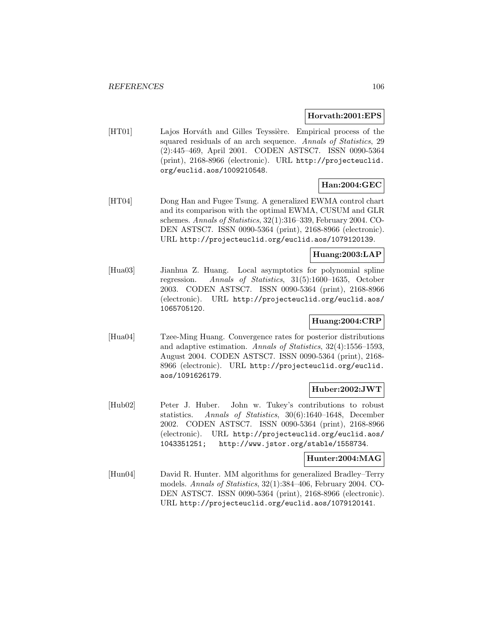### **Horvath:2001:EPS**

[HT01] Lajos Horváth and Gilles Teyssière. Empirical process of the squared residuals of an arch sequence. Annals of Statistics, 29 (2):445–469, April 2001. CODEN ASTSC7. ISSN 0090-5364 (print), 2168-8966 (electronic). URL http://projecteuclid. org/euclid.aos/1009210548.

# **Han:2004:GEC**

[HT04] Dong Han and Fugee Tsung. A generalized EWMA control chart and its comparison with the optimal EWMA, CUSUM and GLR schemes. Annals of Statistics, 32(1):316–339, February 2004. CO-DEN ASTSC7. ISSN 0090-5364 (print), 2168-8966 (electronic). URL http://projecteuclid.org/euclid.aos/1079120139.

## **Huang:2003:LAP**

[Hua03] Jianhua Z. Huang. Local asymptotics for polynomial spline regression. Annals of Statistics, 31(5):1600–1635, October 2003. CODEN ASTSC7. ISSN 0090-5364 (print), 2168-8966 (electronic). URL http://projecteuclid.org/euclid.aos/ 1065705120.

## **Huang:2004:CRP**

[Hua04] Tzee-Ming Huang. Convergence rates for posterior distributions and adaptive estimation. Annals of Statistics, 32(4):1556–1593, August 2004. CODEN ASTSC7. ISSN 0090-5364 (print), 2168- 8966 (electronic). URL http://projecteuclid.org/euclid. aos/1091626179.

## **Huber:2002:JWT**

[Hub02] Peter J. Huber. John w. Tukey's contributions to robust statistics. Annals of Statistics, 30(6):1640–1648, December 2002. CODEN ASTSC7. ISSN 0090-5364 (print), 2168-8966 (electronic). URL http://projecteuclid.org/euclid.aos/ 1043351251; http://www.jstor.org/stable/1558734.

## **Hunter:2004:MAG**

[Hun04] David R. Hunter. MM algorithms for generalized Bradley–Terry models. Annals of Statistics, 32(1):384–406, February 2004. CO-DEN ASTSC7. ISSN 0090-5364 (print), 2168-8966 (electronic). URL http://projecteuclid.org/euclid.aos/1079120141.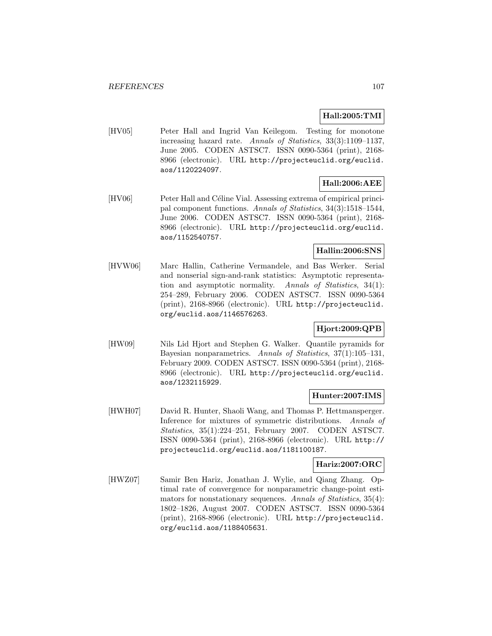# **Hall:2005:TMI**

[HV05] Peter Hall and Ingrid Van Keilegom. Testing for monotone increasing hazard rate. Annals of Statistics, 33(3):1109–1137, June 2005. CODEN ASTSC7. ISSN 0090-5364 (print), 2168- 8966 (electronic). URL http://projecteuclid.org/euclid. aos/1120224097.

# **Hall:2006:AEE**

[HV06] Peter Hall and Céline Vial. Assessing extrema of empirical principal component functions. Annals of Statistics, 34(3):1518–1544, June 2006. CODEN ASTSC7. ISSN 0090-5364 (print), 2168- 8966 (electronic). URL http://projecteuclid.org/euclid. aos/1152540757.

## **Hallin:2006:SNS**

[HVW06] Marc Hallin, Catherine Vermandele, and Bas Werker. Serial and nonserial sign-and-rank statistics: Asymptotic representation and asymptotic normality. Annals of Statistics, 34(1): 254–289, February 2006. CODEN ASTSC7. ISSN 0090-5364 (print), 2168-8966 (electronic). URL http://projecteuclid. org/euclid.aos/1146576263.

# **Hjort:2009:QPB**

[HW09] Nils Lid Hjort and Stephen G. Walker. Quantile pyramids for Bayesian nonparametrics. Annals of Statistics, 37(1):105–131, February 2009. CODEN ASTSC7. ISSN 0090-5364 (print), 2168- 8966 (electronic). URL http://projecteuclid.org/euclid. aos/1232115929.

## **Hunter:2007:IMS**

[HWH07] David R. Hunter, Shaoli Wang, and Thomas P. Hettmansperger. Inference for mixtures of symmetric distributions. Annals of Statistics, 35(1):224–251, February 2007. CODEN ASTSC7. ISSN 0090-5364 (print), 2168-8966 (electronic). URL http:// projecteuclid.org/euclid.aos/1181100187.

## **Hariz:2007:ORC**

[HWZ07] Samir Ben Hariz, Jonathan J. Wylie, and Qiang Zhang. Optimal rate of convergence for nonparametric change-point estimators for nonstationary sequences. Annals of Statistics, 35(4): 1802–1826, August 2007. CODEN ASTSC7. ISSN 0090-5364 (print), 2168-8966 (electronic). URL http://projecteuclid. org/euclid.aos/1188405631.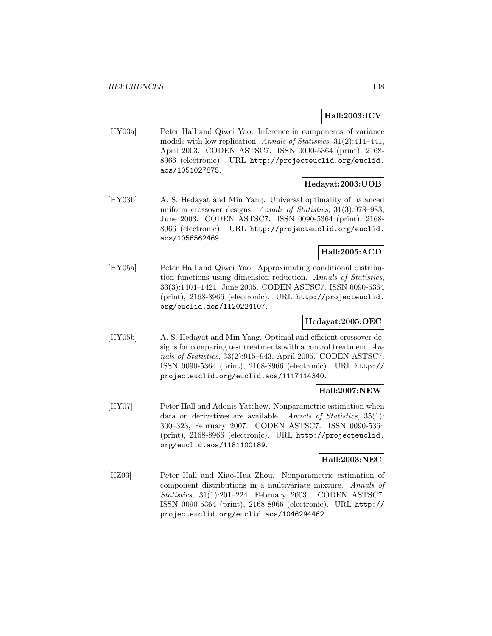# **Hall:2003:ICV**

[HY03a] Peter Hall and Qiwei Yao. Inference in components of variance models with low replication. Annals of Statistics, 31(2):414-441, April 2003. CODEN ASTSC7. ISSN 0090-5364 (print), 2168- 8966 (electronic). URL http://projecteuclid.org/euclid. aos/1051027875.

## **Hedayat:2003:UOB**

[HY03b] A. S. Hedayat and Min Yang. Universal optimality of balanced uniform crossover designs. Annals of Statistics, 31(3):978–983, June 2003. CODEN ASTSC7. ISSN 0090-5364 (print), 2168- 8966 (electronic). URL http://projecteuclid.org/euclid. aos/1056562469.

## **Hall:2005:ACD**

[HY05a] Peter Hall and Qiwei Yao. Approximating conditional distribution functions using dimension reduction. Annals of Statistics, 33(3):1404–1421, June 2005. CODEN ASTSC7. ISSN 0090-5364 (print), 2168-8966 (electronic). URL http://projecteuclid. org/euclid.aos/1120224107.

# **Hedayat:2005:OEC**

[HY05b] A. S. Hedayat and Min Yang. Optimal and efficient crossover designs for comparing test treatments with a control treatment. Annals of Statistics, 33(2):915–943, April 2005. CODEN ASTSC7. ISSN 0090-5364 (print), 2168-8966 (electronic). URL http:// projecteuclid.org/euclid.aos/1117114340.

# **Hall:2007:NEW**

[HY07] Peter Hall and Adonis Yatchew. Nonparametric estimation when data on derivatives are available. Annals of Statistics, 35(1): 300–323, February 2007. CODEN ASTSC7. ISSN 0090-5364 (print), 2168-8966 (electronic). URL http://projecteuclid. org/euclid.aos/1181100189.

# **Hall:2003:NEC**

[HZ03] Peter Hall and Xiao-Hua Zhou. Nonparametric estimation of component distributions in a multivariate mixture. Annals of Statistics, 31(1):201–224, February 2003. CODEN ASTSC7. ISSN 0090-5364 (print), 2168-8966 (electronic). URL http:// projecteuclid.org/euclid.aos/1046294462.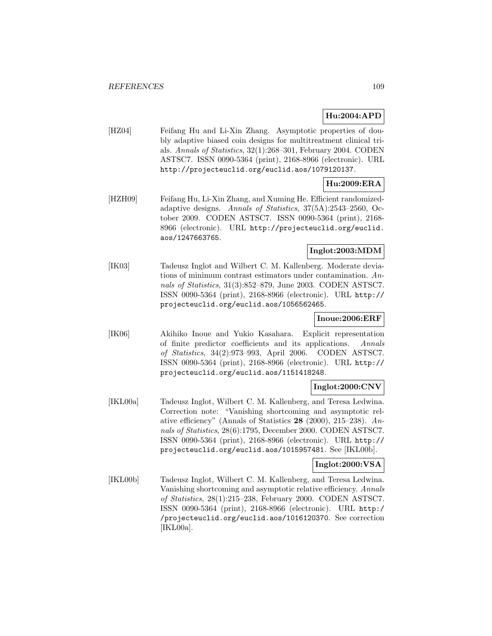# **Hu:2004:APD**

[HZ04] Feifang Hu and Li-Xin Zhang. Asymptotic properties of doubly adaptive biased coin designs for multitreatment clinical trials. Annals of Statistics, 32(1):268–301, February 2004. CODEN ASTSC7. ISSN 0090-5364 (print), 2168-8966 (electronic). URL http://projecteuclid.org/euclid.aos/1079120137.

# **Hu:2009:ERA**

[HZH09] Feifang Hu, Li-Xin Zhang, and Xuming He. Efficient randomizedadaptive designs. Annals of Statistics, 37(5A):2543–2560, October 2009. CODEN ASTSC7. ISSN 0090-5364 (print), 2168- 8966 (electronic). URL http://projecteuclid.org/euclid. aos/1247663765.

# **Inglot:2003:MDM**

[IK03] Tadeusz Inglot and Wilbert C. M. Kallenberg. Moderate deviations of minimum contrast estimators under contamination. Annals of Statistics, 31(3):852–879, June 2003. CODEN ASTSC7. ISSN 0090-5364 (print), 2168-8966 (electronic). URL http:// projecteuclid.org/euclid.aos/1056562465.

### **Inoue:2006:ERF**

[IK06] Akihiko Inoue and Yukio Kasahara. Explicit representation of finite predictor coefficients and its applications. Annals of Statistics, 34(2):973–993, April 2006. CODEN ASTSC7. ISSN 0090-5364 (print), 2168-8966 (electronic). URL http:// projecteuclid.org/euclid.aos/1151418248.

### **Inglot:2000:CNV**

[IKL00a] Tadeusz Inglot, Wilbert C. M. Kallenberg, and Teresa Ledwina. Correction note: "Vanishing shortcoming and asymptotic relative efficiency" (Annals of Statistics **28** (2000), 215–238). Annals of Statistics, 28(6):1795, December 2000. CODEN ASTSC7. ISSN 0090-5364 (print), 2168-8966 (electronic). URL http:// projecteuclid.org/euclid.aos/1015957481. See [IKL00b].

### **Inglot:2000:VSA**

[IKL00b] Tadeusz Inglot, Wilbert C. M. Kallenberg, and Teresa Ledwina. Vanishing shortcoming and asymptotic relative efficiency. Annals of Statistics, 28(1):215–238, February 2000. CODEN ASTSC7. ISSN 0090-5364 (print), 2168-8966 (electronic). URL http:/ /projecteuclid.org/euclid.aos/1016120370. See correction [IKL00a].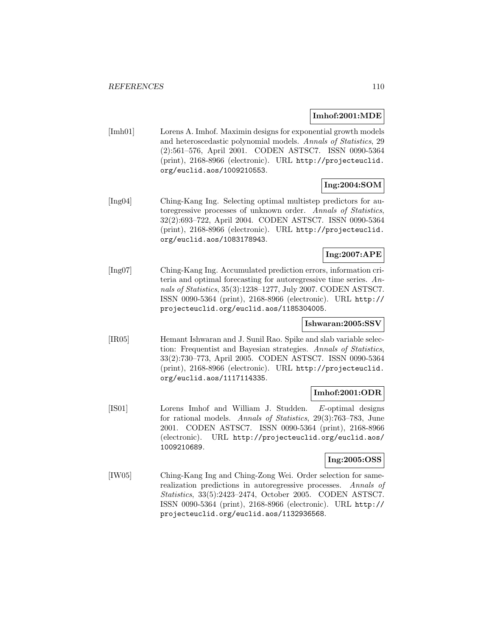### **Imhof:2001:MDE**

[Imh01] Lorens A. Imhof. Maximin designs for exponential growth models and heteroscedastic polynomial models. Annals of Statistics, 29 (2):561–576, April 2001. CODEN ASTSC7. ISSN 0090-5364 (print), 2168-8966 (electronic). URL http://projecteuclid. org/euclid.aos/1009210553.

# **Ing:2004:SOM**

[Ing04] Ching-Kang Ing. Selecting optimal multistep predictors for autoregressive processes of unknown order. Annals of Statistics, 32(2):693–722, April 2004. CODEN ASTSC7. ISSN 0090-5364 (print), 2168-8966 (electronic). URL http://projecteuclid. org/euclid.aos/1083178943.

# **Ing:2007:APE**

[Ing07] Ching-Kang Ing. Accumulated prediction errors, information criteria and optimal forecasting for autoregressive time series. Annals of Statistics, 35(3):1238–1277, July 2007. CODEN ASTSC7. ISSN 0090-5364 (print), 2168-8966 (electronic). URL http:// projecteuclid.org/euclid.aos/1185304005.

### **Ishwaran:2005:SSV**

[IR05] Hemant Ishwaran and J. Sunil Rao. Spike and slab variable selection: Frequentist and Bayesian strategies. Annals of Statistics, 33(2):730–773, April 2005. CODEN ASTSC7. ISSN 0090-5364 (print), 2168-8966 (electronic). URL http://projecteuclid. org/euclid.aos/1117114335.

### **Imhof:2001:ODR**

[IS01] Lorens Imhof and William J. Studden. E-optimal designs for rational models. Annals of Statistics, 29(3):763–783, June 2001. CODEN ASTSC7. ISSN 0090-5364 (print), 2168-8966 (electronic). URL http://projecteuclid.org/euclid.aos/ 1009210689.

### **Ing:2005:OSS**

[IW05] Ching-Kang Ing and Ching-Zong Wei. Order selection for samerealization predictions in autoregressive processes. Annals of Statistics, 33(5):2423–2474, October 2005. CODEN ASTSC7. ISSN 0090-5364 (print), 2168-8966 (electronic). URL http:// projecteuclid.org/euclid.aos/1132936568.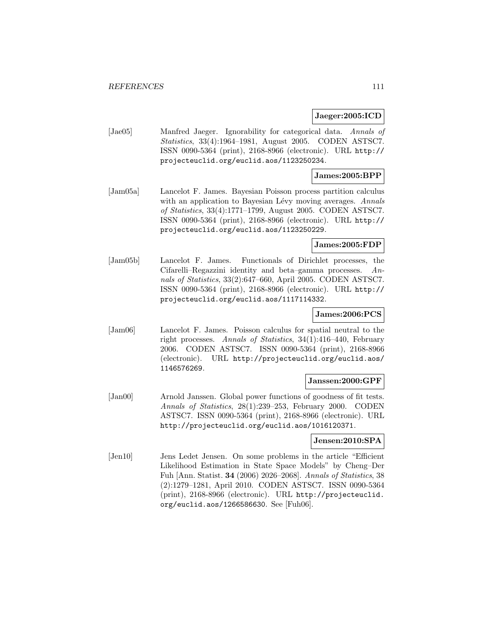### **Jaeger:2005:ICD**

[Jae05] Manfred Jaeger. Ignorability for categorical data. Annals of Statistics, 33(4):1964–1981, August 2005. CODEN ASTSC7. ISSN 0090-5364 (print), 2168-8966 (electronic). URL http:// projecteuclid.org/euclid.aos/1123250234.

### **James:2005:BPP**

[Jam05a] Lancelot F. James. Bayesian Poisson process partition calculus with an application to Bayesian Lévy moving averages. Annals of Statistics, 33(4):1771–1799, August 2005. CODEN ASTSC7. ISSN 0090-5364 (print), 2168-8966 (electronic). URL http:// projecteuclid.org/euclid.aos/1123250229.

#### **James:2005:FDP**

[Jam05b] Lancelot F. James. Functionals of Dirichlet processes, the Cifarelli–Regazzini identity and beta–gamma processes. Annals of Statistics, 33(2):647–660, April 2005. CODEN ASTSC7. ISSN 0090-5364 (print), 2168-8966 (electronic). URL http:// projecteuclid.org/euclid.aos/1117114332.

### **James:2006:PCS**

[Jam06] Lancelot F. James. Poisson calculus for spatial neutral to the right processes. Annals of Statistics, 34(1):416–440, February 2006. CODEN ASTSC7. ISSN 0090-5364 (print), 2168-8966 (electronic). URL http://projecteuclid.org/euclid.aos/ 1146576269.

#### **Janssen:2000:GPF**

[Jan00] Arnold Janssen. Global power functions of goodness of fit tests. Annals of Statistics, 28(1):239–253, February 2000. CODEN ASTSC7. ISSN 0090-5364 (print), 2168-8966 (electronic). URL http://projecteuclid.org/euclid.aos/1016120371.

### **Jensen:2010:SPA**

[Jen10] Jens Ledet Jensen. On some problems in the article "Efficient Likelihood Estimation in State Space Models" by Cheng–Der Fuh [Ann. Statist. **34** (2006) 2026–2068]. Annals of Statistics, 38 (2):1279–1281, April 2010. CODEN ASTSC7. ISSN 0090-5364 (print), 2168-8966 (electronic). URL http://projecteuclid. org/euclid.aos/1266586630. See [Fuh06].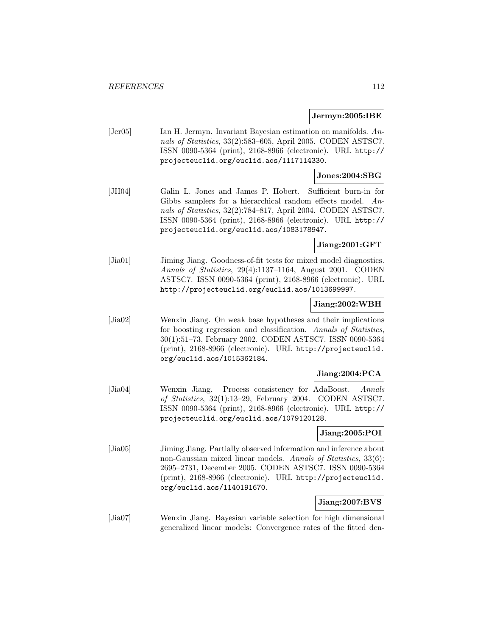#### **Jermyn:2005:IBE**

[Jer05] Ian H. Jermyn. Invariant Bayesian estimation on manifolds. Annals of Statistics, 33(2):583–605, April 2005. CODEN ASTSC7. ISSN 0090-5364 (print), 2168-8966 (electronic). URL http:// projecteuclid.org/euclid.aos/1117114330.

#### **Jones:2004:SBG**

[JH04] Galin L. Jones and James P. Hobert. Sufficient burn-in for Gibbs samplers for a hierarchical random effects model. Annals of Statistics, 32(2):784–817, April 2004. CODEN ASTSC7. ISSN 0090-5364 (print), 2168-8966 (electronic). URL http:// projecteuclid.org/euclid.aos/1083178947.

### **Jiang:2001:GFT**

[Jia01] Jiming Jiang. Goodness-of-fit tests for mixed model diagnostics. Annals of Statistics, 29(4):1137–1164, August 2001. CODEN ASTSC7. ISSN 0090-5364 (print), 2168-8966 (electronic). URL http://projecteuclid.org/euclid.aos/1013699997.

### **Jiang:2002:WBH**

[Jia02] Wenxin Jiang. On weak base hypotheses and their implications for boosting regression and classification. Annals of Statistics, 30(1):51–73, February 2002. CODEN ASTSC7. ISSN 0090-5364 (print), 2168-8966 (electronic). URL http://projecteuclid. org/euclid.aos/1015362184.

### **Jiang:2004:PCA**

[Jia04] Wenxin Jiang. Process consistency for AdaBoost. Annals of Statistics, 32(1):13–29, February 2004. CODEN ASTSC7. ISSN 0090-5364 (print), 2168-8966 (electronic). URL http:// projecteuclid.org/euclid.aos/1079120128.

#### **Jiang:2005:POI**

[Jia05] Jiming Jiang. Partially observed information and inference about non-Gaussian mixed linear models. Annals of Statistics, 33(6): 2695–2731, December 2005. CODEN ASTSC7. ISSN 0090-5364 (print), 2168-8966 (electronic). URL http://projecteuclid. org/euclid.aos/1140191670.

### **Jiang:2007:BVS**

[Jia07] Wenxin Jiang. Bayesian variable selection for high dimensional generalized linear models: Convergence rates of the fitted den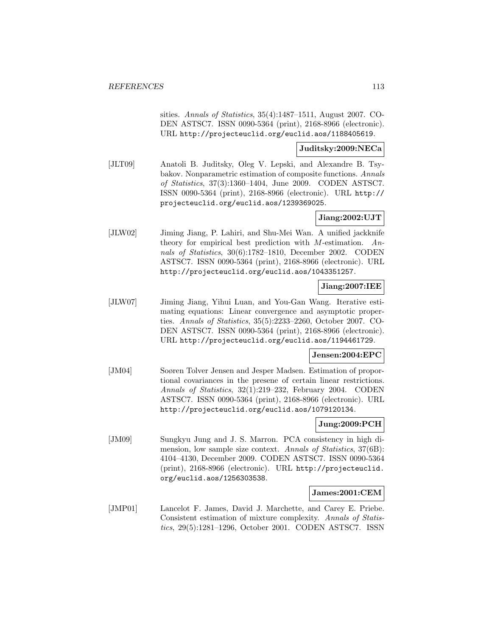sities. Annals of Statistics, 35(4):1487–1511, August 2007. CO-DEN ASTSC7. ISSN 0090-5364 (print), 2168-8966 (electronic). URL http://projecteuclid.org/euclid.aos/1188405619.

#### **Juditsky:2009:NECa**

[JLT09] Anatoli B. Juditsky, Oleg V. Lepski, and Alexandre B. Tsybakov. Nonparametric estimation of composite functions. Annals of Statistics, 37(3):1360–1404, June 2009. CODEN ASTSC7. ISSN 0090-5364 (print), 2168-8966 (electronic). URL http:// projecteuclid.org/euclid.aos/1239369025.

## **Jiang:2002:UJT**

[JLW02] Jiming Jiang, P. Lahiri, and Shu-Mei Wan. A unified jackknife theory for empirical best prediction with  $M$ -estimation. Annals of Statistics, 30(6):1782–1810, December 2002. CODEN ASTSC7. ISSN 0090-5364 (print), 2168-8966 (electronic). URL http://projecteuclid.org/euclid.aos/1043351257.

### **Jiang:2007:IEE**

[JLW07] Jiming Jiang, Yihui Luan, and You-Gan Wang. Iterative estimating equations: Linear convergence and asymptotic properties. Annals of Statistics, 35(5):2233–2260, October 2007. CO-DEN ASTSC7. ISSN 0090-5364 (print), 2168-8966 (electronic). URL http://projecteuclid.org/euclid.aos/1194461729.

### **Jensen:2004:EPC**

[JM04] Soøren Tolver Jensen and Jesper Madsen. Estimation of proportional covariances in the presene of certain linear restrictions. Annals of Statistics, 32(1):219–232, February 2004. CODEN ASTSC7. ISSN 0090-5364 (print), 2168-8966 (electronic). URL http://projecteuclid.org/euclid.aos/1079120134.

## **Jung:2009:PCH**

[JM09] Sungkyu Jung and J. S. Marron. PCA consistency in high dimension, low sample size context. Annals of Statistics, 37(6B): 4104–4130, December 2009. CODEN ASTSC7. ISSN 0090-5364 (print), 2168-8966 (electronic). URL http://projecteuclid. org/euclid.aos/1256303538.

### **James:2001:CEM**

[JMP01] Lancelot F. James, David J. Marchette, and Carey E. Priebe. Consistent estimation of mixture complexity. Annals of Statistics, 29(5):1281–1296, October 2001. CODEN ASTSC7. ISSN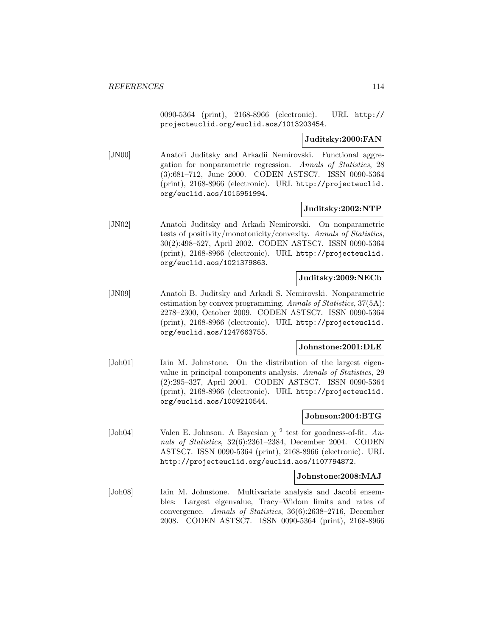0090-5364 (print), 2168-8966 (electronic). URL http:// projecteuclid.org/euclid.aos/1013203454.

### **Juditsky:2000:FAN**

[JN00] Anatoli Juditsky and Arkadii Nemirovski. Functional aggregation for nonparametric regression. Annals of Statistics, 28 (3):681–712, June 2000. CODEN ASTSC7. ISSN 0090-5364 (print), 2168-8966 (electronic). URL http://projecteuclid. org/euclid.aos/1015951994.

### **Juditsky:2002:NTP**

[JN02] Anatoli Juditsky and Arkadi Nemirovski. On nonparametric tests of positivity/monotonicity/convexity. Annals of Statistics, 30(2):498–527, April 2002. CODEN ASTSC7. ISSN 0090-5364 (print), 2168-8966 (electronic). URL http://projecteuclid. org/euclid.aos/1021379863.

### **Juditsky:2009:NECb**

[JN09] Anatoli B. Juditsky and Arkadi S. Nemirovski. Nonparametric estimation by convex programming. Annals of Statistics, 37(5A): 2278–2300, October 2009. CODEN ASTSC7. ISSN 0090-5364 (print), 2168-8966 (electronic). URL http://projecteuclid. org/euclid.aos/1247663755.

### **Johnstone:2001:DLE**

[Joh01] Iain M. Johnstone. On the distribution of the largest eigenvalue in principal components analysis. Annals of Statistics, 29 (2):295–327, April 2001. CODEN ASTSC7. ISSN 0090-5364 (print), 2168-8966 (electronic). URL http://projecteuclid. org/euclid.aos/1009210544.

### **Johnson:2004:BTG**

[Joh04] Valen E. Johnson. A Bayesian  $\chi^2$  test for goodness-of-fit. Annals of Statistics, 32(6):2361–2384, December 2004. CODEN ASTSC7. ISSN 0090-5364 (print), 2168-8966 (electronic). URL http://projecteuclid.org/euclid.aos/1107794872.

### **Johnstone:2008:MAJ**

[Joh08] Iain M. Johnstone. Multivariate analysis and Jacobi ensembles: Largest eigenvalue, Tracy–Widom limits and rates of convergence. Annals of Statistics, 36(6):2638–2716, December 2008. CODEN ASTSC7. ISSN 0090-5364 (print), 2168-8966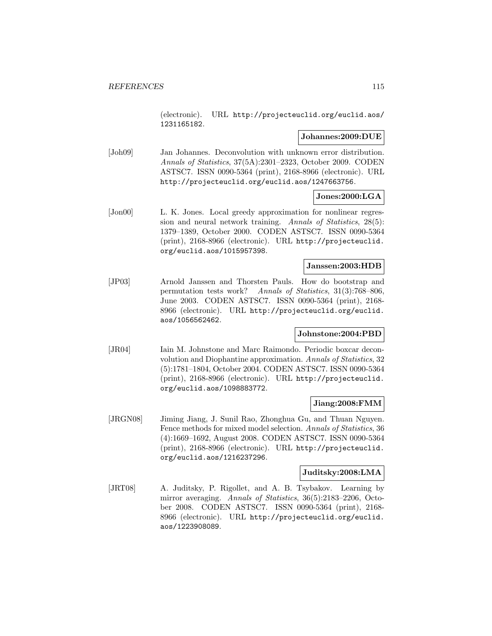(electronic). URL http://projecteuclid.org/euclid.aos/ 1231165182.

### **Johannes:2009:DUE**

[Joh09] Jan Johannes. Deconvolution with unknown error distribution. Annals of Statistics, 37(5A):2301–2323, October 2009. CODEN ASTSC7. ISSN 0090-5364 (print), 2168-8966 (electronic). URL http://projecteuclid.org/euclid.aos/1247663756.

### **Jones:2000:LGA**

[Jon00] L. K. Jones. Local greedy approximation for nonlinear regression and neural network training. Annals of Statistics, 28(5): 1379–1389, October 2000. CODEN ASTSC7. ISSN 0090-5364 (print), 2168-8966 (electronic). URL http://projecteuclid. org/euclid.aos/1015957398.

### **Janssen:2003:HDB**

[JP03] Arnold Janssen and Thorsten Pauls. How do bootstrap and permutation tests work? Annals of Statistics, 31(3):768–806, June 2003. CODEN ASTSC7. ISSN 0090-5364 (print), 2168- 8966 (electronic). URL http://projecteuclid.org/euclid. aos/1056562462.

### **Johnstone:2004:PBD**

[JR04] Iain M. Johnstone and Marc Raimondo. Periodic boxcar deconvolution and Diophantine approximation. Annals of Statistics, 32 (5):1781–1804, October 2004. CODEN ASTSC7. ISSN 0090-5364 (print), 2168-8966 (electronic). URL http://projecteuclid. org/euclid.aos/1098883772.

### **Jiang:2008:FMM**

[JRGN08] Jiming Jiang, J. Sunil Rao, Zhonghua Gu, and Thuan Nguyen. Fence methods for mixed model selection. Annals of Statistics, 36 (4):1669–1692, August 2008. CODEN ASTSC7. ISSN 0090-5364 (print), 2168-8966 (electronic). URL http://projecteuclid. org/euclid.aos/1216237296.

### **Juditsky:2008:LMA**

[JRT08] A. Juditsky, P. Rigollet, and A. B. Tsybakov. Learning by mirror averaging. Annals of Statistics, 36(5):2183-2206, October 2008. CODEN ASTSC7. ISSN 0090-5364 (print), 2168- 8966 (electronic). URL http://projecteuclid.org/euclid. aos/1223908089.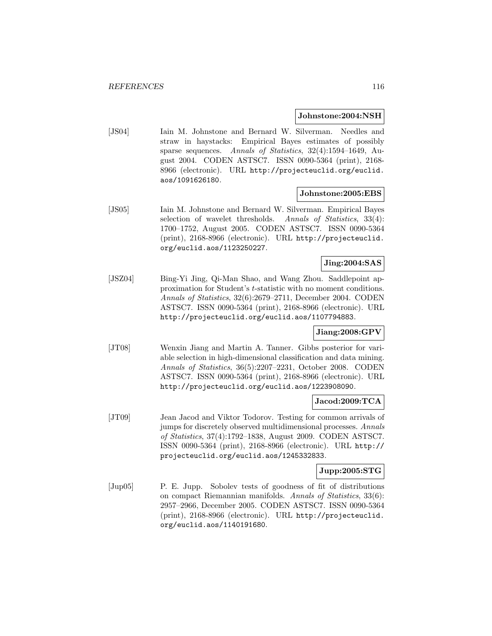#### **Johnstone:2004:NSH**

[JS04] Iain M. Johnstone and Bernard W. Silverman. Needles and straw in haystacks: Empirical Bayes estimates of possibly sparse sequences. Annals of Statistics, 32(4):1594–1649, August 2004. CODEN ASTSC7. ISSN 0090-5364 (print), 2168- 8966 (electronic). URL http://projecteuclid.org/euclid. aos/1091626180.

#### **Johnstone:2005:EBS**

[JS05] Iain M. Johnstone and Bernard W. Silverman. Empirical Bayes selection of wavelet thresholds. Annals of Statistics, 33(4): 1700–1752, August 2005. CODEN ASTSC7. ISSN 0090-5364 (print), 2168-8966 (electronic). URL http://projecteuclid. org/euclid.aos/1123250227.

# **Jing:2004:SAS**

[JSZ04] Bing-Yi Jing, Qi-Man Shao, and Wang Zhou. Saddlepoint approximation for Student's t-statistic with no moment conditions. Annals of Statistics, 32(6):2679–2711, December 2004. CODEN ASTSC7. ISSN 0090-5364 (print), 2168-8966 (electronic). URL http://projecteuclid.org/euclid.aos/1107794883.

## **Jiang:2008:GPV**

[JT08] Wenxin Jiang and Martin A. Tanner. Gibbs posterior for variable selection in high-dimensional classification and data mining. Annals of Statistics, 36(5):2207–2231, October 2008. CODEN ASTSC7. ISSN 0090-5364 (print), 2168-8966 (electronic). URL http://projecteuclid.org/euclid.aos/1223908090.

## **Jacod:2009:TCA**

[JT09] Jean Jacod and Viktor Todorov. Testing for common arrivals of jumps for discretely observed multidimensional processes. Annals of Statistics, 37(4):1792–1838, August 2009. CODEN ASTSC7. ISSN 0090-5364 (print), 2168-8966 (electronic). URL http:// projecteuclid.org/euclid.aos/1245332833.

### **Jupp:2005:STG**

[Jup05] P. E. Jupp. Sobolev tests of goodness of fit of distributions on compact Riemannian manifolds. Annals of Statistics, 33(6): 2957–2966, December 2005. CODEN ASTSC7. ISSN 0090-5364 (print), 2168-8966 (electronic). URL http://projecteuclid. org/euclid.aos/1140191680.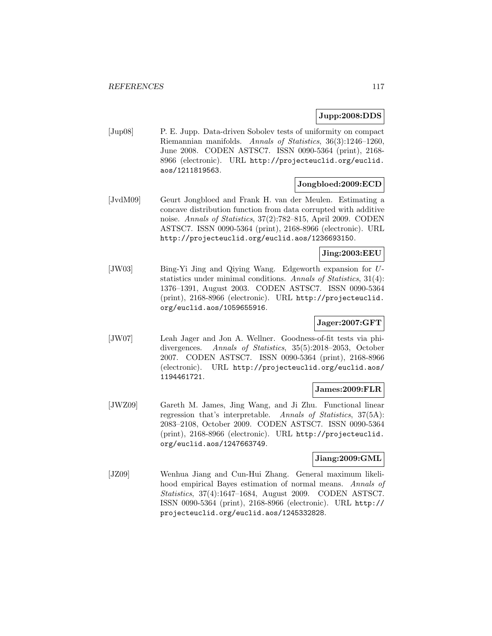### **Jupp:2008:DDS**

[Jup08] P. E. Jupp. Data-driven Sobolev tests of uniformity on compact Riemannian manifolds. Annals of Statistics, 36(3):1246–1260, June 2008. CODEN ASTSC7. ISSN 0090-5364 (print), 2168- 8966 (electronic). URL http://projecteuclid.org/euclid. aos/1211819563.

### **Jongbloed:2009:ECD**

[JvdM09] Geurt Jongbloed and Frank H. van der Meulen. Estimating a concave distribution function from data corrupted with additive noise. Annals of Statistics, 37(2):782–815, April 2009. CODEN ASTSC7. ISSN 0090-5364 (print), 2168-8966 (electronic). URL http://projecteuclid.org/euclid.aos/1236693150.

### **Jing:2003:EEU**

[JW03] Bing-Yi Jing and Qiying Wang. Edgeworth expansion for Ustatistics under minimal conditions. Annals of Statistics, 31(4): 1376–1391, August 2003. CODEN ASTSC7. ISSN 0090-5364 (print), 2168-8966 (electronic). URL http://projecteuclid. org/euclid.aos/1059655916.

# **Jager:2007:GFT**

[JW07] Leah Jager and Jon A. Wellner. Goodness-of-fit tests via phidivergences. Annals of Statistics, 35(5):2018–2053, October 2007. CODEN ASTSC7. ISSN 0090-5364 (print), 2168-8966 (electronic). URL http://projecteuclid.org/euclid.aos/ 1194461721.

### **James:2009:FLR**

[JWZ09] Gareth M. James, Jing Wang, and Ji Zhu. Functional linear regression that's interpretable. Annals of Statistics, 37(5A): 2083–2108, October 2009. CODEN ASTSC7. ISSN 0090-5364 (print), 2168-8966 (electronic). URL http://projecteuclid. org/euclid.aos/1247663749.

### **Jiang:2009:GML**

[JZ09] Wenhua Jiang and Cun-Hui Zhang. General maximum likelihood empirical Bayes estimation of normal means. Annals of Statistics, 37(4):1647–1684, August 2009. CODEN ASTSC7. ISSN 0090-5364 (print), 2168-8966 (electronic). URL http:// projecteuclid.org/euclid.aos/1245332828.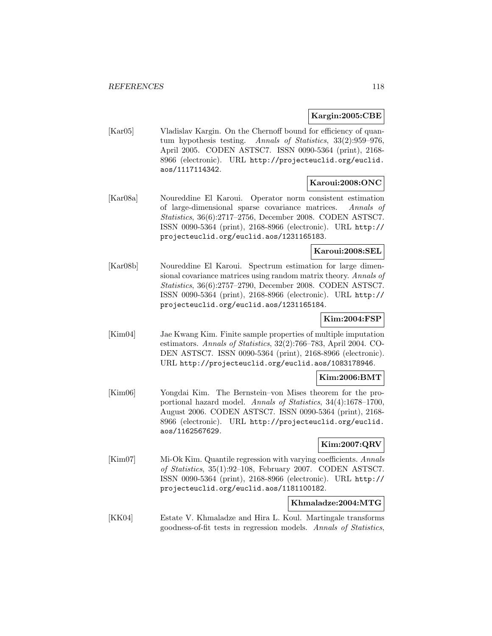### **Kargin:2005:CBE**

[Kar05] Vladislav Kargin. On the Chernoff bound for efficiency of quantum hypothesis testing. Annals of Statistics, 33(2):959–976, April 2005. CODEN ASTSC7. ISSN 0090-5364 (print), 2168- 8966 (electronic). URL http://projecteuclid.org/euclid. aos/1117114342.

### **Karoui:2008:ONC**

[Kar08a] Noureddine El Karoui. Operator norm consistent estimation of large-dimensional sparse covariance matrices. Annals of Statistics, 36(6):2717–2756, December 2008. CODEN ASTSC7. ISSN 0090-5364 (print), 2168-8966 (electronic). URL http:// projecteuclid.org/euclid.aos/1231165183.

## **Karoui:2008:SEL**

[Kar08b] Noureddine El Karoui. Spectrum estimation for large dimensional covariance matrices using random matrix theory. Annals of Statistics, 36(6):2757–2790, December 2008. CODEN ASTSC7. ISSN 0090-5364 (print), 2168-8966 (electronic). URL http:// projecteuclid.org/euclid.aos/1231165184.

## **Kim:2004:FSP**

[Kim04] Jae Kwang Kim. Finite sample properties of multiple imputation estimators. Annals of Statistics, 32(2):766–783, April 2004. CO-DEN ASTSC7. ISSN 0090-5364 (print), 2168-8966 (electronic). URL http://projecteuclid.org/euclid.aos/1083178946.

## **Kim:2006:BMT**

[Kim06] Yongdai Kim. The Bernstein–von Mises theorem for the proportional hazard model. Annals of Statistics, 34(4):1678–1700, August 2006. CODEN ASTSC7. ISSN 0090-5364 (print), 2168- 8966 (electronic). URL http://projecteuclid.org/euclid. aos/1162567629.

## **Kim:2007:QRV**

[Kim07] Mi-Ok Kim. Quantile regression with varying coefficients. Annals of Statistics, 35(1):92–108, February 2007. CODEN ASTSC7. ISSN 0090-5364 (print), 2168-8966 (electronic). URL http:// projecteuclid.org/euclid.aos/1181100182.

### **Khmaladze:2004:MTG**

[KK04] Estate V. Khmaladze and Hira L. Koul. Martingale transforms goodness-of-fit tests in regression models. Annals of Statistics,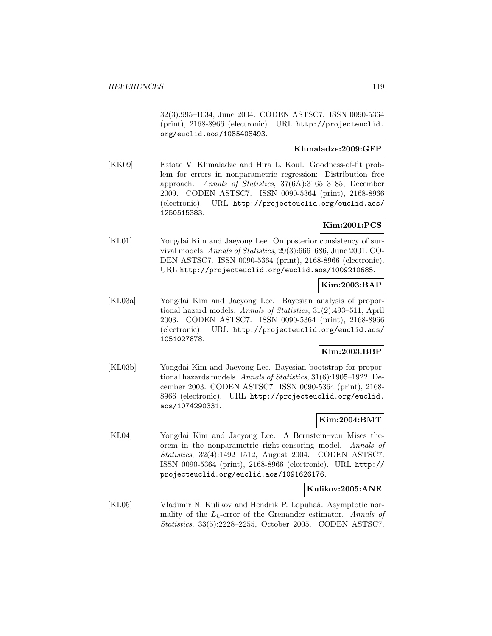32(3):995–1034, June 2004. CODEN ASTSC7. ISSN 0090-5364 (print), 2168-8966 (electronic). URL http://projecteuclid. org/euclid.aos/1085408493.

## **Khmaladze:2009:GFP**

[KK09] Estate V. Khmaladze and Hira L. Koul. Goodness-of-fit problem for errors in nonparametric regression: Distribution free approach. Annals of Statistics, 37(6A):3165–3185, December 2009. CODEN ASTSC7. ISSN 0090-5364 (print), 2168-8966 (electronic). URL http://projecteuclid.org/euclid.aos/ 1250515383.

# **Kim:2001:PCS**

[KL01] Yongdai Kim and Jaeyong Lee. On posterior consistency of survival models. Annals of Statistics, 29(3):666–686, June 2001. CO-DEN ASTSC7. ISSN 0090-5364 (print), 2168-8966 (electronic). URL http://projecteuclid.org/euclid.aos/1009210685.

### **Kim:2003:BAP**

[KL03a] Yongdai Kim and Jaeyong Lee. Bayesian analysis of proportional hazard models. Annals of Statistics, 31(2):493–511, April 2003. CODEN ASTSC7. ISSN 0090-5364 (print), 2168-8966 (electronic). URL http://projecteuclid.org/euclid.aos/ 1051027878.

## **Kim:2003:BBP**

[KL03b] Yongdai Kim and Jaeyong Lee. Bayesian bootstrap for proportional hazards models. Annals of Statistics, 31(6):1905–1922, December 2003. CODEN ASTSC7. ISSN 0090-5364 (print), 2168- 8966 (electronic). URL http://projecteuclid.org/euclid. aos/1074290331.

## **Kim:2004:BMT**

[KL04] Yongdai Kim and Jaeyong Lee. A Bernstein–von Mises theorem in the nonparametric right-censoring model. Annals of Statistics, 32(4):1492–1512, August 2004. CODEN ASTSC7. ISSN 0090-5364 (print), 2168-8966 (electronic). URL http:// projecteuclid.org/euclid.aos/1091626176.

### **Kulikov:2005:ANE**

[KL05] Vladimir N. Kulikov and Hendrik P. Lopuhaä. Asymptotic normality of the  $L_k$ -error of the Grenander estimator. Annals of Statistics, 33(5):2228–2255, October 2005. CODEN ASTSC7.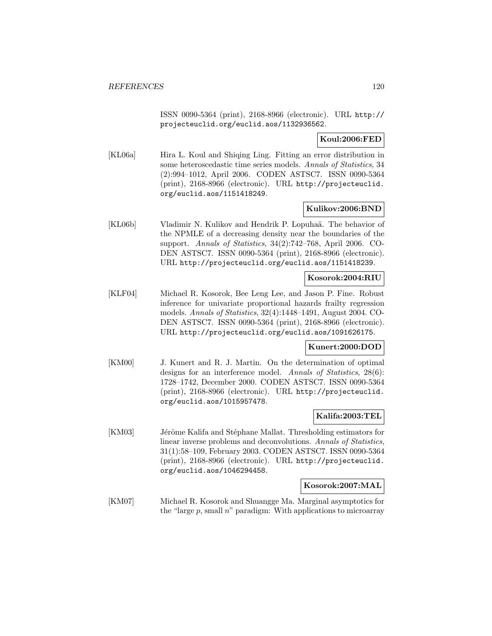ISSN 0090-5364 (print), 2168-8966 (electronic). URL http:// projecteuclid.org/euclid.aos/1132936562.

**Koul:2006:FED**

[KL06a] Hira L. Koul and Shiqing Ling. Fitting an error distribution in some heteroscedastic time series models. Annals of Statistics, 34 (2):994–1012, April 2006. CODEN ASTSC7. ISSN 0090-5364 (print), 2168-8966 (electronic). URL http://projecteuclid. org/euclid.aos/1151418249.

### **Kulikov:2006:BND**

[KL06b] Vladimir N. Kulikov and Hendrik P. Lopuhaä. The behavior of the NPMLE of a decreasing density near the boundaries of the support. Annals of Statistics, 34(2):742–768, April 2006. CO-DEN ASTSC7. ISSN 0090-5364 (print), 2168-8966 (electronic). URL http://projecteuclid.org/euclid.aos/1151418239.

### **Kosorok:2004:RIU**

[KLF04] Michael R. Kosorok, Bee Leng Lee, and Jason P. Fine. Robust inference for univariate proportional hazards frailty regression models. Annals of Statistics, 32(4):1448–1491, August 2004. CO-DEN ASTSC7. ISSN 0090-5364 (print), 2168-8966 (electronic). URL http://projecteuclid.org/euclid.aos/1091626175.

### **Kunert:2000:DOD**

[KM00] J. Kunert and R. J. Martin. On the determination of optimal designs for an interference model. Annals of Statistics, 28(6): 1728–1742, December 2000. CODEN ASTSC7. ISSN 0090-5364 (print), 2168-8966 (electronic). URL http://projecteuclid. org/euclid.aos/1015957478.

### **Kalifa:2003:TEL**

[KM03] Jérôme Kalifa and Stéphane Mallat. Thresholding estimators for linear inverse problems and deconvolutions. Annals of Statistics, 31(1):58–109, February 2003. CODEN ASTSC7. ISSN 0090-5364 (print), 2168-8966 (electronic). URL http://projecteuclid. org/euclid.aos/1046294458.

### **Kosorok:2007:MAL**

[KM07] Michael R. Kosorok and Shuangge Ma. Marginal asymptotics for the "large p, small  $n$ " paradigm: With applications to microarray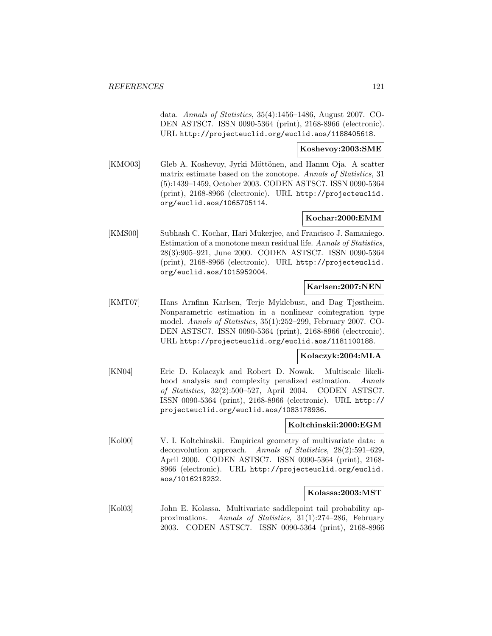data. Annals of Statistics, 35(4):1456–1486, August 2007. CO-DEN ASTSC7. ISSN 0090-5364 (print), 2168-8966 (electronic). URL http://projecteuclid.org/euclid.aos/1188405618.

#### **Koshevoy:2003:SME**

[KMO03] Gleb A. Koshevoy, Jyrki Möttönen, and Hannu Oja. A scatter matrix estimate based on the zonotope. Annals of Statistics, 31 (5):1439–1459, October 2003. CODEN ASTSC7. ISSN 0090-5364 (print), 2168-8966 (electronic). URL http://projecteuclid. org/euclid.aos/1065705114.

### **Kochar:2000:EMM**

[KMS00] Subhash C. Kochar, Hari Mukerjee, and Francisco J. Samaniego. Estimation of a monotone mean residual life. Annals of Statistics, 28(3):905–921, June 2000. CODEN ASTSC7. ISSN 0090-5364 (print), 2168-8966 (electronic). URL http://projecteuclid. org/euclid.aos/1015952004.

### **Karlsen:2007:NEN**

[KMT07] Hans Arnfinn Karlsen, Terje Myklebust, and Dag Tjøstheim. Nonparametric estimation in a nonlinear cointegration type model. Annals of Statistics, 35(1):252–299, February 2007. CO-DEN ASTSC7. ISSN 0090-5364 (print), 2168-8966 (electronic). URL http://projecteuclid.org/euclid.aos/1181100188.

### **Kolaczyk:2004:MLA**

[KN04] Eric D. Kolaczyk and Robert D. Nowak. Multiscale likelihood analysis and complexity penalized estimation. Annals of Statistics, 32(2):500–527, April 2004. CODEN ASTSC7. ISSN 0090-5364 (print), 2168-8966 (electronic). URL http:// projecteuclid.org/euclid.aos/1083178936.

### **Koltchinskii:2000:EGM**

[Kol00] V. I. Koltchinskii. Empirical geometry of multivariate data: a deconvolution approach. Annals of Statistics, 28(2):591–629, April 2000. CODEN ASTSC7. ISSN 0090-5364 (print), 2168- 8966 (electronic). URL http://projecteuclid.org/euclid. aos/1016218232.

### **Kolassa:2003:MST**

[Kol03] John E. Kolassa. Multivariate saddlepoint tail probability approximations. Annals of Statistics, 31(1):274–286, February 2003. CODEN ASTSC7. ISSN 0090-5364 (print), 2168-8966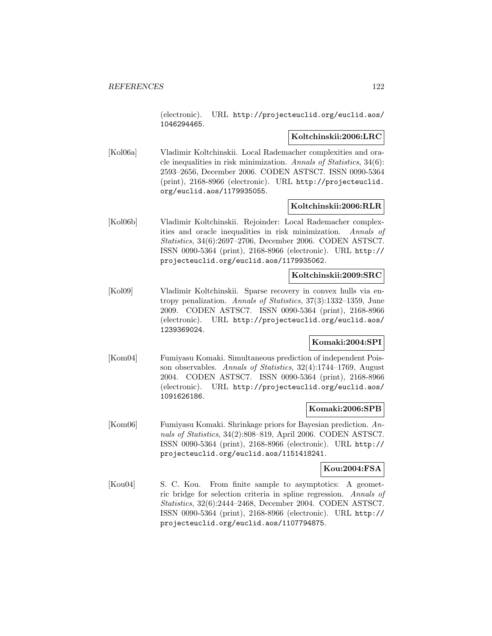(electronic). URL http://projecteuclid.org/euclid.aos/ 1046294465.

#### **Koltchinskii:2006:LRC**

[Kol06a] Vladimir Koltchinskii. Local Rademacher complexities and oracle inequalities in risk minimization. Annals of Statistics, 34(6): 2593–2656, December 2006. CODEN ASTSC7. ISSN 0090-5364 (print), 2168-8966 (electronic). URL http://projecteuclid. org/euclid.aos/1179935055.

### **Koltchinskii:2006:RLR**

[Kol06b] Vladimir Koltchinskii. Rejoinder: Local Rademacher complexities and oracle inequalities in risk minimization. Annals of Statistics, 34(6):2697–2706, December 2006. CODEN ASTSC7. ISSN 0090-5364 (print), 2168-8966 (electronic). URL http:// projecteuclid.org/euclid.aos/1179935062.

### **Koltchinskii:2009:SRC**

[Kol09] Vladimir Koltchinskii. Sparse recovery in convex hulls via entropy penalization. Annals of Statistics, 37(3):1332–1359, June 2009. CODEN ASTSC7. ISSN 0090-5364 (print), 2168-8966 (electronic). URL http://projecteuclid.org/euclid.aos/ 1239369024.

### **Komaki:2004:SPI**

[Kom04] Fumiyasu Komaki. Simultaneous prediction of independent Poisson observables. Annals of Statistics, 32(4):1744–1769, August 2004. CODEN ASTSC7. ISSN 0090-5364 (print), 2168-8966 (electronic). URL http://projecteuclid.org/euclid.aos/ 1091626186.

### **Komaki:2006:SPB**

[Kom06] Fumiyasu Komaki. Shrinkage priors for Bayesian prediction. Annals of Statistics, 34(2):808–819, April 2006. CODEN ASTSC7. ISSN 0090-5364 (print), 2168-8966 (electronic). URL http:// projecteuclid.org/euclid.aos/1151418241.

#### **Kou:2004:FSA**

[Kou04] S. C. Kou. From finite sample to asymptotics: A geometric bridge for selection criteria in spline regression. Annals of Statistics, 32(6):2444–2468, December 2004. CODEN ASTSC7. ISSN 0090-5364 (print), 2168-8966 (electronic). URL http:// projecteuclid.org/euclid.aos/1107794875.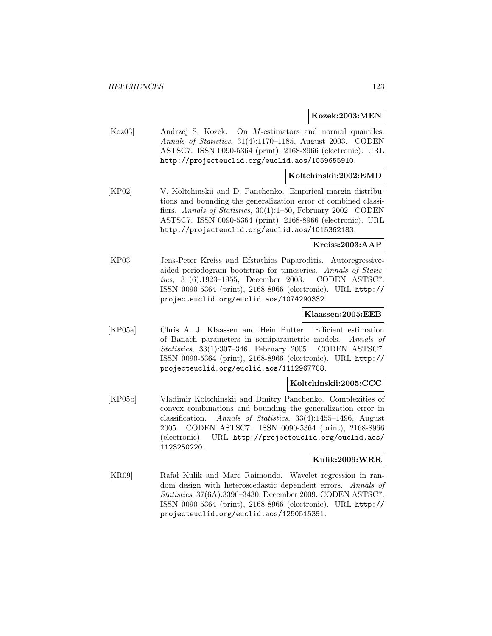#### **Kozek:2003:MEN**

[Koz03] Andrzej S. Kozek. On M-estimators and normal quantiles. Annals of Statistics, 31(4):1170–1185, August 2003. CODEN ASTSC7. ISSN 0090-5364 (print), 2168-8966 (electronic). URL http://projecteuclid.org/euclid.aos/1059655910.

### **Koltchinskii:2002:EMD**

[KP02] V. Koltchinskii and D. Panchenko. Empirical margin distributions and bounding the generalization error of combined classifiers. Annals of Statistics, 30(1):1–50, February 2002. CODEN ASTSC7. ISSN 0090-5364 (print), 2168-8966 (electronic). URL http://projecteuclid.org/euclid.aos/1015362183.

### **Kreiss:2003:AAP**

[KP03] Jens-Peter Kreiss and Efstathios Paparoditis. Autoregressiveaided periodogram bootstrap for timeseries. Annals of Statistics, 31(6):1923–1955, December 2003. CODEN ASTSC7. ISSN 0090-5364 (print), 2168-8966 (electronic). URL http:// projecteuclid.org/euclid.aos/1074290332.

### **Klaassen:2005:EEB**

[KP05a] Chris A. J. Klaassen and Hein Putter. Efficient estimation of Banach parameters in semiparametric models. Annals of Statistics, 33(1):307–346, February 2005. CODEN ASTSC7. ISSN 0090-5364 (print), 2168-8966 (electronic). URL http:// projecteuclid.org/euclid.aos/1112967708.

### **Koltchinskii:2005:CCC**

[KP05b] Vladimir Koltchinskii and Dmitry Panchenko. Complexities of convex combinations and bounding the generalization error in classification. Annals of Statistics, 33(4):1455–1496, August 2005. CODEN ASTSC7. ISSN 0090-5364 (print), 2168-8966 (electronic). URL http://projecteuclid.org/euclid.aos/ 1123250220.

### **Kulik:2009:WRR**

[KR09] Rafał Kulik and Marc Raimondo. Wavelet regression in random design with heteroscedastic dependent errors. Annals of Statistics, 37(6A):3396–3430, December 2009. CODEN ASTSC7. ISSN 0090-5364 (print), 2168-8966 (electronic). URL http:// projecteuclid.org/euclid.aos/1250515391.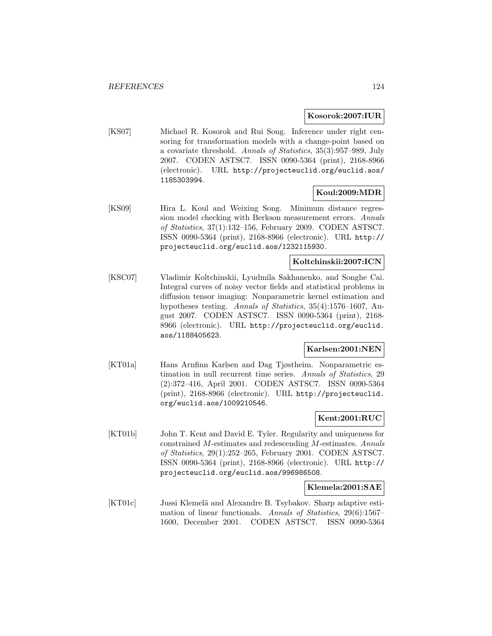#### **Kosorok:2007:IUR**

[KS07] Michael R. Kosorok and Rui Song. Inference under right censoring for transformation models with a change-point based on a covariate threshold. Annals of Statistics, 35(3):957–989, July 2007. CODEN ASTSC7. ISSN 0090-5364 (print), 2168-8966 (electronic). URL http://projecteuclid.org/euclid.aos/ 1185303994.

# **Koul:2009:MDR**

[KS09] Hira L. Koul and Weixing Song. Minimum distance regression model checking with Berkson measurement errors. Annals of Statistics, 37(1):132–156, February 2009. CODEN ASTSC7. ISSN 0090-5364 (print), 2168-8966 (electronic). URL http:// projecteuclid.org/euclid.aos/1232115930.

## **Koltchinskii:2007:ICN**

[KSC07] Vladimir Koltchinskii, Lyudmila Sakhanenko, and Songhe Cai. Integral curves of noisy vector fields and statistical problems in diffusion tensor imaging: Nonparametric kernel estimation and hypotheses testing. Annals of Statistics, 35(4):1576–1607, August 2007. CODEN ASTSC7. ISSN 0090-5364 (print), 2168- 8966 (electronic). URL http://projecteuclid.org/euclid. aos/1188405623.

### **Karlsen:2001:NEN**

[KT01a] Hans Arnfinn Karlsen and Dag Tjøstheim. Nonparametric estimation in null recurrent time series. Annals of Statistics, 29 (2):372–416, April 2001. CODEN ASTSC7. ISSN 0090-5364 (print), 2168-8966 (electronic). URL http://projecteuclid. org/euclid.aos/1009210546.

### **Kent:2001:RUC**

[KT01b] John T. Kent and David E. Tyler. Regularity and uniqueness for constrained M-estimates and redescending M-estimates. Annals of Statistics, 29(1):252–265, February 2001. CODEN ASTSC7. ISSN 0090-5364 (print), 2168-8966 (electronic). URL http:// projecteuclid.org/euclid.aos/996986508.

#### **Klemela:2001:SAE**

[KT01c] Jussi Klemelä and Alexandre B. Tsybakov. Sharp adaptive estimation of linear functionals. Annals of Statistics, 29(6):1567– 1600, December 2001. CODEN ASTSC7. ISSN 0090-5364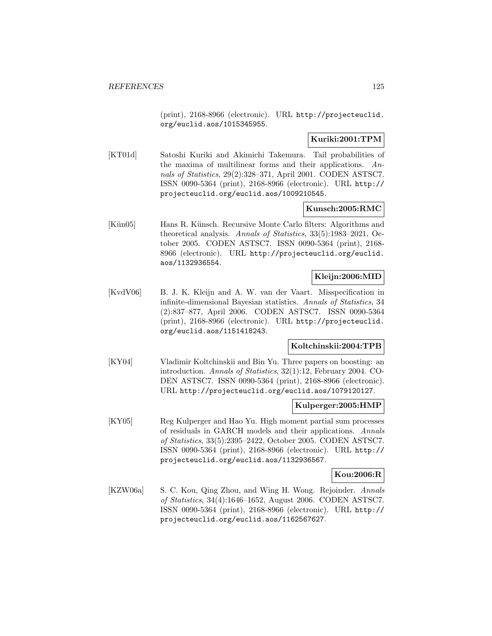(print), 2168-8966 (electronic). URL http://projecteuclid. org/euclid.aos/1015345955.

## **Kuriki:2001:TPM**

[KT01d] Satoshi Kuriki and Akimichi Takemura. Tail probabilities of the maxima of multilinear forms and their applications. Annals of Statistics, 29(2):328–371, April 2001. CODEN ASTSC7. ISSN 0090-5364 (print), 2168-8966 (electronic). URL http:// projecteuclid.org/euclid.aos/1009210545.

### **Kunsch:2005:RMC**

[Kün05] Hans R. Künsch. Recursive Monte Carlo filters: Algorithms and theoretical analysis. Annals of Statistics, 33(5):1983–2021, October 2005. CODEN ASTSC7. ISSN 0090-5364 (print), 2168- 8966 (electronic). URL http://projecteuclid.org/euclid. aos/1132936554.

### **Kleijn:2006:MID**

[KvdV06] B. J. K. Kleijn and A. W. van der Vaart. Misspecification in infinite-dimensional Bayesian statistics. Annals of Statistics, 34 (2):837–877, April 2006. CODEN ASTSC7. ISSN 0090-5364 (print), 2168-8966 (electronic). URL http://projecteuclid. org/euclid.aos/1151418243.

# **Koltchinskii:2004:TPB**

[KY04] Vladimir Koltchinskii and Bin Yu. Three papers on boosting: an introduction. Annals of Statistics, 32(1):12, February 2004. CO-DEN ASTSC7. ISSN 0090-5364 (print), 2168-8966 (electronic). URL http://projecteuclid.org/euclid.aos/1079120127.

### **Kulperger:2005:HMP**

[KY05] Reg Kulperger and Hao Yu. High moment partial sum processes of residuals in GARCH models and their applications. Annals of Statistics, 33(5):2395–2422, October 2005. CODEN ASTSC7. ISSN 0090-5364 (print), 2168-8966 (electronic). URL http:// projecteuclid.org/euclid.aos/1132936567.

### **Kou:2006:R**

[KZW06a] S. C. Kou, Qing Zhou, and Wing H. Wong. Rejoinder. Annals of Statistics, 34(4):1646–1652, August 2006. CODEN ASTSC7. ISSN 0090-5364 (print), 2168-8966 (electronic). URL http:// projecteuclid.org/euclid.aos/1162567627.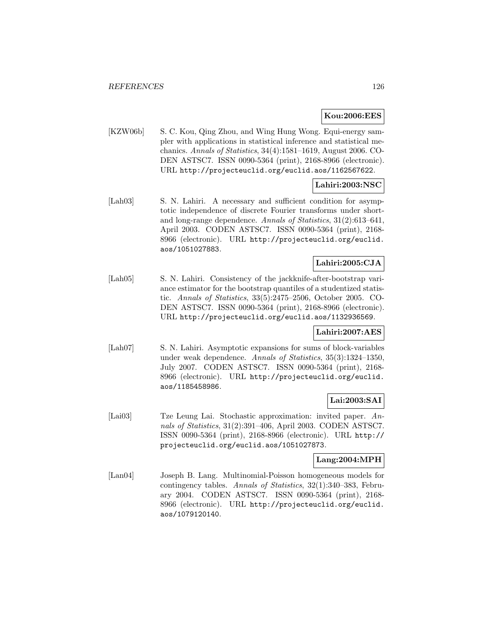## **Kou:2006:EES**

[KZW06b] S. C. Kou, Qing Zhou, and Wing Hung Wong. Equi-energy sampler with applications in statistical inference and statistical mechanics. Annals of Statistics, 34(4):1581–1619, August 2006. CO-DEN ASTSC7. ISSN 0090-5364 (print), 2168-8966 (electronic). URL http://projecteuclid.org/euclid.aos/1162567622.

## **Lahiri:2003:NSC**

[Lah03] S. N. Lahiri. A necessary and sufficient condition for asymptotic independence of discrete Fourier transforms under shortand long-range dependence. Annals of Statistics, 31(2):613–641, April 2003. CODEN ASTSC7. ISSN 0090-5364 (print), 2168- 8966 (electronic). URL http://projecteuclid.org/euclid. aos/1051027883.

## **Lahiri:2005:CJA**

[Lah05] S. N. Lahiri. Consistency of the jackknife-after-bootstrap variance estimator for the bootstrap quantiles of a studentized statistic. Annals of Statistics, 33(5):2475–2506, October 2005. CO-DEN ASTSC7. ISSN 0090-5364 (print), 2168-8966 (electronic). URL http://projecteuclid.org/euclid.aos/1132936569.

### **Lahiri:2007:AES**

[Lah07] S. N. Lahiri. Asymptotic expansions for sums of block-variables under weak dependence. Annals of Statistics, 35(3):1324–1350, July 2007. CODEN ASTSC7. ISSN 0090-5364 (print), 2168- 8966 (electronic). URL http://projecteuclid.org/euclid. aos/1185458986.

### **Lai:2003:SAI**

[Lai03] Tze Leung Lai. Stochastic approximation: invited paper. Annals of Statistics, 31(2):391–406, April 2003. CODEN ASTSC7. ISSN 0090-5364 (print), 2168-8966 (electronic). URL http:// projecteuclid.org/euclid.aos/1051027873.

### **Lang:2004:MPH**

[Lan04] Joseph B. Lang. Multinomial-Poisson homogeneous models for contingency tables. Annals of Statistics, 32(1):340–383, February 2004. CODEN ASTSC7. ISSN 0090-5364 (print), 2168- 8966 (electronic). URL http://projecteuclid.org/euclid. aos/1079120140.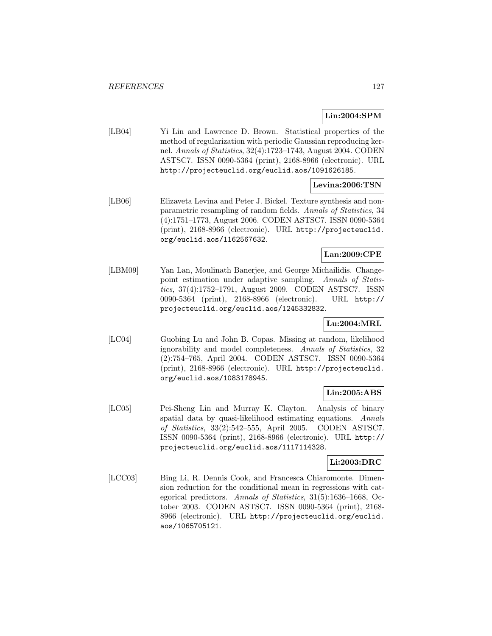## **Lin:2004:SPM**

[LB04] Yi Lin and Lawrence D. Brown. Statistical properties of the method of regularization with periodic Gaussian reproducing kernel. Annals of Statistics, 32(4):1723–1743, August 2004. CODEN ASTSC7. ISSN 0090-5364 (print), 2168-8966 (electronic). URL http://projecteuclid.org/euclid.aos/1091626185.

# **Levina:2006:TSN**

[LB06] Elizaveta Levina and Peter J. Bickel. Texture synthesis and nonparametric resampling of random fields. Annals of Statistics, 34 (4):1751–1773, August 2006. CODEN ASTSC7. ISSN 0090-5364 (print), 2168-8966 (electronic). URL http://projecteuclid. org/euclid.aos/1162567632.

## **Lan:2009:CPE**

[LBM09] Yan Lan, Moulinath Banerjee, and George Michailidis. Changepoint estimation under adaptive sampling. Annals of Statistics, 37(4):1752–1791, August 2009. CODEN ASTSC7. ISSN 0090-5364 (print), 2168-8966 (electronic). URL http:// projecteuclid.org/euclid.aos/1245332832.

## **Lu:2004:MRL**

[LC04] Guobing Lu and John B. Copas. Missing at random, likelihood ignorability and model completeness. Annals of Statistics, 32 (2):754–765, April 2004. CODEN ASTSC7. ISSN 0090-5364 (print), 2168-8966 (electronic). URL http://projecteuclid. org/euclid.aos/1083178945.

## **Lin:2005:ABS**

[LC05] Pei-Sheng Lin and Murray K. Clayton. Analysis of binary spatial data by quasi-likelihood estimating equations. Annals of Statistics, 33(2):542–555, April 2005. CODEN ASTSC7. ISSN 0090-5364 (print), 2168-8966 (electronic). URL http:// projecteuclid.org/euclid.aos/1117114328.

## **Li:2003:DRC**

[LCC03] Bing Li, R. Dennis Cook, and Francesca Chiaromonte. Dimension reduction for the conditional mean in regressions with categorical predictors. Annals of Statistics, 31(5):1636–1668, October 2003. CODEN ASTSC7. ISSN 0090-5364 (print), 2168- 8966 (electronic). URL http://projecteuclid.org/euclid. aos/1065705121.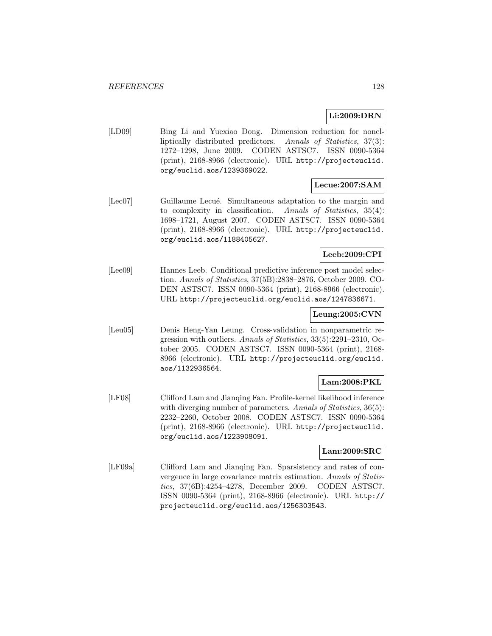# **Li:2009:DRN**

[LD09] Bing Li and Yuexiao Dong. Dimension reduction for nonelliptically distributed predictors. Annals of Statistics, 37(3): 1272–1298, June 2009. CODEN ASTSC7. ISSN 0090-5364 (print), 2168-8966 (electronic). URL http://projecteuclid. org/euclid.aos/1239369022.

# **Lecue:2007:SAM**

[Lec07] Guillaume Lecué. Simultaneous adaptation to the margin and to complexity in classification. Annals of Statistics, 35(4): 1698–1721, August 2007. CODEN ASTSC7. ISSN 0090-5364 (print), 2168-8966 (electronic). URL http://projecteuclid. org/euclid.aos/1188405627.

### **Leeb:2009:CPI**

[Lee09] Hannes Leeb. Conditional predictive inference post model selection. Annals of Statistics, 37(5B):2838–2876, October 2009. CO-DEN ASTSC7. ISSN 0090-5364 (print), 2168-8966 (electronic). URL http://projecteuclid.org/euclid.aos/1247836671.

### **Leung:2005:CVN**

[Leu05] Denis Heng-Yan Leung. Cross-validation in nonparametric regression with outliers. Annals of Statistics, 33(5):2291–2310, October 2005. CODEN ASTSC7. ISSN 0090-5364 (print), 2168- 8966 (electronic). URL http://projecteuclid.org/euclid. aos/1132936564.

## **Lam:2008:PKL**

[LF08] Clifford Lam and Jianqing Fan. Profile-kernel likelihood inference with diverging number of parameters. Annals of Statistics, 36(5): 2232–2260, October 2008. CODEN ASTSC7. ISSN 0090-5364 (print), 2168-8966 (electronic). URL http://projecteuclid. org/euclid.aos/1223908091.

## **Lam:2009:SRC**

[LF09a] Clifford Lam and Jianqing Fan. Sparsistency and rates of convergence in large covariance matrix estimation. Annals of Statistics, 37(6B):4254–4278, December 2009. CODEN ASTSC7. ISSN 0090-5364 (print), 2168-8966 (electronic). URL http:// projecteuclid.org/euclid.aos/1256303543.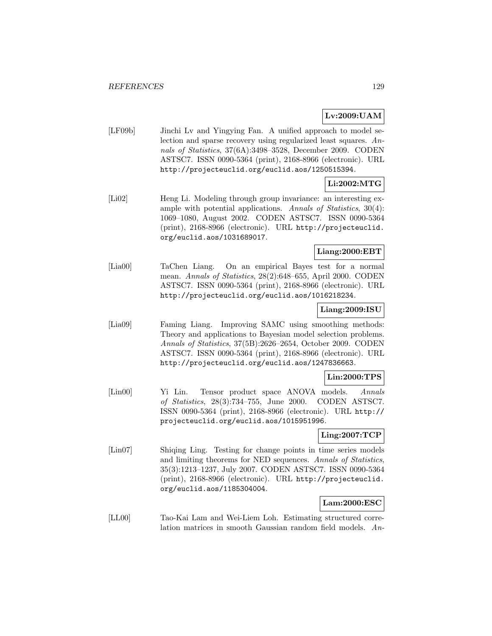# **Lv:2009:UAM**

[LF09b] Jinchi Lv and Yingying Fan. A unified approach to model selection and sparse recovery using regularized least squares. Annals of Statistics, 37(6A):3498–3528, December 2009. CODEN ASTSC7. ISSN 0090-5364 (print), 2168-8966 (electronic). URL http://projecteuclid.org/euclid.aos/1250515394.

# **Li:2002:MTG**

[Li02] Heng Li. Modeling through group invariance: an interesting example with potential applications. Annals of Statistics, 30(4): 1069–1080, August 2002. CODEN ASTSC7. ISSN 0090-5364 (print), 2168-8966 (electronic). URL http://projecteuclid. org/euclid.aos/1031689017.

## **Liang:2000:EBT**

[Lia00] TaChen Liang. On an empirical Bayes test for a normal mean. Annals of Statistics, 28(2):648–655, April 2000. CODEN ASTSC7. ISSN 0090-5364 (print), 2168-8966 (electronic). URL http://projecteuclid.org/euclid.aos/1016218234.

### **Liang:2009:ISU**

[Lia09] Faming Liang. Improving SAMC using smoothing methods: Theory and applications to Bayesian model selection problems. Annals of Statistics, 37(5B):2626–2654, October 2009. CODEN ASTSC7. ISSN 0090-5364 (print), 2168-8966 (electronic). URL http://projecteuclid.org/euclid.aos/1247836663.

### **Lin:2000:TPS**

[Lin00] Yi Lin. Tensor product space ANOVA models. Annals of Statistics, 28(3):734–755, June 2000. CODEN ASTSC7. ISSN 0090-5364 (print), 2168-8966 (electronic). URL http:// projecteuclid.org/euclid.aos/1015951996.

### **Ling:2007:TCP**

[Lin07] Shiqing Ling. Testing for change points in time series models and limiting theorems for NED sequences. Annals of Statistics, 35(3):1213–1237, July 2007. CODEN ASTSC7. ISSN 0090-5364 (print), 2168-8966 (electronic). URL http://projecteuclid. org/euclid.aos/1185304004.

### **Lam:2000:ESC**

[LL00] Tao-Kai Lam and Wei-Liem Loh. Estimating structured correlation matrices in smooth Gaussian random field models. An-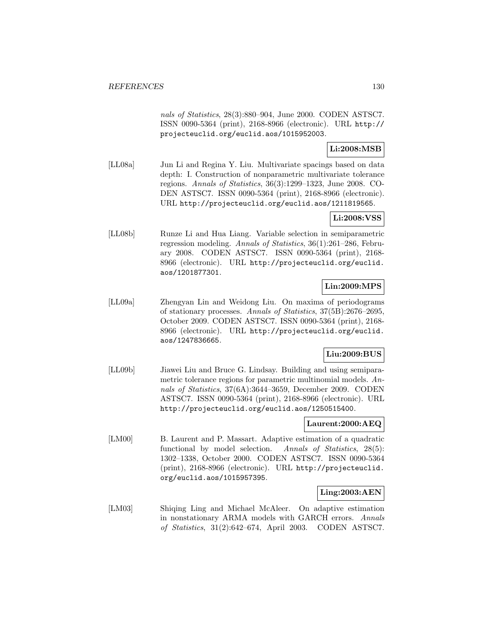nals of Statistics, 28(3):880–904, June 2000. CODEN ASTSC7. ISSN 0090-5364 (print), 2168-8966 (electronic). URL http:// projecteuclid.org/euclid.aos/1015952003.

**Li:2008:MSB**

[LL08a] Jun Li and Regina Y. Liu. Multivariate spacings based on data depth: I. Construction of nonparametric multivariate tolerance regions. Annals of Statistics, 36(3):1299–1323, June 2008. CO-DEN ASTSC7. ISSN 0090-5364 (print), 2168-8966 (electronic). URL http://projecteuclid.org/euclid.aos/1211819565.

# **Li:2008:VSS**

[LL08b] Runze Li and Hua Liang. Variable selection in semiparametric regression modeling. Annals of Statistics, 36(1):261–286, February 2008. CODEN ASTSC7. ISSN 0090-5364 (print), 2168- 8966 (electronic). URL http://projecteuclid.org/euclid. aos/1201877301.

# **Lin:2009:MPS**

[LL09a] Zhengyan Lin and Weidong Liu. On maxima of periodograms of stationary processes. Annals of Statistics, 37(5B):2676–2695, October 2009. CODEN ASTSC7. ISSN 0090-5364 (print), 2168- 8966 (electronic). URL http://projecteuclid.org/euclid. aos/1247836665.

# **Liu:2009:BUS**

[LL09b] Jiawei Liu and Bruce G. Lindsay. Building and using semiparametric tolerance regions for parametric multinomial models. Annals of Statistics, 37(6A):3644–3659, December 2009. CODEN ASTSC7. ISSN 0090-5364 (print), 2168-8966 (electronic). URL http://projecteuclid.org/euclid.aos/1250515400.

## **Laurent:2000:AEQ**

[LM00] B. Laurent and P. Massart. Adaptive estimation of a quadratic functional by model selection. Annals of Statistics, 28(5): 1302–1338, October 2000. CODEN ASTSC7. ISSN 0090-5364 (print), 2168-8966 (electronic). URL http://projecteuclid. org/euclid.aos/1015957395.

## **Ling:2003:AEN**

[LM03] Shiqing Ling and Michael McAleer. On adaptive estimation in nonstationary ARMA models with GARCH errors. Annals of Statistics, 31(2):642–674, April 2003. CODEN ASTSC7.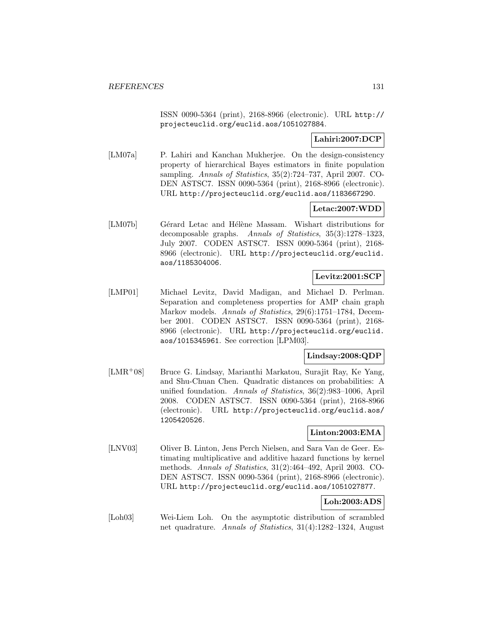ISSN 0090-5364 (print), 2168-8966 (electronic). URL http:// projecteuclid.org/euclid.aos/1051027884.

### **Lahiri:2007:DCP**

[LM07a] P. Lahiri and Kanchan Mukherjee. On the design-consistency property of hierarchical Bayes estimators in finite population sampling. Annals of Statistics, 35(2):724–737, April 2007. CO-DEN ASTSC7. ISSN 0090-5364 (print), 2168-8966 (electronic). URL http://projecteuclid.org/euclid.aos/1183667290.

## **Letac:2007:WDD**

[LM07b] Gérard Letac and Hélène Massam. Wishart distributions for decomposable graphs. Annals of Statistics, 35(3):1278–1323, July 2007. CODEN ASTSC7. ISSN 0090-5364 (print), 2168- 8966 (electronic). URL http://projecteuclid.org/euclid. aos/1185304006.

### **Levitz:2001:SCP**

[LMP01] Michael Levitz, David Madigan, and Michael D. Perlman. Separation and completeness properties for AMP chain graph Markov models. Annals of Statistics, 29(6):1751–1784, December 2001. CODEN ASTSC7. ISSN 0090-5364 (print), 2168- 8966 (electronic). URL http://projecteuclid.org/euclid. aos/1015345961. See correction [LPM03].

### **Lindsay:2008:QDP**

[LMR<sup>+</sup>08] Bruce G. Lindsay, Marianthi Markatou, Surajit Ray, Ke Yang, and Shu-Chuan Chen. Quadratic distances on probabilities: A unified foundation. Annals of Statistics, 36(2):983–1006, April 2008. CODEN ASTSC7. ISSN 0090-5364 (print), 2168-8966 (electronic). URL http://projecteuclid.org/euclid.aos/ 1205420526.

### **Linton:2003:EMA**

[LNV03] Oliver B. Linton, Jens Perch Nielsen, and Sara Van de Geer. Estimating multiplicative and additive hazard functions by kernel methods. Annals of Statistics, 31(2):464–492, April 2003. CO-DEN ASTSC7. ISSN 0090-5364 (print), 2168-8966 (electronic). URL http://projecteuclid.org/euclid.aos/1051027877.

## **Loh:2003:ADS**

[Loh03] Wei-Liem Loh. On the asymptotic distribution of scrambled net quadrature. Annals of Statistics, 31(4):1282–1324, August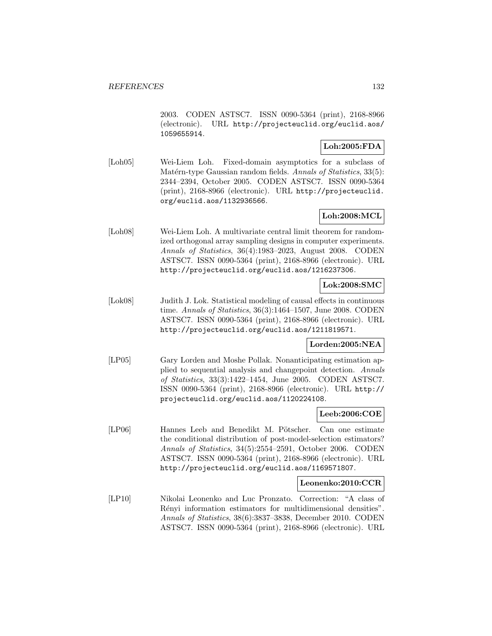2003. CODEN ASTSC7. ISSN 0090-5364 (print), 2168-8966 (electronic). URL http://projecteuclid.org/euclid.aos/ 1059655914.

### **Loh:2005:FDA**

[Loh05] Wei-Liem Loh. Fixed-domain asymptotics for a subclass of Matérn-type Gaussian random fields. Annals of Statistics, 33(5): 2344–2394, October 2005. CODEN ASTSC7. ISSN 0090-5364 (print), 2168-8966 (electronic). URL http://projecteuclid. org/euclid.aos/1132936566.

# **Loh:2008:MCL**

[Loh08] Wei-Liem Loh. A multivariate central limit theorem for randomized orthogonal array sampling designs in computer experiments. Annals of Statistics, 36(4):1983–2023, August 2008. CODEN ASTSC7. ISSN 0090-5364 (print), 2168-8966 (electronic). URL http://projecteuclid.org/euclid.aos/1216237306.

## **Lok:2008:SMC**

[Lok08] Judith J. Lok. Statistical modeling of causal effects in continuous time. Annals of Statistics, 36(3):1464–1507, June 2008. CODEN ASTSC7. ISSN 0090-5364 (print), 2168-8966 (electronic). URL http://projecteuclid.org/euclid.aos/1211819571.

## **Lorden:2005:NEA**

[LP05] Gary Lorden and Moshe Pollak. Nonanticipating estimation applied to sequential analysis and changepoint detection. Annals of Statistics, 33(3):1422–1454, June 2005. CODEN ASTSC7. ISSN 0090-5364 (print), 2168-8966 (electronic). URL http:// projecteuclid.org/euclid.aos/1120224108.

### **Leeb:2006:COE**

[LP06] Hannes Leeb and Benedikt M. Pötscher. Can one estimate the conditional distribution of post-model-selection estimators? Annals of Statistics, 34(5):2554–2591, October 2006. CODEN ASTSC7. ISSN 0090-5364 (print), 2168-8966 (electronic). URL http://projecteuclid.org/euclid.aos/1169571807.

### **Leonenko:2010:CCR**

[LP10] Nikolai Leonenko and Luc Pronzato. Correction: "A class of Rényi information estimators for multidimensional densities". Annals of Statistics, 38(6):3837–3838, December 2010. CODEN ASTSC7. ISSN 0090-5364 (print), 2168-8966 (electronic). URL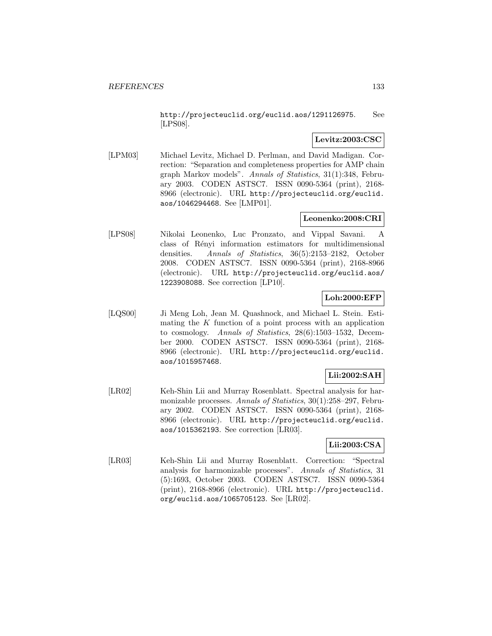http://projecteuclid.org/euclid.aos/1291126975. See [LPS08].

## **Levitz:2003:CSC**

[LPM03] Michael Levitz, Michael D. Perlman, and David Madigan. Correction: "Separation and completeness properties for AMP chain graph Markov models". Annals of Statistics, 31(1):348, February 2003. CODEN ASTSC7. ISSN 0090-5364 (print), 2168- 8966 (electronic). URL http://projecteuclid.org/euclid. aos/1046294468. See [LMP01].

## **Leonenko:2008:CRI**

[LPS08] Nikolai Leonenko, Luc Pronzato, and Vippal Savani. A class of Rényi information estimators for multidimensional densities. Annals of Statistics, 36(5):2153–2182, October 2008. CODEN ASTSC7. ISSN 0090-5364 (print), 2168-8966 (electronic). URL http://projecteuclid.org/euclid.aos/ 1223908088. See correction [LP10].

# **Loh:2000:EFP**

[LQS00] Ji Meng Loh, Jean M. Quashnock, and Michael L. Stein. Estimating the  $K$  function of a point process with an application to cosmology. Annals of Statistics, 28(6):1503–1532, December 2000. CODEN ASTSC7. ISSN 0090-5364 (print), 2168- 8966 (electronic). URL http://projecteuclid.org/euclid. aos/1015957468.

# **Lii:2002:SAH**

[LR02] Keh-Shin Lii and Murray Rosenblatt. Spectral analysis for harmonizable processes. Annals of Statistics, 30(1):258-297, February 2002. CODEN ASTSC7. ISSN 0090-5364 (print), 2168- 8966 (electronic). URL http://projecteuclid.org/euclid. aos/1015362193. See correction [LR03].

## **Lii:2003:CSA**

[LR03] Keh-Shin Lii and Murray Rosenblatt. Correction: "Spectral analysis for harmonizable processes". Annals of Statistics, 31 (5):1693, October 2003. CODEN ASTSC7. ISSN 0090-5364 (print), 2168-8966 (electronic). URL http://projecteuclid. org/euclid.aos/1065705123. See [LR02].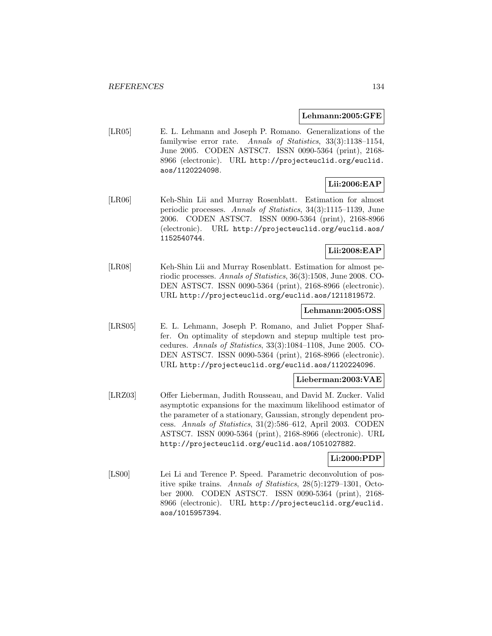#### **Lehmann:2005:GFE**

[LR05] E. L. Lehmann and Joseph P. Romano. Generalizations of the familywise error rate. Annals of Statistics, 33(3):1138–1154, June 2005. CODEN ASTSC7. ISSN 0090-5364 (print), 2168- 8966 (electronic). URL http://projecteuclid.org/euclid. aos/1120224098.

### **Lii:2006:EAP**

[LR06] Keh-Shin Lii and Murray Rosenblatt. Estimation for almost periodic processes. Annals of Statistics, 34(3):1115–1139, June 2006. CODEN ASTSC7. ISSN 0090-5364 (print), 2168-8966 (electronic). URL http://projecteuclid.org/euclid.aos/ 1152540744.

# **Lii:2008:EAP**

[LR08] Keh-Shin Lii and Murray Rosenblatt. Estimation for almost periodic processes. Annals of Statistics, 36(3):1508, June 2008. CO-DEN ASTSC7. ISSN 0090-5364 (print), 2168-8966 (electronic). URL http://projecteuclid.org/euclid.aos/1211819572.

#### **Lehmann:2005:OSS**

[LRS05] E. L. Lehmann, Joseph P. Romano, and Juliet Popper Shaffer. On optimality of stepdown and stepup multiple test procedures. Annals of Statistics, 33(3):1084–1108, June 2005. CO-DEN ASTSC7. ISSN 0090-5364 (print), 2168-8966 (electronic). URL http://projecteuclid.org/euclid.aos/1120224096.

### **Lieberman:2003:VAE**

[LRZ03] Offer Lieberman, Judith Rousseau, and David M. Zucker. Valid asymptotic expansions for the maximum likelihood estimator of the parameter of a stationary, Gaussian, strongly dependent process. Annals of Statistics, 31(2):586–612, April 2003. CODEN ASTSC7. ISSN 0090-5364 (print), 2168-8966 (electronic). URL http://projecteuclid.org/euclid.aos/1051027882.

### **Li:2000:PDP**

[LS00] Lei Li and Terence P. Speed. Parametric deconvolution of positive spike trains. Annals of Statistics, 28(5):1279–1301, October 2000. CODEN ASTSC7. ISSN 0090-5364 (print), 2168- 8966 (electronic). URL http://projecteuclid.org/euclid. aos/1015957394.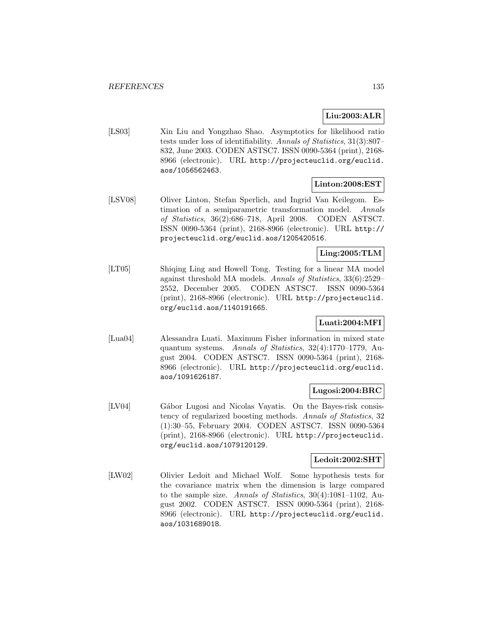# **Liu:2003:ALR**

[LS03] Xin Liu and Yongzhao Shao. Asymptotics for likelihood ratio tests under loss of identifiability. Annals of Statistics, 31(3):807– 832, June 2003. CODEN ASTSC7. ISSN 0090-5364 (print), 2168- 8966 (electronic). URL http://projecteuclid.org/euclid. aos/1056562463.

### **Linton:2008:EST**

[LSV08] Oliver Linton, Stefan Sperlich, and Ingrid Van Keilegom. Estimation of a semiparametric transformation model. Annals of Statistics, 36(2):686–718, April 2008. CODEN ASTSC7. ISSN 0090-5364 (print), 2168-8966 (electronic). URL http:// projecteuclid.org/euclid.aos/1205420516.

### **Ling:2005:TLM**

[LT05] Shiqing Ling and Howell Tong. Testing for a linear MA model against threshold MA models. Annals of Statistics, 33(6):2529– 2552, December 2005. CODEN ASTSC7. ISSN 0090-5364 (print), 2168-8966 (electronic). URL http://projecteuclid. org/euclid.aos/1140191665.

### **Luati:2004:MFI**

[Lua04] Alessandra Luati. Maximum Fisher information in mixed state quantum systems. Annals of Statistics, 32(4):1770–1779, August 2004. CODEN ASTSC7. ISSN 0090-5364 (print), 2168- 8966 (electronic). URL http://projecteuclid.org/euclid. aos/1091626187.

### **Lugosi:2004:BRC**

[LV04] Gábor Lugosi and Nicolas Vayatis. On the Bayes-risk consistency of regularized boosting methods. Annals of Statistics, 32 (1):30–55, February 2004. CODEN ASTSC7. ISSN 0090-5364 (print), 2168-8966 (electronic). URL http://projecteuclid. org/euclid.aos/1079120129.

### **Ledoit:2002:SHT**

[LW02] Olivier Ledoit and Michael Wolf. Some hypothesis tests for the covariance matrix when the dimension is large compared to the sample size. Annals of Statistics, 30(4):1081–1102, August 2002. CODEN ASTSC7. ISSN 0090-5364 (print), 2168- 8966 (electronic). URL http://projecteuclid.org/euclid. aos/1031689018.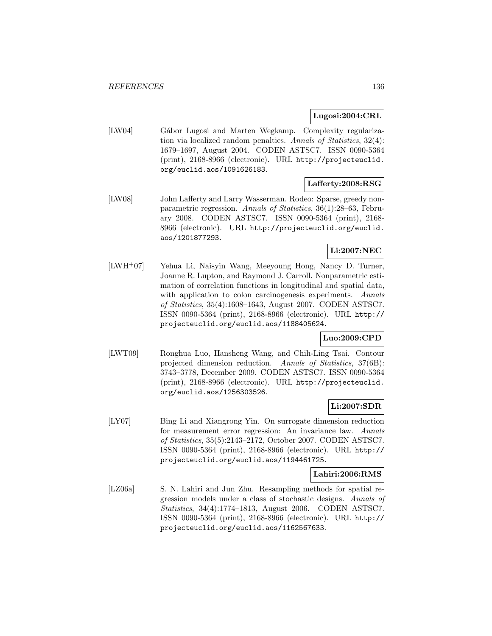### **Lugosi:2004:CRL**

[LW04] Gábor Lugosi and Marten Wegkamp. Complexity regularization via localized random penalties. Annals of Statistics, 32(4): 1679–1697, August 2004. CODEN ASTSC7. ISSN 0090-5364 (print), 2168-8966 (electronic). URL http://projecteuclid. org/euclid.aos/1091626183.

### **Lafferty:2008:RSG**

[LW08] John Lafferty and Larry Wasserman. Rodeo: Sparse, greedy nonparametric regression. Annals of Statistics, 36(1):28–63, February 2008. CODEN ASTSC7. ISSN 0090-5364 (print), 2168- 8966 (electronic). URL http://projecteuclid.org/euclid. aos/1201877293.

# **Li:2007:NEC**

[LWH<sup>+</sup>07] Yehua Li, Naisyin Wang, Meeyoung Hong, Nancy D. Turner, Joanne R. Lupton, and Raymond J. Carroll. Nonparametric estimation of correlation functions in longitudinal and spatial data, with application to colon carcinogenesis experiments. Annals of Statistics, 35(4):1608–1643, August 2007. CODEN ASTSC7. ISSN 0090-5364 (print), 2168-8966 (electronic). URL http:// projecteuclid.org/euclid.aos/1188405624.

## **Luo:2009:CPD**

[LWT09] Ronghua Luo, Hansheng Wang, and Chih-Ling Tsai. Contour projected dimension reduction. Annals of Statistics, 37(6B): 3743–3778, December 2009. CODEN ASTSC7. ISSN 0090-5364 (print), 2168-8966 (electronic). URL http://projecteuclid. org/euclid.aos/1256303526.

## **Li:2007:SDR**

[LY07] Bing Li and Xiangrong Yin. On surrogate dimension reduction for measurement error regression: An invariance law. Annals of Statistics, 35(5):2143–2172, October 2007. CODEN ASTSC7. ISSN 0090-5364 (print), 2168-8966 (electronic). URL http:// projecteuclid.org/euclid.aos/1194461725.

### **Lahiri:2006:RMS**

[LZ06a] S. N. Lahiri and Jun Zhu. Resampling methods for spatial regression models under a class of stochastic designs. Annals of Statistics, 34(4):1774–1813, August 2006. CODEN ASTSC7. ISSN 0090-5364 (print), 2168-8966 (electronic). URL http:// projecteuclid.org/euclid.aos/1162567633.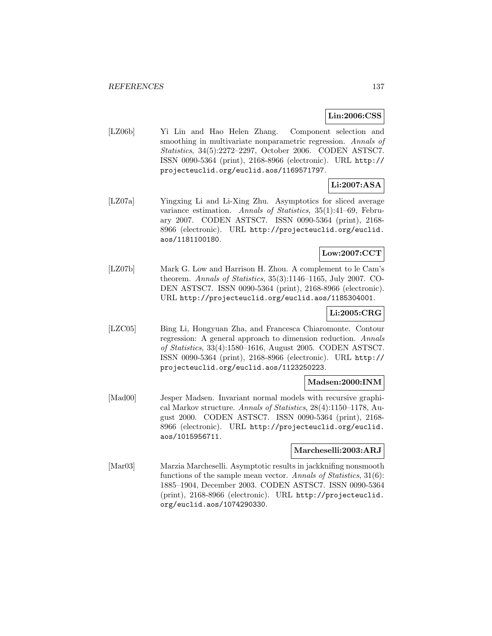### **Lin:2006:CSS**

[LZ06b] Yi Lin and Hao Helen Zhang. Component selection and smoothing in multivariate nonparametric regression. Annals of Statistics, 34(5):2272–2297, October 2006. CODEN ASTSC7. ISSN 0090-5364 (print), 2168-8966 (electronic). URL http:// projecteuclid.org/euclid.aos/1169571797.

# **Li:2007:ASA**

[LZ07a] Yingxing Li and Li-Xing Zhu. Asymptotics for sliced average variance estimation. Annals of Statistics, 35(1):41–69, February 2007. CODEN ASTSC7. ISSN 0090-5364 (print), 2168- 8966 (electronic). URL http://projecteuclid.org/euclid. aos/1181100180.

### **Low:2007:CCT**

[LZ07b] Mark G. Low and Harrison H. Zhou. A complement to le Cam's theorem. Annals of Statistics, 35(3):1146–1165, July 2007. CO-DEN ASTSC7. ISSN 0090-5364 (print), 2168-8966 (electronic). URL http://projecteuclid.org/euclid.aos/1185304001.

### **Li:2005:CRG**

[LZC05] Bing Li, Hongyuan Zha, and Francesca Chiaromonte. Contour regression: A general approach to dimension reduction. Annals of Statistics, 33(4):1580–1616, August 2005. CODEN ASTSC7. ISSN 0090-5364 (print), 2168-8966 (electronic). URL http:// projecteuclid.org/euclid.aos/1123250223.

### **Madsen:2000:INM**

[Mad00] Jesper Madsen. Invariant normal models with recursive graphical Markov structure. Annals of Statistics, 28(4):1150–1178, August 2000. CODEN ASTSC7. ISSN 0090-5364 (print), 2168- 8966 (electronic). URL http://projecteuclid.org/euclid. aos/1015956711.

### **Marcheselli:2003:ARJ**

[Mar03] Marzia Marcheselli. Asymptotic results in jackknifing nonsmooth functions of the sample mean vector. Annals of Statistics, 31(6): 1885–1904, December 2003. CODEN ASTSC7. ISSN 0090-5364 (print), 2168-8966 (electronic). URL http://projecteuclid. org/euclid.aos/1074290330.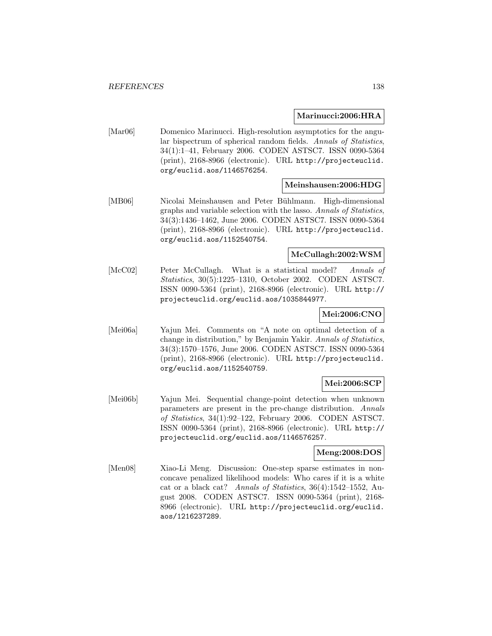#### **Marinucci:2006:HRA**

[Mar06] Domenico Marinucci. High-resolution asymptotics for the angular bispectrum of spherical random fields. Annals of Statistics, 34(1):1–41, February 2006. CODEN ASTSC7. ISSN 0090-5364 (print), 2168-8966 (electronic). URL http://projecteuclid. org/euclid.aos/1146576254.

### **Meinshausen:2006:HDG**

[MB06] Nicolai Meinshausen and Peter Bühlmann. High-dimensional graphs and variable selection with the lasso. Annals of Statistics, 34(3):1436–1462, June 2006. CODEN ASTSC7. ISSN 0090-5364 (print), 2168-8966 (electronic). URL http://projecteuclid. org/euclid.aos/1152540754.

## **McCullagh:2002:WSM**

[McC02] Peter McCullagh. What is a statistical model? Annals of Statistics, 30(5):1225–1310, October 2002. CODEN ASTSC7. ISSN 0090-5364 (print), 2168-8966 (electronic). URL http:// projecteuclid.org/euclid.aos/1035844977.

### **Mei:2006:CNO**

[Mei06a] Yajun Mei. Comments on "A note on optimal detection of a change in distribution," by Benjamin Yakir. Annals of Statistics, 34(3):1570–1576, June 2006. CODEN ASTSC7. ISSN 0090-5364 (print), 2168-8966 (electronic). URL http://projecteuclid. org/euclid.aos/1152540759.

# **Mei:2006:SCP**

[Mei06b] Yajun Mei. Sequential change-point detection when unknown parameters are present in the pre-change distribution. Annals of Statistics, 34(1):92–122, February 2006. CODEN ASTSC7. ISSN 0090-5364 (print), 2168-8966 (electronic). URL http:// projecteuclid.org/euclid.aos/1146576257.

### **Meng:2008:DOS**

[Men08] Xiao-Li Meng. Discussion: One-step sparse estimates in nonconcave penalized likelihood models: Who cares if it is a white cat or a black cat? Annals of Statistics, 36(4):1542–1552, August 2008. CODEN ASTSC7. ISSN 0090-5364 (print), 2168- 8966 (electronic). URL http://projecteuclid.org/euclid. aos/1216237289.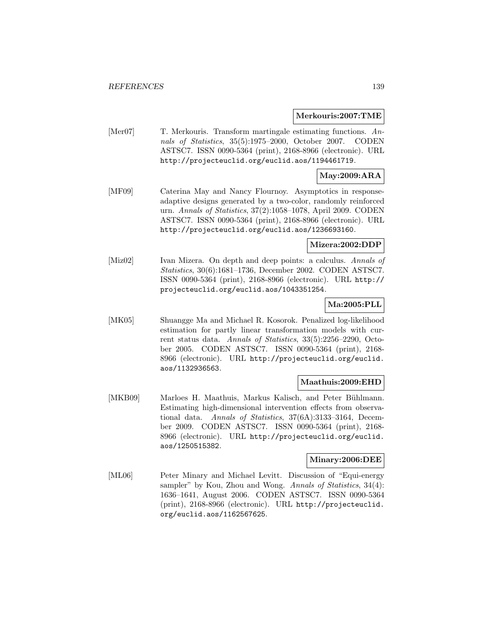#### **Merkouris:2007:TME**

[Mer07] T. Merkouris. Transform martingale estimating functions. Annals of Statistics, 35(5):1975–2000, October 2007. CODEN ASTSC7. ISSN 0090-5364 (print), 2168-8966 (electronic). URL http://projecteuclid.org/euclid.aos/1194461719.

### **May:2009:ARA**

[MF09] Caterina May and Nancy Flournoy. Asymptotics in responseadaptive designs generated by a two-color, randomly reinforced urn. Annals of Statistics, 37(2):1058–1078, April 2009. CODEN ASTSC7. ISSN 0090-5364 (print), 2168-8966 (electronic). URL http://projecteuclid.org/euclid.aos/1236693160.

### **Mizera:2002:DDP**

[Miz02] Ivan Mizera. On depth and deep points: a calculus. Annals of Statistics, 30(6):1681–1736, December 2002. CODEN ASTSC7. ISSN 0090-5364 (print), 2168-8966 (electronic). URL http:// projecteuclid.org/euclid.aos/1043351254.

## **Ma:2005:PLL**

[MK05] Shuangge Ma and Michael R. Kosorok. Penalized log-likelihood estimation for partly linear transformation models with current status data. Annals of Statistics, 33(5):2256–2290, October 2005. CODEN ASTSC7. ISSN 0090-5364 (print), 2168- 8966 (electronic). URL http://projecteuclid.org/euclid. aos/1132936563.

### **Maathuis:2009:EHD**

[MKB09] Marloes H. Maathuis, Markus Kalisch, and Peter Bühlmann. Estimating high-dimensional intervention effects from observational data. Annals of Statistics, 37(6A):3133–3164, December 2009. CODEN ASTSC7. ISSN 0090-5364 (print), 2168- 8966 (electronic). URL http://projecteuclid.org/euclid. aos/1250515382.

#### **Minary:2006:DEE**

[ML06] Peter Minary and Michael Levitt. Discussion of "Equi-energy sampler" by Kou, Zhou and Wong. Annals of Statistics, 34(4): 1636–1641, August 2006. CODEN ASTSC7. ISSN 0090-5364 (print), 2168-8966 (electronic). URL http://projecteuclid. org/euclid.aos/1162567625.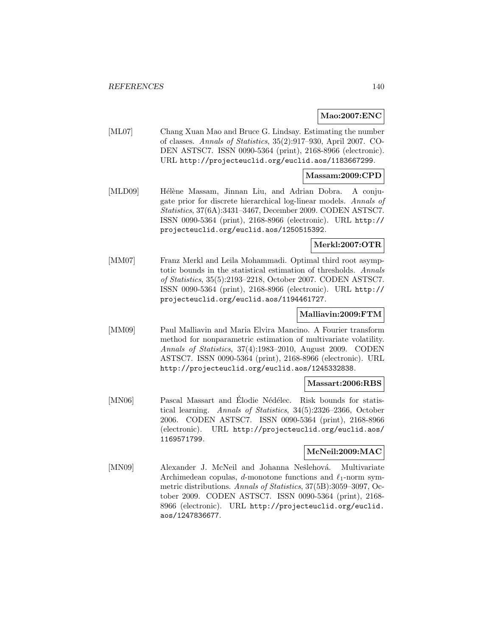### **Mao:2007:ENC**

[ML07] Chang Xuan Mao and Bruce G. Lindsay. Estimating the number of classes. Annals of Statistics, 35(2):917–930, April 2007. CO-DEN ASTSC7. ISSN 0090-5364 (print), 2168-8966 (electronic). URL http://projecteuclid.org/euclid.aos/1183667299.

#### **Massam:2009:CPD**

[MLD09] Hélène Massam, Jinnan Liu, and Adrian Dobra. A conjugate prior for discrete hierarchical log-linear models. Annals of Statistics, 37(6A):3431–3467, December 2009. CODEN ASTSC7. ISSN 0090-5364 (print), 2168-8966 (electronic). URL http:// projecteuclid.org/euclid.aos/1250515392.

### **Merkl:2007:OTR**

[MM07] Franz Merkl and Leila Mohammadi. Optimal third root asymptotic bounds in the statistical estimation of thresholds. Annals of Statistics, 35(5):2193–2218, October 2007. CODEN ASTSC7. ISSN 0090-5364 (print), 2168-8966 (electronic). URL http:// projecteuclid.org/euclid.aos/1194461727.

#### **Malliavin:2009:FTM**

[MM09] Paul Malliavin and Maria Elvira Mancino. A Fourier transform method for nonparametric estimation of multivariate volatility. Annals of Statistics, 37(4):1983–2010, August 2009. CODEN ASTSC7. ISSN 0090-5364 (print), 2168-8966 (electronic). URL http://projecteuclid.org/euclid.aos/1245332838.

#### **Massart:2006:RBS**

[MN06] Pascal Massart and Élodie Nédélec. Risk bounds for statistical learning. Annals of Statistics, 34(5):2326–2366, October 2006. CODEN ASTSC7. ISSN 0090-5364 (print), 2168-8966 (electronic). URL http://projecteuclid.org/euclid.aos/ 1169571799.

## **McNeil:2009:MAC**

[MN09] Alexander J. McNeil and Johanna Nešlehová. Multivariate Archimedean copulas, d-monotone functions and  $\ell_1$ -norm symmetric distributions. Annals of Statistics, 37(5B):3059–3097, October 2009. CODEN ASTSC7. ISSN 0090-5364 (print), 2168- 8966 (electronic). URL http://projecteuclid.org/euclid. aos/1247836677.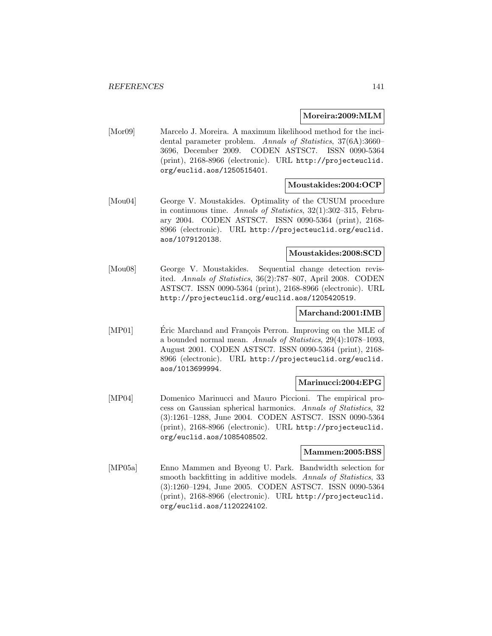#### **Moreira:2009:MLM**

[Mor09] Marcelo J. Moreira. A maximum likelihood method for the incidental parameter problem. Annals of Statistics, 37(6A):3660– 3696, December 2009. CODEN ASTSC7. ISSN 0090-5364 (print), 2168-8966 (electronic). URL http://projecteuclid. org/euclid.aos/1250515401.

### **Moustakides:2004:OCP**

[Mou04] George V. Moustakides. Optimality of the CUSUM procedure in continuous time. Annals of Statistics, 32(1):302–315, February 2004. CODEN ASTSC7. ISSN 0090-5364 (print), 2168- 8966 (electronic). URL http://projecteuclid.org/euclid. aos/1079120138.

#### **Moustakides:2008:SCD**

[Mou08] George V. Moustakides. Sequential change detection revisited. Annals of Statistics, 36(2):787–807, April 2008. CODEN ASTSC7. ISSN 0090-5364 (print), 2168-8966 (electronic). URL http://projecteuclid.org/euclid.aos/1205420519.

#### **Marchand:2001:IMB**

[MP01] Eric Marchand and François Perron. Improving on the MLE of a bounded normal mean. Annals of Statistics, 29(4):1078–1093, August 2001. CODEN ASTSC7. ISSN 0090-5364 (print), 2168- 8966 (electronic). URL http://projecteuclid.org/euclid. aos/1013699994.

### **Marinucci:2004:EPG**

[MP04] Domenico Marinucci and Mauro Piccioni. The empirical process on Gaussian spherical harmonics. Annals of Statistics, 32 (3):1261–1288, June 2004. CODEN ASTSC7. ISSN 0090-5364 (print), 2168-8966 (electronic). URL http://projecteuclid. org/euclid.aos/1085408502.

### **Mammen:2005:BSS**

[MP05a] Enno Mammen and Byeong U. Park. Bandwidth selection for smooth backfitting in additive models. Annals of Statistics, 33 (3):1260–1294, June 2005. CODEN ASTSC7. ISSN 0090-5364 (print), 2168-8966 (electronic). URL http://projecteuclid. org/euclid.aos/1120224102.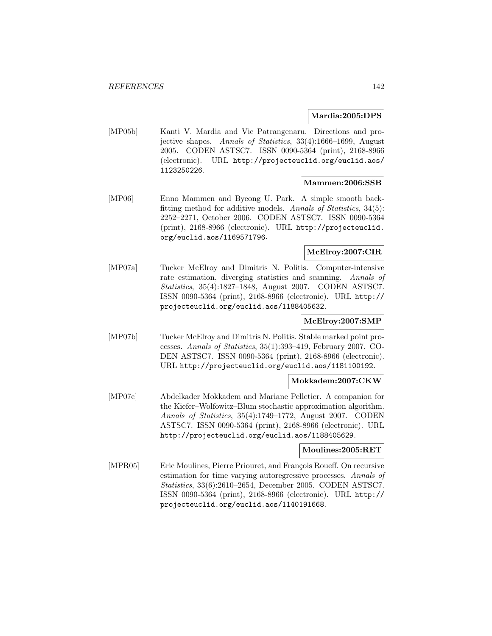#### **Mardia:2005:DPS**

[MP05b] Kanti V. Mardia and Vic Patrangenaru. Directions and projective shapes. Annals of Statistics, 33(4):1666–1699, August 2005. CODEN ASTSC7. ISSN 0090-5364 (print), 2168-8966 (electronic). URL http://projecteuclid.org/euclid.aos/ 1123250226.

### **Mammen:2006:SSB**

[MP06] Enno Mammen and Byeong U. Park. A simple smooth backfitting method for additive models. Annals of Statistics, 34(5): 2252–2271, October 2006. CODEN ASTSC7. ISSN 0090-5364 (print), 2168-8966 (electronic). URL http://projecteuclid. org/euclid.aos/1169571796.

### **McElroy:2007:CIR**

[MP07a] Tucker McElroy and Dimitris N. Politis. Computer-intensive rate estimation, diverging statistics and scanning. Annals of Statistics, 35(4):1827–1848, August 2007. CODEN ASTSC7. ISSN 0090-5364 (print), 2168-8966 (electronic). URL http:// projecteuclid.org/euclid.aos/1188405632.

### **McElroy:2007:SMP**

[MP07b] Tucker McElroy and Dimitris N. Politis. Stable marked point processes. Annals of Statistics, 35(1):393–419, February 2007. CO-DEN ASTSC7. ISSN 0090-5364 (print), 2168-8966 (electronic). URL http://projecteuclid.org/euclid.aos/1181100192.

### **Mokkadem:2007:CKW**

[MP07c] Abdelkader Mokkadem and Mariane Pelletier. A companion for the Kiefer–Wolfowitz–Blum stochastic approximation algorithm. Annals of Statistics, 35(4):1749–1772, August 2007. CODEN ASTSC7. ISSN 0090-5364 (print), 2168-8966 (electronic). URL http://projecteuclid.org/euclid.aos/1188405629.

### **Moulines:2005:RET**

[MPR05] Eric Moulines, Pierre Priouret, and François Roueff. On recursive estimation for time varying autoregressive processes. Annals of Statistics, 33(6):2610–2654, December 2005. CODEN ASTSC7. ISSN 0090-5364 (print), 2168-8966 (electronic). URL http:// projecteuclid.org/euclid.aos/1140191668.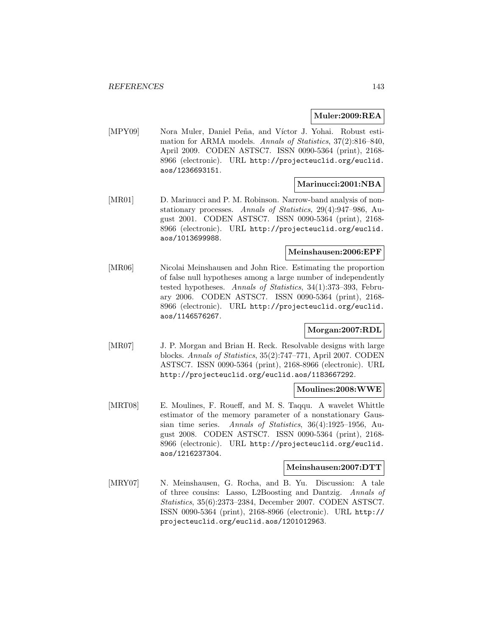#### **Muler:2009:REA**

[MPY09] Nora Muler, Daniel Peña, and Víctor J. Yohai. Robust estimation for ARMA models. Annals of Statistics, 37(2):816–840, April 2009. CODEN ASTSC7. ISSN 0090-5364 (print), 2168- 8966 (electronic). URL http://projecteuclid.org/euclid. aos/1236693151.

#### **Marinucci:2001:NBA**

[MR01] D. Marinucci and P. M. Robinson. Narrow-band analysis of nonstationary processes. Annals of Statistics, 29(4):947–986, August 2001. CODEN ASTSC7. ISSN 0090-5364 (print), 2168- 8966 (electronic). URL http://projecteuclid.org/euclid. aos/1013699988.

### **Meinshausen:2006:EPF**

[MR06] Nicolai Meinshausen and John Rice. Estimating the proportion of false null hypotheses among a large number of independently tested hypotheses. Annals of Statistics, 34(1):373–393, February 2006. CODEN ASTSC7. ISSN 0090-5364 (print), 2168- 8966 (electronic). URL http://projecteuclid.org/euclid. aos/1146576267.

## **Morgan:2007:RDL**

[MR07] J. P. Morgan and Brian H. Reck. Resolvable designs with large blocks. Annals of Statistics, 35(2):747–771, April 2007. CODEN ASTSC7. ISSN 0090-5364 (print), 2168-8966 (electronic). URL http://projecteuclid.org/euclid.aos/1183667292.

#### **Moulines:2008:WWE**

[MRT08] E. Moulines, F. Roueff, and M. S. Taqqu. A wavelet Whittle estimator of the memory parameter of a nonstationary Gaussian time series. Annals of Statistics, 36(4):1925–1956, August 2008. CODEN ASTSC7. ISSN 0090-5364 (print), 2168- 8966 (electronic). URL http://projecteuclid.org/euclid. aos/1216237304.

### **Meinshausen:2007:DTT**

[MRY07] N. Meinshausen, G. Rocha, and B. Yu. Discussion: A tale of three cousins: Lasso, L2Boosting and Dantzig. Annals of Statistics, 35(6):2373–2384, December 2007. CODEN ASTSC7. ISSN 0090-5364 (print), 2168-8966 (electronic). URL http:// projecteuclid.org/euclid.aos/1201012963.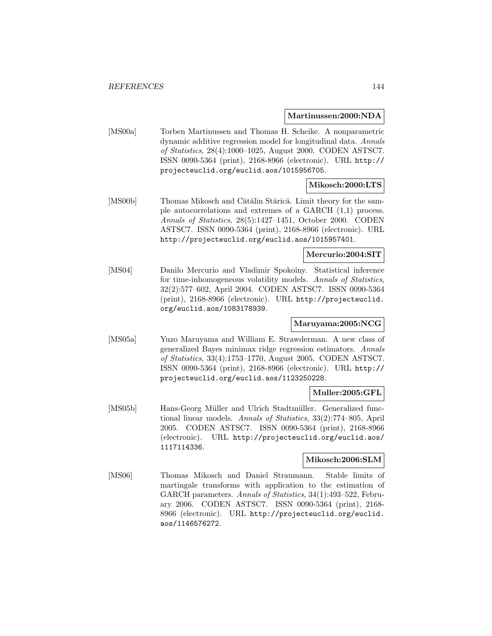**Martinussen:2000:NDA**

[MS00a] Torben Martinussen and Thomas H. Scheike. A nonparametric dynamic additive regression model for longitudinal data. Annals of Statistics, 28(4):1000–1025, August 2000. CODEN ASTSC7. ISSN 0090-5364 (print), 2168-8966 (electronic). URL http:// projecteuclid.org/euclid.aos/1015956705.

### **Mikosch:2000:LTS**

[MS00b] Thomas Mikosch and Cătălin Stărică. Limit theory for the sample autocorrelations and extremes of a GARCH (1,1) process. Annals of Statistics, 28(5):1427–1451, October 2000. CODEN ASTSC7. ISSN 0090-5364 (print), 2168-8966 (electronic). URL http://projecteuclid.org/euclid.aos/1015957401.

#### **Mercurio:2004:SIT**

[MS04] Danilo Mercurio and Vladimir Spokoiny. Statistical inference for time-inhomogeneous volatility models. Annals of Statistics, 32(2):577–602, April 2004. CODEN ASTSC7. ISSN 0090-5364 (print), 2168-8966 (electronic). URL http://projecteuclid. org/euclid.aos/1083178939.

### **Maruyama:2005:NCG**

[MS05a] Yuzo Maruyama and William E. Strawderman. A new class of generalized Bayes minimax ridge regression estimators. Annals of Statistics, 33(4):1753–1770, August 2005. CODEN ASTSC7. ISSN 0090-5364 (print), 2168-8966 (electronic). URL http:// projecteuclid.org/euclid.aos/1123250228.

### **Muller:2005:GFL**

[MS05b] Hans-Georg Müller and Ulrich Stadtmüller. Generalized functional linear models. Annals of Statistics, 33(2):774–805, April 2005. CODEN ASTSC7. ISSN 0090-5364 (print), 2168-8966 (electronic). URL http://projecteuclid.org/euclid.aos/ 1117114336.

#### **Mikosch:2006:SLM**

[MS06] Thomas Mikosch and Daniel Straumann. Stable limits of martingale transforms with application to the estimation of GARCH parameters. Annals of Statistics, 34(1):493–522, February 2006. CODEN ASTSC7. ISSN 0090-5364 (print), 2168- 8966 (electronic). URL http://projecteuclid.org/euclid. aos/1146576272.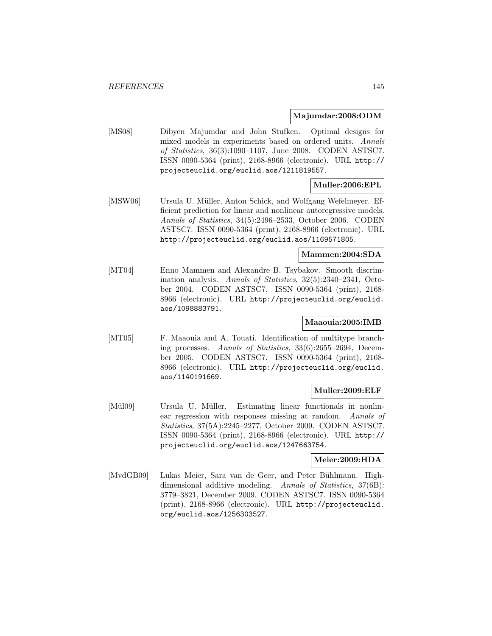#### **Majumdar:2008:ODM**

[MS08] Dibyen Majumdar and John Stufken. Optimal designs for mixed models in experiments based on ordered units. Annals of Statistics, 36(3):1090–1107, June 2008. CODEN ASTSC7. ISSN 0090-5364 (print), 2168-8966 (electronic). URL http:// projecteuclid.org/euclid.aos/1211819557.

## **Muller:2006:EPL**

[MSW06] Ursula U. Müller, Anton Schick, and Wolfgang Wefelmeyer. Efficient prediction for linear and nonlinear autoregressive models. Annals of Statistics, 34(5):2496–2533, October 2006. CODEN ASTSC7. ISSN 0090-5364 (print), 2168-8966 (electronic). URL http://projecteuclid.org/euclid.aos/1169571805.

#### **Mammen:2004:SDA**

[MT04] Enno Mammen and Alexandre B. Tsybakov. Smooth discrimination analysis. Annals of Statistics, 32(5):2340–2341, October 2004. CODEN ASTSC7. ISSN 0090-5364 (print), 2168- 8966 (electronic). URL http://projecteuclid.org/euclid. aos/1098883791.

#### **Maaouia:2005:IMB**

[MT05] F. Maaouia and A. Touati. Identification of multitype branching processes. Annals of Statistics, 33(6):2655–2694, December 2005. CODEN ASTSC7. ISSN 0090-5364 (print), 2168- 8966 (electronic). URL http://projecteuclid.org/euclid. aos/1140191669.

#### **Muller:2009:ELF**

[Mül09] Ursula U. Müller. Estimating linear functionals in nonlinear regression with responses missing at random. Annals of Statistics, 37(5A):2245–2277, October 2009. CODEN ASTSC7. ISSN 0090-5364 (print), 2168-8966 (electronic). URL http:// projecteuclid.org/euclid.aos/1247663754.

#### **Meier:2009:HDA**

[MvdGB09] Lukas Meier, Sara van de Geer, and Peter Bühlmann. Highdimensional additive modeling. Annals of Statistics, 37(6B): 3779–3821, December 2009. CODEN ASTSC7. ISSN 0090-5364 (print), 2168-8966 (electronic). URL http://projecteuclid. org/euclid.aos/1256303527.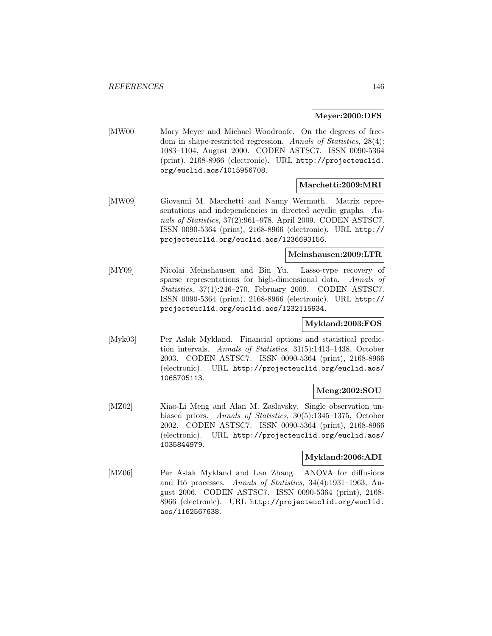#### **Meyer:2000:DFS**

[MW00] Mary Meyer and Michael Woodroofe. On the degrees of freedom in shape-restricted regression. Annals of Statistics, 28(4): 1083–1104, August 2000. CODEN ASTSC7. ISSN 0090-5364 (print), 2168-8966 (electronic). URL http://projecteuclid. org/euclid.aos/1015956708.

## **Marchetti:2009:MRI**

[MW09] Giovanni M. Marchetti and Nanny Wermuth. Matrix representations and independencies in directed acyclic graphs. Annals of Statistics, 37(2):961–978, April 2009. CODEN ASTSC7. ISSN 0090-5364 (print), 2168-8966 (electronic). URL http:// projecteuclid.org/euclid.aos/1236693156.

## **Meinshausen:2009:LTR**

[MY09] Nicolai Meinshausen and Bin Yu. Lasso-type recovery of sparse representations for high-dimensional data. Annals of Statistics, 37(1):246–270, February 2009. CODEN ASTSC7. ISSN 0090-5364 (print), 2168-8966 (electronic). URL http:// projecteuclid.org/euclid.aos/1232115934.

## **Mykland:2003:FOS**

[Myk03] Per Aslak Mykland. Financial options and statistical prediction intervals. Annals of Statistics, 31(5):1413–1438, October 2003. CODEN ASTSC7. ISSN 0090-5364 (print), 2168-8966 (electronic). URL http://projecteuclid.org/euclid.aos/ 1065705113.

## **Meng:2002:SOU**

[MZ02] Xiao-Li Meng and Alan M. Zaslavsky. Single observation unbiased priors. Annals of Statistics, 30(5):1345–1375, October 2002. CODEN ASTSC7. ISSN 0090-5364 (print), 2168-8966 (electronic). URL http://projecteuclid.org/euclid.aos/ 1035844979.

## **Mykland:2006:ADI**

[MZ06] Per Aslak Mykland and Lan Zhang. ANOVA for diffusions and Itô processes. Annals of Statistics,  $34(4):1931-1963$ , August 2006. CODEN ASTSC7. ISSN 0090-5364 (print), 2168- 8966 (electronic). URL http://projecteuclid.org/euclid. aos/1162567638.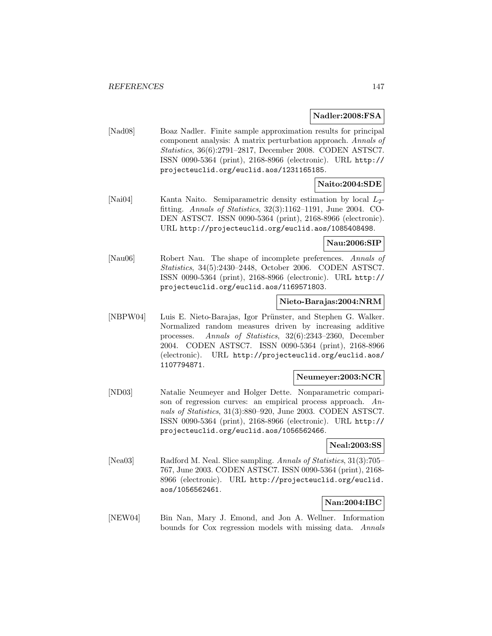**Nadler:2008:FSA**

[Nad08] Boaz Nadler. Finite sample approximation results for principal component analysis: A matrix perturbation approach. Annals of Statistics, 36(6):2791–2817, December 2008. CODEN ASTSC7. ISSN 0090-5364 (print), 2168-8966 (electronic). URL http:// projecteuclid.org/euclid.aos/1231165185.

## **Naito:2004:SDE**

[Nai04] Kanta Naito. Semiparametric density estimation by local  $L_2$ fitting. Annals of Statistics, 32(3):1162–1191, June 2004. CO-DEN ASTSC7. ISSN 0090-5364 (print), 2168-8966 (electronic). URL http://projecteuclid.org/euclid.aos/1085408498.

#### **Nau:2006:SIP**

[Nau06] Robert Nau. The shape of incomplete preferences. Annals of Statistics, 34(5):2430–2448, October 2006. CODEN ASTSC7. ISSN 0090-5364 (print), 2168-8966 (electronic). URL http:// projecteuclid.org/euclid.aos/1169571803.

#### **Nieto-Barajas:2004:NRM**

[NBPW04] Luis E. Nieto-Barajas, Igor Prünster, and Stephen G. Walker. Normalized random measures driven by increasing additive processes. Annals of Statistics, 32(6):2343–2360, December 2004. CODEN ASTSC7. ISSN 0090-5364 (print), 2168-8966 (electronic). URL http://projecteuclid.org/euclid.aos/ 1107794871.

#### **Neumeyer:2003:NCR**

[ND03] Natalie Neumeyer and Holger Dette. Nonparametric comparison of regression curves: an empirical process approach. Annals of Statistics, 31(3):880–920, June 2003. CODEN ASTSC7. ISSN 0090-5364 (print), 2168-8966 (electronic). URL http:// projecteuclid.org/euclid.aos/1056562466.

## **Neal:2003:SS**

[Nea03] Radford M. Neal. Slice sampling. Annals of Statistics, 31(3):705– 767, June 2003. CODEN ASTSC7. ISSN 0090-5364 (print), 2168- 8966 (electronic). URL http://projecteuclid.org/euclid. aos/1056562461.

## **Nan:2004:IBC**

[NEW04] Bin Nan, Mary J. Emond, and Jon A. Wellner. Information bounds for Cox regression models with missing data. Annals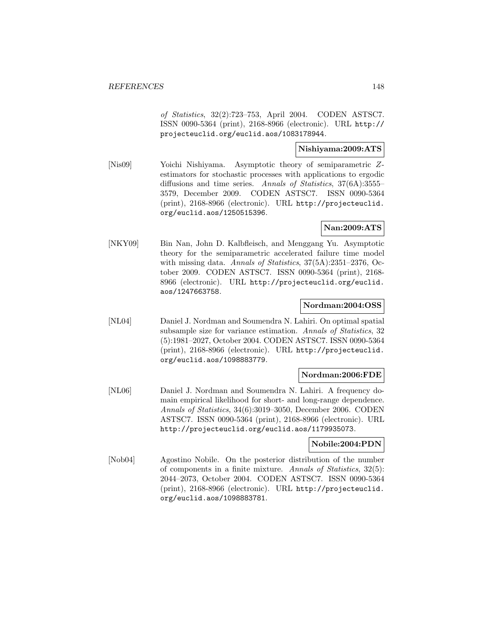of Statistics, 32(2):723–753, April 2004. CODEN ASTSC7. ISSN 0090-5364 (print), 2168-8966 (electronic). URL http:// projecteuclid.org/euclid.aos/1083178944.

## **Nishiyama:2009:ATS**

[Nis09] Yoichi Nishiyama. Asymptotic theory of semiparametric Zestimators for stochastic processes with applications to ergodic diffusions and time series. Annals of Statistics, 37(6A):3555– 3579, December 2009. CODEN ASTSC7. ISSN 0090-5364 (print), 2168-8966 (electronic). URL http://projecteuclid. org/euclid.aos/1250515396.

## **Nan:2009:ATS**

[NKY09] Bin Nan, John D. Kalbfleisch, and Menggang Yu. Asymptotic theory for the semiparametric accelerated failure time model with missing data. Annals of Statistics,  $37(5A)$ :2351–2376, October 2009. CODEN ASTSC7. ISSN 0090-5364 (print), 2168- 8966 (electronic). URL http://projecteuclid.org/euclid. aos/1247663758.

## **Nordman:2004:OSS**

[NL04] Daniel J. Nordman and Soumendra N. Lahiri. On optimal spatial subsample size for variance estimation. Annals of Statistics, 32 (5):1981–2027, October 2004. CODEN ASTSC7. ISSN 0090-5364 (print), 2168-8966 (electronic). URL http://projecteuclid. org/euclid.aos/1098883779.

#### **Nordman:2006:FDE**

[NL06] Daniel J. Nordman and Soumendra N. Lahiri. A frequency domain empirical likelihood for short- and long-range dependence. Annals of Statistics, 34(6):3019–3050, December 2006. CODEN ASTSC7. ISSN 0090-5364 (print), 2168-8966 (electronic). URL http://projecteuclid.org/euclid.aos/1179935073.

#### **Nobile:2004:PDN**

[Nob04] Agostino Nobile. On the posterior distribution of the number of components in a finite mixture. Annals of Statistics, 32(5): 2044–2073, October 2004. CODEN ASTSC7. ISSN 0090-5364 (print), 2168-8966 (electronic). URL http://projecteuclid. org/euclid.aos/1098883781.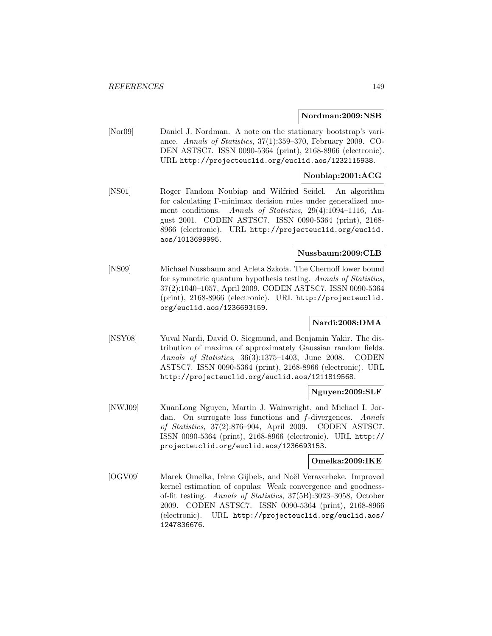#### **Nordman:2009:NSB**

[Nor09] Daniel J. Nordman. A note on the stationary bootstrap's variance. Annals of Statistics, 37(1):359–370, February 2009. CO-DEN ASTSC7. ISSN 0090-5364 (print), 2168-8966 (electronic). URL http://projecteuclid.org/euclid.aos/1232115938.

#### **Noubiap:2001:ACG**

[NS01] Roger Fandom Noubiap and Wilfried Seidel. An algorithm for calculating Γ-minimax decision rules under generalized moment conditions. Annals of Statistics, 29(4):1094–1116, August 2001. CODEN ASTSC7. ISSN 0090-5364 (print), 2168- 8966 (electronic). URL http://projecteuclid.org/euclid. aos/1013699995.

#### **Nussbaum:2009:CLB**

[NS09] Michael Nussbaum and Arleta Szkoła. The Chernoff lower bound for symmetric quantum hypothesis testing. Annals of Statistics, 37(2):1040–1057, April 2009. CODEN ASTSC7. ISSN 0090-5364 (print), 2168-8966 (electronic). URL http://projecteuclid. org/euclid.aos/1236693159.

## **Nardi:2008:DMA**

[NSY08] Yuval Nardi, David O. Siegmund, and Benjamin Yakir. The distribution of maxima of approximately Gaussian random fields. Annals of Statistics, 36(3):1375–1403, June 2008. CODEN ASTSC7. ISSN 0090-5364 (print), 2168-8966 (electronic). URL http://projecteuclid.org/euclid.aos/1211819568.

#### **Nguyen:2009:SLF**

[NWJ09] XuanLong Nguyen, Martin J. Wainwright, and Michael I. Jordan. On surrogate loss functions and f-divergences. Annals of Statistics, 37(2):876–904, April 2009. CODEN ASTSC7. ISSN 0090-5364 (print), 2168-8966 (electronic). URL http:// projecteuclid.org/euclid.aos/1236693153.

#### **Omelka:2009:IKE**

[OGV09] Marek Omelka, Irène Gijbels, and Noël Veraverbeke. Improved kernel estimation of copulas: Weak convergence and goodnessof-fit testing. Annals of Statistics, 37(5B):3023–3058, October 2009. CODEN ASTSC7. ISSN 0090-5364 (print), 2168-8966 (electronic). URL http://projecteuclid.org/euclid.aos/ 1247836676.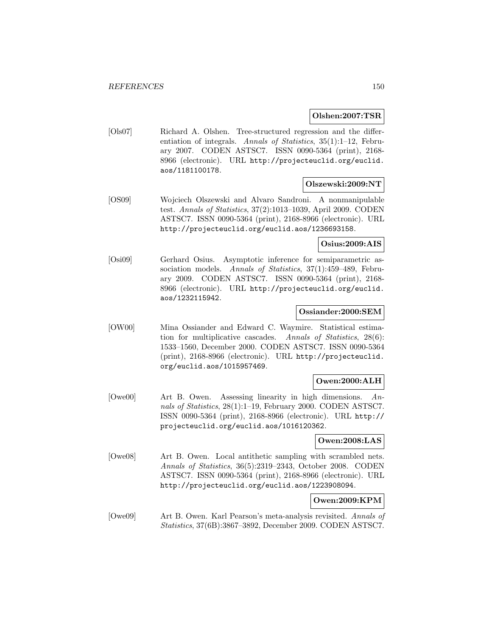#### **Olshen:2007:TSR**

[Ols07] Richard A. Olshen. Tree-structured regression and the differentiation of integrals. Annals of Statistics, 35(1):1–12, February 2007. CODEN ASTSC7. ISSN 0090-5364 (print), 2168- 8966 (electronic). URL http://projecteuclid.org/euclid. aos/1181100178.

#### **Olszewski:2009:NT**

[OS09] Wojciech Olszewski and Alvaro Sandroni. A nonmanipulable test. Annals of Statistics, 37(2):1013–1039, April 2009. CODEN ASTSC7. ISSN 0090-5364 (print), 2168-8966 (electronic). URL http://projecteuclid.org/euclid.aos/1236693158.

#### **Osius:2009:AIS**

[Osi09] Gerhard Osius. Asymptotic inference for semiparametric association models. Annals of Statistics, 37(1):459–489, February 2009. CODEN ASTSC7. ISSN 0090-5364 (print), 2168- 8966 (electronic). URL http://projecteuclid.org/euclid. aos/1232115942.

## **Ossiander:2000:SEM**

[OW00] Mina Ossiander and Edward C. Waymire. Statistical estimation for multiplicative cascades. Annals of Statistics, 28(6): 1533–1560, December 2000. CODEN ASTSC7. ISSN 0090-5364 (print), 2168-8966 (electronic). URL http://projecteuclid. org/euclid.aos/1015957469.

## **Owen:2000:ALH**

[Owe00] Art B. Owen. Assessing linearity in high dimensions. Annals of Statistics, 28(1):1–19, February 2000. CODEN ASTSC7. ISSN 0090-5364 (print), 2168-8966 (electronic). URL http:// projecteuclid.org/euclid.aos/1016120362.

## **Owen:2008:LAS**

[Owe08] Art B. Owen. Local antithetic sampling with scrambled nets. Annals of Statistics, 36(5):2319–2343, October 2008. CODEN ASTSC7. ISSN 0090-5364 (print), 2168-8966 (electronic). URL http://projecteuclid.org/euclid.aos/1223908094.

#### **Owen:2009:KPM**

[Owe09] Art B. Owen. Karl Pearson's meta-analysis revisited. Annals of Statistics, 37(6B):3867–3892, December 2009. CODEN ASTSC7.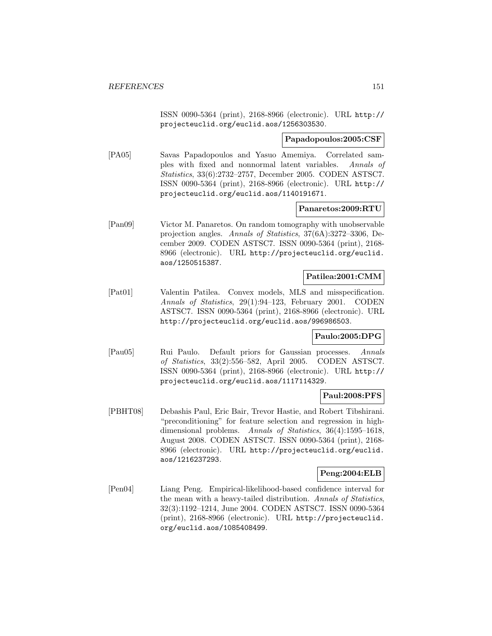ISSN 0090-5364 (print), 2168-8966 (electronic). URL http:// projecteuclid.org/euclid.aos/1256303530.

#### **Papadopoulos:2005:CSF**

[PA05] Savas Papadopoulos and Yasuo Amemiya. Correlated samples with fixed and nonnormal latent variables. Annals of Statistics, 33(6):2732–2757, December 2005. CODEN ASTSC7. ISSN 0090-5364 (print), 2168-8966 (electronic). URL http:// projecteuclid.org/euclid.aos/1140191671.

#### **Panaretos:2009:RTU**

[Pan09] Victor M. Panaretos. On random tomography with unobservable projection angles. Annals of Statistics, 37(6A):3272–3306, December 2009. CODEN ASTSC7. ISSN 0090-5364 (print), 2168- 8966 (electronic). URL http://projecteuclid.org/euclid. aos/1250515387.

#### **Patilea:2001:CMM**

[Pat01] Valentin Patilea. Convex models, MLS and misspecification. Annals of Statistics, 29(1):94–123, February 2001. CODEN ASTSC7. ISSN 0090-5364 (print), 2168-8966 (electronic). URL http://projecteuclid.org/euclid.aos/996986503.

#### **Paulo:2005:DPG**

[Pau05] Rui Paulo. Default priors for Gaussian processes. Annals of Statistics, 33(2):556–582, April 2005. CODEN ASTSC7. ISSN 0090-5364 (print), 2168-8966 (electronic). URL http:// projecteuclid.org/euclid.aos/1117114329.

#### **Paul:2008:PFS**

[PBHT08] Debashis Paul, Eric Bair, Trevor Hastie, and Robert Tibshirani. "preconditioning" for feature selection and regression in highdimensional problems. Annals of Statistics, 36(4):1595–1618, August 2008. CODEN ASTSC7. ISSN 0090-5364 (print), 2168- 8966 (electronic). URL http://projecteuclid.org/euclid. aos/1216237293.

#### **Peng:2004:ELB**

[Pen04] Liang Peng. Empirical-likelihood-based confidence interval for the mean with a heavy-tailed distribution. Annals of Statistics, 32(3):1192–1214, June 2004. CODEN ASTSC7. ISSN 0090-5364 (print), 2168-8966 (electronic). URL http://projecteuclid. org/euclid.aos/1085408499.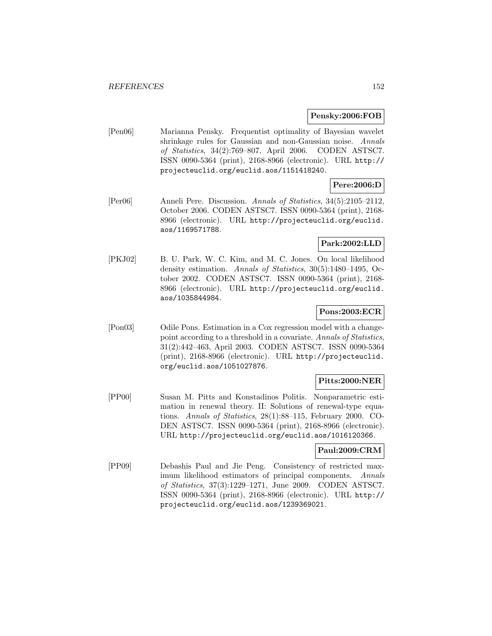#### **Pensky:2006:FOB**

[Pen06] Marianna Pensky. Frequentist optimality of Bayesian wavelet shrinkage rules for Gaussian and non-Gaussian noise. Annals of Statistics, 34(2):769–807, April 2006. CODEN ASTSC7. ISSN 0090-5364 (print), 2168-8966 (electronic). URL http:// projecteuclid.org/euclid.aos/1151418240.

## **Pere:2006:D**

[Per06] Anneli Pere. Discussion. Annals of Statistics, 34(5):2105–2112, October 2006. CODEN ASTSC7. ISSN 0090-5364 (print), 2168- 8966 (electronic). URL http://projecteuclid.org/euclid. aos/1169571788.

## **Park:2002:LLD**

[PKJ02] B. U. Park, W. C. Kim, and M. C. Jones. On local likelihood density estimation. Annals of Statistics, 30(5):1480–1495, October 2002. CODEN ASTSC7. ISSN 0090-5364 (print), 2168- 8966 (electronic). URL http://projecteuclid.org/euclid. aos/1035844984.

## **Pons:2003:ECR**

[Pon03] Odile Pons. Estimation in a Cox regression model with a changepoint according to a threshold in a covariate. Annals of Statistics, 31(2):442–463, April 2003. CODEN ASTSC7. ISSN 0090-5364 (print), 2168-8966 (electronic). URL http://projecteuclid. org/euclid.aos/1051027876.

## **Pitts:2000:NER**

[PP00] Susan M. Pitts and Konstadinos Politis. Nonparametric estimation in renewal theory. II: Solutions of renewal-type equations. Annals of Statistics, 28(1):88–115, February 2000. CO-DEN ASTSC7. ISSN 0090-5364 (print), 2168-8966 (electronic). URL http://projecteuclid.org/euclid.aos/1016120366.

## **Paul:2009:CRM**

[PP09] Debashis Paul and Jie Peng. Consistency of restricted maximum likelihood estimators of principal components. Annals of Statistics, 37(3):1229–1271, June 2009. CODEN ASTSC7. ISSN 0090-5364 (print), 2168-8966 (electronic). URL http:// projecteuclid.org/euclid.aos/1239369021.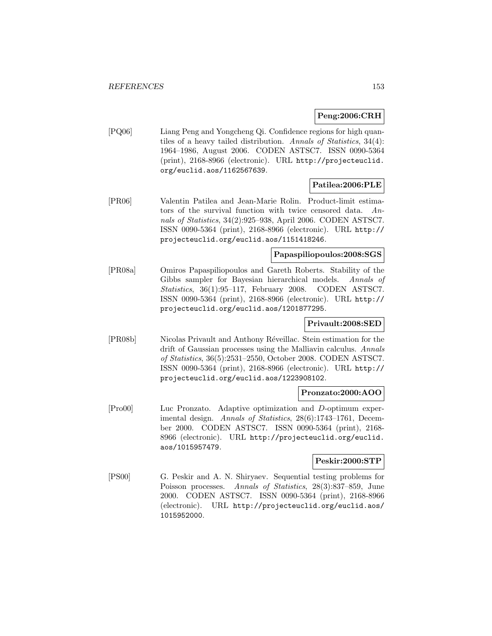## **Peng:2006:CRH**

[PQ06] Liang Peng and Yongcheng Qi. Confidence regions for high quantiles of a heavy tailed distribution. Annals of Statistics, 34(4): 1964–1986, August 2006. CODEN ASTSC7. ISSN 0090-5364 (print), 2168-8966 (electronic). URL http://projecteuclid. org/euclid.aos/1162567639.

## **Patilea:2006:PLE**

[PR06] Valentin Patilea and Jean-Marie Rolin. Product-limit estimators of the survival function with twice censored data. Annals of Statistics, 34(2):925–938, April 2006. CODEN ASTSC7. ISSN 0090-5364 (print), 2168-8966 (electronic). URL http:// projecteuclid.org/euclid.aos/1151418246.

## **Papaspiliopoulos:2008:SGS**

[PR08a] Omiros Papaspiliopoulos and Gareth Roberts. Stability of the Gibbs sampler for Bayesian hierarchical models. Annals of Statistics, 36(1):95–117, February 2008. CODEN ASTSC7. ISSN 0090-5364 (print), 2168-8966 (electronic). URL http:// projecteuclid.org/euclid.aos/1201877295.

## **Privault:2008:SED**

[PR08b] Nicolas Privault and Anthony Réveillac. Stein estimation for the drift of Gaussian processes using the Malliavin calculus. Annals of Statistics, 36(5):2531–2550, October 2008. CODEN ASTSC7. ISSN 0090-5364 (print), 2168-8966 (electronic). URL http:// projecteuclid.org/euclid.aos/1223908102.

#### **Pronzato:2000:AOO**

[Pro00] Luc Pronzato. Adaptive optimization and D-optimum experimental design. Annals of Statistics, 28(6):1743–1761, December 2000. CODEN ASTSC7. ISSN 0090-5364 (print), 2168- 8966 (electronic). URL http://projecteuclid.org/euclid. aos/1015957479.

#### **Peskir:2000:STP**

[PS00] G. Peskir and A. N. Shiryaev. Sequential testing problems for Poisson processes. Annals of Statistics, 28(3):837–859, June 2000. CODEN ASTSC7. ISSN 0090-5364 (print), 2168-8966 (electronic). URL http://projecteuclid.org/euclid.aos/ 1015952000.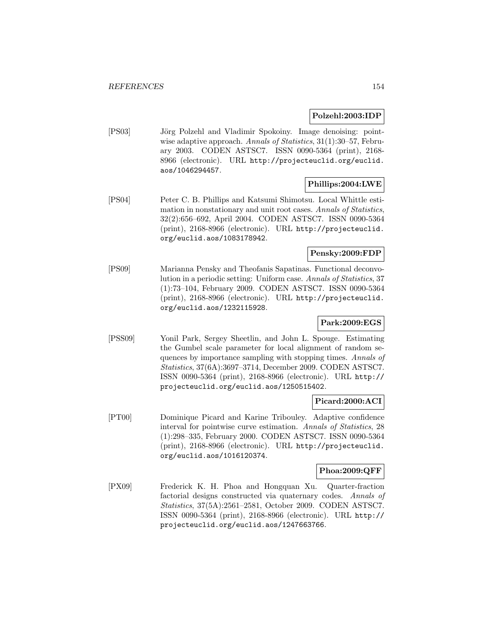#### **Polzehl:2003:IDP**

[PS03] Jörg Polzehl and Vladimir Spokoiny. Image denoising: pointwise adaptive approach. Annals of Statistics, 31(1):30–57, February 2003. CODEN ASTSC7. ISSN 0090-5364 (print), 2168- 8966 (electronic). URL http://projecteuclid.org/euclid. aos/1046294457.

#### **Phillips:2004:LWE**

[PS04] Peter C. B. Phillips and Katsumi Shimotsu. Local Whittle estimation in nonstationary and unit root cases. Annals of Statistics, 32(2):656–692, April 2004. CODEN ASTSC7. ISSN 0090-5364 (print), 2168-8966 (electronic). URL http://projecteuclid. org/euclid.aos/1083178942.

#### **Pensky:2009:FDP**

[PS09] Marianna Pensky and Theofanis Sapatinas. Functional deconvolution in a periodic setting: Uniform case. Annals of Statistics, 37 (1):73–104, February 2009. CODEN ASTSC7. ISSN 0090-5364 (print), 2168-8966 (electronic). URL http://projecteuclid. org/euclid.aos/1232115928.

## **Park:2009:EGS**

[PSS09] Yonil Park, Sergey Sheetlin, and John L. Spouge. Estimating the Gumbel scale parameter for local alignment of random sequences by importance sampling with stopping times. Annals of Statistics, 37(6A):3697–3714, December 2009. CODEN ASTSC7. ISSN 0090-5364 (print), 2168-8966 (electronic). URL http:// projecteuclid.org/euclid.aos/1250515402.

#### **Picard:2000:ACI**

[PT00] Dominique Picard and Karine Tribouley. Adaptive confidence interval for pointwise curve estimation. Annals of Statistics, 28 (1):298–335, February 2000. CODEN ASTSC7. ISSN 0090-5364 (print), 2168-8966 (electronic). URL http://projecteuclid. org/euclid.aos/1016120374.

#### **Phoa:2009:QFF**

[PX09] Frederick K. H. Phoa and Hongquan Xu. Quarter-fraction factorial designs constructed via quaternary codes. Annals of Statistics, 37(5A):2561–2581, October 2009. CODEN ASTSC7. ISSN 0090-5364 (print), 2168-8966 (electronic). URL http:// projecteuclid.org/euclid.aos/1247663766.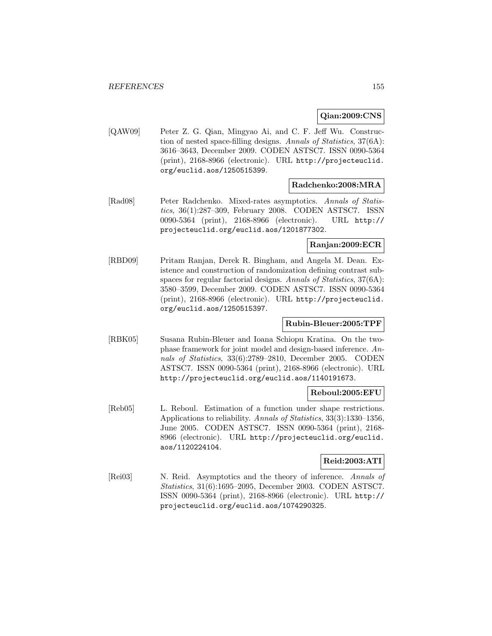#### **Qian:2009:CNS**

[QAW09] Peter Z. G. Qian, Mingyao Ai, and C. F. Jeff Wu. Construction of nested space-filling designs. Annals of Statistics, 37(6A): 3616–3643, December 2009. CODEN ASTSC7. ISSN 0090-5364 (print), 2168-8966 (electronic). URL http://projecteuclid. org/euclid.aos/1250515399.

#### **Radchenko:2008:MRA**

[Rad08] Peter Radchenko. Mixed-rates asymptotics. Annals of Statistics, 36(1):287–309, February 2008. CODEN ASTSC7. ISSN 0090-5364 (print), 2168-8966 (electronic). URL http:// projecteuclid.org/euclid.aos/1201877302.

#### **Ranjan:2009:ECR**

[RBD09] Pritam Ranjan, Derek R. Bingham, and Angela M. Dean. Existence and construction of randomization defining contrast subspaces for regular factorial designs. Annals of Statistics, 37(6A): 3580–3599, December 2009. CODEN ASTSC7. ISSN 0090-5364 (print), 2168-8966 (electronic). URL http://projecteuclid. org/euclid.aos/1250515397.

## **Rubin-Bleuer:2005:TPF**

[RBK05] Susana Rubin-Bleuer and Ioana Schiopu Kratina. On the twophase framework for joint model and design-based inference. Annals of Statistics, 33(6):2789–2810, December 2005. CODEN ASTSC7. ISSN 0090-5364 (print), 2168-8966 (electronic). URL http://projecteuclid.org/euclid.aos/1140191673.

## **Reboul:2005:EFU**

[Reb05] L. Reboul. Estimation of a function under shape restrictions. Applications to reliability. Annals of Statistics, 33(3):1330–1356, June 2005. CODEN ASTSC7. ISSN 0090-5364 (print), 2168- 8966 (electronic). URL http://projecteuclid.org/euclid. aos/1120224104.

#### **Reid:2003:ATI**

[Rei03] N. Reid. Asymptotics and the theory of inference. Annals of Statistics, 31(6):1695–2095, December 2003. CODEN ASTSC7. ISSN 0090-5364 (print), 2168-8966 (electronic). URL http:// projecteuclid.org/euclid.aos/1074290325.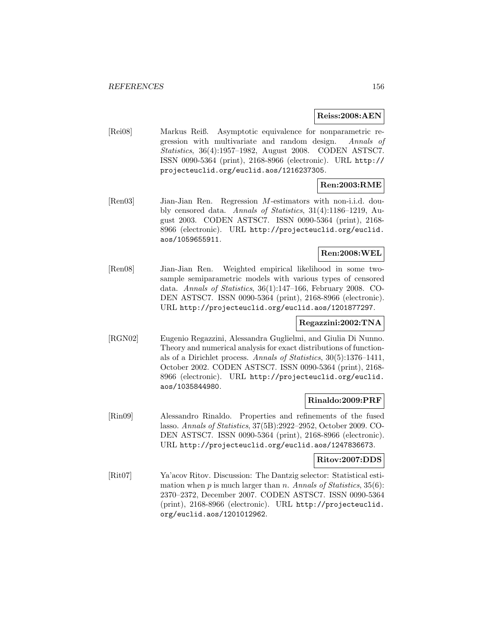#### **Reiss:2008:AEN**

[Rei08] Markus Reiß. Asymptotic equivalence for nonparametric regression with multivariate and random design. Annals of Statistics, 36(4):1957–1982, August 2008. CODEN ASTSC7. ISSN 0090-5364 (print), 2168-8966 (electronic). URL http:// projecteuclid.org/euclid.aos/1216237305.

## **Ren:2003:RME**

[Ren03] Jian-Jian Ren. Regression M-estimators with non-i.i.d. doubly censored data. Annals of Statistics, 31(4):1186–1219, August 2003. CODEN ASTSC7. ISSN 0090-5364 (print), 2168- 8966 (electronic). URL http://projecteuclid.org/euclid. aos/1059655911.

## **Ren:2008:WEL**

[Ren08] Jian-Jian Ren. Weighted empirical likelihood in some twosample semiparametric models with various types of censored data. Annals of Statistics, 36(1):147–166, February 2008. CO-DEN ASTSC7. ISSN 0090-5364 (print), 2168-8966 (electronic). URL http://projecteuclid.org/euclid.aos/1201877297.

#### **Regazzini:2002:TNA**

[RGN02] Eugenio Regazzini, Alessandra Guglielmi, and Giulia Di Nunno. Theory and numerical analysis for exact distributions of functionals of a Dirichlet process. Annals of Statistics, 30(5):1376–1411, October 2002. CODEN ASTSC7. ISSN 0090-5364 (print), 2168- 8966 (electronic). URL http://projecteuclid.org/euclid. aos/1035844980.

#### **Rinaldo:2009:PRF**

[Rin09] Alessandro Rinaldo. Properties and refinements of the fused lasso. Annals of Statistics, 37(5B):2922–2952, October 2009. CO-DEN ASTSC7. ISSN 0090-5364 (print), 2168-8966 (electronic). URL http://projecteuclid.org/euclid.aos/1247836673.

#### **Ritov:2007:DDS**

[Rit07] Ya'acov Ritov. Discussion: The Dantzig selector: Statistical estimation when p is much larger than n. Annals of Statistics,  $35(6)$ : 2370–2372, December 2007. CODEN ASTSC7. ISSN 0090-5364 (print), 2168-8966 (electronic). URL http://projecteuclid. org/euclid.aos/1201012962.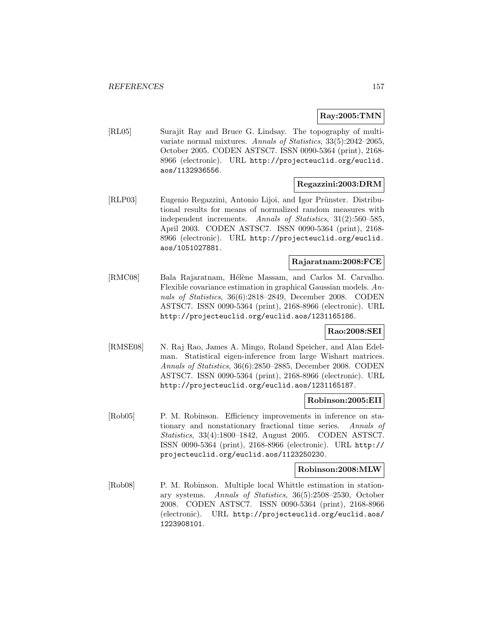#### **Ray:2005:TMN**

[RL05] Surajit Ray and Bruce G. Lindsay. The topography of multivariate normal mixtures. Annals of Statistics, 33(5):2042–2065, October 2005. CODEN ASTSC7. ISSN 0090-5364 (print), 2168- 8966 (electronic). URL http://projecteuclid.org/euclid. aos/1132936556.

#### **Regazzini:2003:DRM**

[RLP03] Eugenio Regazzini, Antonio Lijoi, and Igor Prünster. Distributional results for means of normalized random measures with independent increments. Annals of Statistics, 31(2):560–585, April 2003. CODEN ASTSC7. ISSN 0090-5364 (print), 2168- 8966 (electronic). URL http://projecteuclid.org/euclid. aos/1051027881.

## **Rajaratnam:2008:FCE**

[RMC08] Bala Rajaratnam, Hélène Massam, and Carlos M. Carvalho. Flexible covariance estimation in graphical Gaussian models. Annals of Statistics, 36(6):2818–2849, December 2008. CODEN ASTSC7. ISSN 0090-5364 (print), 2168-8966 (electronic). URL http://projecteuclid.org/euclid.aos/1231165186.

## **Rao:2008:SEI**

[RMSE08] N. Raj Rao, James A. Mingo, Roland Speicher, and Alan Edelman. Statistical eigen-inference from large Wishart matrices. Annals of Statistics, 36(6):2850–2885, December 2008. CODEN ASTSC7. ISSN 0090-5364 (print), 2168-8966 (electronic). URL http://projecteuclid.org/euclid.aos/1231165187.

#### **Robinson:2005:EII**

[Rob05] P. M. Robinson. Efficiency improvements in inference on stationary and nonstationary fractional time series. Annals of Statistics, 33(4):1800–1842, August 2005. CODEN ASTSC7. ISSN 0090-5364 (print), 2168-8966 (electronic). URL http:// projecteuclid.org/euclid.aos/1123250230.

#### **Robinson:2008:MLW**

[Rob08] P. M. Robinson. Multiple local Whittle estimation in stationary systems. Annals of Statistics, 36(5):2508–2530, October 2008. CODEN ASTSC7. ISSN 0090-5364 (print), 2168-8966 (electronic). URL http://projecteuclid.org/euclid.aos/ 1223908101.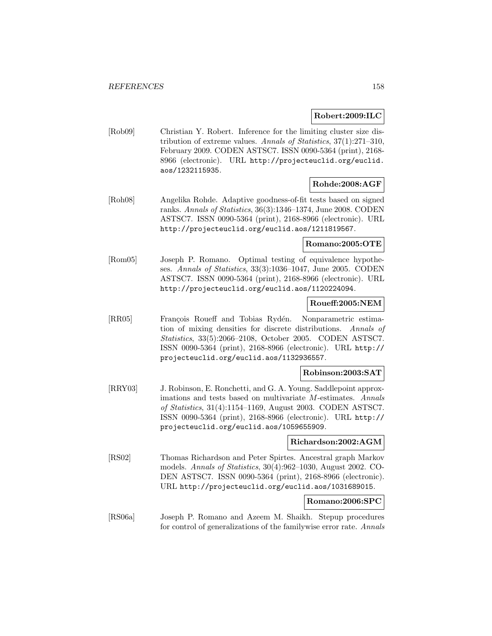#### **Robert:2009:ILC**

[Rob09] Christian Y. Robert. Inference for the limiting cluster size distribution of extreme values. Annals of Statistics, 37(1):271–310, February 2009. CODEN ASTSC7. ISSN 0090-5364 (print), 2168- 8966 (electronic). URL http://projecteuclid.org/euclid. aos/1232115935.

## **Rohde:2008:AGF**

[Roh08] Angelika Rohde. Adaptive goodness-of-fit tests based on signed ranks. Annals of Statistics, 36(3):1346–1374, June 2008. CODEN ASTSC7. ISSN 0090-5364 (print), 2168-8966 (electronic). URL http://projecteuclid.org/euclid.aos/1211819567.

### **Romano:2005:OTE**

[Rom05] Joseph P. Romano. Optimal testing of equivalence hypotheses. Annals of Statistics, 33(3):1036–1047, June 2005. CODEN ASTSC7. ISSN 0090-5364 (print), 2168-8966 (electronic). URL http://projecteuclid.org/euclid.aos/1120224094.

## **Roueff:2005:NEM**

[RR05] François Roueff and Tobias Rydén. Nonparametric estimation of mixing densities for discrete distributions. Annals of Statistics, 33(5):2066–2108, October 2005. CODEN ASTSC7. ISSN 0090-5364 (print), 2168-8966 (electronic). URL http:// projecteuclid.org/euclid.aos/1132936557.

#### **Robinson:2003:SAT**

[RRY03] J. Robinson, E. Ronchetti, and G. A. Young. Saddlepoint approximations and tests based on multivariate M-estimates. Annals of Statistics, 31(4):1154–1169, August 2003. CODEN ASTSC7. ISSN 0090-5364 (print), 2168-8966 (electronic). URL http:// projecteuclid.org/euclid.aos/1059655909.

#### **Richardson:2002:AGM**

[RS02] Thomas Richardson and Peter Spirtes. Ancestral graph Markov models. Annals of Statistics, 30(4):962–1030, August 2002. CO-DEN ASTSC7. ISSN 0090-5364 (print), 2168-8966 (electronic). URL http://projecteuclid.org/euclid.aos/1031689015.

#### **Romano:2006:SPC**

[RS06a] Joseph P. Romano and Azeem M. Shaikh. Stepup procedures for control of generalizations of the familywise error rate. Annals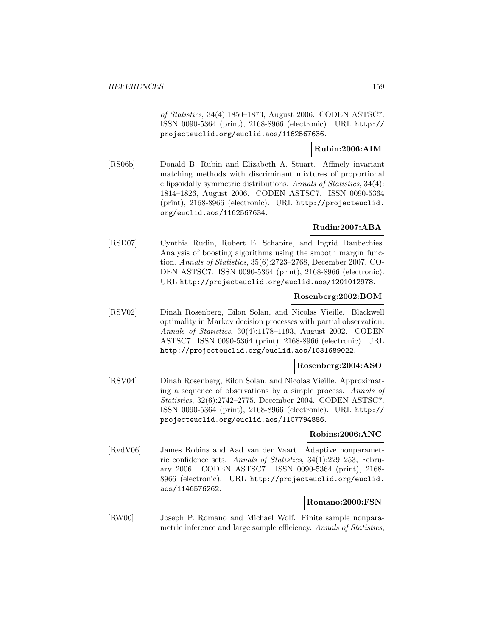of Statistics, 34(4):1850–1873, August 2006. CODEN ASTSC7. ISSN 0090-5364 (print), 2168-8966 (electronic). URL http:// projecteuclid.org/euclid.aos/1162567636.

## **Rubin:2006:AIM**

[RS06b] Donald B. Rubin and Elizabeth A. Stuart. Affinely invariant matching methods with discriminant mixtures of proportional ellipsoidally symmetric distributions. Annals of Statistics, 34(4): 1814–1826, August 2006. CODEN ASTSC7. ISSN 0090-5364 (print), 2168-8966 (electronic). URL http://projecteuclid. org/euclid.aos/1162567634.

## **Rudin:2007:ABA**

[RSD07] Cynthia Rudin, Robert E. Schapire, and Ingrid Daubechies. Analysis of boosting algorithms using the smooth margin function. Annals of Statistics, 35(6):2723–2768, December 2007. CO-DEN ASTSC7. ISSN 0090-5364 (print), 2168-8966 (electronic). URL http://projecteuclid.org/euclid.aos/1201012978.

## **Rosenberg:2002:BOM**

[RSV02] Dinah Rosenberg, Eilon Solan, and Nicolas Vieille. Blackwell optimality in Markov decision processes with partial observation. Annals of Statistics, 30(4):1178–1193, August 2002. CODEN ASTSC7. ISSN 0090-5364 (print), 2168-8966 (electronic). URL http://projecteuclid.org/euclid.aos/1031689022.

#### **Rosenberg:2004:ASO**

[RSV04] Dinah Rosenberg, Eilon Solan, and Nicolas Vieille. Approximating a sequence of observations by a simple process. Annals of Statistics, 32(6):2742–2775, December 2004. CODEN ASTSC7. ISSN 0090-5364 (print), 2168-8966 (electronic). URL http:// projecteuclid.org/euclid.aos/1107794886.

#### **Robins:2006:ANC**

[RvdV06] James Robins and Aad van der Vaart. Adaptive nonparametric confidence sets. Annals of Statistics, 34(1):229–253, February 2006. CODEN ASTSC7. ISSN 0090-5364 (print), 2168- 8966 (electronic). URL http://projecteuclid.org/euclid. aos/1146576262.

#### **Romano:2000:FSN**

[RW00] Joseph P. Romano and Michael Wolf. Finite sample nonparametric inference and large sample efficiency. Annals of Statistics,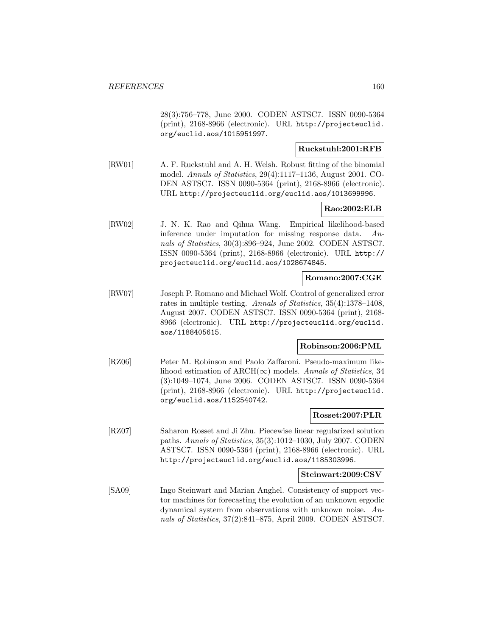28(3):756–778, June 2000. CODEN ASTSC7. ISSN 0090-5364 (print), 2168-8966 (electronic). URL http://projecteuclid. org/euclid.aos/1015951997.

## **Ruckstuhl:2001:RFB**

[RW01] A. F. Ruckstuhl and A. H. Welsh. Robust fitting of the binomial model. Annals of Statistics, 29(4):1117–1136, August 2001. CO-DEN ASTSC7. ISSN 0090-5364 (print), 2168-8966 (electronic). URL http://projecteuclid.org/euclid.aos/1013699996.

## **Rao:2002:ELB**

[RW02] J. N. K. Rao and Qihua Wang. Empirical likelihood-based inference under imputation for missing response data. Annals of Statistics, 30(3):896–924, June 2002. CODEN ASTSC7. ISSN 0090-5364 (print), 2168-8966 (electronic). URL http:// projecteuclid.org/euclid.aos/1028674845.

## **Romano:2007:CGE**

[RW07] Joseph P. Romano and Michael Wolf. Control of generalized error rates in multiple testing. Annals of Statistics, 35(4):1378–1408, August 2007. CODEN ASTSC7. ISSN 0090-5364 (print), 2168- 8966 (electronic). URL http://projecteuclid.org/euclid. aos/1188405615.

## **Robinson:2006:PML**

[RZ06] Peter M. Robinson and Paolo Zaffaroni. Pseudo-maximum likelihood estimation of ARCH( $\infty$ ) models. Annals of Statistics, 34 (3):1049–1074, June 2006. CODEN ASTSC7. ISSN 0090-5364 (print), 2168-8966 (electronic). URL http://projecteuclid. org/euclid.aos/1152540742.

#### **Rosset:2007:PLR**

[RZ07] Saharon Rosset and Ji Zhu. Piecewise linear regularized solution paths. Annals of Statistics, 35(3):1012–1030, July 2007. CODEN ASTSC7. ISSN 0090-5364 (print), 2168-8966 (electronic). URL http://projecteuclid.org/euclid.aos/1185303996.

#### **Steinwart:2009:CSV**

[SA09] Ingo Steinwart and Marian Anghel. Consistency of support vector machines for forecasting the evolution of an unknown ergodic dynamical system from observations with unknown noise. Annals of Statistics, 37(2):841–875, April 2009. CODEN ASTSC7.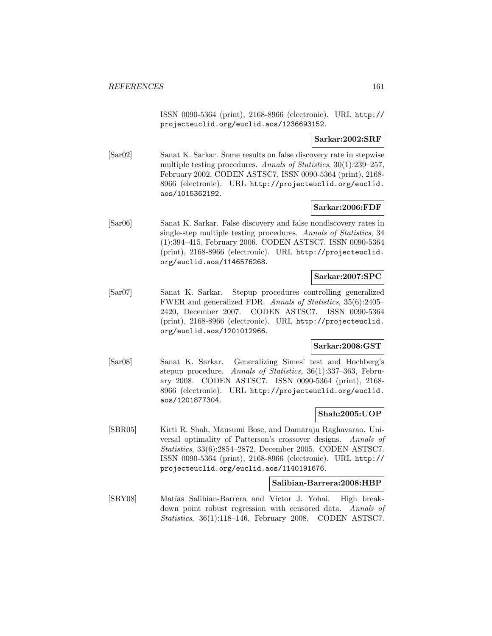ISSN 0090-5364 (print), 2168-8966 (electronic). URL http:// projecteuclid.org/euclid.aos/1236693152.

#### **Sarkar:2002:SRF**

[Sar02] Sanat K. Sarkar. Some results on false discovery rate in stepwise multiple testing procedures. Annals of Statistics, 30(1):239–257, February 2002. CODEN ASTSC7. ISSN 0090-5364 (print), 2168- 8966 (electronic). URL http://projecteuclid.org/euclid. aos/1015362192.

#### **Sarkar:2006:FDF**

[Sar06] Sanat K. Sarkar. False discovery and false nondiscovery rates in single-step multiple testing procedures. Annals of Statistics, 34 (1):394–415, February 2006. CODEN ASTSC7. ISSN 0090-5364 (print), 2168-8966 (electronic). URL http://projecteuclid. org/euclid.aos/1146576268.

#### **Sarkar:2007:SPC**

[Sar07] Sanat K. Sarkar. Stepup procedures controlling generalized FWER and generalized FDR. Annals of Statistics, 35(6):2405– 2420, December 2007. CODEN ASTSC7. ISSN 0090-5364 (print), 2168-8966 (electronic). URL http://projecteuclid. org/euclid.aos/1201012966.

## **Sarkar:2008:GST**

[Sar08] Sanat K. Sarkar. Generalizing Simes' test and Hochberg's stepup procedure. Annals of Statistics, 36(1):337–363, February 2008. CODEN ASTSC7. ISSN 0090-5364 (print), 2168- 8966 (electronic). URL http://projecteuclid.org/euclid. aos/1201877304.

#### **Shah:2005:UOP**

[SBR05] Kirti R. Shah, Mausumi Bose, and Damaraju Raghavarao. Universal optimality of Patterson's crossover designs. Annals of Statistics, 33(6):2854–2872, December 2005. CODEN ASTSC7. ISSN 0090-5364 (print), 2168-8966 (electronic). URL http:// projecteuclid.org/euclid.aos/1140191676.

#### **Salibian-Barrera:2008:HBP**

[SBY08] Matías Salibian-Barrera and Víctor J. Yohai. High breakdown point robust regression with censored data. Annals of Statistics, 36(1):118–146, February 2008. CODEN ASTSC7.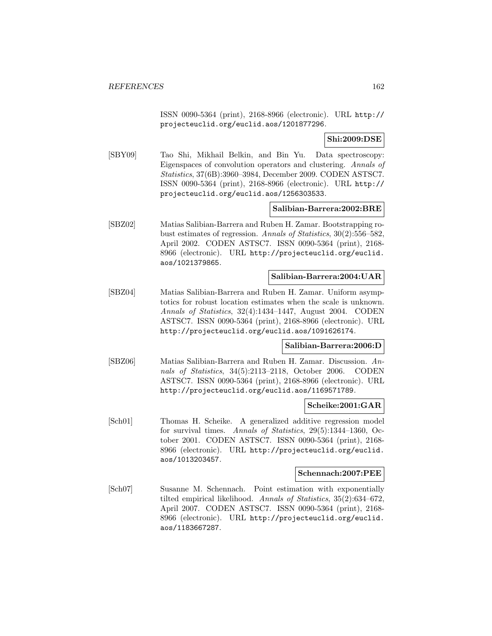ISSN 0090-5364 (print), 2168-8966 (electronic). URL http:// projecteuclid.org/euclid.aos/1201877296.

**Shi:2009:DSE**

[SBY09] Tao Shi, Mikhail Belkin, and Bin Yu. Data spectroscopy: Eigenspaces of convolution operators and clustering. Annals of Statistics, 37(6B):3960–3984, December 2009. CODEN ASTSC7. ISSN 0090-5364 (print), 2168-8966 (electronic). URL http:// projecteuclid.org/euclid.aos/1256303533.

#### **Salibian-Barrera:2002:BRE**

[SBZ02] Matias Salibian-Barrera and Ruben H. Zamar. Bootstrapping robust estimates of regression. Annals of Statistics, 30(2):556–582, April 2002. CODEN ASTSC7. ISSN 0090-5364 (print), 2168- 8966 (electronic). URL http://projecteuclid.org/euclid. aos/1021379865.

#### **Salibian-Barrera:2004:UAR**

[SBZ04] Matias Salibian-Barrera and Ruben H. Zamar. Uniform asymptotics for robust location estimates when the scale is unknown. Annals of Statistics, 32(4):1434–1447, August 2004. CODEN ASTSC7. ISSN 0090-5364 (print), 2168-8966 (electronic). URL http://projecteuclid.org/euclid.aos/1091626174.

#### **Salibian-Barrera:2006:D**

[SBZ06] Matias Salibian-Barrera and Ruben H. Zamar. Discussion. Annals of Statistics, 34(5):2113–2118, October 2006. CODEN ASTSC7. ISSN 0090-5364 (print), 2168-8966 (electronic). URL http://projecteuclid.org/euclid.aos/1169571789.

#### **Scheike:2001:GAR**

[Sch01] Thomas H. Scheike. A generalized additive regression model for survival times. Annals of Statistics, 29(5):1344–1360, October 2001. CODEN ASTSC7. ISSN 0090-5364 (print), 2168- 8966 (electronic). URL http://projecteuclid.org/euclid. aos/1013203457.

#### **Schennach:2007:PEE**

[Sch07] Susanne M. Schennach. Point estimation with exponentially tilted empirical likelihood. Annals of Statistics, 35(2):634–672, April 2007. CODEN ASTSC7. ISSN 0090-5364 (print), 2168- 8966 (electronic). URL http://projecteuclid.org/euclid. aos/1183667287.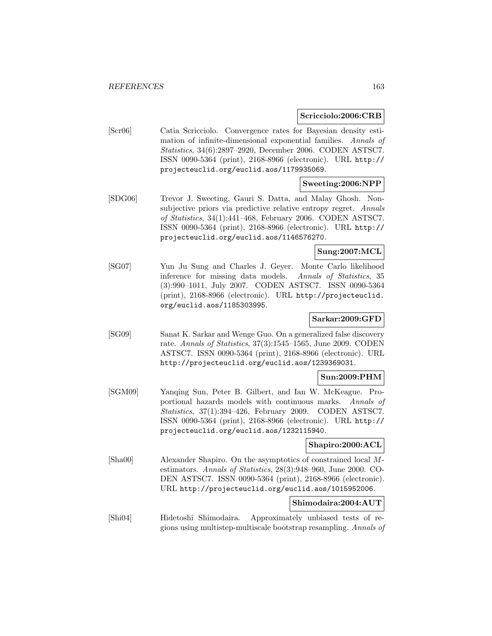#### **Scricciolo:2006:CRB**

[Scr06] Catia Scricciolo. Convergence rates for Bayesian density estimation of infinite-dimensional exponential families. Annals of Statistics, 34(6):2897–2920, December 2006. CODEN ASTSC7. ISSN 0090-5364 (print), 2168-8966 (electronic). URL http:// projecteuclid.org/euclid.aos/1179935069.

#### **Sweeting:2006:NPP**

[SDG06] Trevor J. Sweeting, Gauri S. Datta, and Malay Ghosh. Nonsubjective priors via predictive relative entropy regret. Annals of Statistics, 34(1):441–468, February 2006. CODEN ASTSC7. ISSN 0090-5364 (print), 2168-8966 (electronic). URL http:// projecteuclid.org/euclid.aos/1146576270.

## **Sung:2007:MCL**

[SG07] Yun Ju Sung and Charles J. Geyer. Monte Carlo likelihood inference for missing data models. Annals of Statistics, 35 (3):990–1011, July 2007. CODEN ASTSC7. ISSN 0090-5364 (print), 2168-8966 (electronic). URL http://projecteuclid. org/euclid.aos/1185303995.

#### **Sarkar:2009:GFD**

[SG09] Sanat K. Sarkar and Wenge Guo. On a generalized false discovery rate. Annals of Statistics, 37(3):1545–1565, June 2009. CODEN ASTSC7. ISSN 0090-5364 (print), 2168-8966 (electronic). URL http://projecteuclid.org/euclid.aos/1239369031.

#### **Sun:2009:PHM**

[SGM09] Yanqing Sun, Peter B. Gilbert, and Ian W. McKeague. Proportional hazards models with continuous marks. Annals of Statistics, 37(1):394–426, February 2009. CODEN ASTSC7. ISSN 0090-5364 (print), 2168-8966 (electronic). URL http:// projecteuclid.org/euclid.aos/1232115940.

#### **Shapiro:2000:ACL**

[Sha00] Alexander Shapiro. On the asymptotics of constrained local Mestimators. Annals of Statistics, 28(3):948–960, June 2000. CO-DEN ASTSC7. ISSN 0090-5364 (print), 2168-8966 (electronic). URL http://projecteuclid.org/euclid.aos/1015952006.

#### **Shimodaira:2004:AUT**

[Shi04] Hidetoshi Shimodaira. Approximately unbiased tests of regions using multistep-multiscale bootstrap resampling. Annals of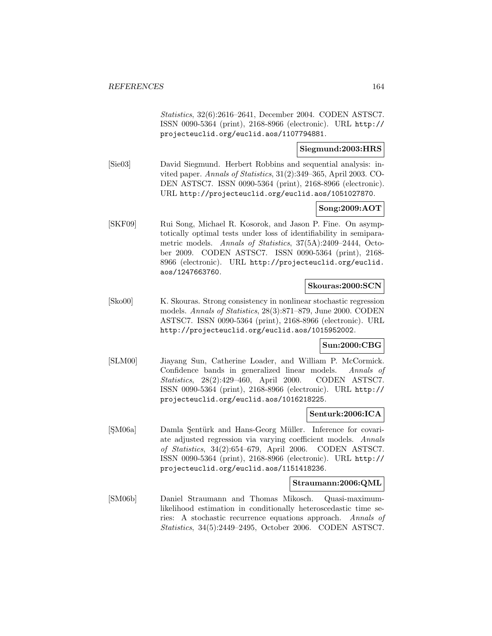Statistics, 32(6):2616–2641, December 2004. CODEN ASTSC7. ISSN 0090-5364 (print), 2168-8966 (electronic). URL http:// projecteuclid.org/euclid.aos/1107794881.

## **Siegmund:2003:HRS**

[Sie03] David Siegmund. Herbert Robbins and sequential analysis: invited paper. Annals of Statistics, 31(2):349–365, April 2003. CO-DEN ASTSC7. ISSN 0090-5364 (print), 2168-8966 (electronic). URL http://projecteuclid.org/euclid.aos/1051027870.

## **Song:2009:AOT**

[SKF09] Rui Song, Michael R. Kosorok, and Jason P. Fine. On asymptotically optimal tests under loss of identifiability in semiparametric models. Annals of Statistics, 37(5A):2409–2444, October 2009. CODEN ASTSC7. ISSN 0090-5364 (print), 2168- 8966 (electronic). URL http://projecteuclid.org/euclid. aos/1247663760.

## **Skouras:2000:SCN**

[Sko00] K. Skouras. Strong consistency in nonlinear stochastic regression models. Annals of Statistics, 28(3):871–879, June 2000. CODEN ASTSC7. ISSN 0090-5364 (print), 2168-8966 (electronic). URL http://projecteuclid.org/euclid.aos/1015952002.

#### **Sun:2000:CBG**

[SLM00] Jiayang Sun, Catherine Loader, and William P. McCormick. Confidence bands in generalized linear models. Annals of Statistics, 28(2):429–460, April 2000. CODEN ASTSC7. ISSN 0090-5364 (print), 2168-8966 (electronic). URL http:// projecteuclid.org/euclid.aos/1016218225.

#### **Senturk:2006:ICA**

[SM06a] Damla Sentürk and Hans-Georg Müller. Inference for covariate adjusted regression via varying coefficient models. Annals of Statistics, 34(2):654–679, April 2006. CODEN ASTSC7. ISSN 0090-5364 (print), 2168-8966 (electronic). URL http:// projecteuclid.org/euclid.aos/1151418236.

#### **Straumann:2006:QML**

[SM06b] Daniel Straumann and Thomas Mikosch. Quasi-maximumlikelihood estimation in conditionally heteroscedastic time series: A stochastic recurrence equations approach. Annals of Statistics, 34(5):2449–2495, October 2006. CODEN ASTSC7.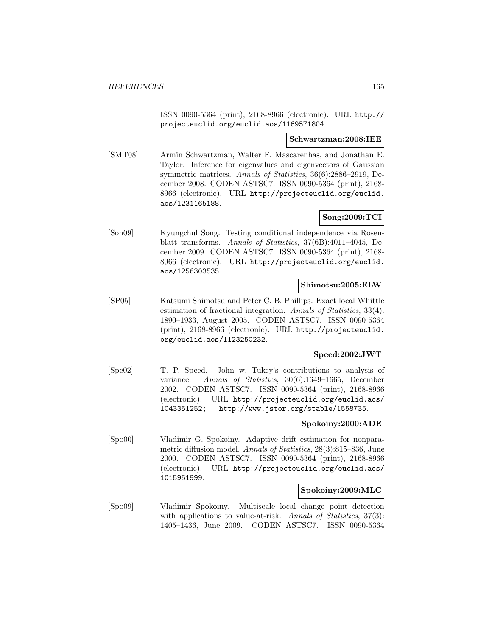ISSN 0090-5364 (print), 2168-8966 (electronic). URL http:// projecteuclid.org/euclid.aos/1169571804.

#### **Schwartzman:2008:IEE**

[SMT08] Armin Schwartzman, Walter F. Mascarenhas, and Jonathan E. Taylor. Inference for eigenvalues and eigenvectors of Gaussian symmetric matrices. Annals of Statistics, 36(6):2886–2919, December 2008. CODEN ASTSC7. ISSN 0090-5364 (print), 2168- 8966 (electronic). URL http://projecteuclid.org/euclid. aos/1231165188.

#### **Song:2009:TCI**

[Son09] Kyungchul Song. Testing conditional independence via Rosenblatt transforms. Annals of Statistics, 37(6B):4011–4045, December 2009. CODEN ASTSC7. ISSN 0090-5364 (print), 2168- 8966 (electronic). URL http://projecteuclid.org/euclid. aos/1256303535.

#### **Shimotsu:2005:ELW**

[SP05] Katsumi Shimotsu and Peter C. B. Phillips. Exact local Whittle estimation of fractional integration. Annals of Statistics, 33(4): 1890–1933, August 2005. CODEN ASTSC7. ISSN 0090-5364 (print), 2168-8966 (electronic). URL http://projecteuclid. org/euclid.aos/1123250232.

#### **Speed:2002:JWT**

[Spe02] T. P. Speed. John w. Tukey's contributions to analysis of variance. Annals of Statistics, 30(6):1649–1665, December 2002. CODEN ASTSC7. ISSN 0090-5364 (print), 2168-8966 (electronic). URL http://projecteuclid.org/euclid.aos/ 1043351252; http://www.jstor.org/stable/1558735.

#### **Spokoiny:2000:ADE**

[Spo00] Vladimir G. Spokoiny. Adaptive drift estimation for nonparametric diffusion model. Annals of Statistics, 28(3):815–836, June 2000. CODEN ASTSC7. ISSN 0090-5364 (print), 2168-8966 (electronic). URL http://projecteuclid.org/euclid.aos/ 1015951999.

#### **Spokoiny:2009:MLC**

[Spo09] Vladimir Spokoiny. Multiscale local change point detection with applications to value-at-risk. Annals of Statistics, 37(3): 1405–1436, June 2009. CODEN ASTSC7. ISSN 0090-5364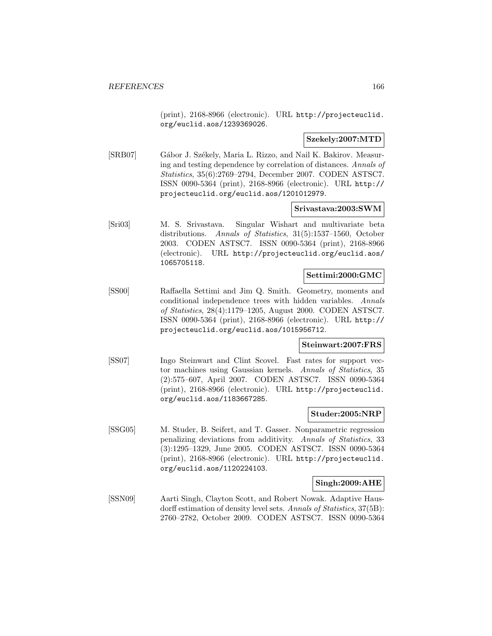(print), 2168-8966 (electronic). URL http://projecteuclid. org/euclid.aos/1239369026.

#### **Szekely:2007:MTD**

[SRB07] Gábor J. Székely, Maria L. Rizzo, and Nail K. Bakirov. Measuring and testing dependence by correlation of distances. Annals of Statistics, 35(6):2769–2794, December 2007. CODEN ASTSC7. ISSN 0090-5364 (print), 2168-8966 (electronic). URL http:// projecteuclid.org/euclid.aos/1201012979.

#### **Srivastava:2003:SWM**

[Sri03] M. S. Srivastava. Singular Wishart and multivariate beta distributions. Annals of Statistics, 31(5):1537–1560, October 2003. CODEN ASTSC7. ISSN 0090-5364 (print), 2168-8966 (electronic). URL http://projecteuclid.org/euclid.aos/ 1065705118.

#### **Settimi:2000:GMC**

[SS00] Raffaella Settimi and Jim Q. Smith. Geometry, moments and conditional independence trees with hidden variables. Annals of Statistics, 28(4):1179–1205, August 2000. CODEN ASTSC7. ISSN 0090-5364 (print), 2168-8966 (electronic). URL http:// projecteuclid.org/euclid.aos/1015956712.

#### **Steinwart:2007:FRS**

[SS07] Ingo Steinwart and Clint Scovel. Fast rates for support vector machines using Gaussian kernels. Annals of Statistics, 35 (2):575–607, April 2007. CODEN ASTSC7. ISSN 0090-5364 (print), 2168-8966 (electronic). URL http://projecteuclid. org/euclid.aos/1183667285.

#### **Studer:2005:NRP**

[SSG05] M. Studer, B. Seifert, and T. Gasser. Nonparametric regression penalizing deviations from additivity. Annals of Statistics, 33 (3):1295–1329, June 2005. CODEN ASTSC7. ISSN 0090-5364 (print), 2168-8966 (electronic). URL http://projecteuclid. org/euclid.aos/1120224103.

#### **Singh:2009:AHE**

[SSN09] Aarti Singh, Clayton Scott, and Robert Nowak. Adaptive Hausdorff estimation of density level sets. Annals of Statistics, 37(5B): 2760–2782, October 2009. CODEN ASTSC7. ISSN 0090-5364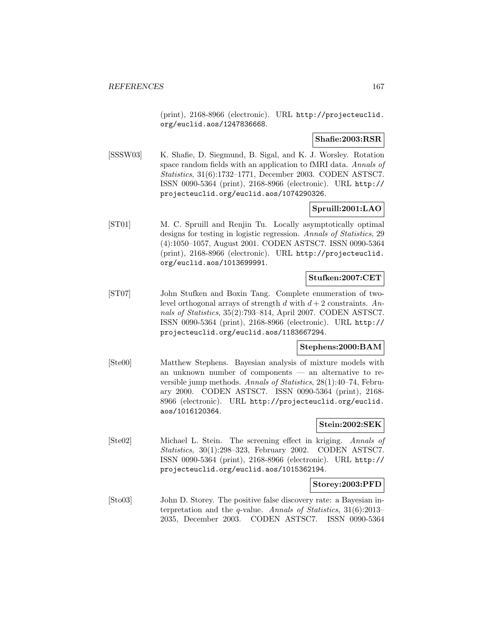(print), 2168-8966 (electronic). URL http://projecteuclid. org/euclid.aos/1247836668.

**Shafie:2003:RSR**

[SSSW03] K. Shafie, D. Siegmund, B. Sigal, and K. J. Worsley. Rotation space random fields with an application to fMRI data. Annals of Statistics, 31(6):1732–1771, December 2003. CODEN ASTSC7. ISSN 0090-5364 (print), 2168-8966 (electronic). URL http:// projecteuclid.org/euclid.aos/1074290326.

## **Spruill:2001:LAO**

[ST01] M. C. Spruill and Renjin Tu. Locally asymptotically optimal designs for testing in logistic regression. Annals of Statistics, 29 (4):1050–1057, August 2001. CODEN ASTSC7. ISSN 0090-5364 (print), 2168-8966 (electronic). URL http://projecteuclid. org/euclid.aos/1013699991.

#### **Stufken:2007:CET**

[ST07] John Stufken and Boxin Tang. Complete enumeration of twolevel orthogonal arrays of strength d with  $d+2$  constraints. Annals of Statistics, 35(2):793–814, April 2007. CODEN ASTSC7. ISSN 0090-5364 (print), 2168-8966 (electronic). URL http:// projecteuclid.org/euclid.aos/1183667294.

## **Stephens:2000:BAM**

[Ste00] Matthew Stephens. Bayesian analysis of mixture models with an unknown number of components — an alternative to reversible jump methods. Annals of Statistics, 28(1):40–74, February 2000. CODEN ASTSC7. ISSN 0090-5364 (print), 2168- 8966 (electronic). URL http://projecteuclid.org/euclid. aos/1016120364.

#### **Stein:2002:SEK**

[Ste02] Michael L. Stein. The screening effect in kriging. Annals of Statistics, 30(1):298–323, February 2002. CODEN ASTSC7. ISSN 0090-5364 (print), 2168-8966 (electronic). URL http:// projecteuclid.org/euclid.aos/1015362194.

#### **Storey:2003:PFD**

[Sto03] John D. Storey. The positive false discovery rate: a Bayesian interpretation and the q-value. Annals of Statistics, 31(6):2013– 2035, December 2003. CODEN ASTSC7. ISSN 0090-5364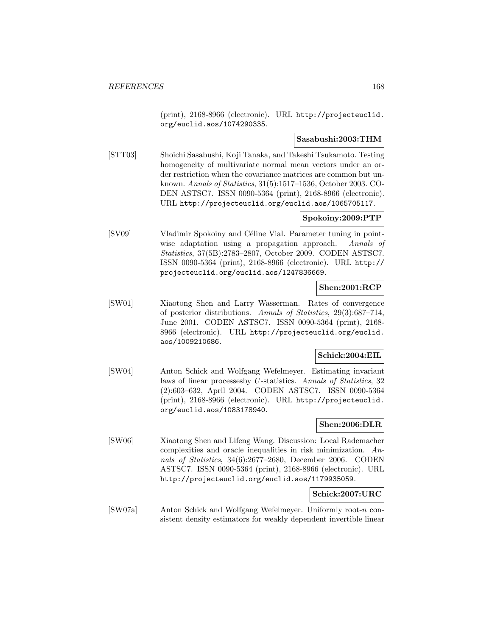(print), 2168-8966 (electronic). URL http://projecteuclid. org/euclid.aos/1074290335.

## **Sasabushi:2003:THM**

[STT03] Shoichi Sasabushi, Koji Tanaka, and Takeshi Tsukamoto. Testing homogeneity of multivariate normal mean vectors under an order restriction when the covariance matrices are common but unknown. Annals of Statistics, 31(5):1517–1536, October 2003. CO-DEN ASTSC7. ISSN 0090-5364 (print), 2168-8966 (electronic). URL http://projecteuclid.org/euclid.aos/1065705117.

## **Spokoiny:2009:PTP**

[SV09] Vladimir Spokoiny and Céline Vial. Parameter tuning in pointwise adaptation using a propagation approach. Annals of Statistics, 37(5B):2783–2807, October 2009. CODEN ASTSC7. ISSN 0090-5364 (print), 2168-8966 (electronic). URL http:// projecteuclid.org/euclid.aos/1247836669.

## **Shen:2001:RCP**

[SW01] Xiaotong Shen and Larry Wasserman. Rates of convergence of posterior distributions. Annals of Statistics, 29(3):687–714, June 2001. CODEN ASTSC7. ISSN 0090-5364 (print), 2168- 8966 (electronic). URL http://projecteuclid.org/euclid. aos/1009210686.

## **Schick:2004:EIL**

[SW04] Anton Schick and Wolfgang Wefelmeyer. Estimating invariant laws of linear processesby U-statistics. Annals of Statistics, 32 (2):603–632, April 2004. CODEN ASTSC7. ISSN 0090-5364 (print), 2168-8966 (electronic). URL http://projecteuclid. org/euclid.aos/1083178940.

## **Shen:2006:DLR**

[SW06] Xiaotong Shen and Lifeng Wang. Discussion: Local Rademacher complexities and oracle inequalities in risk minimization. Annals of Statistics, 34(6):2677–2680, December 2006. CODEN ASTSC7. ISSN 0090-5364 (print), 2168-8966 (electronic). URL http://projecteuclid.org/euclid.aos/1179935059.

#### **Schick:2007:URC**

[SW07a] Anton Schick and Wolfgang Wefelmeyer. Uniformly root-n consistent density estimators for weakly dependent invertible linear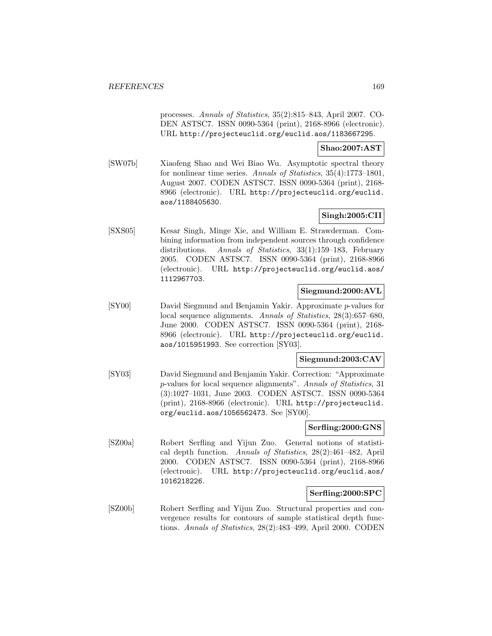processes. Annals of Statistics, 35(2):815–843, April 2007. CO-DEN ASTSC7. ISSN 0090-5364 (print), 2168-8966 (electronic). URL http://projecteuclid.org/euclid.aos/1183667295.

#### **Shao:2007:AST**

[SW07b] Xiaofeng Shao and Wei Biao Wu. Asymptotic spectral theory for nonlinear time series. Annals of Statistics, 35(4):1773–1801, August 2007. CODEN ASTSC7. ISSN 0090-5364 (print), 2168- 8966 (electronic). URL http://projecteuclid.org/euclid. aos/1188405630.

## **Singh:2005:CII**

[SXS05] Kesar Singh, Minge Xie, and William E. Strawderman. Combining information from independent sources through confidence distributions. Annals of Statistics, 33(1):159–183, February 2005. CODEN ASTSC7. ISSN 0090-5364 (print), 2168-8966 (electronic). URL http://projecteuclid.org/euclid.aos/ 1112967703.

## **Siegmund:2000:AVL**

[SY00] David Siegmund and Benjamin Yakir. Approximate p-values for local sequence alignments. Annals of Statistics, 28(3):657–680, June 2000. CODEN ASTSC7. ISSN 0090-5364 (print), 2168- 8966 (electronic). URL http://projecteuclid.org/euclid. aos/1015951993. See correction [SY03].

## **Siegmund:2003:CAV**

[SY03] David Siegmund and Benjamin Yakir. Correction: "Approximate p-values for local sequence alignments". Annals of Statistics, 31 (3):1027–1031, June 2003. CODEN ASTSC7. ISSN 0090-5364 (print), 2168-8966 (electronic). URL http://projecteuclid. org/euclid.aos/1056562473. See [SY00].

#### **Serfling:2000:GNS**

[SZ00a] Robert Serfling and Yijun Zuo. General notions of statistical depth function. Annals of Statistics, 28(2):461–482, April 2000. CODEN ASTSC7. ISSN 0090-5364 (print), 2168-8966 (electronic). URL http://projecteuclid.org/euclid.aos/ 1016218226.

#### **Serfling:2000:SPC**

[SZ00b] Robert Serfling and Yijun Zuo. Structural properties and convergence results for contours of sample statistical depth functions. Annals of Statistics, 28(2):483–499, April 2000. CODEN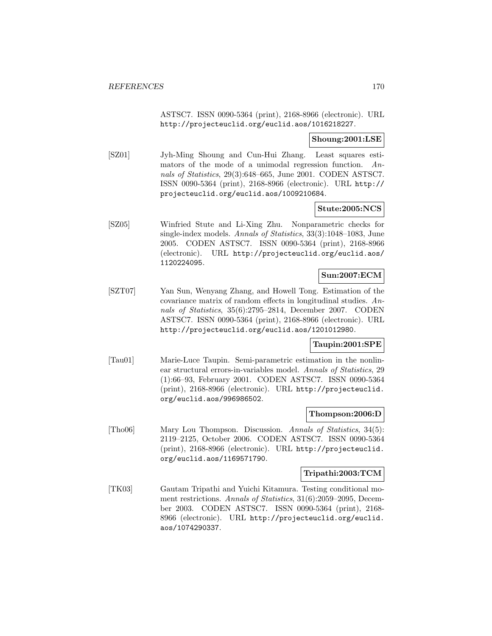ASTSC7. ISSN 0090-5364 (print), 2168-8966 (electronic). URL http://projecteuclid.org/euclid.aos/1016218227.

#### **Shoung:2001:LSE**

[SZ01] Jyh-Ming Shoung and Cun-Hui Zhang. Least squares estimators of the mode of a unimodal regression function. Annals of Statistics, 29(3):648–665, June 2001. CODEN ASTSC7. ISSN 0090-5364 (print), 2168-8966 (electronic). URL http:// projecteuclid.org/euclid.aos/1009210684.

## **Stute:2005:NCS**

[SZ05] Winfried Stute and Li-Xing Zhu. Nonparametric checks for single-index models. Annals of Statistics, 33(3):1048–1083, June 2005. CODEN ASTSC7. ISSN 0090-5364 (print), 2168-8966 (electronic). URL http://projecteuclid.org/euclid.aos/ 1120224095.

## **Sun:2007:ECM**

[SZT07] Yan Sun, Wenyang Zhang, and Howell Tong. Estimation of the covariance matrix of random effects in longitudinal studies. Annals of Statistics, 35(6):2795–2814, December 2007. CODEN ASTSC7. ISSN 0090-5364 (print), 2168-8966 (electronic). URL http://projecteuclid.org/euclid.aos/1201012980.

## **Taupin:2001:SPE**

[Tau01] Marie-Luce Taupin. Semi-parametric estimation in the nonlinear structural errors-in-variables model. Annals of Statistics, 29 (1):66–93, February 2001. CODEN ASTSC7. ISSN 0090-5364 (print), 2168-8966 (electronic). URL http://projecteuclid. org/euclid.aos/996986502.

#### **Thompson:2006:D**

[Tho06] Mary Lou Thompson. Discussion. Annals of Statistics, 34(5): 2119–2125, October 2006. CODEN ASTSC7. ISSN 0090-5364 (print), 2168-8966 (electronic). URL http://projecteuclid. org/euclid.aos/1169571790.

#### **Tripathi:2003:TCM**

[TK03] Gautam Tripathi and Yuichi Kitamura. Testing conditional moment restrictions. Annals of Statistics, 31(6):2059–2095, December 2003. CODEN ASTSC7. ISSN 0090-5364 (print), 2168- 8966 (electronic). URL http://projecteuclid.org/euclid. aos/1074290337.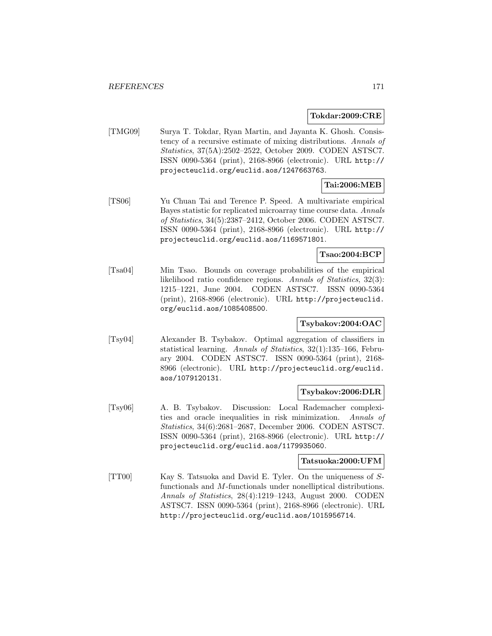#### **Tokdar:2009:CRE**

[TMG09] Surya T. Tokdar, Ryan Martin, and Jayanta K. Ghosh. Consistency of a recursive estimate of mixing distributions. Annals of Statistics, 37(5A):2502–2522, October 2009. CODEN ASTSC7. ISSN 0090-5364 (print), 2168-8966 (electronic). URL http:// projecteuclid.org/euclid.aos/1247663763.

# **Tai:2006:MEB**

[TS06] Yu Chuan Tai and Terence P. Speed. A multivariate empirical Bayes statistic for replicated microarray time course data. Annals of Statistics, 34(5):2387–2412, October 2006. CODEN ASTSC7. ISSN 0090-5364 (print), 2168-8966 (electronic). URL http:// projecteuclid.org/euclid.aos/1169571801.

## **Tsao:2004:BCP**

[Tsa04] Min Tsao. Bounds on coverage probabilities of the empirical likelihood ratio confidence regions. Annals of Statistics, 32(3): 1215–1221, June 2004. CODEN ASTSC7. ISSN 0090-5364 (print), 2168-8966 (electronic). URL http://projecteuclid. org/euclid.aos/1085408500.

## **Tsybakov:2004:OAC**

[Tsy04] Alexander B. Tsybakov. Optimal aggregation of classifiers in statistical learning. Annals of Statistics, 32(1):135–166, February 2004. CODEN ASTSC7. ISSN 0090-5364 (print), 2168- 8966 (electronic). URL http://projecteuclid.org/euclid. aos/1079120131.

#### **Tsybakov:2006:DLR**

[Tsy06] A. B. Tsybakov. Discussion: Local Rademacher complexities and oracle inequalities in risk minimization. Annals of Statistics, 34(6):2681–2687, December 2006. CODEN ASTSC7. ISSN 0090-5364 (print), 2168-8966 (electronic). URL http:// projecteuclid.org/euclid.aos/1179935060.

#### **Tatsuoka:2000:UFM**

[TT00] Kay S. Tatsuoka and David E. Tyler. On the uniqueness of Sfunctionals and M-functionals under nonelliptical distributions. Annals of Statistics, 28(4):1219–1243, August 2000. CODEN ASTSC7. ISSN 0090-5364 (print), 2168-8966 (electronic). URL http://projecteuclid.org/euclid.aos/1015956714.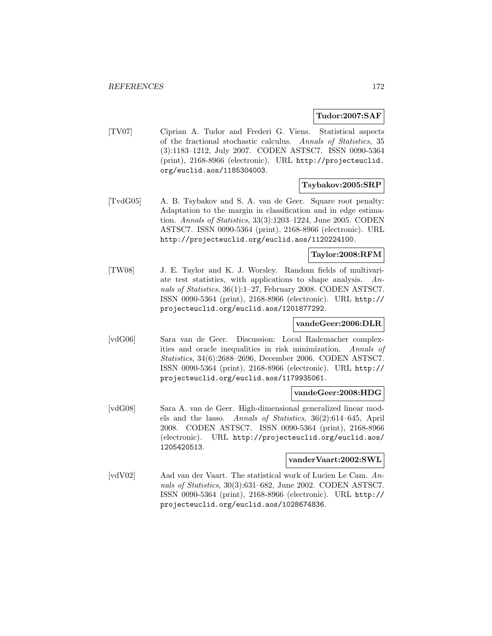#### **Tudor:2007:SAF**

[TV07] Ciprian A. Tudor and Frederi G. Viens. Statistical aspects of the fractional stochastic calculus. Annals of Statistics, 35 (3):1183–1212, July 2007. CODEN ASTSC7. ISSN 0090-5364 (print), 2168-8966 (electronic). URL http://projecteuclid. org/euclid.aos/1185304003.

## **Tsybakov:2005:SRP**

[TvdG05] A. B. Tsybakov and S. A. van de Geer. Square root penalty: Adaptation to the margin in classification and in edge estimation. Annals of Statistics, 33(3):1203–1224, June 2005. CODEN ASTSC7. ISSN 0090-5364 (print), 2168-8966 (electronic). URL http://projecteuclid.org/euclid.aos/1120224100.

## **Taylor:2008:RFM**

[TW08] J. E. Taylor and K. J. Worsley. Random fields of multivariate test statistics, with applications to shape analysis. Annals of Statistics, 36(1):1–27, February 2008. CODEN ASTSC7. ISSN 0090-5364 (print), 2168-8966 (electronic). URL http:// projecteuclid.org/euclid.aos/1201877292.

#### **vandeGeer:2006:DLR**

[vdG06] Sara van de Geer. Discussion: Local Rademacher complexities and oracle inequalities in risk minimization. Annals of Statistics, 34(6):2688–2696, December 2006. CODEN ASTSC7. ISSN 0090-5364 (print), 2168-8966 (electronic). URL http:// projecteuclid.org/euclid.aos/1179935061.

#### **vandeGeer:2008:HDG**

[vdG08] Sara A. van de Geer. High-dimensional generalized linear models and the lasso. Annals of Statistics, 36(2):614–645, April 2008. CODEN ASTSC7. ISSN 0090-5364 (print), 2168-8966 (electronic). URL http://projecteuclid.org/euclid.aos/ 1205420513.

#### **vanderVaart:2002:SWL**

[vdV02] Aad van der Vaart. The statistical work of Lucien Le Cam. Annals of Statistics, 30(3):631–682, June 2002. CODEN ASTSC7. ISSN 0090-5364 (print), 2168-8966 (electronic). URL http:// projecteuclid.org/euclid.aos/1028674836.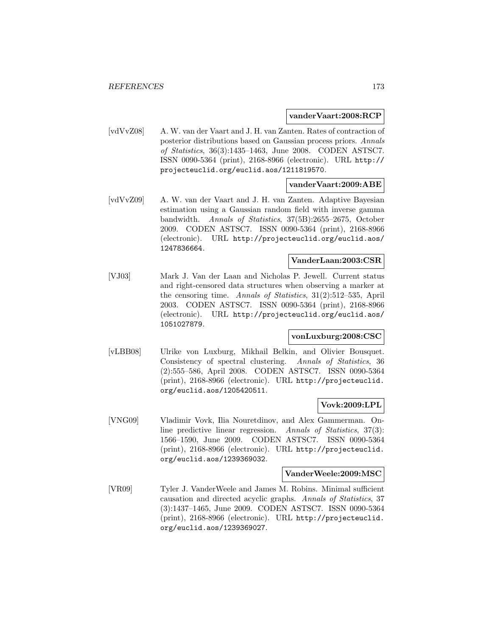#### **vanderVaart:2008:RCP**

[vdVvZ08] A. W. van der Vaart and J. H. van Zanten. Rates of contraction of posterior distributions based on Gaussian process priors. Annals of Statistics, 36(3):1435–1463, June 2008. CODEN ASTSC7. ISSN 0090-5364 (print), 2168-8966 (electronic). URL http:// projecteuclid.org/euclid.aos/1211819570.

#### **vanderVaart:2009:ABE**

[vdVvZ09] A. W. van der Vaart and J. H. van Zanten. Adaptive Bayesian estimation using a Gaussian random field with inverse gamma bandwidth. Annals of Statistics, 37(5B):2655–2675, October 2009. CODEN ASTSC7. ISSN 0090-5364 (print), 2168-8966 (electronic). URL http://projecteuclid.org/euclid.aos/ 1247836664.

#### **VanderLaan:2003:CSR**

[VJ03] Mark J. Van der Laan and Nicholas P. Jewell. Current status and right-censored data structures when observing a marker at the censoring time. Annals of Statistics, 31(2):512–535, April 2003. CODEN ASTSC7. ISSN 0090-5364 (print), 2168-8966 (electronic). URL http://projecteuclid.org/euclid.aos/ 1051027879.

#### **vonLuxburg:2008:CSC**

[vLBB08] Ulrike von Luxburg, Mikhail Belkin, and Olivier Bousquet. Consistency of spectral clustering. Annals of Statistics, 36 (2):555–586, April 2008. CODEN ASTSC7. ISSN 0090-5364 (print), 2168-8966 (electronic). URL http://projecteuclid. org/euclid.aos/1205420511.

#### **Vovk:2009:LPL**

[VNG09] Vladimir Vovk, Ilia Nouretdinov, and Alex Gammerman. Online predictive linear regression. Annals of Statistics, 37(3): 1566–1590, June 2009. CODEN ASTSC7. ISSN 0090-5364 (print), 2168-8966 (electronic). URL http://projecteuclid. org/euclid.aos/1239369032.

#### **VanderWeele:2009:MSC**

[VR09] Tyler J. VanderWeele and James M. Robins. Minimal sufficient causation and directed acyclic graphs. Annals of Statistics, 37 (3):1437–1465, June 2009. CODEN ASTSC7. ISSN 0090-5364 (print), 2168-8966 (electronic). URL http://projecteuclid. org/euclid.aos/1239369027.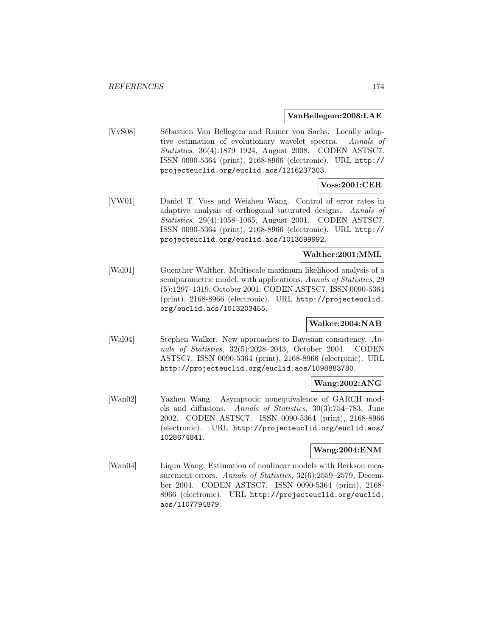#### **VanBellegem:2008:LAE**

[VvS08] Sébastien Van Bellegem and Rainer von Sachs. Locally adaptive estimation of evolutionary wavelet spectra. Annals of Statistics, 36(4):1879–1924, August 2008. CODEN ASTSC7. ISSN 0090-5364 (print), 2168-8966 (electronic). URL http:// projecteuclid.org/euclid.aos/1216237303.

## **Voss:2001:CER**

[VW01] Daniel T. Voss and Weizhen Wang. Control of error rates in adaptive analysis of orthogonal saturated designs. Annals of Statistics, 29(4):1058–1065, August 2001. CODEN ASTSC7. ISSN 0090-5364 (print), 2168-8966 (electronic). URL http:// projecteuclid.org/euclid.aos/1013699992.

## **Walther:2001:MML**

[Wal01] Guenther Walther. Multiscale maximum likelihood analysis of a semiparametric model, with applications. Annals of Statistics, 29 (5):1297–1319, October 2001. CODEN ASTSC7. ISSN 0090-5364 (print), 2168-8966 (electronic). URL http://projecteuclid. org/euclid.aos/1013203455.

#### **Walker:2004:NAB**

[Wal04] Stephen Walker. New approaches to Bayesian consistency. Annals of Statistics, 32(5):2028–2043, October 2004. CODEN ASTSC7. ISSN 0090-5364 (print), 2168-8966 (electronic). URL http://projecteuclid.org/euclid.aos/1098883780.

#### **Wang:2002:ANG**

[Wan02] Yazhen Wang. Asymptotic nonequivalence of GARCH models and diffusions. Annals of Statistics, 30(3):754–783, June 2002. CODEN ASTSC7. ISSN 0090-5364 (print), 2168-8966 (electronic). URL http://projecteuclid.org/euclid.aos/ 1028674841.

## **Wang:2004:ENM**

[Wan04] Liqun Wang. Estimation of nonlinear models with Berkson measurement errors. Annals of Statistics, 32(6):2559-2579, December 2004. CODEN ASTSC7. ISSN 0090-5364 (print), 2168- 8966 (electronic). URL http://projecteuclid.org/euclid. aos/1107794879.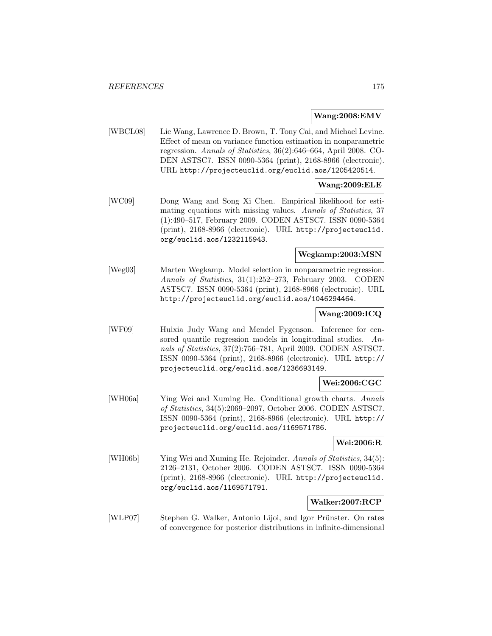#### **Wang:2008:EMV**

[WBCL08] Lie Wang, Lawrence D. Brown, T. Tony Cai, and Michael Levine. Effect of mean on variance function estimation in nonparametric regression. Annals of Statistics, 36(2):646–664, April 2008. CO-DEN ASTSC7. ISSN 0090-5364 (print), 2168-8966 (electronic). URL http://projecteuclid.org/euclid.aos/1205420514.

## **Wang:2009:ELE**

[WC09] Dong Wang and Song Xi Chen. Empirical likelihood for estimating equations with missing values. Annals of Statistics, 37 (1):490–517, February 2009. CODEN ASTSC7. ISSN 0090-5364 (print), 2168-8966 (electronic). URL http://projecteuclid. org/euclid.aos/1232115943.

## **Wegkamp:2003:MSN**

[Weg03] Marten Wegkamp. Model selection in nonparametric regression. Annals of Statistics, 31(1):252–273, February 2003. CODEN ASTSC7. ISSN 0090-5364 (print), 2168-8966 (electronic). URL http://projecteuclid.org/euclid.aos/1046294464.

## **Wang:2009:ICQ**

[WF09] Huixia Judy Wang and Mendel Fygenson. Inference for censored quantile regression models in longitudinal studies. Annals of Statistics, 37(2):756–781, April 2009. CODEN ASTSC7. ISSN 0090-5364 (print), 2168-8966 (electronic). URL http:// projecteuclid.org/euclid.aos/1236693149.

## **Wei:2006:CGC**

[WH06a] Ying Wei and Xuming He. Conditional growth charts. Annals of Statistics, 34(5):2069–2097, October 2006. CODEN ASTSC7. ISSN 0090-5364 (print), 2168-8966 (electronic). URL http:// projecteuclid.org/euclid.aos/1169571786.

#### **Wei:2006:R**

[WH06b] Ying Wei and Xuming He. Rejoinder. Annals of Statistics, 34(5): 2126–2131, October 2006. CODEN ASTSC7. ISSN 0090-5364 (print), 2168-8966 (electronic). URL http://projecteuclid. org/euclid.aos/1169571791.

#### **Walker:2007:RCP**

[WLP07] Stephen G. Walker, Antonio Lijoi, and Igor Prünster. On rates of convergence for posterior distributions in infinite-dimensional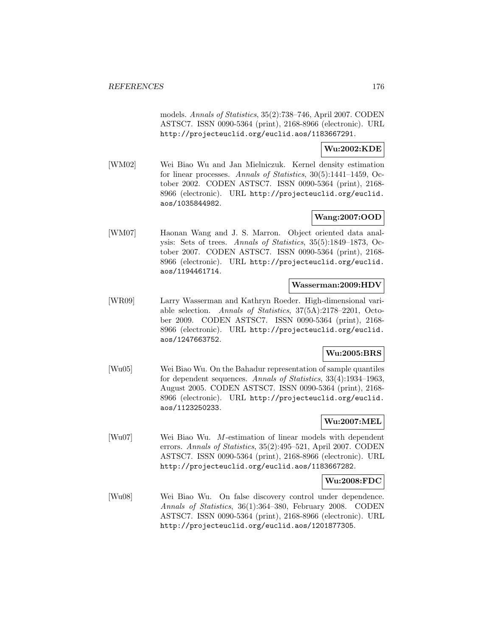models. Annals of Statistics, 35(2):738–746, April 2007. CODEN ASTSC7. ISSN 0090-5364 (print), 2168-8966 (electronic). URL http://projecteuclid.org/euclid.aos/1183667291.

#### **Wu:2002:KDE**

[WM02] Wei Biao Wu and Jan Mielniczuk. Kernel density estimation for linear processes. Annals of Statistics, 30(5):1441–1459, October 2002. CODEN ASTSC7. ISSN 0090-5364 (print), 2168- 8966 (electronic). URL http://projecteuclid.org/euclid. aos/1035844982.

## **Wang:2007:OOD**

[WM07] Haonan Wang and J. S. Marron. Object oriented data analysis: Sets of trees. Annals of Statistics, 35(5):1849–1873, October 2007. CODEN ASTSC7. ISSN 0090-5364 (print), 2168- 8966 (electronic). URL http://projecteuclid.org/euclid. aos/1194461714.

#### **Wasserman:2009:HDV**

[WR09] Larry Wasserman and Kathryn Roeder. High-dimensional variable selection. Annals of Statistics, 37(5A):2178–2201, October 2009. CODEN ASTSC7. ISSN 0090-5364 (print), 2168- 8966 (electronic). URL http://projecteuclid.org/euclid. aos/1247663752.

## **Wu:2005:BRS**

[Wu05] Wei Biao Wu. On the Bahadur representation of sample quantiles for dependent sequences. Annals of Statistics, 33(4):1934–1963, August 2005. CODEN ASTSC7. ISSN 0090-5364 (print), 2168- 8966 (electronic). URL http://projecteuclid.org/euclid. aos/1123250233.

## **Wu:2007:MEL**

[Wu07] Wei Biao Wu. M-estimation of linear models with dependent errors. Annals of Statistics, 35(2):495–521, April 2007. CODEN ASTSC7. ISSN 0090-5364 (print), 2168-8966 (electronic). URL http://projecteuclid.org/euclid.aos/1183667282.

#### **Wu:2008:FDC**

[Wu08] Wei Biao Wu. On false discovery control under dependence. Annals of Statistics, 36(1):364–380, February 2008. CODEN ASTSC7. ISSN 0090-5364 (print), 2168-8966 (electronic). URL http://projecteuclid.org/euclid.aos/1201877305.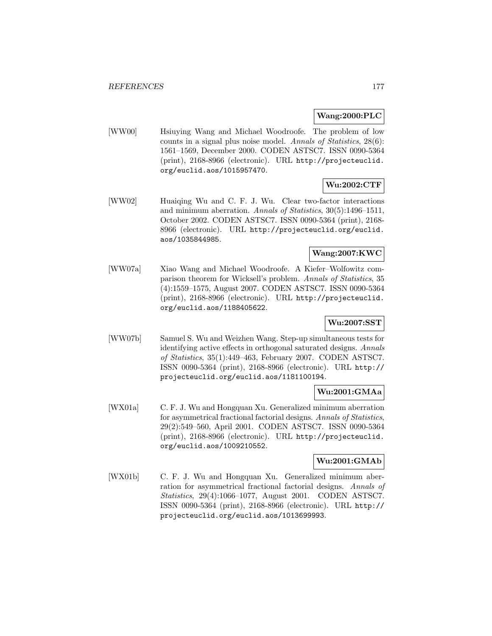**Wang:2000:PLC**

[WW00] Hsiuying Wang and Michael Woodroofe. The problem of low counts in a signal plus noise model. Annals of Statistics, 28(6): 1561–1569, December 2000. CODEN ASTSC7. ISSN 0090-5364 (print), 2168-8966 (electronic). URL http://projecteuclid. org/euclid.aos/1015957470.

# **Wu:2002:CTF**

[WW02] Huaiqing Wu and C. F. J. Wu. Clear two-factor interactions and minimum aberration. Annals of Statistics, 30(5):1496–1511, October 2002. CODEN ASTSC7. ISSN 0090-5364 (print), 2168- 8966 (electronic). URL http://projecteuclid.org/euclid. aos/1035844985.

## **Wang:2007:KWC**

[WW07a] Xiao Wang and Michael Woodroofe. A Kiefer–Wolfowitz comparison theorem for Wicksell's problem. Annals of Statistics, 35 (4):1559–1575, August 2007. CODEN ASTSC7. ISSN 0090-5364 (print), 2168-8966 (electronic). URL http://projecteuclid. org/euclid.aos/1188405622.

## **Wu:2007:SST**

[WW07b] Samuel S. Wu and Weizhen Wang. Step-up simultaneous tests for identifying active effects in orthogonal saturated designs. Annals of Statistics, 35(1):449–463, February 2007. CODEN ASTSC7. ISSN 0090-5364 (print), 2168-8966 (electronic). URL http:// projecteuclid.org/euclid.aos/1181100194.

## **Wu:2001:GMAa**

[WX01a] C. F. J. Wu and Hongquan Xu. Generalized minimum aberration for asymmetrical fractional factorial designs. Annals of Statistics, 29(2):549–560, April 2001. CODEN ASTSC7. ISSN 0090-5364 (print), 2168-8966 (electronic). URL http://projecteuclid. org/euclid.aos/1009210552.

## **Wu:2001:GMAb**

[WX01b] C. F. J. Wu and Hongquan Xu. Generalized minimum aberration for asymmetrical fractional factorial designs. Annals of Statistics, 29(4):1066–1077, August 2001. CODEN ASTSC7. ISSN 0090-5364 (print), 2168-8966 (electronic). URL http:// projecteuclid.org/euclid.aos/1013699993.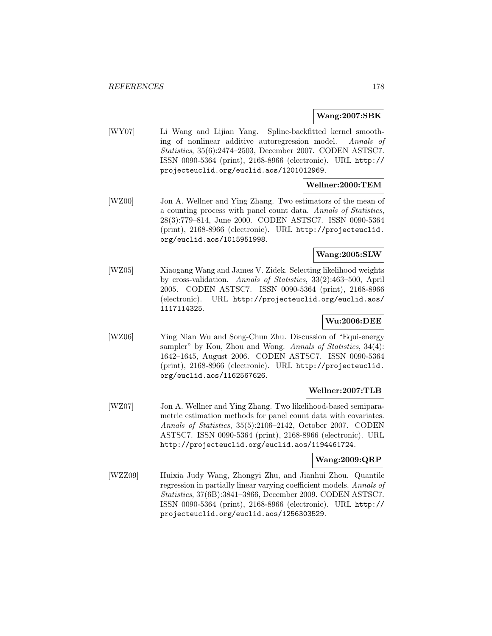#### **Wang:2007:SBK**

[WY07] Li Wang and Lijian Yang. Spline-backfitted kernel smoothing of nonlinear additive autoregression model. Annals of Statistics, 35(6):2474–2503, December 2007. CODEN ASTSC7. ISSN 0090-5364 (print), 2168-8966 (electronic). URL http:// projecteuclid.org/euclid.aos/1201012969.

## **Wellner:2000:TEM**

[WZ00] Jon A. Wellner and Ying Zhang. Two estimators of the mean of a counting process with panel count data. Annals of Statistics, 28(3):779–814, June 2000. CODEN ASTSC7. ISSN 0090-5364 (print), 2168-8966 (electronic). URL http://projecteuclid. org/euclid.aos/1015951998.

## **Wang:2005:SLW**

[WZ05] Xiaogang Wang and James V. Zidek. Selecting likelihood weights by cross-validation. Annals of Statistics, 33(2):463–500, April 2005. CODEN ASTSC7. ISSN 0090-5364 (print), 2168-8966 (electronic). URL http://projecteuclid.org/euclid.aos/ 1117114325.

## **Wu:2006:DEE**

[WZ06] Ying Nian Wu and Song-Chun Zhu. Discussion of "Equi-energy sampler" by Kou, Zhou and Wong. Annals of Statistics, 34(4): 1642–1645, August 2006. CODEN ASTSC7. ISSN 0090-5364 (print), 2168-8966 (electronic). URL http://projecteuclid. org/euclid.aos/1162567626.

#### **Wellner:2007:TLB**

[WZ07] Jon A. Wellner and Ying Zhang. Two likelihood-based semiparametric estimation methods for panel count data with covariates. Annals of Statistics, 35(5):2106–2142, October 2007. CODEN ASTSC7. ISSN 0090-5364 (print), 2168-8966 (electronic). URL http://projecteuclid.org/euclid.aos/1194461724.

#### **Wang:2009:QRP**

[WZZ09] Huixia Judy Wang, Zhongyi Zhu, and Jianhui Zhou. Quantile regression in partially linear varying coefficient models. Annals of Statistics, 37(6B):3841–3866, December 2009. CODEN ASTSC7. ISSN 0090-5364 (print), 2168-8966 (electronic). URL http:// projecteuclid.org/euclid.aos/1256303529.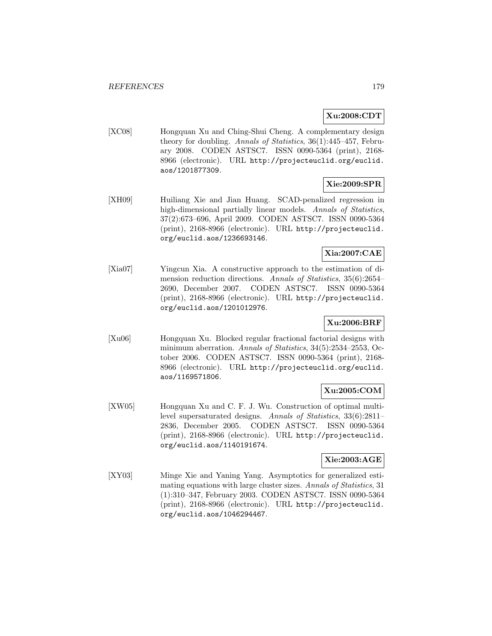## **Xu:2008:CDT**

[XC08] Hongquan Xu and Ching-Shui Cheng. A complementary design theory for doubling. Annals of Statistics, 36(1):445–457, February 2008. CODEN ASTSC7. ISSN 0090-5364 (print), 2168- 8966 (electronic). URL http://projecteuclid.org/euclid. aos/1201877309.

## **Xie:2009:SPR**

[XH09] Huiliang Xie and Jian Huang. SCAD-penalized regression in high-dimensional partially linear models. Annals of Statistics, 37(2):673–696, April 2009. CODEN ASTSC7. ISSN 0090-5364 (print), 2168-8966 (electronic). URL http://projecteuclid. org/euclid.aos/1236693146.

## **Xia:2007:CAE**

[Xia07] Yingcun Xia. A constructive approach to the estimation of dimension reduction directions. Annals of Statistics, 35(6):2654– 2690, December 2007. CODEN ASTSC7. ISSN 0090-5364 (print), 2168-8966 (electronic). URL http://projecteuclid. org/euclid.aos/1201012976.

## **Xu:2006:BRF**

[Xu06] Hongquan Xu. Blocked regular fractional factorial designs with minimum aberration. Annals of Statistics, 34(5):2534–2553, October 2006. CODEN ASTSC7. ISSN 0090-5364 (print), 2168- 8966 (electronic). URL http://projecteuclid.org/euclid. aos/1169571806.

## **Xu:2005:COM**

[XW05] Hongquan Xu and C. F. J. Wu. Construction of optimal multilevel supersaturated designs. Annals of Statistics, 33(6):2811– 2836, December 2005. CODEN ASTSC7. ISSN 0090-5364 (print), 2168-8966 (electronic). URL http://projecteuclid. org/euclid.aos/1140191674.

## **Xie:2003:AGE**

[XY03] Minge Xie and Yaning Yang. Asymptotics for generalized estimating equations with large cluster sizes. Annals of Statistics, 31 (1):310–347, February 2003. CODEN ASTSC7. ISSN 0090-5364 (print), 2168-8966 (electronic). URL http://projecteuclid. org/euclid.aos/1046294467.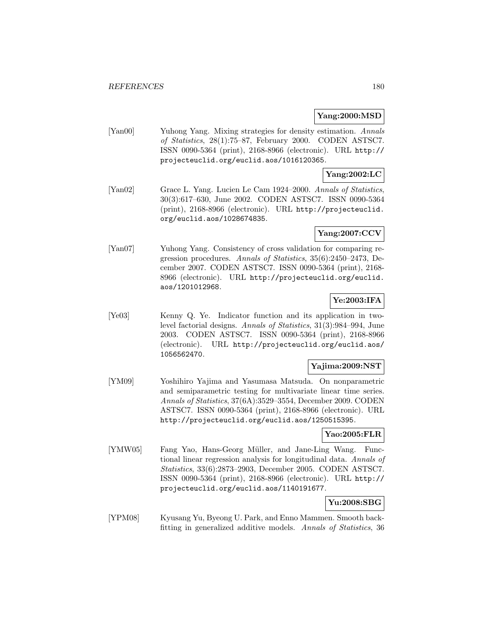## **Yang:2000:MSD**

[Yan00] Yuhong Yang. Mixing strategies for density estimation. Annals of Statistics, 28(1):75–87, February 2000. CODEN ASTSC7. ISSN 0090-5364 (print), 2168-8966 (electronic). URL http:// projecteuclid.org/euclid.aos/1016120365.

## **Yang:2002:LC**

[Yan02] Grace L. Yang. Lucien Le Cam 1924–2000. Annals of Statistics, 30(3):617–630, June 2002. CODEN ASTSC7. ISSN 0090-5364 (print), 2168-8966 (electronic). URL http://projecteuclid. org/euclid.aos/1028674835.

## **Yang:2007:CCV**

[Yan07] Yuhong Yang. Consistency of cross validation for comparing regression procedures. Annals of Statistics, 35(6):2450–2473, December 2007. CODEN ASTSC7. ISSN 0090-5364 (print), 2168- 8966 (electronic). URL http://projecteuclid.org/euclid. aos/1201012968.

## **Ye:2003:IFA**

[Ye03] Kenny Q. Ye. Indicator function and its application in twolevel factorial designs. Annals of Statistics, 31(3):984–994, June 2003. CODEN ASTSC7. ISSN 0090-5364 (print), 2168-8966 (electronic). URL http://projecteuclid.org/euclid.aos/ 1056562470.

## **Yajima:2009:NST**

[YM09] Yoshihiro Yajima and Yasumasa Matsuda. On nonparametric and semiparametric testing for multivariate linear time series. Annals of Statistics, 37(6A):3529–3554, December 2009. CODEN ASTSC7. ISSN 0090-5364 (print), 2168-8966 (electronic). URL http://projecteuclid.org/euclid.aos/1250515395.

#### **Yao:2005:FLR**

[YMW05] Fang Yao, Hans-Georg Müller, and Jane-Ling Wang. Functional linear regression analysis for longitudinal data. Annals of Statistics, 33(6):2873–2903, December 2005. CODEN ASTSC7. ISSN 0090-5364 (print), 2168-8966 (electronic). URL http:// projecteuclid.org/euclid.aos/1140191677.

# **Yu:2008:SBG**

[YPM08] Kyusang Yu, Byeong U. Park, and Enno Mammen. Smooth backfitting in generalized additive models. Annals of Statistics, 36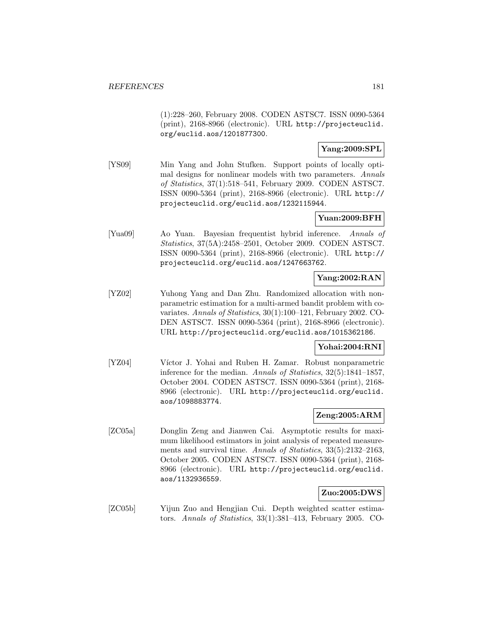(1):228–260, February 2008. CODEN ASTSC7. ISSN 0090-5364 (print), 2168-8966 (electronic). URL http://projecteuclid. org/euclid.aos/1201877300.

### **Yang:2009:SPL**

[YS09] Min Yang and John Stufken. Support points of locally optimal designs for nonlinear models with two parameters. Annals of Statistics, 37(1):518–541, February 2009. CODEN ASTSC7. ISSN 0090-5364 (print), 2168-8966 (electronic). URL http:// projecteuclid.org/euclid.aos/1232115944.

### **Yuan:2009:BFH**

[Yua09] Ao Yuan. Bayesian frequentist hybrid inference. Annals of Statistics, 37(5A):2458–2501, October 2009. CODEN ASTSC7. ISSN 0090-5364 (print), 2168-8966 (electronic). URL http:// projecteuclid.org/euclid.aos/1247663762.

## **Yang:2002:RAN**

[YZ02] Yuhong Yang and Dan Zhu. Randomized allocation with nonparametric estimation for a multi-armed bandit problem with covariates. Annals of Statistics, 30(1):100–121, February 2002. CO-DEN ASTSC7. ISSN 0090-5364 (print), 2168-8966 (electronic). URL http://projecteuclid.org/euclid.aos/1015362186.

### **Yohai:2004:RNI**

[YZ04] Víctor J. Yohai and Ruben H. Zamar. Robust nonparametric inference for the median. Annals of Statistics, 32(5):1841–1857, October 2004. CODEN ASTSC7. ISSN 0090-5364 (print), 2168- 8966 (electronic). URL http://projecteuclid.org/euclid. aos/1098883774.

### **Zeng:2005:ARM**

[ZC05a] Donglin Zeng and Jianwen Cai. Asymptotic results for maximum likelihood estimators in joint analysis of repeated measurements and survival time. Annals of Statistics, 33(5):2132-2163, October 2005. CODEN ASTSC7. ISSN 0090-5364 (print), 2168- 8966 (electronic). URL http://projecteuclid.org/euclid. aos/1132936559.

#### **Zuo:2005:DWS**

[ZC05b] Yijun Zuo and Hengjian Cui. Depth weighted scatter estimators. Annals of Statistics, 33(1):381–413, February 2005. CO-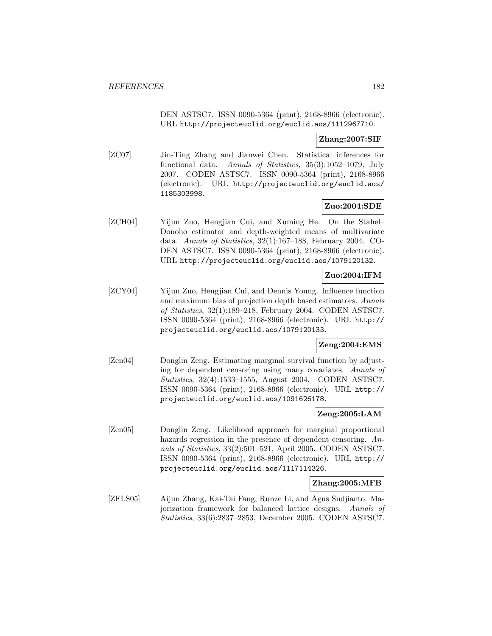DEN ASTSC7. ISSN 0090-5364 (print), 2168-8966 (electronic). URL http://projecteuclid.org/euclid.aos/1112967710.

### **Zhang:2007:SIF**

[ZC07] Jin-Ting Zhang and Jianwei Chen. Statistical inferences for functional data. Annals of Statistics, 35(3):1052–1079, July 2007. CODEN ASTSC7. ISSN 0090-5364 (print), 2168-8966 (electronic). URL http://projecteuclid.org/euclid.aos/ 1185303998.

### **Zuo:2004:SDE**

[ZCH04] Yijun Zuo, Hengjian Cui, and Xuming He. On the Stahel– Donoho estimator and depth-weighted means of multivariate data. Annals of Statistics, 32(1):167–188, February 2004. CO-DEN ASTSC7. ISSN 0090-5364 (print), 2168-8966 (electronic). URL http://projecteuclid.org/euclid.aos/1079120132.

### **Zuo:2004:IFM**

[ZCY04] Yijun Zuo, Hengjian Cui, and Dennis Young. Influence function and maximum bias of projection depth based estimators. Annals of Statistics, 32(1):189–218, February 2004. CODEN ASTSC7. ISSN 0090-5364 (print), 2168-8966 (electronic). URL http:// projecteuclid.org/euclid.aos/1079120133.

#### **Zeng:2004:EMS**

[Zen04] Donglin Zeng. Estimating marginal survival function by adjusting for dependent censoring using many covariates. Annals of Statistics, 32(4):1533–1555, August 2004. CODEN ASTSC7. ISSN 0090-5364 (print), 2168-8966 (electronic). URL http:// projecteuclid.org/euclid.aos/1091626178.

### **Zeng:2005:LAM**

[Zen05] Donglin Zeng. Likelihood approach for marginal proportional hazards regression in the presence of dependent censoring. Annals of Statistics, 33(2):501–521, April 2005. CODEN ASTSC7. ISSN 0090-5364 (print), 2168-8966 (electronic). URL http:// projecteuclid.org/euclid.aos/1117114326.

#### **Zhang:2005:MFB**

[ZFLS05] Aijun Zhang, Kai-Tai Fang, Runze Li, and Agus Sudjianto. Majorization framework for balanced lattice designs. Annals of Statistics, 33(6):2837–2853, December 2005. CODEN ASTSC7.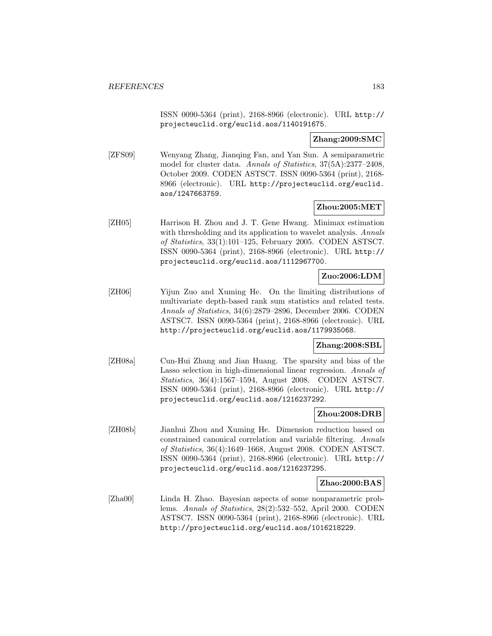ISSN 0090-5364 (print), 2168-8966 (electronic). URL http:// projecteuclid.org/euclid.aos/1140191675.

#### **Zhang:2009:SMC**

[ZFS09] Wenyang Zhang, Jianqing Fan, and Yan Sun. A semiparametric model for cluster data. Annals of Statistics, 37(5A):2377–2408, October 2009. CODEN ASTSC7. ISSN 0090-5364 (print), 2168- 8966 (electronic). URL http://projecteuclid.org/euclid. aos/1247663759.

#### **Zhou:2005:MET**

[ZH05] Harrison H. Zhou and J. T. Gene Hwang. Minimax estimation with thresholding and its application to wavelet analysis. Annals of Statistics, 33(1):101–125, February 2005. CODEN ASTSC7. ISSN 0090-5364 (print), 2168-8966 (electronic). URL http:// projecteuclid.org/euclid.aos/1112967700.

# **Zuo:2006:LDM**

[ZH06] Yijun Zuo and Xuming He. On the limiting distributions of multivariate depth-based rank sum statistics and related tests. Annals of Statistics, 34(6):2879–2896, December 2006. CODEN ASTSC7. ISSN 0090-5364 (print), 2168-8966 (electronic). URL http://projecteuclid.org/euclid.aos/1179935068.

#### **Zhang:2008:SBL**

[ZH08a] Cun-Hui Zhang and Jian Huang. The sparsity and bias of the Lasso selection in high-dimensional linear regression. Annals of Statistics, 36(4):1567–1594, August 2008. CODEN ASTSC7. ISSN 0090-5364 (print), 2168-8966 (electronic). URL http:// projecteuclid.org/euclid.aos/1216237292.

#### **Zhou:2008:DRB**

[ZH08b] Jianhui Zhou and Xuming He. Dimension reduction based on constrained canonical correlation and variable filtering. Annals of Statistics, 36(4):1649–1668, August 2008. CODEN ASTSC7. ISSN 0090-5364 (print), 2168-8966 (electronic). URL http:// projecteuclid.org/euclid.aos/1216237295.

#### **Zhao:2000:BAS**

[Zha00] Linda H. Zhao. Bayesian aspects of some nonparametric problems. Annals of Statistics, 28(2):532–552, April 2000. CODEN ASTSC7. ISSN 0090-5364 (print), 2168-8966 (electronic). URL http://projecteuclid.org/euclid.aos/1016218229.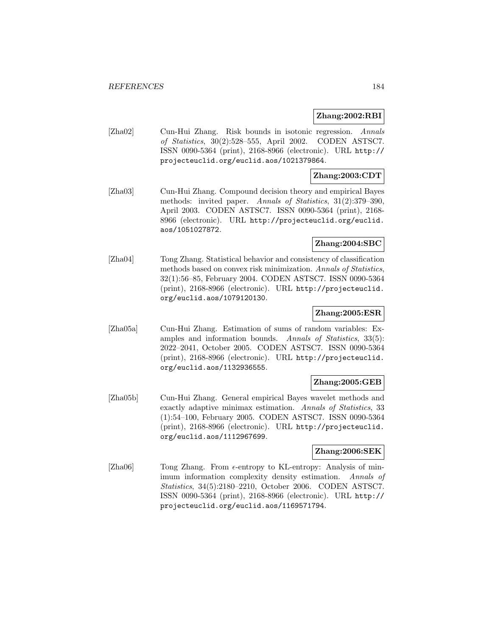#### **Zhang:2002:RBI**

[Zha02] Cun-Hui Zhang. Risk bounds in isotonic regression. Annals of Statistics, 30(2):528–555, April 2002. CODEN ASTSC7. ISSN 0090-5364 (print), 2168-8966 (electronic). URL http:// projecteuclid.org/euclid.aos/1021379864.

### **Zhang:2003:CDT**

[Zha03] Cun-Hui Zhang. Compound decision theory and empirical Bayes methods: invited paper. Annals of Statistics, 31(2):379–390, April 2003. CODEN ASTSC7. ISSN 0090-5364 (print), 2168- 8966 (electronic). URL http://projecteuclid.org/euclid. aos/1051027872.

### **Zhang:2004:SBC**

[Zha04] Tong Zhang. Statistical behavior and consistency of classification methods based on convex risk minimization. Annals of Statistics, 32(1):56–85, February 2004. CODEN ASTSC7. ISSN 0090-5364 (print), 2168-8966 (electronic). URL http://projecteuclid. org/euclid.aos/1079120130.

#### **Zhang:2005:ESR**

[Zha05a] Cun-Hui Zhang. Estimation of sums of random variables: Examples and information bounds. Annals of Statistics, 33(5): 2022–2041, October 2005. CODEN ASTSC7. ISSN 0090-5364 (print), 2168-8966 (electronic). URL http://projecteuclid. org/euclid.aos/1132936555.

### **Zhang:2005:GEB**

[Zha05b] Cun-Hui Zhang. General empirical Bayes wavelet methods and exactly adaptive minimax estimation. Annals of Statistics, 33 (1):54–100, February 2005. CODEN ASTSC7. ISSN 0090-5364 (print), 2168-8966 (electronic). URL http://projecteuclid. org/euclid.aos/1112967699.

#### **Zhang:2006:SEK**

[Zha06] Tong Zhang. From  $\epsilon$ -entropy to KL-entropy: Analysis of minimum information complexity density estimation. Annals of Statistics, 34(5):2180–2210, October 2006. CODEN ASTSC7. ISSN 0090-5364 (print), 2168-8966 (electronic). URL http:// projecteuclid.org/euclid.aos/1169571794.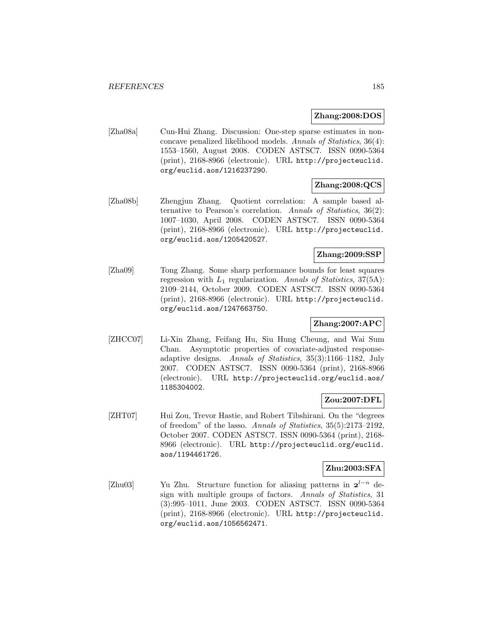#### **Zhang:2008:DOS**

[Zha08a] Cun-Hui Zhang. Discussion: One-step sparse estimates in nonconcave penalized likelihood models. Annals of Statistics, 36(4): 1553–1560, August 2008. CODEN ASTSC7. ISSN 0090-5364 (print), 2168-8966 (electronic). URL http://projecteuclid. org/euclid.aos/1216237290.

### **Zhang:2008:QCS**

[Zha08b] Zhengjun Zhang. Quotient correlation: A sample based alternative to Pearson's correlation. Annals of Statistics, 36(2): 1007–1030, April 2008. CODEN ASTSC7. ISSN 0090-5364 (print), 2168-8966 (electronic). URL http://projecteuclid. org/euclid.aos/1205420527.

### **Zhang:2009:SSP**

[Zha09] Tong Zhang. Some sharp performance bounds for least squares regression with  $L_1$  regularization. Annals of Statistics, 37(5A): 2109–2144, October 2009. CODEN ASTSC7. ISSN 0090-5364 (print), 2168-8966 (electronic). URL http://projecteuclid. org/euclid.aos/1247663750.

## **Zhang:2007:APC**

[ZHCC07] Li-Xin Zhang, Feifang Hu, Siu Hung Cheung, and Wai Sum Chan. Asymptotic properties of covariate-adjusted responseadaptive designs. Annals of Statistics, 35(3):1166–1182, July 2007. CODEN ASTSC7. ISSN 0090-5364 (print), 2168-8966 (electronic). URL http://projecteuclid.org/euclid.aos/ 1185304002.

### **Zou:2007:DFL**

[ZHT07] Hui Zou, Trevor Hastie, and Robert Tibshirani. On the "degrees of freedom" of the lasso. Annals of Statistics, 35(5):2173–2192, October 2007. CODEN ASTSC7. ISSN 0090-5364 (print), 2168- 8966 (electronic). URL http://projecteuclid.org/euclid. aos/1194461726.

# **Zhu:2003:SFA**

[Zhu03] Yu Zhu. Structure function for aliasing patterns in  $2^{l-n}$  design with multiple groups of factors. Annals of Statistics, 31 (3):995–1011, June 2003. CODEN ASTSC7. ISSN 0090-5364 (print), 2168-8966 (electronic). URL http://projecteuclid. org/euclid.aos/1056562471.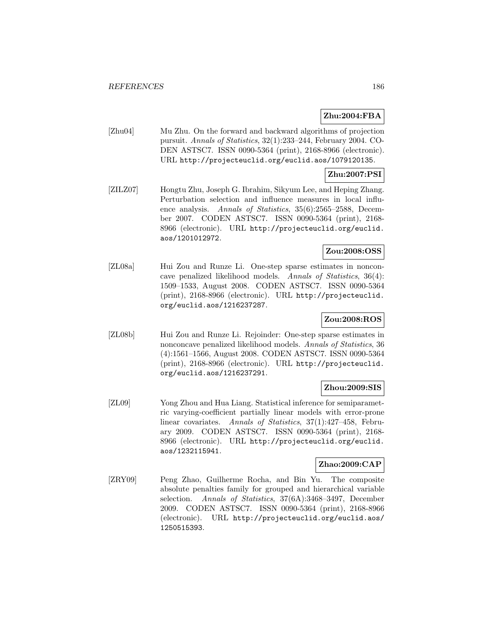## **Zhu:2004:FBA**

[Zhu04] Mu Zhu. On the forward and backward algorithms of projection pursuit. Annals of Statistics, 32(1):233–244, February 2004. CO-DEN ASTSC7. ISSN 0090-5364 (print), 2168-8966 (electronic). URL http://projecteuclid.org/euclid.aos/1079120135.

### **Zhu:2007:PSI**

[ZILZ07] Hongtu Zhu, Joseph G. Ibrahim, Sikyum Lee, and Heping Zhang. Perturbation selection and influence measures in local influence analysis. Annals of Statistics, 35(6):2565-2588, December 2007. CODEN ASTSC7. ISSN 0090-5364 (print), 2168- 8966 (electronic). URL http://projecteuclid.org/euclid. aos/1201012972.

### **Zou:2008:OSS**

[ZL08a] Hui Zou and Runze Li. One-step sparse estimates in nonconcave penalized likelihood models. Annals of Statistics, 36(4): 1509–1533, August 2008. CODEN ASTSC7. ISSN 0090-5364 (print), 2168-8966 (electronic). URL http://projecteuclid. org/euclid.aos/1216237287.

### **Zou:2008:ROS**

[ZL08b] Hui Zou and Runze Li. Rejoinder: One-step sparse estimates in nonconcave penalized likelihood models. Annals of Statistics, 36 (4):1561–1566, August 2008. CODEN ASTSC7. ISSN 0090-5364 (print), 2168-8966 (electronic). URL http://projecteuclid. org/euclid.aos/1216237291.

### **Zhou:2009:SIS**

[ZL09] Yong Zhou and Hua Liang. Statistical inference for semiparametric varying-coefficient partially linear models with error-prone linear covariates. Annals of Statistics, 37(1):427–458, February 2009. CODEN ASTSC7. ISSN 0090-5364 (print), 2168- 8966 (electronic). URL http://projecteuclid.org/euclid. aos/1232115941.

## **Zhao:2009:CAP**

[ZRY09] Peng Zhao, Guilherme Rocha, and Bin Yu. The composite absolute penalties family for grouped and hierarchical variable selection. Annals of Statistics, 37(6A):3468–3497, December 2009. CODEN ASTSC7. ISSN 0090-5364 (print), 2168-8966 (electronic). URL http://projecteuclid.org/euclid.aos/ 1250515393.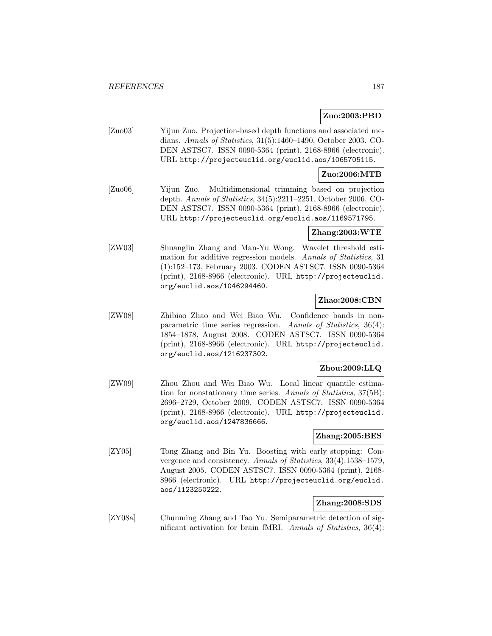### **Zuo:2003:PBD**

[Zuo03] Yijun Zuo. Projection-based depth functions and associated medians. Annals of Statistics, 31(5):1460–1490, October 2003. CO-DEN ASTSC7. ISSN 0090-5364 (print), 2168-8966 (electronic). URL http://projecteuclid.org/euclid.aos/1065705115.

### **Zuo:2006:MTB**

[Zuo06] Yijun Zuo. Multidimensional trimming based on projection depth. Annals of Statistics, 34(5):2211–2251, October 2006. CO-DEN ASTSC7. ISSN 0090-5364 (print), 2168-8966 (electronic). URL http://projecteuclid.org/euclid.aos/1169571795.

#### **Zhang:2003:WTE**

[ZW03] Shuanglin Zhang and Man-Yu Wong. Wavelet threshold estimation for additive regression models. Annals of Statistics, 31 (1):152–173, February 2003. CODEN ASTSC7. ISSN 0090-5364 (print), 2168-8966 (electronic). URL http://projecteuclid. org/euclid.aos/1046294460.

### **Zhao:2008:CBN**

[ZW08] Zhibiao Zhao and Wei Biao Wu. Confidence bands in nonparametric time series regression. Annals of Statistics, 36(4): 1854–1878, August 2008. CODEN ASTSC7. ISSN 0090-5364 (print), 2168-8966 (electronic). URL http://projecteuclid. org/euclid.aos/1216237302.

#### **Zhou:2009:LLQ**

[ZW09] Zhou Zhou and Wei Biao Wu. Local linear quantile estimation for nonstationary time series. Annals of Statistics, 37(5B): 2696–2729, October 2009. CODEN ASTSC7. ISSN 0090-5364 (print), 2168-8966 (electronic). URL http://projecteuclid. org/euclid.aos/1247836666.

### **Zhang:2005:BES**

[ZY05] Tong Zhang and Bin Yu. Boosting with early stopping: Convergence and consistency. Annals of Statistics, 33(4):1538–1579, August 2005. CODEN ASTSC7. ISSN 0090-5364 (print), 2168- 8966 (electronic). URL http://projecteuclid.org/euclid. aos/1123250222.

### **Zhang:2008:SDS**

[ZY08a] Chunming Zhang and Tao Yu. Semiparametric detection of significant activation for brain fMRI. Annals of Statistics, 36(4):